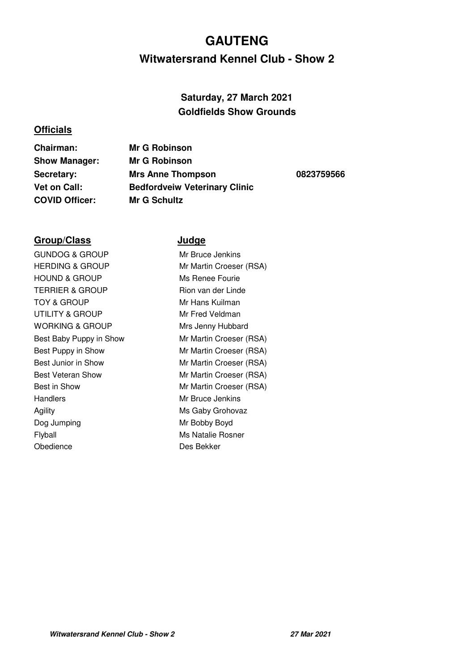### **Witwatersrand Kennel Club - Show 2 GAUTENG**

### **Saturday, 27 March 2021 Goldfields Show Grounds**

#### **Officials**

**Chairman: Mr G Robinson Show Manager: Mr G Robinson Secretary: Mrs Anne Thompson 0823759566 Vet on Call: Bedfordveiw Veterinary Clinic COVID Officer: Mr G Schultz**

#### **Group/Class Judge**

GUNDOG & GROUP Mr Bruce Jenkins HERDING & GROUP Mr Martin Croeser (RSA) HOUND & GROUP Ms Renee Fourie TERRIER & GROUP Rion van der Linde TOY & GROUP Mr Hans Kuilman UTILITY & GROUP Mr Fred Veldman WORKING & GROUP Mrs Jenny Hubbard Best Baby Puppy in Show Mr Martin Croeser (RSA) Best Puppy in Show Mr Martin Croeser (RSA) Best Junior in Show Mr Martin Croeser (RSA) Best Veteran Show Mr Martin Croeser (RSA) Best in Show **Mr Martin Croeser (RSA)** Handlers Mr Bruce Jenkins Agility Ms Gaby Grohovaz Dog Jumping Mr Bobby Boyd Flyball Ms Natalie Rosner Obedience Des Bekker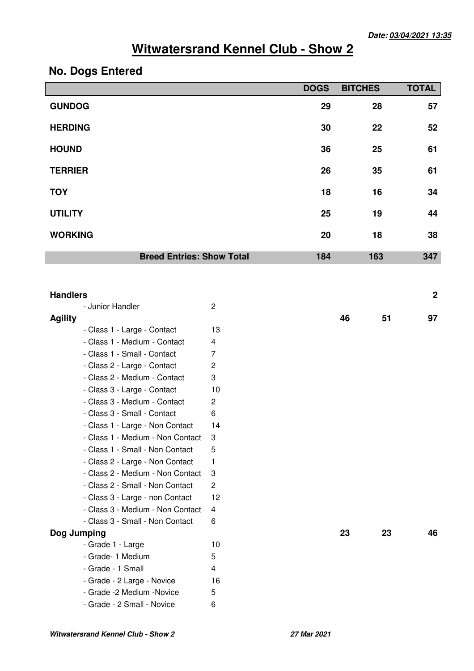### **No. Dogs Entered**

|                                                             |                                  | <b>DOGS</b> | <b>BITCHES</b> | <b>TOTAL</b>     |
|-------------------------------------------------------------|----------------------------------|-------------|----------------|------------------|
| <b>GUNDOG</b>                                               |                                  | 29          | 28             | 57               |
| <b>HERDING</b>                                              |                                  | 30          | 22             | 52               |
| <b>HOUND</b>                                                |                                  | 36          | 25             | 61               |
| <b>TERRIER</b>                                              |                                  | 26          | 35             | 61               |
| <b>TOY</b>                                                  |                                  | 18          | 16             | 34               |
| <b>UTILITY</b>                                              |                                  | 25          | 19             | 44               |
| <b>WORKING</b>                                              |                                  | 20          | 18             | 38               |
| <b>Breed Entries: Show Total</b>                            |                                  | 184         | 163            | 347              |
|                                                             |                                  |             |                |                  |
| <b>Handlers</b>                                             |                                  |             |                | $\boldsymbol{2}$ |
| - Junior Handler                                            | $\overline{2}$                   |             |                |                  |
| <b>Agility</b>                                              |                                  |             | 46<br>51       | 97               |
| - Class 1 - Large - Contact                                 | 13                               |             |                |                  |
| - Class 1 - Medium - Contact                                | 4                                |             |                |                  |
| - Class 1 - Small - Contact                                 | $\overline{7}$<br>$\overline{c}$ |             |                |                  |
| - Class 2 - Large - Contact<br>- Class 2 - Medium - Contact | 3                                |             |                |                  |
| - Class 3 - Large - Contact                                 | 10                               |             |                |                  |
| - Class 3 - Medium - Contact                                | $\overline{c}$                   |             |                |                  |
| - Class 3 - Small - Contact                                 | 6                                |             |                |                  |
| - Class 1 - Large - Non Contact                             | 14                               |             |                |                  |
| - Class 1 - Medium - Non Contact                            | 3                                |             |                |                  |
| - Class 1 - Small - Non Contact                             | 5                                |             |                |                  |
| - Class 2 - Large - Non Contact                             | 1                                |             |                |                  |
| - Class 2 - Medium - Non Contact                            | 3                                |             |                |                  |
| - Class 2 - Small - Non Contact                             | 2                                |             |                |                  |
| - Class 3 - Large - non Contact                             | 12                               |             |                |                  |
| - Class 3 - Medium - Non Contact                            | 4                                |             |                |                  |
| - Class 3 - Small - Non Contact                             | 6                                |             |                |                  |
| Dog Jumping                                                 |                                  |             | 23<br>23       | 46               |
| - Grade 1 - Large                                           | 10                               |             |                |                  |
| - Grade- 1 Medium                                           | 5                                |             |                |                  |
| - Grade - 1 Small                                           | 4                                |             |                |                  |
| - Grade - 2 Large - Novice                                  | 16                               |             |                |                  |
| - Grade -2 Medium -Novice                                   | 5                                |             |                |                  |
| - Grade - 2 Small - Novice                                  | 6                                |             |                |                  |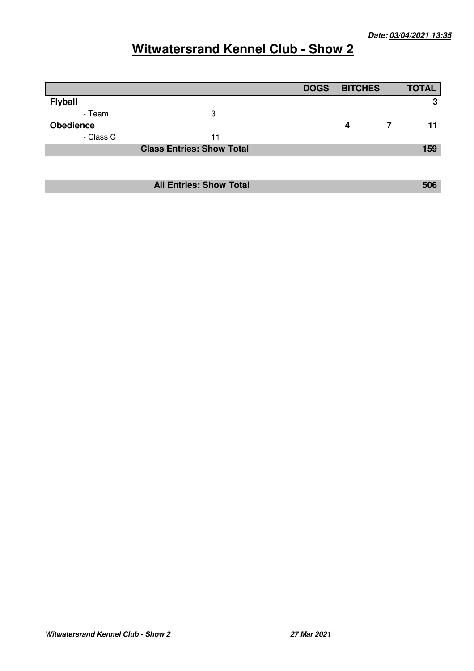|                  |                                  | <b>DOGS</b> | <b>BITCHES</b> | <b>TOTAL</b> |
|------------------|----------------------------------|-------------|----------------|--------------|
| <b>Flyball</b>   |                                  |             |                | 3            |
| - Team           | 3                                |             |                |              |
| <b>Obedience</b> |                                  |             | 4              | 11           |
| - Class C        | 11                               |             |                |              |
|                  | <b>Class Entries: Show Total</b> |             |                | 159          |
|                  |                                  |             |                |              |
|                  |                                  |             |                |              |
|                  | <b>All Entries: Show Total</b>   |             |                | 506          |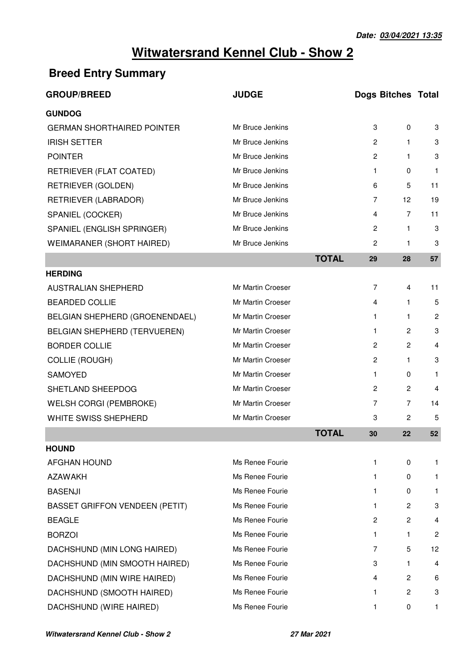### **Breed Entry Summary**

| <b>GROUP/BREED</b>                    | <b>JUDGE</b>      |              | <b>Dogs Bitches Total</b> |                |                |
|---------------------------------------|-------------------|--------------|---------------------------|----------------|----------------|
| <b>GUNDOG</b>                         |                   |              |                           |                |                |
| <b>GERMAN SHORTHAIRED POINTER</b>     | Mr Bruce Jenkins  |              | 3                         | $\mathbf 0$    | 3              |
| <b>IRISH SETTER</b>                   | Mr Bruce Jenkins  |              | 2                         | 1.             | 3              |
| <b>POINTER</b>                        | Mr Bruce Jenkins  |              | $\mathbf{2}$              | $\mathbf{1}$   | 3              |
| RETRIEVER (FLAT COATED)               | Mr Bruce Jenkins  |              | 1                         | 0              | $\mathbf{1}$   |
| <b>RETRIEVER (GOLDEN)</b>             | Mr Bruce Jenkins  |              | 6                         | 5              | 11             |
| RETRIEVER (LABRADOR)                  | Mr Bruce Jenkins  |              | 7                         | 12             | 19             |
| SPANIEL (COCKER)                      | Mr Bruce Jenkins  |              | 4                         | 7              | 11             |
| SPANIEL (ENGLISH SPRINGER)            | Mr Bruce Jenkins  |              | 2                         | $\mathbf{1}$   | 3              |
| WEIMARANER (SHORT HAIRED)             | Mr Bruce Jenkins  |              | $\overline{c}$            | $\mathbf{1}$   | 3              |
|                                       |                   | <b>TOTAL</b> | 29                        | 28             | 57             |
| <b>HERDING</b>                        |                   |              |                           |                |                |
| AUSTRALIAN SHEPHERD                   | Mr Martin Croeser |              | $\overline{7}$            | 4              | 11             |
| <b>BEARDED COLLIE</b>                 | Mr Martin Croeser |              | 4                         | $\mathbf{1}$   | 5              |
| BELGIAN SHEPHERD (GROENENDAEL)        | Mr Martin Croeser |              | $\mathbf{1}$              | $\mathbf{1}$   | $\overline{c}$ |
| BELGIAN SHEPHERD (TERVUEREN)          | Mr Martin Croeser |              | 1.                        | $\mathbf{2}$   | 3              |
| <b>BORDER COLLIE</b>                  | Mr Martin Croeser |              | $\overline{2}$            | 2              | 4              |
| <b>COLLIE (ROUGH)</b>                 | Mr Martin Croeser |              | $\overline{2}$            | $\mathbf{1}$   | 3              |
| <b>SAMOYED</b>                        | Mr Martin Croeser |              | 1                         | 0              | $\mathbf{1}$   |
| SHETLAND SHEEPDOG                     | Mr Martin Croeser |              | 2                         | 2              | 4              |
| <b>WELSH CORGI (PEMBROKE)</b>         | Mr Martin Croeser |              | $\overline{7}$            | 7              | 14             |
| WHITE SWISS SHEPHERD                  | Mr Martin Croeser |              | 3                         | $\overline{2}$ | 5              |
|                                       |                   | <b>TOTAL</b> | 30                        | 22             | 52             |
| <b>HOUND</b>                          |                   |              |                           |                |                |
| <b>AFGHAN HOUND</b>                   | Ms Renee Fourie   |              | 1                         | 0              | 1              |
| <b>AZAWAKH</b>                        | Ms Renee Fourie   |              | 1                         | 0              | 1.             |
| <b>BASENJI</b>                        | Ms Renee Fourie   |              | 1                         | 0              | 1.             |
| <b>BASSET GRIFFON VENDEEN (PETIT)</b> | Ms Renee Fourie   |              | 1                         | $\overline{2}$ | 3              |
| <b>BEAGLE</b>                         | Ms Renee Fourie   |              | 2                         | 2              | 4              |
| <b>BORZOI</b>                         | Ms Renee Fourie   |              | 1.                        | $\mathbf{1}$   | $\overline{c}$ |
| DACHSHUND (MIN LONG HAIRED)           | Ms Renee Fourie   |              | 7                         | 5              | 12             |
| DACHSHUND (MIN SMOOTH HAIRED)         | Ms Renee Fourie   |              | 3                         | $\mathbf{1}$   | 4              |
| DACHSHUND (MIN WIRE HAIRED)           | Ms Renee Fourie   |              | 4                         | $\overline{2}$ | 6              |
| DACHSHUND (SMOOTH HAIRED)             | Ms Renee Fourie   |              | 1                         | $\overline{c}$ | 3              |
| DACHSHUND (WIRE HAIRED)               | Ms Renee Fourie   |              | 1                         | 0              | 1              |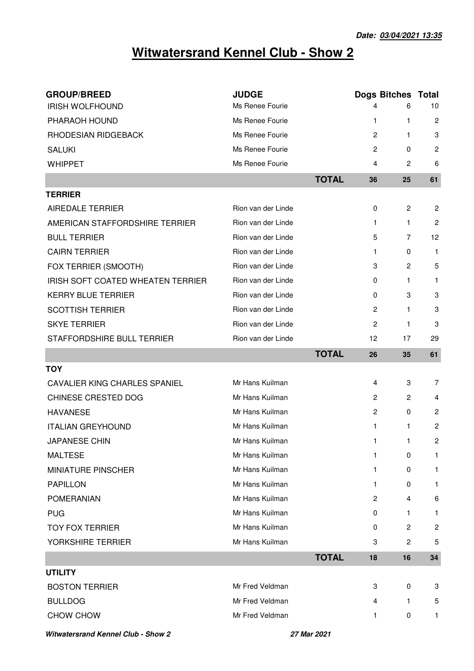| <b>GROUP/BREED</b>                   | <b>JUDGE</b>       |              |                | <b>Dogs Bitches Total</b> |                  |
|--------------------------------------|--------------------|--------------|----------------|---------------------------|------------------|
| <b>IRISH WOLFHOUND</b>               | Ms Renee Fourie    |              | 4              | 6                         | 10               |
| PHARAOH HOUND                        | Ms Renee Fourie    |              | $\mathbf{1}$   | 1                         | $\overline{c}$   |
| RHODESIAN RIDGEBACK                  | Ms Renee Fourie    |              | $\overline{c}$ | 1.                        | 3                |
| <b>SALUKI</b>                        | Ms Renee Fourie    |              | $\overline{c}$ | 0                         | $\overline{c}$   |
| <b>WHIPPET</b>                       | Ms Renee Fourie    |              | 4              | 2                         | 6                |
|                                      |                    | <b>TOTAL</b> | 36             | 25                        | 61               |
| <b>TERRIER</b>                       |                    |              |                |                           |                  |
| <b>AIREDALE TERRIER</b>              | Rion van der Linde |              | 0              | $\overline{2}$            | $\overline{2}$   |
| AMERICAN STAFFORDSHIRE TERRIER       | Rion van der Linde |              | $\mathbf{1}$   | $\mathbf{1}$              | $\overline{c}$   |
| <b>BULL TERRIER</b>                  | Rion van der Linde |              | 5              | 7                         | 12               |
| <b>CAIRN TERRIER</b>                 | Rion van der Linde |              | $\mathbf{1}$   | 0                         | $\mathbf{1}$     |
| FOX TERRIER (SMOOTH)                 | Rion van der Linde |              | 3              | 2                         | 5                |
| IRISH SOFT COATED WHEATEN TERRIER    | Rion van der Linde |              | 0              | $\mathbf{1}$              | 1                |
| <b>KERRY BLUE TERRIER</b>            | Rion van der Linde |              | 0              | 3                         | 3                |
| <b>SCOTTISH TERRIER</b>              | Rion van der Linde |              | $\overline{2}$ | $\mathbf{1}$              | 3                |
| <b>SKYE TERRIER</b>                  | Rion van der Linde |              | $\overline{c}$ | 1                         | 3                |
| STAFFORDSHIRE BULL TERRIER           | Rion van der Linde |              | 12             | 17                        | 29               |
|                                      |                    | <b>TOTAL</b> | 26             | 35                        | 61               |
| <b>TOY</b>                           |                    |              |                |                           |                  |
| <b>CAVALIER KING CHARLES SPANIEL</b> | Mr Hans Kuilman    |              | 4              | 3                         | 7                |
| CHINESE CRESTED DOG                  | Mr Hans Kuilman    |              | $\overline{2}$ | 2                         | 4                |
| <b>HAVANESE</b>                      | Mr Hans Kuilman    |              | $\overline{2}$ | 0                         | $\overline{c}$   |
| <b>ITALIAN GREYHOUND</b>             | Mr Hans Kuilman    |              | $\mathbf{1}$   | 1                         | $\overline{c}$   |
| <b>JAPANESE CHIN</b>                 | Mr Hans Kuilman    |              | 1              | 1                         | 2                |
| <b>MALTESE</b>                       | Mr Hans Kuilman    |              | $\mathbf 1$    | 0                         | 1                |
| <b>MINIATURE PINSCHER</b>            | Mr Hans Kuilman    |              | $\mathbf{1}$   | 0                         | 1                |
| <b>PAPILLON</b>                      | Mr Hans Kuilman    |              | $\mathbf{1}$   | 0                         | 1.               |
| <b>POMERANIAN</b>                    | Mr Hans Kuilman    |              | $\overline{c}$ | 4                         | 6                |
| <b>PUG</b>                           | Mr Hans Kuilman    |              | 0              | $\mathbf{1}$              | $\mathbf{1}$     |
| <b>TOY FOX TERRIER</b>               | Mr Hans Kuilman    |              | 0              | $\overline{2}$            | $\boldsymbol{2}$ |
| YORKSHIRE TERRIER                    | Mr Hans Kuilman    |              | 3              | $\overline{2}$            | 5                |
|                                      |                    | <b>TOTAL</b> | 18             | 16                        | 34               |
| <b>UTILITY</b>                       |                    |              |                |                           |                  |
| <b>BOSTON TERRIER</b>                | Mr Fred Veldman    |              | 3              | 0                         | 3                |
| <b>BULLDOG</b>                       | Mr Fred Veldman    |              | 4              | $\mathbf{1}$              | 5                |
| CHOW CHOW                            | Mr Fred Veldman    |              | 1              | 0                         | 1                |

**Witwatersrand Kennel Club - Show 2 27 Mar 2021**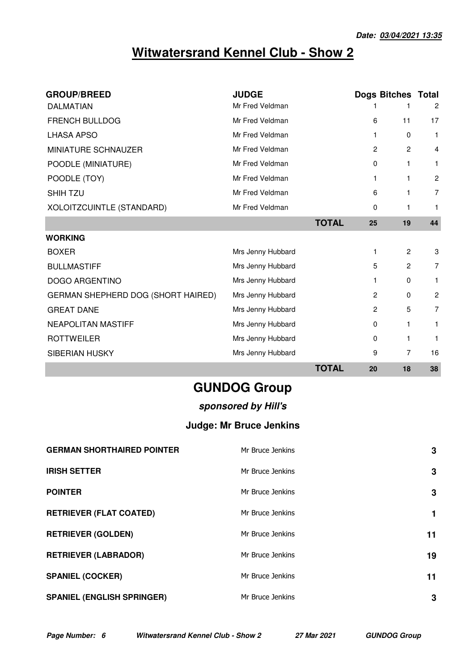| <b>GROUP/BREED</b>                 | <b>JUDGE</b>      |              |                | <b>Dogs Bitches Total</b> |                |
|------------------------------------|-------------------|--------------|----------------|---------------------------|----------------|
| <b>DALMATIAN</b>                   | Mr Fred Veldman   |              |                |                           | $\overline{c}$ |
| <b>FRENCH BULLDOG</b>              | Mr Fred Veldman   |              | 6              | 11                        | 17             |
| <b>LHASA APSO</b>                  | Mr Fred Veldman   |              | 1              | 0                         | 1              |
| MINIATURE SCHNAUZER                | Mr Fred Veldman   |              | $\overline{2}$ | $\overline{2}$            | 4              |
| POODLE (MINIATURE)                 | Mr Fred Veldman   |              | 0              | $\mathbf{1}$              | 1              |
| POODLE (TOY)                       | Mr Fred Veldman   |              | 1              | 1                         | $\overline{c}$ |
| <b>SHIH TZU</b>                    | Mr Fred Veldman   |              | 6              | 1                         | 7              |
| XOLOITZCUINTLE (STANDARD)          | Mr Fred Veldman   |              | $\Omega$       | 1                         | $\mathbf{1}$   |
|                                    |                   | <b>TOTAL</b> | 25             | 19                        | 44             |
| <b>WORKING</b>                     |                   |              |                |                           |                |
| <b>BOXER</b>                       | Mrs Jenny Hubbard |              | 1              | $\overline{2}$            | 3              |
| <b>BULLMASTIFF</b>                 | Mrs Jenny Hubbard |              | 5              | $\mathbf{2}$              | 7              |
| <b>DOGO ARGENTINO</b>              | Mrs Jenny Hubbard |              | 1              | 0                         | 1.             |
| GERMAN SHEPHERD DOG (SHORT HAIRED) | Mrs Jenny Hubbard |              | $\overline{2}$ | 0                         | $\overline{c}$ |
| <b>GREAT DANE</b>                  | Mrs Jenny Hubbard |              | $\overline{2}$ | 5                         | 7              |
| <b>NEAPOLITAN MASTIFF</b>          | Mrs Jenny Hubbard |              | $\mathbf 0$    | 1                         | 1.             |
| <b>ROTTWEILER</b>                  | Mrs Jenny Hubbard |              | $\mathbf 0$    | 1                         | 1              |
| <b>SIBERIAN HUSKY</b>              | Mrs Jenny Hubbard |              | 9              | 7                         | 16             |
|                                    |                   | <b>TOTAL</b> | 20             | 18                        | 38             |

**GUNDOG Group**

#### **sponsored by Hill's**

### **Judge: Mr Bruce Jenkins**

| <b>GERMAN SHORTHAIRED POINTER</b> | Mr Bruce Jenkins | 3  |
|-----------------------------------|------------------|----|
| <b>IRISH SETTER</b>               | Mr Bruce Jenkins | 3  |
| <b>POINTER</b>                    | Mr Bruce Jenkins | 3  |
| <b>RETRIEVER (FLAT COATED)</b>    | Mr Bruce Jenkins | 1  |
| <b>RETRIEVER (GOLDEN)</b>         | Mr Bruce Jenkins | 11 |
| <b>RETRIEVER (LABRADOR)</b>       | Mr Bruce Jenkins | 19 |
| <b>SPANIEL (COCKER)</b>           | Mr Bruce Jenkins | 11 |
| <b>SPANIEL (ENGLISH SPRINGER)</b> | Mr Bruce Jenkins | 3  |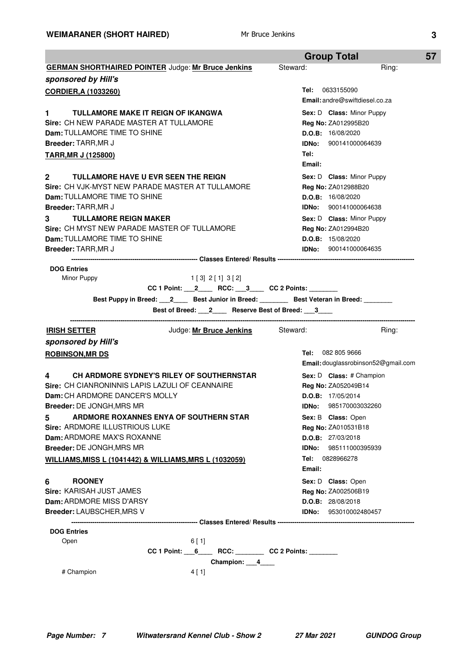|                                                                                                                                     | <b>Group Total</b>                                |
|-------------------------------------------------------------------------------------------------------------------------------------|---------------------------------------------------|
| <b>GERMAN SHORTHAIRED POINTER Judge: Mr Bruce Jenkins</b>                                                                           | Steward:<br>Ring:                                 |
| sponsored by Hill's                                                                                                                 |                                                   |
| <b>CORDIER, A (1033260)</b>                                                                                                         | <b>Tel:</b> 0633155090                            |
|                                                                                                                                     | <b>Email:</b> andre@swiftdiesel.co.za             |
| $\blacksquare$<br><b>TULLAMORE MAKE IT REIGN OF IKANGWA</b>                                                                         | Sex: D Class: Minor Puppy                         |
| Sire: CH NEW PARADE MASTER AT TULLAMORE                                                                                             | Reg No: ZA012995B20                               |
| <b>Dam: TULLAMORE TIME TO SHINE</b>                                                                                                 | D.O.B: 16/08/2020                                 |
| <b>Breeder: TARR, MR J</b>                                                                                                          | IDNo: 900141000064639                             |
| <b>TARR, MR J (125800)</b>                                                                                                          | Tel:                                              |
|                                                                                                                                     | Email:                                            |
| <b>TULLAMORE HAVE U EVR SEEN THE REIGN</b><br>$\mathbf{2}$                                                                          | Sex: D Class: Minor Puppy                         |
| Sire: CH VJK-MYST NEW PARADE MASTER AT TULLAMORE                                                                                    | Reg No: ZA012988B20                               |
| Dam: TULLAMORE TIME TO SHINE                                                                                                        | D.O.B: 16/08/2020                                 |
| <b>Breeder: TARR, MR J</b>                                                                                                          | <b>IDNo:</b> 900141000064638                      |
| <b>TULLAMORE REIGN MAKER</b><br>3                                                                                                   | Sex: D Class: Minor Puppy                         |
| Sire: CH MYST NEW PARADE MASTER OF TULLAMORE<br>Dam: TULLAMORE TIME TO SHINE                                                        | Reg No: ZA012994B20                               |
| <b>Breeder: TARR, MR J</b>                                                                                                          | D.O.B: 15/08/2020<br><b>IDNo:</b> 900141000064635 |
|                                                                                                                                     |                                                   |
| <b>DOG Entries</b>                                                                                                                  |                                                   |
| Minor Puppy<br>$1\begin{bmatrix} 3 \\ 2\end{bmatrix}$ $2\begin{bmatrix} 1 \\ 3\end{bmatrix}$ $3\begin{bmatrix} 2 \\ 4\end{bmatrix}$ |                                                   |
| CC 1 Point: $2$ RCC: $3$ CC 2 Points:                                                                                               |                                                   |
| Best Puppy in Breed: 12 _____ Best Junior in Breed: ________ Best Veteran in Breed: _______                                         |                                                   |
| Best of Breed: 2 Reserve Best of Breed: 3                                                                                           |                                                   |
| Judge: Mr Bruce Jenkins Steward:<br><b>IRISH SETTER</b>                                                                             | Ring:                                             |
| sponsored by Hill's                                                                                                                 |                                                   |
|                                                                                                                                     | <b>Tel: 082 805 9666</b>                          |
| <b>ROBINSON, MR DS</b>                                                                                                              | Email: douglassrobinson52@gmail.com               |
| CH ARDMORE SYDNEY'S RILEY OF SOUTHERNSTAR<br>4                                                                                      | Sex: D Class: # Champion                          |
| Sire: CH CIANRONINNIS LAPIS LAZULI OF CEANNAIRE                                                                                     | <b>Reg No: ZA052049B14</b>                        |
| Dam: CH ARDMORE DANCER'S MOLLY                                                                                                      | D.O.B: 17/05/2014                                 |
| Breeder: DE JONGH, MRS MR                                                                                                           | IDNo: 985170003032260                             |
| ARDMORE ROXANNES ENYA OF SOUTHERN STAR<br>5                                                                                         | Sex: B Class: Open                                |
| Sire: ARDMORE ILLUSTRIOUS LUKE                                                                                                      | Reg No: ZA010531B18                               |
| Dam: ARDMORE MAX'S ROXANNE                                                                                                          | D.O.B: 27/03/2018                                 |
| Breeder: DE JONGH, MRS MR                                                                                                           | <b>IDNo: 985111000395939</b>                      |
| WILLIAMS, MISS L (1041442) & WILLIAMS, MRS L (1032059)                                                                              |                                                   |
|                                                                                                                                     | <b>Tel:</b> 0828966278                            |
|                                                                                                                                     | Email:                                            |
| 6<br><b>ROONEY</b>                                                                                                                  | Sex: D Class: Open                                |
| Sire: KARISAH JUST JAMES                                                                                                            | Reg No: ZA002506B19                               |
| Dam: ARDMORE MISS D'ARSY                                                                                                            | D.O.B: 28/08/2018                                 |
| <b>Breeder: LAUBSCHER, MRS V</b>                                                                                                    | IDNo: 953010002480457                             |
| <b>DOG Entries</b>                                                                                                                  |                                                   |
| Open<br>6 [ 1]                                                                                                                      |                                                   |
| $CC 1 Point: 6$ RCC: CC 2 Points:                                                                                                   |                                                   |
| Champion: 4                                                                                                                         |                                                   |
| # Champion<br>4[1]                                                                                                                  |                                                   |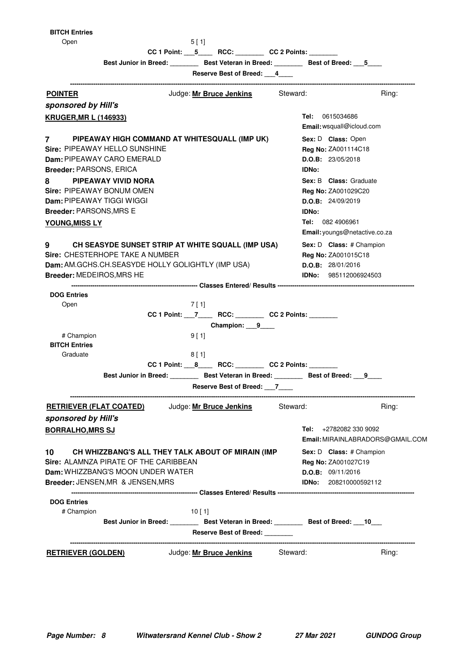#### **BITCH Entries**

Open

| ×<br>۰. |  |  |  |
|---------|--|--|--|
|---------|--|--|--|

CC 1 Point: \_\_\_\_5\_\_\_\_ RCC: \_\_\_\_\_\_\_\_ CC 2 Points: \_

Best Junior in Breed: \_\_\_\_\_\_\_\_ Best Veteran in Breed: \_\_\_\_\_\_\_ Best of Breed: \_\_\_5\_\_\_

**Reserve Best of Breed: \_\_\_4\_\_\_\_**

| ve pearor precu.                                                                          |                                  |
|-------------------------------------------------------------------------------------------|----------------------------------|
| Judge: Mr Bruce Jenkins<br><b>POINTER</b>                                                 | Steward:<br>Ring:                |
| sponsored by Hill's                                                                       |                                  |
| <b>KRUGER, MR L (146933)</b>                                                              | <b>Tel:</b> 0615034686           |
|                                                                                           | Email: wsquall@icloud.com        |
| $7$ and $7$<br>PIPEAWAY HIGH COMMAND AT WHITESQUALL (IMP UK)                              | Sex: D Class: Open               |
| <b>Sire: PIPEAWAY HELLO SUNSHINE</b>                                                      | Reg No: ZA001114C18              |
| Dam: PIPEAWAY CARO EMERALD                                                                | D.O.B: 23/05/2018                |
| <b>Breeder: PARSONS, ERICA</b>                                                            | <b>IDNo:</b>                     |
| PIPEAWAY VIVID NORA<br>8                                                                  | <b>Sex: B Class:</b> Graduate    |
| Sire: PIPEAWAY BONUM OMEN                                                                 | Reg No: ZA001029C20              |
| <b>Dam: PIPEAWAY TIGGI WIGGI</b>                                                          | D.O.B: 24/09/2019                |
| Breeder: PARSONS, MRS E                                                                   | <b>IDNo:</b>                     |
| <b>YOUNG, MISS LY</b>                                                                     | Tel: 082 4906961                 |
|                                                                                           | Email: youngs@netactive.co.za    |
| 9<br>CH SEASYDE SUNSET STRIP AT WHITE SQUALL (IMP USA)                                    | Sex: D Class: # Champion         |
| Sire: CHESTERHOPE TAKE A NUMBER                                                           | <b>Reg No: ZA001015C18</b>       |
| Dam: AM.GCHS.CH.SEASYDE HOLLY GOLIGHTLY (IMP USA)                                         | D.O.B: 28/01/2016                |
| Breeder: MEDEIROS, MRS HE                                                                 | <b>IDNo:</b> 985112006924503     |
|                                                                                           |                                  |
| <b>DOG Entries</b>                                                                        |                                  |
| 7 [ 1]<br>Open                                                                            |                                  |
|                                                                                           |                                  |
| Champion: 9                                                                               |                                  |
| # Champion<br>9[1]                                                                        |                                  |
| <b>BITCH Entries</b>                                                                      |                                  |
| Graduate<br>8[1]                                                                          |                                  |
| CC 1 Point: ___ 8______ RCC: _________ CC 2 Points: _______                               |                                  |
| Best Junior in Breed: _________ Best Veteran in Breed: ________ Best of Breed: ___9       |                                  |
| Reserve Best of Breed: 7                                                                  |                                  |
| Judge: <u>Mr Bruce Jenkins</u><br><b>RETRIEVER (FLAT COATED)</b><br>sponsored by Hill's   | Steward:<br>Ring:                |
| <b>BORRALHO.MRS SJ</b>                                                                    | +2782082 330 9092<br>Tel:        |
|                                                                                           | Email: MIRAINLABRADORS@GMAIL.COM |
| CH WHIZZBANG'S ALL THEY TALK ABOUT OF MIRAIN (IMP<br>10                                   | Sex: D Class: # Champion         |
| Sire: ALAMNZA PIRATE OF THE CARIBBEAN                                                     | Reg No: ZA001027C19              |
| <b>Dam: WHIZZBANG'S MOON UNDER WATER</b>                                                  | D.O.B: 09/11/2016                |
| Breeder: JENSEN, MR & JENSEN, MRS                                                         | <b>IDNo:</b> 208210000592112     |
|                                                                                           |                                  |
| <b>DOG Entries</b>                                                                        |                                  |
| # Champion<br>10[1]                                                                       |                                  |
| Best Junior in Breed: __________ Best Veteran in Breed: _________ Best of Breed: ___10___ |                                  |
| Reserve Best of Breed: _______                                                            |                                  |
|                                                                                           |                                  |
| Judge: Mr Bruce Jenkins<br><b>RETRIEVER (GOLDEN)</b>                                      | Steward:<br>Ring:                |
|                                                                                           |                                  |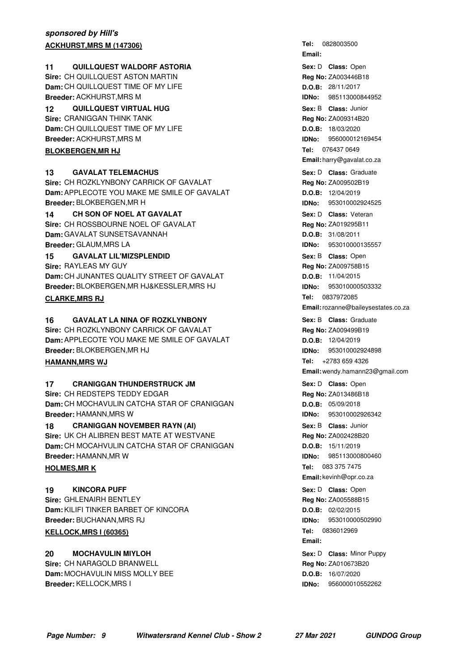#### **sponsored by Hill's ACKHURST, MRS M (147306)**

#### **11 QUILLQUEST WALDORF ASTORIA 11 11** Sex: D Class: Open

**Sire:** CH QUILLQUEST ASTON MARTIN **Dam:** CH QUILLQUEST TIME OF MY LIFE **Breeder:** ACKHURST,MRS M

**QUILLQUEST VIRTUAL HUG 12** Junior **Sire:** CRANIGGAN THINK TANK **Dam:** CH QUILLQUEST TIME OF MY LIFE **Breeder:** ACKHURST,MRS M

#### **BLOKBERGEN, MR HJ**

#### **13** GAVALAT TELEMACHUS **CONSERVERS CONSERVERS GRADUATE SEXEL** Sex: D Class: Graduate

**Sire:** CH ROZKLYNBONY CARRICK OF GAVALAT **Dam:** APPLECOTE YOU MAKE ME SMILE OF GAVALAT **Breeder:** BLOKBERGEN,MR H

#### **CH SON OF NOEL AT GAVALAT 14** Veteran

**Sire: CH ROSSBOURNE NOEL OF GAVALAT Dam:** GAVALAT SUNSETSAVANNAH **Breeder:** GLAUM,MRS LA

#### **15 GAVALAT LIL'MIZSPLENDID 15** Open **11** Open **11** Open **11** Open **11** Open **11** Open **11** Open **11** Open **11** Open **11** Open **11** Open **11** Open **11** Open **11** Open **11** Open **11** Open **11** Open **11** Open **11** Open **11**

**Sire:** RAYLEAS MY GUY **Dam:** CH JUNANTES QUALITY STREET OF GAVALAT **Breeder:** BLOKBERGEN,MR HJ&KESSLER,MRS HJ

#### **CLARKE, MRS RJ**

#### **16 GAVALAT LA NINA OF ROZKLYNBONY Consumer Sex: B Class: Graduate**

**Sire:** CH ROZKLYNBONY CARRICK OF GAVALAT **Dam:** APPLECOTE YOU MAKE ME SMILE OF GAVALAT **Breeder:** BLOKBERGEN,MR HJ

#### **HAMANN, MRS WJ**

#### **17 CRANIGGAN THUNDERSTRUCK JM 17** Open Bex: D Class: Open

**Sire:** CH REDSTEPS TEDDY EDGAR **Dam:** CH MOCHAVULIN CATCHA STAR OF CRANIGGAN **Breeder:** HAMANN,MRS W

**18 CRANIGGAN NOVEMBER RAYN (AI) 18 CLASS: Junior CRANIGGAN NOVEMBER RAYN (AI) Sire:** UK CH ALIBREN BEST MATE AT WESTVANE **Dam:** CH MOCAHVULIN CATCHA STAR OF CRANIGGAN **Breeder:** HAMANN,MR W

#### **HOLMES, MRK**

**KINCORA PUFF Sire: GHI FNAIRH BENTLEY Dam:** KILIFI TINKER BARBET OF KINCORA **Breeder:** BUCHANAN,MRS RJ **19 CONSEX CONSERVANT CONSERVANT CONSERVERS CLASS:** Open

#### **KELLOCK, MRS 1 (60365)**

**MOCHAVULIN MIYLOH Sire:** CH NARAGOLD BRANWELL **Dam:** MOCHAVULIN MISS MOLLY BEE **Breeder:** KELLOCK,MRS I **Sex:** D **Class:** Minor Puppy **Contrary Contrary Contrary Contrary Contrary Sex: D <b>Class:** Minor Puppy

**Email:** Sex: D **Class: Open Reg No:** ZA003446B18 **D.O.B:** 28/11/2017 **IDNo:** 985113000844952 **Sex:** B **Class: Reg No:** ZA009314B20 **D.O.B:** 18/03/2020 **IDNo:** 956000012169454 Tel: 076437 0649 **Email:** harry@gavalat.co.za **Sex:** D **Class: Reg No:** ZA009502B19 **D.O.B:** 12/04/2019 **IDNo:** 953010002924525 **Sex:** D **Class: Reg No:** ZA019295B11 **D.O.B:** 31/08/2011 **IDNo:** 953010000135557 Sex: B **Class:** Open **Reg No:** ZA009758B15 **D.O.B:** 11/04/2015 **IDNo:** 953010000503332 **Tel: Email:**rozanne@baileysestates.co.za **Sex:** B **Class: Reg No:** ZA009499B19 **D.O.B:** 12/04/2019 **IDNo:** 953010002924898 Tel: +2783 659 4326 **Email:** wendy.hamann23@gmail.com Sex: D **Class:** Open

Tel: 0828003500

**Reg No:** ZA013486B18 **D.O.B:** 05/09/2018 **IDNo:** 953010002926342 **Sex:** B **Class: Reg No:** ZA002428B20 **D.O.B:** 15/11/2019 **IDNo:** 985113000800460 Tel: 083 375 7475 **Email:** kevinh@opr.co.za **Reg No:** ZA005588B15 **D.O.B:** 02/02/2015 **IDNo:** 953010000502990 Tel: 0836012969 **Email:**

**Reg No:** ZA010673B20 **D.O.B:** 16/07/2020 **IDNo:** 956000010552262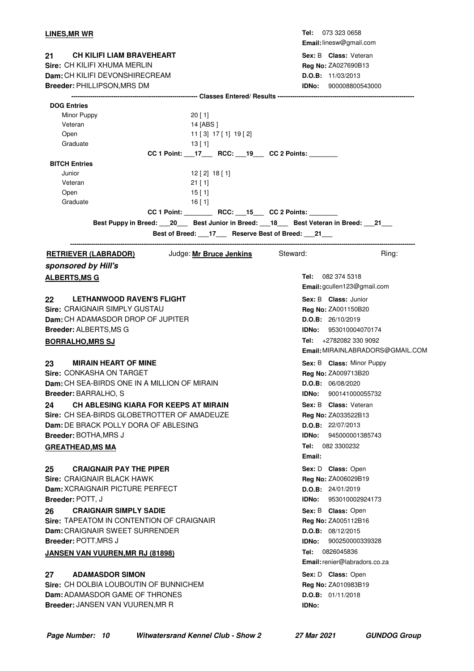| CH KILIFI LIAM BRAVEHEART<br>Sex: B Class: Veteran<br>21<br>Sire: CH KILIFI XHUMA MERLIN<br><b>Reg No: ZA027690B13</b><br>Dam: CH KILIFI DEVONSHIRECREAM<br>D.O.B: 11/03/2013<br>Breeder: PHILLIPSON, MRS DM<br><b>IDNo:</b> 900008800543000<br><b>DOG Entries</b><br>Minor Puppy<br>20 [1]<br>Veteran<br>14 [ABS ]<br>Open<br>11 [3] 17 [1] 19 [2]<br>Graduate<br>13[1]<br>CC 1 Point: ____ 17_____ RCC: ____ 19____ CC 2 Points: ________<br><b>BITCH Entries</b><br>Junior<br>$12$ [ 2] $18$ [ 1]<br>Veteran<br>$21$ [ 1]<br>Open<br>$15$ [ 1]<br>Graduate<br>$16$ [ 1]<br>CC 1 Point: RCC: 15 CC 2 Points:<br>Best Puppy in Breed: 20 Best Junior in Breed: 18 Best Veteran in Breed: 21<br>Best of Breed: ___17___ Reserve Best of Breed: ___21___<br>Judge: Mr Bruce Jenkins Steward:<br>Ring:<br><u>RETRIEVER (LABRADOR)</u><br>sponsored by Hill's<br>Tel: 082 374 5318<br><b>ALBERTS, MS G</b><br>Email: gcullen123@gmail.com<br>Sex: B Class: Junior<br>22<br><b>LETHANWOOD RAVEN'S FLIGHT</b><br>Sire: CRAIGNAIR SIMPLY GUSTAU<br>Reg No: ZA001150B20<br>Dam: CH ADAMASDOR DROP OF JUPITER<br>D.O.B: 26/10/2019<br><b>Breeder: ALBERTS, MS G</b><br><b>IDNo:</b> 953010004070174<br>Tel: +2782082 330 9092<br><b>BORRALHO, MRS SJ</b><br>Email: MIRAINLABRADORS@GMAIL.COM<br><b>MIRAIN HEART OF MINE</b><br>Sex: B Class: Minor Puppy<br>23.<br>Sire: CONKASHA ON TARGET<br>Reg No: ZA009713B20<br>Dam: CH SEA-BIRDS ONE IN A MILLION OF MIRAIN<br>D.O.B: 06/08/2020<br><b>Breeder: BARRALHO, S</b><br>900141000055732<br>IDNo:<br>CH ABLESING KIARA FOR KEEPS AT MIRAIN<br>Sex: B Class: Veteran<br>Sire: CH SEA-BIRDS GLOBETROTTER OF AMADEUZE<br>Reg No: ZA033522B13<br>Dam: DE BRACK POLLY DORA OF ABLESING<br><b>D.O.B:</b> $22/07/2013$<br><b>Breeder: BOTHA, MRS J</b><br><b>IDNo:</b> 945000001385743<br>Tel: 082 3300232<br><b>GREATHEAD, MS MA</b><br>Email:<br><b>CRAIGNAIR PAY THE PIPER</b><br>Sex: D Class: Open<br>25<br>Sire: CRAIGNAIR BLACK HAWK<br>Reg No: ZA006029B19<br>Dam: XCRAIGNAIR PICTURE PERFECT<br>D.O.B: 24/01/2019<br>Breeder: POTT, J<br><b>IDNo:</b> 953010002924173<br><b>CRAIGNAIR SIMPLY SADIE</b><br>26<br>Sex: B Class: Open<br>Sire: TAPEATOM IN CONTENTION OF CRAIGNAIR<br>Reg No: ZA005112B16<br>Dam: CRAIGNAIR SWEET SURRENDER<br>D.O.B: 08/12/2015<br><b>Breeder: POTT, MRS J</b><br>IDNo:<br>900250000339328<br>Tel: 0826045836<br><b>JANSEN VAN VUUREN, MR RJ (81898)</b><br>Email: renier@labradors.co.za<br><b>ADAMASDOR SIMON</b><br>Sex: D Class: Open<br>27<br><b>Sire: CH DOLBIA LOUBOUTIN OF BUNNICHEM</b><br>Reg No: ZA010983B19<br>Dam: ADAMASDOR GAME OF THRONES<br>D.O.B: 01/11/2018<br>Breeder: JANSEN VAN VUUREN, MR R<br>IDNo: | LINES, MR WR | Tel: 073 323 0658<br>Email: linesw@gmail.com |
|------------------------------------------------------------------------------------------------------------------------------------------------------------------------------------------------------------------------------------------------------------------------------------------------------------------------------------------------------------------------------------------------------------------------------------------------------------------------------------------------------------------------------------------------------------------------------------------------------------------------------------------------------------------------------------------------------------------------------------------------------------------------------------------------------------------------------------------------------------------------------------------------------------------------------------------------------------------------------------------------------------------------------------------------------------------------------------------------------------------------------------------------------------------------------------------------------------------------------------------------------------------------------------------------------------------------------------------------------------------------------------------------------------------------------------------------------------------------------------------------------------------------------------------------------------------------------------------------------------------------------------------------------------------------------------------------------------------------------------------------------------------------------------------------------------------------------------------------------------------------------------------------------------------------------------------------------------------------------------------------------------------------------------------------------------------------------------------------------------------------------------------------------------------------------------------------------------------------------------------------------------------------------------------------------------------------------------------------------------------------------------------------------------------------------------------------------------------------------------------------------------------------------------------------------------------------------------------------------------------------------------------------------------------------------------------------------|--------------|----------------------------------------------|
|                                                                                                                                                                                                                                                                                                                                                                                                                                                                                                                                                                                                                                                                                                                                                                                                                                                                                                                                                                                                                                                                                                                                                                                                                                                                                                                                                                                                                                                                                                                                                                                                                                                                                                                                                                                                                                                                                                                                                                                                                                                                                                                                                                                                                                                                                                                                                                                                                                                                                                                                                                                                                                                                                                      |              |                                              |
|                                                                                                                                                                                                                                                                                                                                                                                                                                                                                                                                                                                                                                                                                                                                                                                                                                                                                                                                                                                                                                                                                                                                                                                                                                                                                                                                                                                                                                                                                                                                                                                                                                                                                                                                                                                                                                                                                                                                                                                                                                                                                                                                                                                                                                                                                                                                                                                                                                                                                                                                                                                                                                                                                                      |              |                                              |
|                                                                                                                                                                                                                                                                                                                                                                                                                                                                                                                                                                                                                                                                                                                                                                                                                                                                                                                                                                                                                                                                                                                                                                                                                                                                                                                                                                                                                                                                                                                                                                                                                                                                                                                                                                                                                                                                                                                                                                                                                                                                                                                                                                                                                                                                                                                                                                                                                                                                                                                                                                                                                                                                                                      |              |                                              |
|                                                                                                                                                                                                                                                                                                                                                                                                                                                                                                                                                                                                                                                                                                                                                                                                                                                                                                                                                                                                                                                                                                                                                                                                                                                                                                                                                                                                                                                                                                                                                                                                                                                                                                                                                                                                                                                                                                                                                                                                                                                                                                                                                                                                                                                                                                                                                                                                                                                                                                                                                                                                                                                                                                      |              |                                              |
|                                                                                                                                                                                                                                                                                                                                                                                                                                                                                                                                                                                                                                                                                                                                                                                                                                                                                                                                                                                                                                                                                                                                                                                                                                                                                                                                                                                                                                                                                                                                                                                                                                                                                                                                                                                                                                                                                                                                                                                                                                                                                                                                                                                                                                                                                                                                                                                                                                                                                                                                                                                                                                                                                                      |              |                                              |
|                                                                                                                                                                                                                                                                                                                                                                                                                                                                                                                                                                                                                                                                                                                                                                                                                                                                                                                                                                                                                                                                                                                                                                                                                                                                                                                                                                                                                                                                                                                                                                                                                                                                                                                                                                                                                                                                                                                                                                                                                                                                                                                                                                                                                                                                                                                                                                                                                                                                                                                                                                                                                                                                                                      |              |                                              |
|                                                                                                                                                                                                                                                                                                                                                                                                                                                                                                                                                                                                                                                                                                                                                                                                                                                                                                                                                                                                                                                                                                                                                                                                                                                                                                                                                                                                                                                                                                                                                                                                                                                                                                                                                                                                                                                                                                                                                                                                                                                                                                                                                                                                                                                                                                                                                                                                                                                                                                                                                                                                                                                                                                      |              |                                              |
|                                                                                                                                                                                                                                                                                                                                                                                                                                                                                                                                                                                                                                                                                                                                                                                                                                                                                                                                                                                                                                                                                                                                                                                                                                                                                                                                                                                                                                                                                                                                                                                                                                                                                                                                                                                                                                                                                                                                                                                                                                                                                                                                                                                                                                                                                                                                                                                                                                                                                                                                                                                                                                                                                                      |              |                                              |
|                                                                                                                                                                                                                                                                                                                                                                                                                                                                                                                                                                                                                                                                                                                                                                                                                                                                                                                                                                                                                                                                                                                                                                                                                                                                                                                                                                                                                                                                                                                                                                                                                                                                                                                                                                                                                                                                                                                                                                                                                                                                                                                                                                                                                                                                                                                                                                                                                                                                                                                                                                                                                                                                                                      |              |                                              |
|                                                                                                                                                                                                                                                                                                                                                                                                                                                                                                                                                                                                                                                                                                                                                                                                                                                                                                                                                                                                                                                                                                                                                                                                                                                                                                                                                                                                                                                                                                                                                                                                                                                                                                                                                                                                                                                                                                                                                                                                                                                                                                                                                                                                                                                                                                                                                                                                                                                                                                                                                                                                                                                                                                      |              |                                              |
|                                                                                                                                                                                                                                                                                                                                                                                                                                                                                                                                                                                                                                                                                                                                                                                                                                                                                                                                                                                                                                                                                                                                                                                                                                                                                                                                                                                                                                                                                                                                                                                                                                                                                                                                                                                                                                                                                                                                                                                                                                                                                                                                                                                                                                                                                                                                                                                                                                                                                                                                                                                                                                                                                                      |              |                                              |
|                                                                                                                                                                                                                                                                                                                                                                                                                                                                                                                                                                                                                                                                                                                                                                                                                                                                                                                                                                                                                                                                                                                                                                                                                                                                                                                                                                                                                                                                                                                                                                                                                                                                                                                                                                                                                                                                                                                                                                                                                                                                                                                                                                                                                                                                                                                                                                                                                                                                                                                                                                                                                                                                                                      |              |                                              |
|                                                                                                                                                                                                                                                                                                                                                                                                                                                                                                                                                                                                                                                                                                                                                                                                                                                                                                                                                                                                                                                                                                                                                                                                                                                                                                                                                                                                                                                                                                                                                                                                                                                                                                                                                                                                                                                                                                                                                                                                                                                                                                                                                                                                                                                                                                                                                                                                                                                                                                                                                                                                                                                                                                      |              |                                              |
|                                                                                                                                                                                                                                                                                                                                                                                                                                                                                                                                                                                                                                                                                                                                                                                                                                                                                                                                                                                                                                                                                                                                                                                                                                                                                                                                                                                                                                                                                                                                                                                                                                                                                                                                                                                                                                                                                                                                                                                                                                                                                                                                                                                                                                                                                                                                                                                                                                                                                                                                                                                                                                                                                                      |              |                                              |
|                                                                                                                                                                                                                                                                                                                                                                                                                                                                                                                                                                                                                                                                                                                                                                                                                                                                                                                                                                                                                                                                                                                                                                                                                                                                                                                                                                                                                                                                                                                                                                                                                                                                                                                                                                                                                                                                                                                                                                                                                                                                                                                                                                                                                                                                                                                                                                                                                                                                                                                                                                                                                                                                                                      |              |                                              |
|                                                                                                                                                                                                                                                                                                                                                                                                                                                                                                                                                                                                                                                                                                                                                                                                                                                                                                                                                                                                                                                                                                                                                                                                                                                                                                                                                                                                                                                                                                                                                                                                                                                                                                                                                                                                                                                                                                                                                                                                                                                                                                                                                                                                                                                                                                                                                                                                                                                                                                                                                                                                                                                                                                      |              |                                              |
|                                                                                                                                                                                                                                                                                                                                                                                                                                                                                                                                                                                                                                                                                                                                                                                                                                                                                                                                                                                                                                                                                                                                                                                                                                                                                                                                                                                                                                                                                                                                                                                                                                                                                                                                                                                                                                                                                                                                                                                                                                                                                                                                                                                                                                                                                                                                                                                                                                                                                                                                                                                                                                                                                                      |              |                                              |
|                                                                                                                                                                                                                                                                                                                                                                                                                                                                                                                                                                                                                                                                                                                                                                                                                                                                                                                                                                                                                                                                                                                                                                                                                                                                                                                                                                                                                                                                                                                                                                                                                                                                                                                                                                                                                                                                                                                                                                                                                                                                                                                                                                                                                                                                                                                                                                                                                                                                                                                                                                                                                                                                                                      |              |                                              |
|                                                                                                                                                                                                                                                                                                                                                                                                                                                                                                                                                                                                                                                                                                                                                                                                                                                                                                                                                                                                                                                                                                                                                                                                                                                                                                                                                                                                                                                                                                                                                                                                                                                                                                                                                                                                                                                                                                                                                                                                                                                                                                                                                                                                                                                                                                                                                                                                                                                                                                                                                                                                                                                                                                      |              |                                              |
|                                                                                                                                                                                                                                                                                                                                                                                                                                                                                                                                                                                                                                                                                                                                                                                                                                                                                                                                                                                                                                                                                                                                                                                                                                                                                                                                                                                                                                                                                                                                                                                                                                                                                                                                                                                                                                                                                                                                                                                                                                                                                                                                                                                                                                                                                                                                                                                                                                                                                                                                                                                                                                                                                                      |              |                                              |
|                                                                                                                                                                                                                                                                                                                                                                                                                                                                                                                                                                                                                                                                                                                                                                                                                                                                                                                                                                                                                                                                                                                                                                                                                                                                                                                                                                                                                                                                                                                                                                                                                                                                                                                                                                                                                                                                                                                                                                                                                                                                                                                                                                                                                                                                                                                                                                                                                                                                                                                                                                                                                                                                                                      |              |                                              |
|                                                                                                                                                                                                                                                                                                                                                                                                                                                                                                                                                                                                                                                                                                                                                                                                                                                                                                                                                                                                                                                                                                                                                                                                                                                                                                                                                                                                                                                                                                                                                                                                                                                                                                                                                                                                                                                                                                                                                                                                                                                                                                                                                                                                                                                                                                                                                                                                                                                                                                                                                                                                                                                                                                      |              |                                              |
|                                                                                                                                                                                                                                                                                                                                                                                                                                                                                                                                                                                                                                                                                                                                                                                                                                                                                                                                                                                                                                                                                                                                                                                                                                                                                                                                                                                                                                                                                                                                                                                                                                                                                                                                                                                                                                                                                                                                                                                                                                                                                                                                                                                                                                                                                                                                                                                                                                                                                                                                                                                                                                                                                                      |              |                                              |
|                                                                                                                                                                                                                                                                                                                                                                                                                                                                                                                                                                                                                                                                                                                                                                                                                                                                                                                                                                                                                                                                                                                                                                                                                                                                                                                                                                                                                                                                                                                                                                                                                                                                                                                                                                                                                                                                                                                                                                                                                                                                                                                                                                                                                                                                                                                                                                                                                                                                                                                                                                                                                                                                                                      |              |                                              |
|                                                                                                                                                                                                                                                                                                                                                                                                                                                                                                                                                                                                                                                                                                                                                                                                                                                                                                                                                                                                                                                                                                                                                                                                                                                                                                                                                                                                                                                                                                                                                                                                                                                                                                                                                                                                                                                                                                                                                                                                                                                                                                                                                                                                                                                                                                                                                                                                                                                                                                                                                                                                                                                                                                      |              |                                              |
|                                                                                                                                                                                                                                                                                                                                                                                                                                                                                                                                                                                                                                                                                                                                                                                                                                                                                                                                                                                                                                                                                                                                                                                                                                                                                                                                                                                                                                                                                                                                                                                                                                                                                                                                                                                                                                                                                                                                                                                                                                                                                                                                                                                                                                                                                                                                                                                                                                                                                                                                                                                                                                                                                                      |              |                                              |
|                                                                                                                                                                                                                                                                                                                                                                                                                                                                                                                                                                                                                                                                                                                                                                                                                                                                                                                                                                                                                                                                                                                                                                                                                                                                                                                                                                                                                                                                                                                                                                                                                                                                                                                                                                                                                                                                                                                                                                                                                                                                                                                                                                                                                                                                                                                                                                                                                                                                                                                                                                                                                                                                                                      |              |                                              |
|                                                                                                                                                                                                                                                                                                                                                                                                                                                                                                                                                                                                                                                                                                                                                                                                                                                                                                                                                                                                                                                                                                                                                                                                                                                                                                                                                                                                                                                                                                                                                                                                                                                                                                                                                                                                                                                                                                                                                                                                                                                                                                                                                                                                                                                                                                                                                                                                                                                                                                                                                                                                                                                                                                      |              |                                              |
|                                                                                                                                                                                                                                                                                                                                                                                                                                                                                                                                                                                                                                                                                                                                                                                                                                                                                                                                                                                                                                                                                                                                                                                                                                                                                                                                                                                                                                                                                                                                                                                                                                                                                                                                                                                                                                                                                                                                                                                                                                                                                                                                                                                                                                                                                                                                                                                                                                                                                                                                                                                                                                                                                                      |              |                                              |
|                                                                                                                                                                                                                                                                                                                                                                                                                                                                                                                                                                                                                                                                                                                                                                                                                                                                                                                                                                                                                                                                                                                                                                                                                                                                                                                                                                                                                                                                                                                                                                                                                                                                                                                                                                                                                                                                                                                                                                                                                                                                                                                                                                                                                                                                                                                                                                                                                                                                                                                                                                                                                                                                                                      | 24           |                                              |
|                                                                                                                                                                                                                                                                                                                                                                                                                                                                                                                                                                                                                                                                                                                                                                                                                                                                                                                                                                                                                                                                                                                                                                                                                                                                                                                                                                                                                                                                                                                                                                                                                                                                                                                                                                                                                                                                                                                                                                                                                                                                                                                                                                                                                                                                                                                                                                                                                                                                                                                                                                                                                                                                                                      |              |                                              |
|                                                                                                                                                                                                                                                                                                                                                                                                                                                                                                                                                                                                                                                                                                                                                                                                                                                                                                                                                                                                                                                                                                                                                                                                                                                                                                                                                                                                                                                                                                                                                                                                                                                                                                                                                                                                                                                                                                                                                                                                                                                                                                                                                                                                                                                                                                                                                                                                                                                                                                                                                                                                                                                                                                      |              |                                              |
|                                                                                                                                                                                                                                                                                                                                                                                                                                                                                                                                                                                                                                                                                                                                                                                                                                                                                                                                                                                                                                                                                                                                                                                                                                                                                                                                                                                                                                                                                                                                                                                                                                                                                                                                                                                                                                                                                                                                                                                                                                                                                                                                                                                                                                                                                                                                                                                                                                                                                                                                                                                                                                                                                                      |              |                                              |
|                                                                                                                                                                                                                                                                                                                                                                                                                                                                                                                                                                                                                                                                                                                                                                                                                                                                                                                                                                                                                                                                                                                                                                                                                                                                                                                                                                                                                                                                                                                                                                                                                                                                                                                                                                                                                                                                                                                                                                                                                                                                                                                                                                                                                                                                                                                                                                                                                                                                                                                                                                                                                                                                                                      |              |                                              |
|                                                                                                                                                                                                                                                                                                                                                                                                                                                                                                                                                                                                                                                                                                                                                                                                                                                                                                                                                                                                                                                                                                                                                                                                                                                                                                                                                                                                                                                                                                                                                                                                                                                                                                                                                                                                                                                                                                                                                                                                                                                                                                                                                                                                                                                                                                                                                                                                                                                                                                                                                                                                                                                                                                      |              |                                              |
|                                                                                                                                                                                                                                                                                                                                                                                                                                                                                                                                                                                                                                                                                                                                                                                                                                                                                                                                                                                                                                                                                                                                                                                                                                                                                                                                                                                                                                                                                                                                                                                                                                                                                                                                                                                                                                                                                                                                                                                                                                                                                                                                                                                                                                                                                                                                                                                                                                                                                                                                                                                                                                                                                                      |              |                                              |
|                                                                                                                                                                                                                                                                                                                                                                                                                                                                                                                                                                                                                                                                                                                                                                                                                                                                                                                                                                                                                                                                                                                                                                                                                                                                                                                                                                                                                                                                                                                                                                                                                                                                                                                                                                                                                                                                                                                                                                                                                                                                                                                                                                                                                                                                                                                                                                                                                                                                                                                                                                                                                                                                                                      |              |                                              |
|                                                                                                                                                                                                                                                                                                                                                                                                                                                                                                                                                                                                                                                                                                                                                                                                                                                                                                                                                                                                                                                                                                                                                                                                                                                                                                                                                                                                                                                                                                                                                                                                                                                                                                                                                                                                                                                                                                                                                                                                                                                                                                                                                                                                                                                                                                                                                                                                                                                                                                                                                                                                                                                                                                      |              |                                              |
|                                                                                                                                                                                                                                                                                                                                                                                                                                                                                                                                                                                                                                                                                                                                                                                                                                                                                                                                                                                                                                                                                                                                                                                                                                                                                                                                                                                                                                                                                                                                                                                                                                                                                                                                                                                                                                                                                                                                                                                                                                                                                                                                                                                                                                                                                                                                                                                                                                                                                                                                                                                                                                                                                                      |              |                                              |
|                                                                                                                                                                                                                                                                                                                                                                                                                                                                                                                                                                                                                                                                                                                                                                                                                                                                                                                                                                                                                                                                                                                                                                                                                                                                                                                                                                                                                                                                                                                                                                                                                                                                                                                                                                                                                                                                                                                                                                                                                                                                                                                                                                                                                                                                                                                                                                                                                                                                                                                                                                                                                                                                                                      |              |                                              |
|                                                                                                                                                                                                                                                                                                                                                                                                                                                                                                                                                                                                                                                                                                                                                                                                                                                                                                                                                                                                                                                                                                                                                                                                                                                                                                                                                                                                                                                                                                                                                                                                                                                                                                                                                                                                                                                                                                                                                                                                                                                                                                                                                                                                                                                                                                                                                                                                                                                                                                                                                                                                                                                                                                      |              |                                              |
|                                                                                                                                                                                                                                                                                                                                                                                                                                                                                                                                                                                                                                                                                                                                                                                                                                                                                                                                                                                                                                                                                                                                                                                                                                                                                                                                                                                                                                                                                                                                                                                                                                                                                                                                                                                                                                                                                                                                                                                                                                                                                                                                                                                                                                                                                                                                                                                                                                                                                                                                                                                                                                                                                                      |              |                                              |
|                                                                                                                                                                                                                                                                                                                                                                                                                                                                                                                                                                                                                                                                                                                                                                                                                                                                                                                                                                                                                                                                                                                                                                                                                                                                                                                                                                                                                                                                                                                                                                                                                                                                                                                                                                                                                                                                                                                                                                                                                                                                                                                                                                                                                                                                                                                                                                                                                                                                                                                                                                                                                                                                                                      |              |                                              |
|                                                                                                                                                                                                                                                                                                                                                                                                                                                                                                                                                                                                                                                                                                                                                                                                                                                                                                                                                                                                                                                                                                                                                                                                                                                                                                                                                                                                                                                                                                                                                                                                                                                                                                                                                                                                                                                                                                                                                                                                                                                                                                                                                                                                                                                                                                                                                                                                                                                                                                                                                                                                                                                                                                      |              |                                              |
|                                                                                                                                                                                                                                                                                                                                                                                                                                                                                                                                                                                                                                                                                                                                                                                                                                                                                                                                                                                                                                                                                                                                                                                                                                                                                                                                                                                                                                                                                                                                                                                                                                                                                                                                                                                                                                                                                                                                                                                                                                                                                                                                                                                                                                                                                                                                                                                                                                                                                                                                                                                                                                                                                                      |              |                                              |
|                                                                                                                                                                                                                                                                                                                                                                                                                                                                                                                                                                                                                                                                                                                                                                                                                                                                                                                                                                                                                                                                                                                                                                                                                                                                                                                                                                                                                                                                                                                                                                                                                                                                                                                                                                                                                                                                                                                                                                                                                                                                                                                                                                                                                                                                                                                                                                                                                                                                                                                                                                                                                                                                                                      |              |                                              |
|                                                                                                                                                                                                                                                                                                                                                                                                                                                                                                                                                                                                                                                                                                                                                                                                                                                                                                                                                                                                                                                                                                                                                                                                                                                                                                                                                                                                                                                                                                                                                                                                                                                                                                                                                                                                                                                                                                                                                                                                                                                                                                                                                                                                                                                                                                                                                                                                                                                                                                                                                                                                                                                                                                      |              |                                              |
|                                                                                                                                                                                                                                                                                                                                                                                                                                                                                                                                                                                                                                                                                                                                                                                                                                                                                                                                                                                                                                                                                                                                                                                                                                                                                                                                                                                                                                                                                                                                                                                                                                                                                                                                                                                                                                                                                                                                                                                                                                                                                                                                                                                                                                                                                                                                                                                                                                                                                                                                                                                                                                                                                                      |              |                                              |
|                                                                                                                                                                                                                                                                                                                                                                                                                                                                                                                                                                                                                                                                                                                                                                                                                                                                                                                                                                                                                                                                                                                                                                                                                                                                                                                                                                                                                                                                                                                                                                                                                                                                                                                                                                                                                                                                                                                                                                                                                                                                                                                                                                                                                                                                                                                                                                                                                                                                                                                                                                                                                                                                                                      |              |                                              |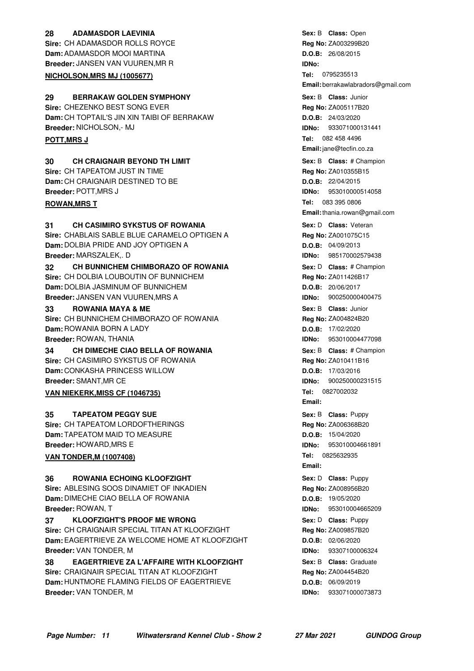#### **28 ADAMASDOR LAEVINIA CONSERVERGE CONSUMING SEX: B Class:** Open **Sire:** CH ADAMASDOR ROLLS ROYCE **Dam:** ADAMASDOR MOOI MARTINA

**Breeder:** JANSEN VAN VUUREN,MR R **NICHOLSON, MRS MJ (1005677)** 

### **29 BERRAKAW GOLDEN SYMPHONY CONSERVING SEXEL SEXELS Class: Junior**

**Sire:** CHEZENKO BEST SONG EVER **Dam:** CH TOPTAIL'S JIN XIN TAIBI OF BERRAKAW **Breeder:** NICHOLSON,- MJ

#### **30 CH CRAIGNAIR BEYOND TH LIMIT And Sext B Class:** # Champion

**Sire:** CH TAPEATOM JUST IN TIME **Dam:** CH CRAIGNAIR DESTINED TO BE **Breeder:** POTT,MRS J

#### **ROWAN, MRS T**

#### **31 CH CASIMIRO SYKSTUS OF ROWANIA CHASE CONSERVING SEX: D Class: Veteran**

**Sire:** CHABLAIS SABLE BLUE CARAMELO OPTIGEN A **Dam:** DOLBIA PRIDE AND JOY OPTIGEN A **Breeder:** MARSZALEK,. D

#### **32 CH BUNNICHEM CHIMBORAZO OF ROWANIA Sex: D Class: # Champion Sire:** CH DOLBIA LOUBOUTIN OF BUNNICHEM **Dam:** DOLBIA JASMINUM OF BUNNICHEM **Breeder:** JANSEN VAN VUUREN,MRS A

#### **33 ROWANIA MAYA & ME 1988 Class: Unior** Sex: B Class: Junior

**Sire:** CH BUNNICHEM CHIMBORAZO OF ROWANIA **Dam:** ROWANIA BORN A LADY **Breeder:** ROWAN, THANIA

#### **34 CH DIMECHE CIAO BELLA OF ROWANIA 1988 1988 Sex: B Class: # Champion**

**Sire:** CH CASIMIRO SYKSTUS OF ROWANIA **Dam:** CONKASHA PRINCESS WILLOW **Breeder:** SMANT,MR CE

### **VAN NIEKERK, MISS CF (1046735)**

#### **TAPEATOM PEGGY SUE Alternative State Sexert Sex: B Class: Puppy**

**Sire:** CH TAPEATOM LORDOFTHERINGS **Dam:** TAPEATOM MAID TO MEASURE **Breeder:** HOWARD,MRS E

#### **VAN TONDER, M (1007408)**

#### **ROWANIA ECHOING KLOOFZIGHT 36** Puppy

**Sire:** ABLESING SOOS DINAMIET OF INKADIEN **Dam:** DIMECHE CIAO BELLA OF ROWANIA **Breeder:** ROWAN, T

### **37 • CLOOFZIGHT'S PROOF ME WRONG 1988 1998 Sex: D** Class: Puppy

**Sire:** CH CRAIGNAIR SPECIAL TITAN AT KLOOFZIGHT **Dam:** EAGERTRIEVE ZA WELCOME HOME AT KLOOFZIGHT **Breeder:** VAN TONDER, M

#### **38 • EAGERTRIEVE ZA L'AFFAIRE WITH KLOOFZIGHT Sex: B Class: Graduate Sire: CRAIGNAIR SPECIAL TITAN AT KLOOFZIGHT Dam:** HUNTMORE FLAMING FIELDS OF EAGERTRIEVE **Breeder:** VAN TONDER, M

**Sex:** B **Class: Reg No:** ZA003299B20 **D.O.B:** 26/08/2015 **IDNo:** Tel: 0795235513 **Email:** berrakawlabradors@gmail.com **Sex:** B **Class: Reg No:** ZA005117B20 **D.O.B:** 24/03/2020 **IDNo:** 933071000131441 **Tel: POTT,MRS J** 082 458 4496 **Email:**jane@tecfin.co.za **Sex:** B **Class: Reg No:** ZA010355B15 **D.O.B:** 22/04/2015 **IDNo:** 953010000514058 Tel: 083.395.0806 **Email:**thania.rowan@gmail.com **Sex:** D **Class: Reg No:** ZA001075C15 **D.O.B:** 04/09/2013 **IDNo:** 985170002579438 **Sex:** D **Class:** # Champion **Reg No:** ZA011426B17 **D.O.B:** 20/06/2017 **IDNo:** 900250000400475 **Sex:** B **Class: Reg No:** ZA004824B20 **D.O.B:** 17/02/2020 **IDNo:** 953010004477098 **Sex:** B **Class: Reg No:** ZA010411B16 **D.O.B:** 17/03/2016 **IDNo:** 900250000231515 **Tel: 0827002032 Email: Sex:** B **Class: Reg No:** ZA006368B20 **D.O.B:** 15/04/2020 **IDNo:** 953010004661891 **Tel: Email: Sex:** D **Class: Reg No:** ZA008956B20 **D.O.B:** 19/05/2020 **IDNo:** 953010004665209 **Sex:** D **Class: Reg No:** ZA009857B20 **D.O.B:** 02/06/2020 **IDNo:** 93307100006324 **Sex:** B **Class: Reg No:** ZA004454B20 **D.O.B:** 06/09/2019 **IDNo:** 933071000073873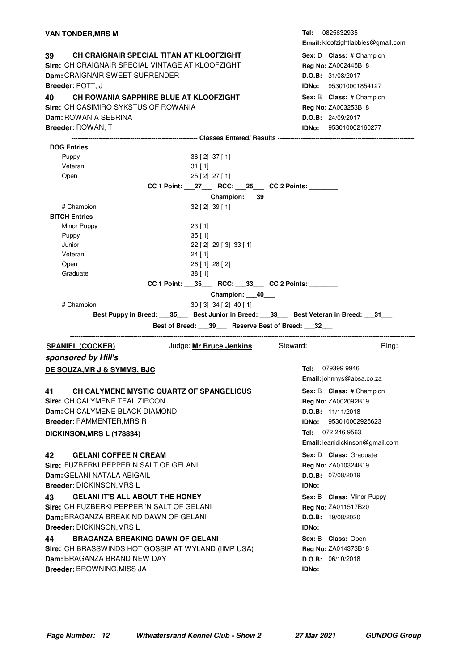#### **VAN TONDER, MRS M**

**39 CH CRAIGNAIR SPECIAL TITAN AT KLOOFZIGHT Sex: D Class: # Champion Sire:** CH CRAIGNAIR SPECIAL VINTAGE AT KLOOFZIGHT **Dam:** CRAIGNAIR SWEET SURRENDER **Breeder:** POTT, J **40 CH ROWANIA SAPPHIRE BLUE AT KLOOFZIGHT FILM SEX: B Class: # Champion Sire:** CH CASIMIRO SYKSTUS OF ROWANIA **Dam:** ROWANIA SEBRINA **Breeder:** ROWAN, T

**Tel: Email:** kloofzightlabbies@gmail.com Sex: D **Class:** # Champion **Reg No:** ZA002445B18 **D.O.B:** 31/08/2017 **IDNo:** 953010001854127 **Sex: B Class:** # Champion **Reg No:** ZA003253B18 **D.O.B:** 24/09/2017 **IDNo:** 953010002160277

| <b>DOG Entries</b>                                        |                                                                  |                                                                                                      |
|-----------------------------------------------------------|------------------------------------------------------------------|------------------------------------------------------------------------------------------------------|
| Puppy                                                     | 36 [2] 37 [1]                                                    |                                                                                                      |
| Veteran                                                   | $31$ [ 1]                                                        |                                                                                                      |
| Open                                                      | 25 [2] 27 [1]                                                    |                                                                                                      |
|                                                           | CC 1 Point: __27___ RCC: __25__ CC 2 Points: ______              |                                                                                                      |
|                                                           | Champion: ___39___                                               |                                                                                                      |
| # Champion                                                | $32$ [ 2] $39$ [ 1]                                              |                                                                                                      |
| <b>BITCH Entries</b>                                      |                                                                  |                                                                                                      |
| Minor Puppy                                               | 23 [1]                                                           |                                                                                                      |
| Puppy                                                     | $35$ [ 1]                                                        |                                                                                                      |
| Junior                                                    | 22 [ 2] 29 [ 3] 33 [ 1]                                          |                                                                                                      |
| Veteran                                                   | $24$ [ 1]                                                        |                                                                                                      |
| Open                                                      | $26$ [ 1] $28$ [ 2]                                              |                                                                                                      |
| Graduate                                                  | 38[1]                                                            |                                                                                                      |
|                                                           | CC 1 Point: _____ 35____ RCC: _____ 33___ CC 2 Points: _________ |                                                                                                      |
|                                                           | Champion: 40___                                                  |                                                                                                      |
| # Champion                                                | $30[3]$ 34 [2] 40 [1]                                            |                                                                                                      |
|                                                           |                                                                  | Best Puppy in Breed: 35 Best Junior in Breed: 33 Best Veteran in Breed: 31 Best Veteran in Breed: 31 |
|                                                           | Best of Breed: 39 Reserve Best of Breed: 32                      |                                                                                                      |
|                                                           |                                                                  |                                                                                                      |
| <b>SPANIEL (COCKER)</b>                                   | Judge: Mr Bruce Jenkins Steward:                                 | Ring:                                                                                                |
|                                                           |                                                                  |                                                                                                      |
| sponsored by Hill's                                       |                                                                  |                                                                                                      |
| DE SOUZA, MR J & SYMMS, BJC                               |                                                                  | Tel: 079399 9946                                                                                     |
|                                                           |                                                                  | Email: johnnys@absa.co.za                                                                            |
| CH CALYMENE MYSTIC QUARTZ OF SPANGELICUS<br>41            |                                                                  |                                                                                                      |
| Sire: CH CALYMENE TEAL ZIRCON                             |                                                                  | Sex: B Class: # Champion                                                                             |
| Dam: CH CALYMENE BLACK DIAMOND                            |                                                                  | Reg No: ZA002092B19<br>D.O.B: 11/11/2018                                                             |
|                                                           |                                                                  | <b>IDNo: 953010002925623</b>                                                                         |
| <b>Breeder: PAMMENTER, MRS R</b>                          |                                                                  |                                                                                                      |
| DICKINSON, MRS L (178834)                                 |                                                                  | Tel: 072 246 9563                                                                                    |
|                                                           |                                                                  | Email: leanidickinson@gmail.com                                                                      |
| 42<br><b>GELANI COFFEE N CREAM</b>                        |                                                                  | Sex: D Class: Graduate                                                                               |
| Sire: FUZBERKI PEPPER N SALT OF GELANI                    |                                                                  | Reg No: ZA010324B19                                                                                  |
| <b>Dam:</b> GELANI NATALA ABIGAIL                         |                                                                  | D.O.B: 07/08/2019                                                                                    |
| <b>Breeder: DICKINSON, MRS L</b>                          |                                                                  | <b>IDNo:</b>                                                                                         |
| <b>GELANI IT'S ALL ABOUT THE HONEY</b><br>43              |                                                                  | Sex: B Class: Minor Puppy                                                                            |
| Sire: CH FUZBERKI PEPPER 'N SALT OF GELANI                |                                                                  | Reg No: ZA011517B20                                                                                  |
| Dam: BRAGANZA BREAKIND DAWN OF GELANI                     |                                                                  | <b>D.O.B:</b> 19/08/2020                                                                             |
| <b>Breeder: DICKINSON, MRS L</b>                          |                                                                  | <b>IDNo:</b>                                                                                         |
| <b>BRAGANZA BREAKING DAWN OF GELANI</b><br>44             |                                                                  | Sex: B Class: Open                                                                                   |
| Sire: CH BRASSWINDS HOT GOSSIP AT WYLAND (IIMP USA)       |                                                                  | Reg No: ZA014373B18                                                                                  |
| Dam: BRAGANZA BRAND NEW DAY<br>Breeder: BROWNING, MISS JA |                                                                  | D.O.B: 06/10/2018                                                                                    |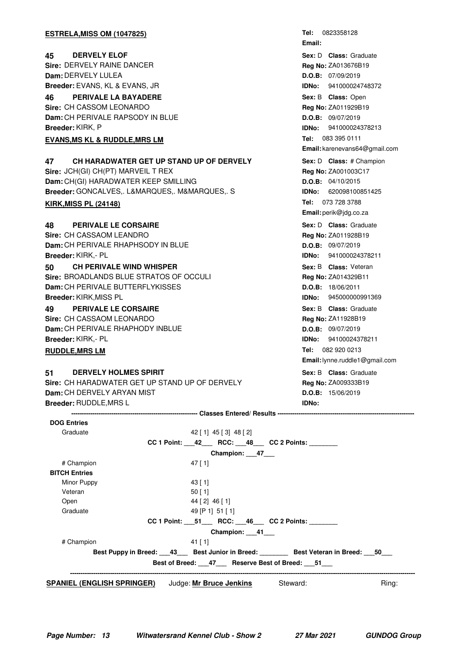| <b>ESTRELA, MISS OM (1047825)</b>              | 0823358128<br>Tel:             |
|------------------------------------------------|--------------------------------|
|                                                | Email:                         |
| <b>DERVELY ELOF</b><br>45                      | Sex: D Class: Graduate         |
| Sire: DERVELY RAINE DANCER                     | Reg No: ZA013676B19            |
| Dam: DERVELY LULEA                             | D.O.B: 07/09/2019              |
| Breeder: EVANS, KL & EVANS, JR                 | IDNo:<br>941000024748372       |
| <b>PERIVALE LA BAYADERE</b><br>46              | Sex: B Class: Open             |
| Sire: CH CASSOM LEONARDO                       | Reg No: ZA011929B19            |
| Dam: CH PERIVALE RAPSODY IN BLUE               | D.O.B: 09/07/2019              |
| Breeder: KIRK, P                               | 941000024378213<br>IDNo:       |
| <b>EVANS, MS KL &amp; RUDDLE, MRS LM</b>       | Tel: 083 395 0111              |
|                                                | Email: karenevans64@gmail.com  |
| CH HARADWATER GET UP STAND UP OF DERVELY<br>47 | Sex: D Class: # Champion       |
| Sire: JCH(GI) CH(PT) MARVEIL T REX             | Reg No: ZA001003C17            |
| Dam: CH(GI) HARADWATER KEEP SMILLING           | D.O.B: 04/10/2015              |
| Breeder: GONCALVES,. L&MARQUES,. M&MARQUES,. S | 620098100851425<br>IDNo:       |
| <b>KIRK, MISS PL (24148)</b>                   | Tel: 073 728 3788              |
|                                                | Email: perik@jdg.co.za         |
| <b>PERIVALE LE CORSAIRE</b><br>48              | Sex: D Class: Graduate         |
| Sire: CH CASSAOM LEANDRO                       | Reg No: ZA011928B19            |
| Dam: CH PERIVALE RHAPHSODY IN BLUE             | D.O.B: 09/07/2019              |
| Breeder: KIRK.- PL                             | IDNo:<br>941000024378211       |
| <b>CH PERIVALE WIND WHISPER</b><br>50          | Sex: B Class: Veteran          |
| Sire: BROADLANDS BLUE STRATOS OF OCCULI        | Reg No: ZA014329B11            |
| Dam: CH PERIVALE BUTTERFLYKISSES               | D.O.B: 18/06/2011              |
| Breeder: KIRK, MISS PL                         | IDNo:<br>945000000991369       |
| <b>PERIVALE LE CORSAIRE</b><br>49              | Sex: B Class: Graduate         |
| Sire: CH CASSAOM LEONARDO                      | Reg No: ZA11928B19             |
| Dam: CH PERIVALE RHAPHODY INBLUE               | D.O.B: 09/07/2019              |
| Breeder: KIRK,- PL                             | 94100024378211<br>IDNo:        |
| <b>RUDDLE, MRS LM</b>                          | Tel: 082 920 0213              |
|                                                | Email: lynne.ruddle1@gmail.com |
| <b>DERVELY HOLMES SPIRIT</b><br>51             | Sex: B Class: Graduate         |
| Sire: CH HARADWATER GET UP STAND UP OF DERVELY | Reg No: ZA009333B19            |
| Dam: CH DERVELY ARYAN MIST                     | D.O.B: 15/06/2019              |

**Dam:** CH DERVELY ARYAN MIST **Breeder:** RUDDLE,MRS L

**------------------------------------------------------------ Classes Entered/ Results -----------------------------------------------------------------**

**IDNo:**

| <b>DOG Entries</b>                                                                       |                                                                |          |       |
|------------------------------------------------------------------------------------------|----------------------------------------------------------------|----------|-------|
| Graduate                                                                                 | 42 [ 1] 45 [ 3] 48 [ 2]                                        |          |       |
|                                                                                          | CC 1 Point: 42 RCC: 48 CC 2 Points:                            |          |       |
|                                                                                          | Champion: 47                                                   |          |       |
| # Champion                                                                               | $47$ [ 1]                                                      |          |       |
| <b>BITCH Entries</b>                                                                     |                                                                |          |       |
| Minor Puppy                                                                              | 43 [ 1]                                                        |          |       |
| Veteran                                                                                  | $50$ [ 1]                                                      |          |       |
| Open                                                                                     | 44 [2] 46 [1]                                                  |          |       |
| Graduate                                                                                 | 49 [P 1] 51 [ 1]                                               |          |       |
|                                                                                          | CC 1 Point: ____51______ RCC: ____46____ CC 2 Points: ________ |          |       |
|                                                                                          | Champion: 41                                                   |          |       |
| # Champion                                                                               | $41$ [ 1]                                                      |          |       |
| Best Puppy in Breed: ___43___ Best Junior in Breed: _______ Best Veteran in Breed: ___50 |                                                                |          |       |
|                                                                                          | Best of Breed: 47 Reserve Best of Breed: 51                    |          |       |
|                                                                                          |                                                                |          |       |
| <b>SPANIEL (ENGLISH SPRINGER)</b>                                                        | Judge: Mr Bruce Jenkins                                        | Steward: | Ring: |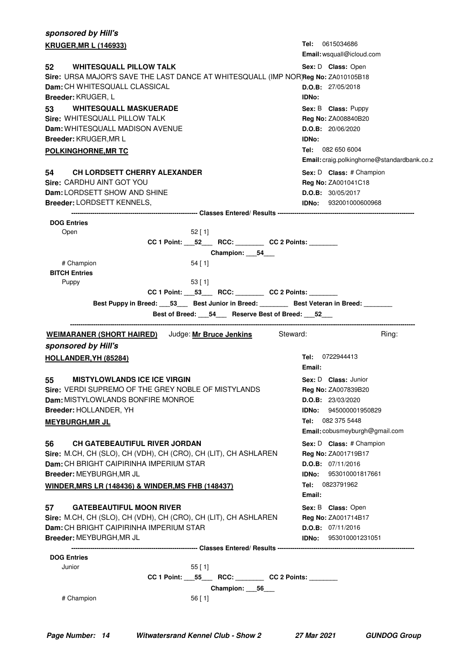| sponsored by Hill's                                                                |                                                                                                                                              |                                             |
|------------------------------------------------------------------------------------|----------------------------------------------------------------------------------------------------------------------------------------------|---------------------------------------------|
| <b>KRUGER, MR L (146933)</b>                                                       |                                                                                                                                              | <b>Tel:</b> 0615034686                      |
|                                                                                    |                                                                                                                                              | Email: wsquall@icloud.com                   |
| <b>WHITESQUALL PILLOW TALK</b><br>52                                               |                                                                                                                                              | Sex: D Class: Open                          |
| Sire: URSA MAJOR'S SAVE THE LAST DANCE AT WHITESQUALL (IMP NOR Reg No: ZA010105B18 |                                                                                                                                              |                                             |
| Dam: CH WHITESQUALL CLASSICAL                                                      |                                                                                                                                              | D.O.B: 27/05/2018                           |
| <b>Breeder: KRUGER, L</b>                                                          |                                                                                                                                              | <b>IDNo:</b>                                |
| <b>WHITESQUALL MASKUERADE</b><br>53                                                |                                                                                                                                              | Sex: B Class: Puppy                         |
| Sire: WHITESQUALL PILLOW TALK                                                      |                                                                                                                                              | Reg No: ZA008840B20                         |
| Dam: WHITESQUALL MADISON AVENUE<br>Breeder: KRUGER, MR L                           |                                                                                                                                              | D.O.B: 20/06/2020<br>IDNo:                  |
|                                                                                    |                                                                                                                                              | Tel: 082 650 6004                           |
| <b>POLKINGHORNE, MR TC</b>                                                         |                                                                                                                                              | Email: craig.polkinghorne@standardbank.co.z |
|                                                                                    |                                                                                                                                              |                                             |
| CH LORDSETT CHERRY ALEXANDER<br>54<br>Sire: CARDHU AINT GOT YOU                    |                                                                                                                                              | Sex: D Class: # Champion                    |
| Dam: LORDSETT SHOW AND SHINE                                                       |                                                                                                                                              | Reg No: ZA001041C18<br>D.O.B: 30/05/2017    |
| Breeder: LORDSETT KENNELS,                                                         |                                                                                                                                              | <b>IDNo:</b> 932001000600968                |
|                                                                                    |                                                                                                                                              |                                             |
| <b>DOG Entries</b>                                                                 |                                                                                                                                              |                                             |
| Open                                                                               | $52$ [ 1]                                                                                                                                    |                                             |
|                                                                                    |                                                                                                                                              |                                             |
|                                                                                    | Champion: 54                                                                                                                                 |                                             |
| # Champion                                                                         | $54$ [ 1]                                                                                                                                    |                                             |
| <b>BITCH Entries</b>                                                               |                                                                                                                                              |                                             |
| Puppy                                                                              | 53 [1]                                                                                                                                       |                                             |
|                                                                                    | CC 1 Point: __53___ RCC: _______ CC 2 Points: ______                                                                                         |                                             |
|                                                                                    | Best Puppy in Breed: 153 Best Junior in Breed: 2000 Best Veteran in Breed: 2000<br>Best of Breed: ___ 54___ Reserve Best of Breed: ___ 52___ |                                             |
|                                                                                    |                                                                                                                                              |                                             |
|                                                                                    |                                                                                                                                              |                                             |
| <b>WEIMARANER (SHORT HAIRED)</b> Judge: Mr Bruce Jenkins Steward:                  |                                                                                                                                              | Ring:                                       |
| sponsored by Hill's                                                                |                                                                                                                                              |                                             |
| HOLLANDER, YH (85284)                                                              |                                                                                                                                              | Tel: 0722944413                             |
|                                                                                    |                                                                                                                                              | Email:                                      |
| <b>MISTYLOWLANDS ICE ICE VIRGIN</b><br>55                                          |                                                                                                                                              | Sex: D Class: Junior                        |
| Sire: VERDI SUPREMO OF THE GREY NOBLE OF MISTYLANDS                                |                                                                                                                                              | Reg No: ZA007839B20                         |
| Dam: MISTYLOWLANDS BONFIRE MONROE                                                  |                                                                                                                                              | D.O.B: 23/03/2020                           |
| Breeder: HOLLANDER, YH                                                             |                                                                                                                                              | <b>IDNo:</b> 945000001950829                |
| <b>MEYBURGH, MR JL</b>                                                             |                                                                                                                                              | Tel: 082 375 5448                           |
|                                                                                    |                                                                                                                                              | Email: cobusmeyburgh@gmail.com              |
| <b>CH GATEBEAUTIFUL RIVER JORDAN</b><br>56                                         |                                                                                                                                              | Sex: D Class: # Champion                    |
| Sire: M.CH, CH (SLO), CH (VDH), CH (CRO), CH (LIT), CH ASHLAREN                    |                                                                                                                                              | Reg No: ZA001719B17                         |
| Dam: CH BRIGHT CAIPIRINHA IMPERIUM STAR                                            |                                                                                                                                              | D.O.B: 07/11/2016                           |
| Breeder: MEYBURGH, MR JL                                                           |                                                                                                                                              | 953010001817661<br>IDNo:                    |
| <b>WINDER, MRS LR (148436) &amp; WINDER, MS FHB (148437)</b>                       |                                                                                                                                              | Tel: 0823791962                             |
|                                                                                    |                                                                                                                                              | Email:                                      |
| <b>GATEBEAUTIFUL MOON RIVER</b><br>57                                              |                                                                                                                                              | Sex: B Class: Open                          |
| Sire: M.CH, CH (SLO), CH (VDH), CH (CRO), CH (LIT), CH ASHLAREN                    |                                                                                                                                              | Reg No: ZA001714B17                         |
| Dam: CH BRIGHT CAIPIRINHA IMPERIUM STAR                                            |                                                                                                                                              | D.O.B: 07/11/2016                           |
| Breeder: MEYBURGH, MR JL                                                           |                                                                                                                                              | <b>IDNo:</b> 953010001231051                |
|                                                                                    |                                                                                                                                              |                                             |
| <b>DOG Entries</b>                                                                 |                                                                                                                                              |                                             |
| Junior                                                                             | $55$ [ 1]                                                                                                                                    |                                             |
|                                                                                    | CC 1 Point: _____55______RCC: ____________ CC 2 Points: _________<br>Champion: 56_                                                           |                                             |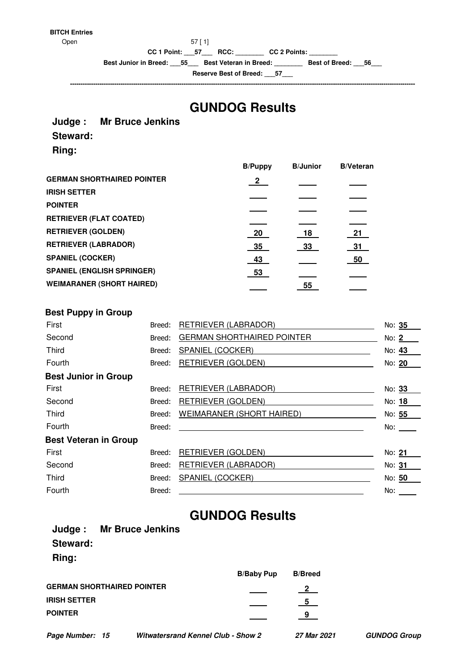#### **BITCH Entries**

Open 57 [ 1]

**CC 1 Point: \_\_\_57\_\_\_ RCC: \_\_\_\_\_\_\_\_ CC 2 Points: \_\_\_\_\_\_\_\_**

**Best Junior in Breed: \_\_\_55\_\_\_ Best Veteran in Breed: \_\_\_\_\_\_\_\_ Best of Breed: \_\_\_56\_\_\_**

**Reserve Best of Breed: \_\_\_57\_\_\_ --------------------------------------------------------------------------------------------------------------------------------------------------------------------**

### **GUNDOG Results**

#### **Judge : Mr Bruce Jenkins**

#### **Steward:**

**Ring:**

|                |                | <b>B/Veteran</b> |
|----------------|----------------|------------------|
| $\overline{2}$ |                |                  |
|                |                |                  |
|                |                |                  |
|                |                |                  |
| 20             | 18             | 21               |
| 35             | 33             | 31               |
| 43             |                | 50               |
| 53             |                |                  |
|                | 55             |                  |
|                | <b>B/Puppy</b> | <b>B/Junior</b>  |

#### **Best Puppy in Group**

| First                        | Breed: | RETRIEVER (LABRADOR)              | No: 35 |
|------------------------------|--------|-----------------------------------|--------|
| Second                       | Breed: | <b>GERMAN SHORTHAIRED POINTER</b> | No: 2  |
| Third                        | Breed: | SPANIEL (COCKER)                  | No: 43 |
| Fourth                       | Breed: | <b>RETRIEVER (GOLDEN)</b>         | No: 20 |
| <b>Best Junior in Group</b>  |        |                                   |        |
| First                        | Breed: | <b>RETRIEVER (LABRADOR)</b>       | No: 33 |
| Second                       | Breed: | RETRIEVER (GOLDEN)                | No: 18 |
| <b>Third</b>                 | Breed: | <b>WEIMARANER (SHORT HAIRED)</b>  | No: 55 |
| Fourth                       | Breed: |                                   | No:    |
| <b>Best Veteran in Group</b> |        |                                   |        |
| First                        | Breed: | <b>RETRIEVER (GOLDEN)</b>         | No: 21 |
| Second                       | Breed: | <b>RETRIEVER (LABRADOR)</b>       | No: 31 |
| <b>Third</b>                 | Breed: | SPANIEL (COCKER)                  | No: 50 |
| Fourth                       | Breed: |                                   | No:    |
|                              |        |                                   |        |

### **GUNDOG Results**

| Judge: Mr Bruce Jenkins           |                   |                |
|-----------------------------------|-------------------|----------------|
| Steward:                          |                   |                |
| Ring:                             |                   |                |
|                                   | <b>B/Baby Pup</b> | <b>B/Breed</b> |
| <b>GERMAN SHORTHAIRED POINTER</b> |                   | $\frac{2}{ }$  |
| <b>IRISH SETTER</b>               |                   | $\sqrt{5}$     |
| <b>POINTER</b>                    |                   | 9              |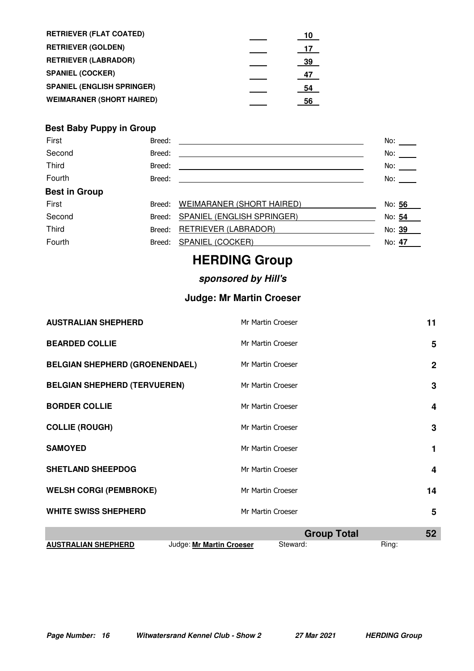| <b>RETRIEVER (FLAT COATED)</b>    | 10  |
|-----------------------------------|-----|
| <b>RETRIEVER (GOLDEN)</b>         | -17 |
| <b>RETRIEVER (LABRADOR)</b>       | 39  |
| <b>SPANIEL (COCKER)</b>           | 47  |
| <b>SPANIEL (ENGLISH SPRINGER)</b> | 54  |
| <b>WEIMARANER (SHORT HAIRED)</b>  | 56  |

#### **Best Baby Puppy in Group**

| First                | Breed: |                                   | No:        |
|----------------------|--------|-----------------------------------|------------|
| Second               | Breed: |                                   | No:        |
| Third                | Breed: |                                   | No: $\_\_$ |
| Fourth               | Breed: |                                   | No:        |
| <b>Best in Group</b> |        |                                   |            |
| First                | Breed: | WEIMARANER (SHORT HAIRED)         | No: 56     |
| Second               | Breed: | <b>SPANIEL (ENGLISH SPRINGER)</b> | No: 54     |
| <b>Third</b>         | Breed: | RETRIEVER (LABRADOR)              | No: 39     |
| Fourth               | Breed: | SPANIEL (COCKER)                  | No: 47     |

### **HERDING Group**

### **sponsored by Hill's**

#### **Judge: Mr Martin Croeser**

| <b>AUSTRALIAN SHEPHERD</b>            |                          | Mr Martin Croeser  | 11           |
|---------------------------------------|--------------------------|--------------------|--------------|
| <b>BEARDED COLLIE</b>                 |                          | Mr Martin Croeser  | 5            |
| <b>BELGIAN SHEPHERD (GROENENDAEL)</b> |                          | Mr Martin Croeser  | $\mathbf{2}$ |
| <b>BELGIAN SHEPHERD (TERVUEREN)</b>   |                          | Mr Martin Croeser  | 3            |
| <b>BORDER COLLIE</b>                  |                          | Mr Martin Croeser  | 4            |
| <b>COLLIE (ROUGH)</b>                 |                          | Mr Martin Croeser  | 3            |
| <b>SAMOYED</b>                        |                          | Mr Martin Croeser  |              |
| <b>SHETLAND SHEEPDOG</b>              |                          | Mr Martin Croeser  | 4            |
| <b>WELSH CORGI (PEMBROKE)</b>         |                          | Mr Martin Croeser  | 14           |
| <b>WHITE SWISS SHEPHERD</b>           |                          | Mr Martin Croeser  | 5            |
|                                       |                          | <b>Group Total</b> | 52           |
| <b>AUSTRALIAN SHEPHERD</b>            | Judge: Mr Martin Croeser | Steward:           | Ring:        |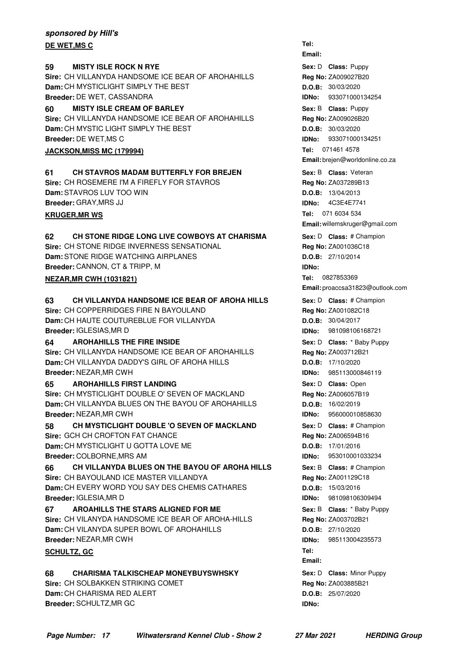#### **sponsored by Hill's DE WET,MS C**

#### **59 MISTY ISLE ROCK N RYE 1988 CONTROLLY SEXEL SEXEL Class:** Puppy

**Sire:** CH VILLANYDA HANDSOME ICE BEAR OF AROHAHILLS **Dam:** CH MYSTICLIGHT SIMPLY THE BEST **Breeder:** DE WET, CASSANDRA

#### **60 MISTY ISLE CREAM OF BARLEY Example 20 Sex: B Class: Puppy**

**Sire:** CH VILLANYDA HANDSOME ICE BEAR OF AROHAHILLS **Dam:** CH MYSTIC LIGHT SIMPLY THE BEST **Breeder:** DE WET,MS C

#### **JACKSON, MISS MC (179994)**

**61** CH STAVROS MADAM BUTTERFLY FOR BREJEN Sex: B Class: Veteran **Sire:** CH ROSEMERE I'M A FIREFLY FOR STAVROS **Dam:** STAVROS LUV TOO WIN **Breeder:** GRAY,MRS JJ

#### **KRUGER, MR WS**

#### **62** CH STONE RIDGE LONG LIVE COWBOYS AT CHARISMA Sex: D Class: # Champion

**Sire:** CH STONE RIDGE INVERNESS SENSATIONAL **Dam:** STONE RIDGE WATCHING AIRPLANES **Breeder:** CANNON, CT & TRIPP, M

#### **NEZAR, MR CWH (1031821)**

#### **63** CH VILLANYDA HANDSOME ICE BEAR OF AROHA HILLS Sex: D Class: # Champion

**Sire:** CH COPPERRIDGES FIRE N BAYOULAND **Dam:** CH HAUTE COUTUREBLUE FOR VILLANYDA **Breeder:** IGLESIAS,MR D

#### **64 • AROHAHILLS THE FIRE INSIDE 1998 • AROHA SEX: D Class:** \* Baby Puppy

**Sire:** CH VILLANYDA HANDSOME ICE BEAR OF AROHAHILLS **Dam:** CH VILLANYDA DADDY'S GIRL OF AROHA HILLS **Breeder:** NEZAR,MR CWH

#### **65** AROHAHILLS FIRST LANDING **CONSERVING CONSTRANDING** Sex: D Class: Open

**Sire:** CH MYSTICLIGHT DOUBLE O' SEVEN OF MACKLAND **Dam:** CH VILLANYDA BLUES ON THE BAYOU OF AROHAHILLS **Breeder:** NEZAR,MR CWH

**58 CH MYSTICLIGHT DOUBLE 'O SEVEN OF MACKLAND Sex: D Class: # Champion Sire:** GCH CH CROFTON FAT CHANCE **Dam:** CH MYSTICLIGHT U GOTTA LOVE ME **Breeder:** COLBORNE,MRS AM

**66 CH VILLANYDA BLUES ON THE BAYOU OF AROHA HILLS Sex: B Class: # Champion Sire: CH BAYOULAND ICE MASTER VILLANDYA Dam:** CH EVERY WORD YOU SAY DES CHEMIS CATHARES **Breeder:** IGLESIA,MR D

**AROAHILLS THE STARS ALIGNED FOR ME Sex: B Class:** \* Baby Puppy **Sire:** CH VILANYDA HANDSOME ICE BEAR OF AROHA-HILLS **Dam:** CH VILANYDA SUPER BOWL OF AROHAHILLS **Breeder:** NEZAR,MR CWH

#### **SCHULTZ, GC**

#### **68** CHARISMA TALKISCHEAP MONEYBUYSWHSKY MEXALL MEXISION Sex: D Class: Minor Puppy

**Sire:** CH SOLBAKKEN STRIKING COMET **Dam:** CH CHARISMA RED ALERT **Breeder:** SCHULTZ,MR GC

**Email: Sex:** D **Class: Reg No:** ZA009027B20 **D.O.B:** 30/03/2020 **IDNo:** 933071000134254 **Sex:** B **Class: Reg No:** ZA009026B20 **D.O.B:** 30/03/2020 **IDNo:** 933071000134251 **Tel: Email:** brejen@worldonline.co.za **Sex:** B **Class: Reg No:** ZA037289B13 **D.O.B:** 13/04/2013 **IDNo:** 4C3E4E7741 Tel: 071 6034 534 **Email:** willemskruger@gmail.com Sex: D **Class:** # Champion **Reg No:** ZA001036C18 **D.O.B:** 27/10/2014 **IDNo:** Tel: 0827853369

**Tel:**

**Email:** proaccsa31823@outlook.com

Sex: D **Class:** # Champion **Reg No:** ZA001082C18 **D.O.B:** 30/04/2017 **IDNo:** 981098106168721 Sex: D **Class:** \* Baby Puppy **Reg No:** ZA003712B21 **D.O.B:** 17/10/2020 **IDNo:** 985113000846119 Sex: D **Class: Open Reg No:** ZA006057B19 **D.O.B:** 16/02/2019 **IDNo:** 956000010858630 **Sex:** D **Class:** # Champion **Reg No:** ZA006594B16 **D.O.B:** 17/01/2016 **IDNo:** 953010001033234 **Sex:** B **Class: Reg No:** ZA001129C18 **D.O.B:** 15/03/2016 **IDNo:** 981098106309494 Sex: B **Class:** \* Baby Puppy **Reg No:** ZA003702B21 **D.O.B:** 27/10/2020 **IDNo:** 985113004235573 **Tel: Email:**

Sex: D **Class: Minor Puppy Reg No:** ZA003885B21 **D.O.B:** 25/07/2020 **IDNo:**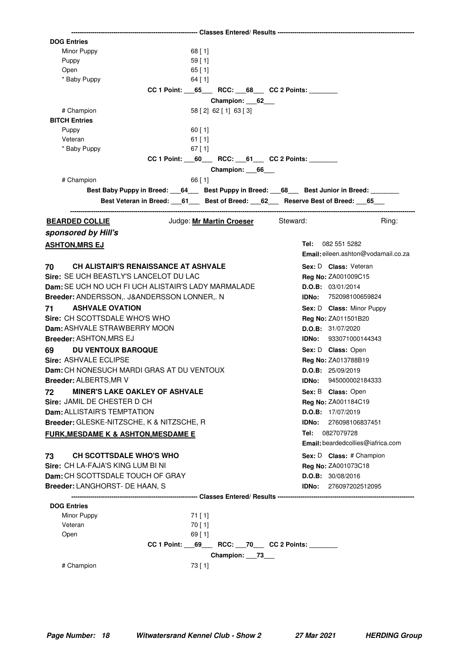| <b>DOG Entries</b>                                  |                                                                            |                                            |
|-----------------------------------------------------|----------------------------------------------------------------------------|--------------------------------------------|
| Minor Puppy                                         | $68$ [ 1]                                                                  |                                            |
| Puppy                                               | 59[1]                                                                      |                                            |
| Open                                                | $65$ [ 1]                                                                  |                                            |
| * Baby Puppy                                        | $64$ [ 1]                                                                  |                                            |
|                                                     | CC 1 Point: 65 RCC: 68 CC 2 Points:                                        |                                            |
|                                                     | Champion: 62                                                               |                                            |
| # Champion                                          | 58 [2] 62 [1] 63 [3]                                                       |                                            |
| <b>BITCH Entries</b>                                |                                                                            |                                            |
| Puppy                                               | $60$ [ 1]                                                                  |                                            |
| Veteran<br>* Baby Puppy                             | $61$ [1]<br>$67$ [1]                                                       |                                            |
|                                                     | $CC 1$ Point: 60 RCC: 61 CC 2 Points:                                      |                                            |
|                                                     | Champion: 66                                                               |                                            |
| # Champion                                          | $66$ [ 1]                                                                  |                                            |
|                                                     | Best Baby Puppy in Breed: 64 Best Puppy in Breed: 68 Best Junior in Breed: |                                            |
|                                                     | Best Veteran in Breed: 61 Best of Breed: 62 Reserve Best of Breed: 65      |                                            |
|                                                     |                                                                            |                                            |
| <u>BEARDED COLLIE</u>                               | Judge: Mr Martin Croeser Steward:                                          | Rina:                                      |
| sponsored by Hill's                                 |                                                                            |                                            |
| <b>ASHTON, MRS EJ</b>                               |                                                                            | Tel: 082 551 5282                          |
|                                                     |                                                                            | <b>Email:</b> eileen.ashton@vodamail.co.za |
| <b>CH ALISTAIR'S RENAISSANCE AT ASHVALE</b><br>70   |                                                                            | Sex: D Class: Veteran                      |
| Sire: SE UCH BEASTLY'S LANCELOT DU LAC              |                                                                            | <b>Reg No: ZA001009C15</b>                 |
| Dam: SE UCH NO UCH FI UCH ALISTAIR'S LADY MARMALADE |                                                                            | D.O.B: 03/01/2014                          |
| Breeder: ANDERSSON,. J&ANDERSSON LONNER,. N         |                                                                            | IDNo: 752098100659824                      |
| <b>ASHVALE OVATION</b><br>71                        |                                                                            | Sex: D Class: Minor Puppy                  |
| Sire: CH SCOTTSDALE WHO'S WHO                       |                                                                            | Reg No: ZA011501B20                        |
| Dam: ASHVALE STRAWBERRY MOON                        |                                                                            | D.O.B: 31/07/2020                          |
| <b>Breeder: ASHTON, MRS EJ</b>                      |                                                                            | <b>IDNo:</b> 933071000144343               |
| 69<br><b>DU VENTOUX BAROQUE</b>                     |                                                                            | Sex: D Class: Open                         |
| Sire: ASHVALE ECLIPSE                               |                                                                            | Reg No: ZA013788B19                        |
| Dam: CH NONESUCH MARDI GRAS AT DU VENTOUX           |                                                                            | D.O.B: 25/09/2019                          |
| <b>Breeder: ALBERTS, MR V</b>                       |                                                                            | <b>IDNo:</b> 945000002184333               |
| <b>MINER'S LAKE OAKLEY OF ASHVALE</b><br>72         |                                                                            | Sex: B Class: Open                         |
| Sire: JAMIL DE CHESTER D CH                         |                                                                            | Reg No: ZA001184C19                        |
| <b>Dam: ALLISTAIR'S TEMPTATION</b>                  |                                                                            | <b>D.O.B:</b> 17/07/2019                   |
| Breeder: GLESKE-NITZSCHE, K & NITZSCHE, R           |                                                                            | IDNo: 276098106837451                      |
| <b>FURK, MESDAME K &amp; ASHTON, MESDAME E</b>      |                                                                            | 0827079728<br>Tel:                         |
|                                                     |                                                                            | Email: beardedcollies@iafrica.com          |
| 73<br><b>CH SCOTTSDALE WHO'S WHO</b>                |                                                                            | Sex: D Class: # Champion                   |
| Sire: CH LA-FAJA'S KING LUM BI NI                   |                                                                            | Reg No: ZA001073C18                        |
| Dam: CH SCOTTSDALE TOUCH OF GRAY                    |                                                                            | D.O.B: 30/08/2016                          |
| Breeder: LANGHORST- DE HAAN, S                      |                                                                            | IDNo: 276097202512095                      |
|                                                     |                                                                            |                                            |
| <b>DOG Entries</b>                                  |                                                                            |                                            |
| Minor Puppy                                         | 71 [1]                                                                     |                                            |
| Veteran                                             | 70[1]                                                                      |                                            |
| Open                                                | $69$ [ 1]                                                                  |                                            |
|                                                     | CC 1 Point: 69 RCC: 70 CC 2 Points:                                        |                                            |
|                                                     | Champion: 73                                                               |                                            |
| # Champion                                          | 73 [ 1]                                                                    |                                            |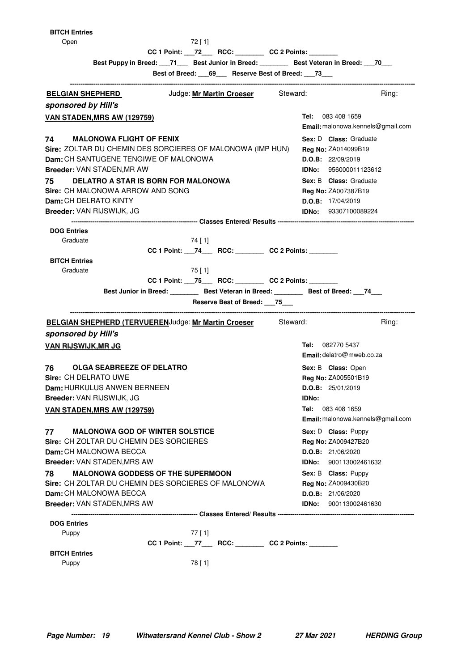| <b>BITCH Entries</b>                                                |                                                      |           |                                               |       |                                                                                              |  |
|---------------------------------------------------------------------|------------------------------------------------------|-----------|-----------------------------------------------|-------|----------------------------------------------------------------------------------------------|--|
| Open                                                                |                                                      | 72[1]     |                                               |       |                                                                                              |  |
|                                                                     | CC 1 Point: __72___ RCC: _______ CC 2 Points: ______ |           |                                               |       |                                                                                              |  |
|                                                                     |                                                      |           |                                               |       | Best Puppy in Breed: ___71___ Best Junior in Breed: ________ Best Veteran in Breed: ___70___ |  |
|                                                                     |                                                      |           | Best of Breed: 69_ Reserve Best of Breed: 73_ |       |                                                                                              |  |
|                                                                     |                                                      |           |                                               |       |                                                                                              |  |
| <b>BELGIAN SHEPHERD</b>                                             |                                                      |           | Judge: Mr Martin Croeser Steward:             |       | Ring:                                                                                        |  |
| sponsored by Hill's                                                 |                                                      |           |                                               |       |                                                                                              |  |
| <b>VAN STADEN, MRS AW (129759)</b>                                  |                                                      |           |                                               |       | <b>Tel:</b> 083 408 1659                                                                     |  |
|                                                                     |                                                      |           |                                               |       | Email: malonowa.kennels@gmail.com                                                            |  |
| 74 —<br><b>MALONOWA FLIGHT OF FENIX</b>                             |                                                      |           |                                               |       | Sex: D Class: Graduate                                                                       |  |
| Sire: ZOLTAR DU CHEMIN DES SORCIERES OF MALONOWA (IMP HUN)          |                                                      |           |                                               |       | Reg No: ZA014099B19                                                                          |  |
| <b>Dam:</b> CH SANTUGENE TENGIWE OF MALONOWA                        |                                                      |           |                                               |       | D.O.B: 22/09/2019                                                                            |  |
| Breeder: VAN STADEN, MR AW                                          |                                                      |           |                                               |       | IDNo: 956000011123612                                                                        |  |
| <b>DELATRO A STAR IS BORN FOR MALONOWA</b><br>75                    |                                                      |           |                                               |       | <b>Sex: B Class:</b> Graduate                                                                |  |
| Sire: CH MALONOWA ARROW AND SONG                                    |                                                      |           |                                               |       | <b>Reg No: ZA007387B19</b>                                                                   |  |
| <b>Dam: CH DELRATO KINTY</b>                                        |                                                      |           |                                               |       | D.O.B: 17/04/2019                                                                            |  |
| Breeder: VAN RIJSWIJK, JG                                           |                                                      |           |                                               |       | <b>IDNo:</b> 93307100089224                                                                  |  |
|                                                                     |                                                      |           |                                               |       |                                                                                              |  |
| <b>DOG Entries</b>                                                  |                                                      |           |                                               |       |                                                                                              |  |
| Graduate                                                            |                                                      | 74 [ 1]   |                                               |       |                                                                                              |  |
|                                                                     | CC 1 Point: 74____ RCC: ________ CC 2 Points: ______ |           |                                               |       |                                                                                              |  |
| <b>BITCH Entries</b>                                                |                                                      |           |                                               |       |                                                                                              |  |
| Graduate                                                            |                                                      | $75$ [ 1] |                                               |       |                                                                                              |  |
|                                                                     | $CC 1$ Point: $75$ RCC: $CC 2$ Points:               |           |                                               |       |                                                                                              |  |
|                                                                     |                                                      |           |                                               |       | Best Junior in Breed: Best Veteran in Breed: Best of Breed: 74                               |  |
|                                                                     |                                                      |           |                                               |       |                                                                                              |  |
|                                                                     |                                                      |           | Reserve Best of Breed: 75                     |       |                                                                                              |  |
|                                                                     |                                                      |           |                                               |       |                                                                                              |  |
| <b>BELGIAN SHEPHERD (TERVUERENJudge: Mr Martin Croeser</b> Steward: |                                                      |           |                                               |       | Ring:                                                                                        |  |
| sponsored by Hill's                                                 |                                                      |           |                                               |       |                                                                                              |  |
| <b>VAN RIJSWIJK, MR JG</b>                                          |                                                      |           |                                               |       | Tel: 082770 5437                                                                             |  |
|                                                                     |                                                      |           |                                               |       | Email: delatro@mweb.co.za                                                                    |  |
| <b>OLGA SEABREEZE OF DELATRO</b><br>76 —                            |                                                      |           |                                               |       | Sex: B Class: Open                                                                           |  |
| Sire: CH DELRATO UWE                                                |                                                      |           |                                               |       | <b>Reg No: ZA005501B19</b>                                                                   |  |
| Dam: HURKULUS ANWEN BERNEEN                                         |                                                      |           |                                               |       | D.O.B: 25/01/2019                                                                            |  |
| Breeder: VAN RIJSWIJK, JG                                           |                                                      |           |                                               | IDNo: |                                                                                              |  |
| <b>VAN STADEN, MRS AW (129759)</b>                                  |                                                      |           |                                               |       | Tel: 083 408 1659                                                                            |  |
|                                                                     |                                                      |           |                                               |       | Email: malonowa.kennels@gmail.com                                                            |  |
| 77<br><b>MALONOWA GOD OF WINTER SOLSTICE</b>                        |                                                      |           |                                               |       | Sex: D Class: Puppy                                                                          |  |
| Sire: CH ZOLTAR DU CHEMIN DES SORCIERES                             |                                                      |           |                                               |       | Reg No: ZA009427B20                                                                          |  |
| Dam: CH MALONOWA BECCA                                              |                                                      |           |                                               |       | D.O.B: 21/06/2020                                                                            |  |
| Breeder: VAN STADEN, MRS AW                                         |                                                      |           |                                               |       | <b>IDNo:</b> 900113002461632                                                                 |  |
| <b>MALONOWA GODDESS OF THE SUPERMOON</b><br>78                      |                                                      |           |                                               |       | Sex: B Class: Puppy                                                                          |  |
| Sire: CH ZOLTAR DU CHEMIN DES SORCIERES OF MALONOWA                 |                                                      |           |                                               |       | Reg No: ZA009430B20                                                                          |  |
| Dam: CH MALONOWA BECCA                                              |                                                      |           |                                               |       | D.O.B: 21/06/2020                                                                            |  |
| Breeder: VAN STADEN, MRS AW                                         |                                                      |           |                                               |       | <b>IDNo:</b> 900113002461630                                                                 |  |
|                                                                     |                                                      |           |                                               |       |                                                                                              |  |
| <b>DOG Entries</b>                                                  |                                                      |           |                                               |       |                                                                                              |  |
| Puppy                                                               |                                                      | $77$ [ 1] |                                               |       |                                                                                              |  |
|                                                                     | CC 1 Point: __77___ RCC: _______ CC 2 Points: ______ |           |                                               |       |                                                                                              |  |
| <b>BITCH Entries</b><br>Puppy                                       |                                                      | 78 [1]    |                                               |       |                                                                                              |  |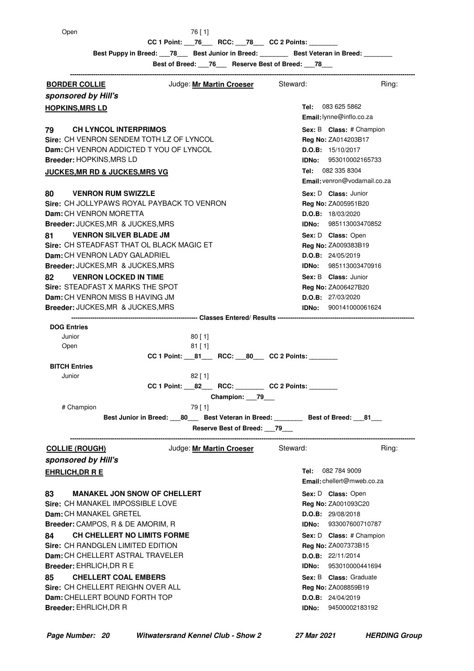Open 76 [ 1]

**CC 1 Point: \_\_76 \_\_\_ RCC: \_\_78 \_\_ CC 2 Points: \_\_\_\_\_\_\_\_\_\_\_\_\_\_\_\_\_\_\_\_\_\_\_\_\_\_\_\_\_\_\_\_** 

Best Puppy in Breed: \_\_\_78\_\_\_ Best Junior in Breed: \_\_\_\_\_\_\_ Best Veteran in Breed:

**Best of Breed: \_\_\_76\_\_\_ Reserve Best of Breed: \_\_\_78\_\_\_**

**-------------------------------------------------------------------------------------------------------------------------------------------------------------------- BORDER COLLIE Steward:** Judge: Mr Martin Croeser Steward: Ring: Ring: **sponsored by Hill's Tel: Email:**lynne@inflo.co.za **HOPKINS, MRS LD CH LYNCOL INTERPRIMOS 1988 1988 1988 1988 1988 1988 1988 1988 1988 1988 1988 1988 1988 1988 1988 1988 1988 1988 1988 1988 1988 1988 1988 1988 1988 1988 1988 1988 1 Sire:** CH VENRON SENDEM TOTH LZ OF LYNCOL **Dam:** CH VENRON ADDICTED T YOU OF LYNCOL **Breeder:** HOPKINS,MRS LD **Sex:** B **Class: Reg No:** ZA014203B17 **D.O.B:** 15/10/2017 **IDNo:** 953010002165733 Tel: 082 335 8304 **Email:** venron@vodamail.co.za **JUCKES, MR RD & JUCKES, MRS VG 80 VENRON RUM SWIZZLE 1988 1989 1989 1989 1989 1989 1989 1989 1989 1989 1989 1989 1989 1989 1989 1989 1989 1989 1989 1989 1989 1989 1989 1989 1989 1989 1989 1989 Sire:** CH JOLLYPAWS ROYAL PAYBACK TO VENRON **Dam:** CH VENRON MORETTA **Breeder:** JUCKES,MR & JUCKES,MRS **Sex:** D **Class: Reg No:** ZA005951B20 **D.O.B:** 18/03/2020 **IDNo:** 985113003470852 **81 VENRON SILVER BLADE JM 1989 CONTRACT CONSTRANT Sex: D Class: Open Sire:** CH STEADFAST THAT OL BLACK MAGIC ET **Dam:** CH VENRON LADY GALADRIEL **Breeder:** JUCKES,MR & JUCKES,MRS Sex: D **Class:** Open **Reg No:** ZA009383B19 **D.O.B:** 24/05/2019 **IDNo:** 985113003470916 **82 VENRON LOCKED IN TIME 1988 1988 1988 1988 1988 1988 1988 1988 1988 1989 1989 1989 1989 1989 1989 1989 1989 1989 1989 1989 1989 1989 1989 1989 1989 1989 1989 198 Sire:** STEADFAST X MARKS THE SPOT **Dam:** CH VENRON MISS B HAVING JM **Breeder:** JUCKES,MR & JUCKES,MRS **Sex:** B **Class: Reg No:** ZA006427B20 **D.O.B:** 27/03/2020 **IDNo:** 900141000061624 **------------------------------------------------------------ Classes Entered/ Results ----------------------------------------------------------------- DOG Entries** Junior 80 [ 1] Open 81 [ 1] **CC 1 Point: \_\_\_81\_\_\_\_ RCC: \_\_\_ 80\_\_\_ CC 2 Points: BITCH Entries** Junior 82 [ 1] CC 1 Point: **22 RCC: CC 2 Points: Champion: \_\_\_79\_\_\_** # Champion 79 [ 1] Best Junior in Breed:  $80$  Best Veteran in Breed: **Best of Breed:**  $81$ **Reserve Best of Breed: \_\_\_79\_\_\_ -------------------------------------------------------------------------------------------------------------------------------------------------------------------- COLLIE (ROUGH)** Judge: **Mr Martin Croeser** Steward: Ring: **sponsored by Hill's** Tel: 082 784 9009 **Email:** chellert@mweb.co.za **EHRLICH, DR R E 83 MANAKEL JON SNOW OF CHELLERT State of the Sex: D Class: Open Sire:** CH MANAKEL IMPOSSIBLE LOVE **Dam:** CH MANAKEL GRETEL **Breeder:** CAMPOS, R & DE AMORIM, R Sex: D **Class:** Open **Reg No:** ZA001093C20 **D.O.B:** 29/08/2018 **IDNo:** 933007600710787 **84 CH CHELLERT NO LIMITS FORME 1988 1988 1988 1988 1988 1988 1988 1988 1988 1988 1989 1988 1989 1989 1989 1989 1989 1989 1989 1989 1989 1989 1989 1989 1989 1989 1989 Sire:** CH RANDGLEN LIMITED EDITION **Dam:** CH CHELLERT ASTRAL TRAVELER **Breeder:** EHRLICH,DR R E **Sex: D Class:** # Champion **Reg No:** ZA007373B15 **D.O.B:** 22/11/2014 **IDNo:** 953010000441694 **85** CHELLERT COAL EMBERS **COMPASS SEXELS** Class: Graduate **Sire:** CH CHELLERT REIGHN OVER ALL **Dam:** CHELLERT BOUND FORTH TOP **Breeder:** EHRLICH,DR R **Sex:** B **Class: Reg No:** ZA008859B19 **D.O.B:** 24/04/2019 **IDNo:** 94500002183192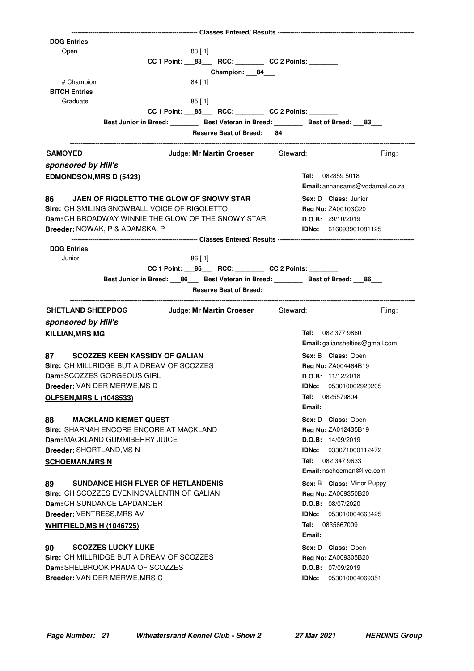| <b>DOG Entries</b>               |                                                           |                                                                  |                                                                                           |
|----------------------------------|-----------------------------------------------------------|------------------------------------------------------------------|-------------------------------------------------------------------------------------------|
| Open                             |                                                           | 83[1]                                                            |                                                                                           |
|                                  |                                                           | CC 1 Point: _____ 83____ RCC: _________ CC 2 Points: ________    |                                                                                           |
|                                  |                                                           | Champion: ___84___                                               |                                                                                           |
| # Champion                       |                                                           | $84$ [ 1]                                                        |                                                                                           |
| <b>BITCH Entries</b>             |                                                           |                                                                  |                                                                                           |
| Graduate                         |                                                           | $85$ [ 1]                                                        |                                                                                           |
|                                  |                                                           | CC 1 Point: ____ 85______ RCC: ___________ CC 2 Points: ________ |                                                                                           |
|                                  |                                                           |                                                                  | Best Junior in Breed: __________ Best Veteran in Breed: _________ Best of Breed: ___83___ |
|                                  |                                                           | Reserve Best of Breed: ___84___                                  |                                                                                           |
| <u>SAMOYED</u>                   |                                                           | Judge: Mr Martin Croeser Steward:                                | Ring:                                                                                     |
| sponsored by Hill's              |                                                           |                                                                  |                                                                                           |
| <b>EDMONDSON, MRS D (5423)</b>   |                                                           |                                                                  | <b>Tel:</b> 082859 5018                                                                   |
|                                  |                                                           |                                                                  | <b>Email:</b> annansams@vodamail.co.za                                                    |
| 86 —                             | JAEN OF RIGOLETTO THE GLOW OF SNOWY STAR                  |                                                                  | Sex: D Class: Junior                                                                      |
|                                  | Sire: CH SMILING SNOWBALL VOICE OF RIGOLETTO              |                                                                  | Reg No: ZA00103C20                                                                        |
|                                  | <b>Dam:</b> CH BROADWAY WINNIE THE GLOW OF THE SNOWY STAR |                                                                  | D.O.B: 29/10/2019                                                                         |
|                                  | Breeder: NOWAK, P & ADAMSKA, P                            |                                                                  | <b>IDNo:</b> 616093901081125                                                              |
|                                  |                                                           |                                                                  |                                                                                           |
| <b>DOG Entries</b>               |                                                           |                                                                  |                                                                                           |
| Junior                           |                                                           | $86$ [ 1]                                                        |                                                                                           |
|                                  |                                                           | CC 1 Point: ____ 86_____ RCC: __________ CC 2 Points: ________   |                                                                                           |
|                                  |                                                           |                                                                  |                                                                                           |
|                                  |                                                           | Reserve Best of Breed: _______                                   |                                                                                           |
| <b>SHETLAND SHEEPDOG</b>         |                                                           | Judge: <b>Mr Martin Croeser</b> Steward:                         | Ring:                                                                                     |
| sponsored by Hill's              |                                                           |                                                                  |                                                                                           |
|                                  |                                                           |                                                                  |                                                                                           |
| <b>KILLIAN, MRS MG</b>           |                                                           |                                                                  | Tel: 082 377 9860<br>Email: galianshelties@gmail.com                                      |
|                                  |                                                           |                                                                  |                                                                                           |
|                                  |                                                           |                                                                  |                                                                                           |
| 87 —                             | <b>SCOZZES KEEN KASSIDY OF GALIAN</b>                     |                                                                  | Sex: B Class: Open                                                                        |
|                                  | Sire: CH MILLRIDGE BUT A DREAM OF SCOZZES                 |                                                                  | Reg No: ZA004464B19                                                                       |
|                                  | Dam: SCOZZES GORGEOUS GIRL                                |                                                                  | D.O.B: 11/12/2018                                                                         |
|                                  | Breeder: VAN DER MERWE, MS D                              |                                                                  | IDNo: 953010002920205                                                                     |
| <b>OLFSEN, MRS L (1048533)</b>   |                                                           |                                                                  | 0825579804<br>Tel:                                                                        |
|                                  |                                                           |                                                                  | Email:                                                                                    |
| 88                               | <b>MACKLAND KISMET QUEST</b>                              |                                                                  | Sex: D Class: Open                                                                        |
|                                  | Sire: SHARNAH ENCORE ENCORE AT MACKLAND                   |                                                                  | Reg No: ZA012435B19                                                                       |
|                                  | Dam: MACKLAND GUMMIBERRY JUICE                            |                                                                  | D.O.B: 14/09/2019                                                                         |
| <b>Breeder: SHORTLAND, MS N</b>  |                                                           |                                                                  | 933071000112472<br>IDNo:                                                                  |
| <b>SCHOEMAN, MRS N</b>           |                                                           |                                                                  | 082 347 9633<br>Tel:                                                                      |
|                                  |                                                           |                                                                  | Email: nschoeman@live.com                                                                 |
| 89                               | <b>SUNDANCE HIGH FLYER OF HETLANDENIS</b>                 |                                                                  | Sex: B Class: Minor Puppy                                                                 |
|                                  | Sire: CH SCOZZES EVENINGVALENTIN OF GALIAN                |                                                                  | Reg No: ZA009350B20                                                                       |
|                                  | Dam: CH SUNDANCE LAPDANCER                                |                                                                  | D.O.B: 08/07/2020                                                                         |
| <b>Breeder: VENTRESS, MRS AV</b> |                                                           |                                                                  | 953010004663425<br>IDNo:                                                                  |
| <b>WHITFIELD, MS H (1046725)</b> |                                                           |                                                                  | Tel: 0835667009                                                                           |
|                                  |                                                           |                                                                  | Email:                                                                                    |
| 90                               | <b>SCOZZES LUCKY LUKE</b>                                 |                                                                  | Sex: D Class: Open                                                                        |
|                                  | Sire: CH MILLRIDGE BUT A DREAM OF SCOZZES                 |                                                                  | Reg No: ZA009305B20                                                                       |
|                                  | Dam: SHELBROOK PRADA OF SCOZZES                           |                                                                  | D.O.B: 07/09/2019                                                                         |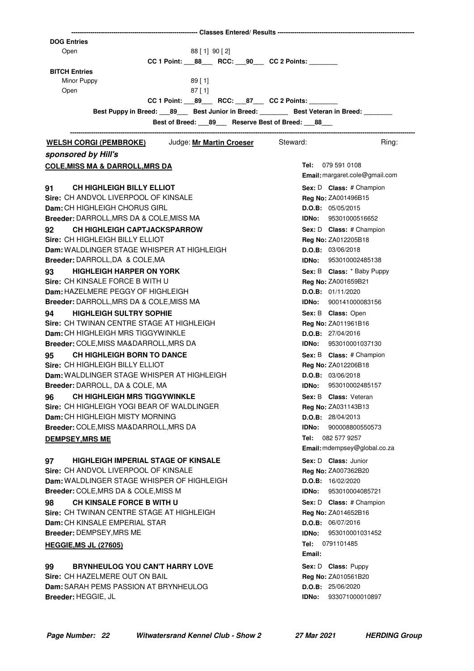| <b>DOG Entries</b><br>88 [ 1] 90 [ 2]<br>Open<br>CC 1 Point: ____ 88_____ RCC: ____ 90____ CC 2 Points: _________ |
|-------------------------------------------------------------------------------------------------------------------|
|                                                                                                                   |
|                                                                                                                   |
| <b>BITCH Entries</b>                                                                                              |
| Minor Puppy<br>89[1]                                                                                              |
| 87[1]<br>Open                                                                                                     |
| CC 1 Point: ____ 89______ RCC: ____ 87____ CC 2 Points: _________                                                 |
| Best Puppy in Breed: 189 Best Junior in Breed: 2000 Best Veteran in Breed: 2000                                   |
| Best of Breed: 89 Reserve Best of Breed: 88                                                                       |
| WELSH CORGI (PEMBROKE) Judge: Mr Martin Croeser Steward:<br>Ring:                                                 |
| sponsored by Hill's                                                                                               |
| Tel: 079 591 0108<br><u>COLE, MISS MA &amp; DARROLL, MRS DA</u><br>Email: margaret.cole@gmail.com                 |
| 91<br><b>CH HIGHLEIGH BILLY ELLIOT</b><br>Sex: D Class: # Champion                                                |
| Sire: CH ANDVOL LIVERPOOL OF KINSALE<br>Reg No: ZA001496B15                                                       |
| Dam: CH HIGHLEIGH CHORUS GIRL<br>D.O.B: 05/05/2015                                                                |
| Breeder: DARROLL, MRS DA & COLE, MISS MA<br><b>IDNo: 95301000516652</b>                                           |
| <b>CH HIGHLEIGH CAPTJACKSPARROW</b><br>Sex: D Class: # Champion<br>92                                             |
| Sire: CH HIGHLEIGH BILLY ELLIOT<br>Reg No: ZA012205B18                                                            |
| Dam: WALDLINGER STAGE WHISPER AT HIGHLEIGH<br>D.O.B: 03/06/2018                                                   |
| Breeder: DARROLL, DA & COLE, MA<br><b>IDNo: 953010002485138</b>                                                   |
| <b>HIGHLEIGH HARPER ON YORK</b><br>93<br>Sex: B Class: * Baby Puppy<br>Sire: CH KINSALE FORCE B WITH U            |
| Reg No: ZA001659B21<br>Dam: HAZELMERE PEGGY OF HIGHLEIGH<br>D.O.B: 01/11/2020                                     |
| Breeder: DARROLL, MRS DA & COLE, MISS MA<br><b>IDNo:</b> 900141000083156                                          |
| <b>HIGHLEIGH SULTRY SOPHIE</b><br>94<br>Sex: B Class: Open                                                        |
| Sire: CH TWINAN CENTRE STAGE AT HIGHLEIGH<br>Reg No: ZA011961B16                                                  |
| Dam: CH HIGHLEIGH MRS TIGGYWINKLE<br>D.O.B: 27/04/2016                                                            |
| Breeder: COLE, MISS MA&DARROLL, MRS DA<br><b>IDNo: 953010001037130</b>                                            |
| <b>CH HIGHLEIGH BORN TO DANCE</b><br>95<br>Sex: B Class: # Champion                                               |
| Sire: CH HIGHLEIGH BILLY ELLIOT<br>Reg No: ZA012206B18                                                            |
| Dam: WALDLINGER STAGE WHISPER AT HIGHLEIGH<br>D.O.B: 03/06/2018                                                   |
| Breeder: DARROLL, DA & COLE, MA<br>IDNo: 953010002485157                                                          |
| <b>CH HIGHLEIGH MRS TIGGYWINKLE</b><br>96<br><b>Sex: B Class: Veteran</b>                                         |
| Sire: CH HIGHLEIGH YOGI BEAR OF WALDLINGER<br>Reg No: ZA031143B13                                                 |
| Dam: CH HIGHLEIGH MISTY MORNING<br>D.O.B: 28/04/2013                                                              |
| Breeder: COLE, MISS MA&DARROLL, MRS DA<br>900008800550573<br>IDNo:                                                |
| Tel:<br>082 577 9257<br><b>DEMPSEY, MRS ME</b>                                                                    |
| Email: mdempsey@global.co.za                                                                                      |
| 97<br><b>HIGHLEIGH IMPERIAL STAGE OF KINSALE</b><br>Sex: D Class: Junior<br>Sire: CH ANDVOL LIVERPOOL OF KINSALE  |
| Reg No: ZA007362B20<br>Dam: WALDLINGER STAGE WHISPER OF HIGHLEIGH<br>D.O.B: 16/02/2020                            |
| Breeder: COLE, MRS DA & COLE, MISS M<br>953010004085721<br>IDNo:                                                  |
| <b>CH KINSALE FORCE B WITH U</b><br>98<br>Sex: D Class: # Champion                                                |
| Sire: CH TWINAN CENTRE STAGE AT HIGHLEIGH<br>Reg No: ZA014652B16                                                  |
| Dam: CH KINSALE EMPERIAL STAR<br>D.O.B: 06/07/2016                                                                |
| Breeder: DEMPSEY, MRS ME<br>953010001031452<br>IDNo:                                                              |
| <b>Tel:</b> 0791101485<br><b>HEGGIE, MS JL (27605)</b><br>Email:                                                  |
| <b>BRYNHEULOG YOU CAN'T HARRY LOVE</b><br>99<br>Sex: D Class: Puppy                                               |
| Sire: CH HAZELMERE OUT ON BAIL<br>Reg No: ZA010561B20                                                             |
| Dam: SARAH PEMS PASSION AT BRYNHEULOG<br>D.O.B: 25/06/2020                                                        |
| Breeder: HEGGIE, JL<br>IDNo:<br>933071000010897                                                                   |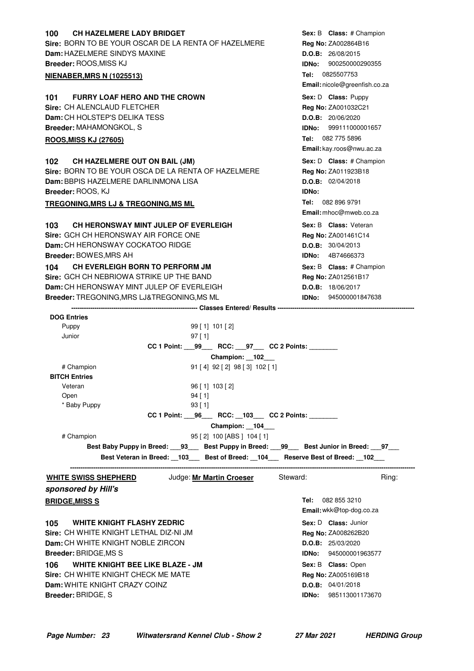| <b>CH HAZELMERE LADY BRIDGET</b><br>100              |                                                      |              | Sex: B Class: # Champion      |
|------------------------------------------------------|------------------------------------------------------|--------------|-------------------------------|
| Sire: BORN TO BE YOUR OSCAR DE LA RENTA OF HAZELMERE |                                                      |              | Reg No: ZA002864B16           |
| Dam: HAZELMERE SINDYS MAXINE                         |                                                      |              | D.O.B: 26/08/2015             |
| Breeder: ROOS, MISS KJ                               |                                                      | IDNo:        | 900250000290355               |
| <b>NIENABER, MRS N (1025513)</b>                     |                                                      |              | Tel: 0825507753               |
|                                                      |                                                      |              | Email: nicole@greenfish.co.za |
| <b>FURRY LOAF HERO AND THE CROWN</b><br>101          |                                                      |              | Sex: D Class: Puppy           |
| Sire: CH ALENCLAUD FLETCHER                          |                                                      |              | Reg No: ZA001032C21           |
| Dam: CH HOLSTEP'S DELIKA TESS                        |                                                      |              | D.O.B: 20/06/2020             |
| Breeder: MAHAMONGKOL, S                              |                                                      |              | IDNo: 999111000001657         |
| <b>ROOS, MISS KJ (27605)</b>                         |                                                      |              | Tel: 082 775 5896             |
|                                                      |                                                      |              | Email: kay.roos@nwu.ac.za     |
| CH HAZELMERE OUT ON BAIL (JM)<br>102                 |                                                      |              | Sex: D Class: # Champion      |
| Sire: BORN TO BE YOUR OSCA DE LA RENTA OF HAZELMERE  |                                                      |              | Reg No: ZA011923B18           |
| Dam: BBPIS HAZELMERE DARLINMONA LISA                 |                                                      |              | D.O.B: 02/04/2018             |
| Breeder: ROOS, KJ                                    |                                                      | <b>IDNo:</b> |                               |
| TREGONING, MRS LJ & TREGONING, MS ML                 |                                                      |              | Tel: 082 896 9791             |
|                                                      |                                                      |              | Email: mhoc@mweb.co.za        |
| 103<br>CH HERONSWAY MINT JULEP OF EVERLEIGH          |                                                      |              | Sex: B Class: Veteran         |
| Sire: GCH CH HERONSWAY AIR FORCE ONE                 |                                                      |              | Reg No: ZA001461C14           |
| <b>Dam:</b> CH HERONSWAY COCKATOO RIDGE              |                                                      |              | D.O.B: 30/04/2013             |
| Breeder: BOWES, MRS AH                               |                                                      |              | <b>IDNo:</b> 4B74666373       |
| CH EVERLEIGH BORN TO PERFORM JM<br>104               |                                                      |              | Sex: B Class: # Champion      |
| Sire: GCH CH NEBRIOWA STRIKE UP THE BAND             |                                                      |              | Reg No: ZA012561B17           |
| Dam: CH HERONSWAY MINT JULEP OF EVERLEIGH            |                                                      |              | D.O.B: 18/06/2017             |
| Breeder: TREGONING, MRS LJ&TREGONING, MS ML          |                                                      |              | <b>IDNo: 945000001847638</b>  |
|                                                      |                                                      |              |                               |
| <b>DOG Entries</b>                                   |                                                      |              |                               |
| Puppy                                                | $99$ [ 1] 101 [ 2]                                   |              |                               |
| Junior                                               | $97$ [1]                                             |              |                               |
|                                                      | CC 1 Point: __99___ RCC: __97___ CC 2 Points: ______ |              |                               |
|                                                      | Champion: 102<br>91 [4] 92 [2] 98 [3] 102 [1]        |              |                               |
| # Champion<br><b>BITCH Entries</b>                   |                                                      |              |                               |
| Veteran                                              | $96$ [ 1] 103 [ 2]                                   |              |                               |
| Open                                                 | $94$ [ 1]                                            |              |                               |
| * Baby Puppy                                         | 93 [1]                                               |              |                               |

**CC 1 Point: \_\_\_96\_\_\_ RCC: \_\_103\_\_\_ CC 2 Points: \_\_\_\_\_\_\_\_ Champion: \_\_104\_\_\_** # Champion 95 [ 2] 100 [ABS ] 104 [ 1] **Best Baby Puppy in Breed: \_\_\_93\_\_\_ Best Puppy in Breed: \_\_\_99\_\_\_ Best Junior in Breed: \_\_\_97\_\_\_ Best Veteran in Breed: \_\_103\_\_\_ Best of Breed: \_\_104\_\_\_ Reserve Best of Breed: \_\_102\_\_\_**

**--------------------------------------------------------------------------------------------------------------------------------------------------------------------**

**WHITE SWISS SHEPHERD** Judge: **Mr Martin Croeser** Steward: Ring: **sponsored by Hill's Tel: BRIDGE,MISS S** 082 855 3210 **105 WHITE KNIGHT FLASHY ZEDRIC 108 CONTROL 105** Sex: D Class: Junior

**Sire:** CH WHITE KNIGHT LETHAL DIZ-NI JM **Dam:** CH WHITE KNIGHT NOBLE ZIRCON **Breeder:** BRIDGE,MS S **106 • WHITE KNIGHT BEE LIKE BLAZE - JM 106 • CALCE ASS:** Open **Sire:** CH WHITE KNIGHT CHECK ME MATE **Dam:** WHITE KNIGHT CRAZY COINZ

**Breeder:** BRIDGE, S

**Email:** wkk@top-dog.co.za Sex: D **Class:** Junior **Reg No:** ZA008262B20 **D.O.B:** 25/03/2020 **IDNo:** 945000001963577 Sex: B **Class:** Open **Reg No:** ZA005169B18 **D.O.B:** 04/01/2018 **IDNo:** 985113001173670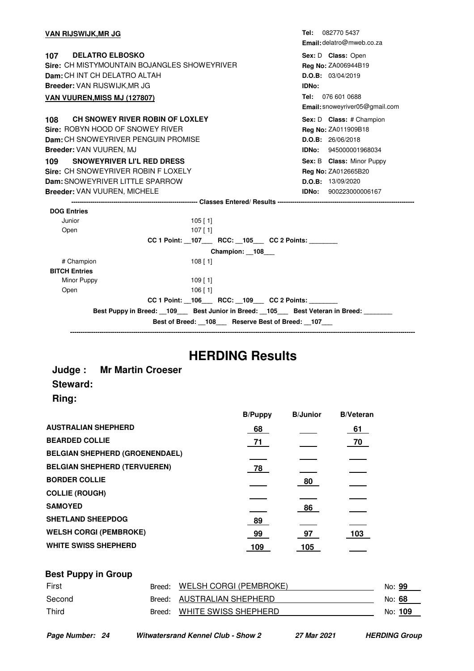| <u>VAN RIJSWIJK,MR JG</u>                                                 | Tel: 082770 5437               |
|---------------------------------------------------------------------------|--------------------------------|
|                                                                           | Email: delatro@mweb.co.za      |
| 107 DELATRO ELBOSKO                                                       | Sex: D Class: Open             |
| Sire: CH MISTYMOUNTAIN BOJANGLES SHOWEYRIVER                              | Reg No: ZA006944B19            |
| Dam: CH INT CH DELATRO ALTAH                                              | D.O.B: 03/04/2019              |
| <b>Breeder: VAN RIJSWIJK, MR JG</b>                                       | IDNo:                          |
| <b>VAN VUUREN, MISS MJ (127807)</b>                                       | Tel: 076 601 0688              |
|                                                                           | Email: snoweyriver05@gmail.com |
| CH SNOWEY RIVER ROBIN OF LOXLEY<br>108                                    | Sex: D Class: # Champion       |
| Sire: ROBYN HOOD OF SNOWEY RIVER                                          | Reg No: ZA011909B18            |
| Dam: CH SNOWEYRIVER PENGUIN PROMISE                                       | D.O.B: 26/06/2018              |
| Breeder: VAN VUUREN, MJ                                                   | <b>IDNo:</b> 945000001968034   |
| SNOWEYRIVER LI'L RED DRESS<br>109                                         | Sex: B Class: Minor Puppy      |
| Sire: CH SNOWEYRIVER ROBIN F LOXELY                                       | Reg No: ZA012665B20            |
| Dam: SNOWEYRIVER LITTLE SPARROW                                           | D.O.B: 13/09/2020              |
| <b>Breeder: VAN VUUREN, MICHELE</b>                                       | <b>IDNo:</b> 900223000006167   |
|                                                                           |                                |
| <b>DOG Entries</b>                                                        |                                |
| Junior<br>$105$ [ 1]                                                      |                                |
| $107$ [1]<br>Open                                                         |                                |
| CC 1 Point: _107 RCC: _105 CC 2 Points:                                   |                                |
| Champion: 108                                                             |                                |
| # Champion<br>$108$ [ 1]                                                  |                                |
| <b>BITCH Entries</b>                                                      |                                |
| Minor Puppy<br>$109$ [ 1]<br>Open<br>$106$ [ 1]                           |                                |
| CC 1 Point: _106___ RCC: _109___ CC 2 Points: _______                     |                                |
| Best Puppy in Breed: 109 Best Junior in Breed: 105 Best Veteran in Breed: |                                |
| Best of Breed: 108 Reserve Best of Breed: 107                             |                                |
|                                                                           |                                |

### **HERDING Results**

#### **Judge : Mr Martin Croeser Steward: Ring:**

|                                       | <b>B/Puppy</b> | <b>B/Junior</b> | <b>B/Veteran</b> |
|---------------------------------------|----------------|-----------------|------------------|
| <b>AUSTRALIAN SHEPHERD</b>            | 68             |                 | 61               |
| <b>BEARDED COLLIE</b>                 | 71             |                 | 70               |
| <b>BELGIAN SHEPHERD (GROENENDAEL)</b> |                |                 |                  |
| <b>BELGIAN SHEPHERD (TERVUEREN)</b>   | 78             |                 |                  |
| <b>BORDER COLLIE</b>                  |                | 80              |                  |
| <b>COLLIE (ROUGH)</b>                 |                |                 |                  |
| <b>SAMOYED</b>                        |                | 86              |                  |
| <b>SHETLAND SHEEPDOG</b>              | 89             |                 |                  |
| <b>WELSH CORGI (PEMBROKE)</b>         | 99             | 97              | 103              |
| <b>WHITE SWISS SHEPHERD</b>           | 109            | 105             |                  |
|                                       |                |                 |                  |

### **Best Puppy in Group** First Breed: WELSH CORGI (PEMBROKE) No: **99** Second Breed: AUSTRALIAN SHEPHERD No: 68 Third Breed: WHITE SWISS SHEPHERD No: 109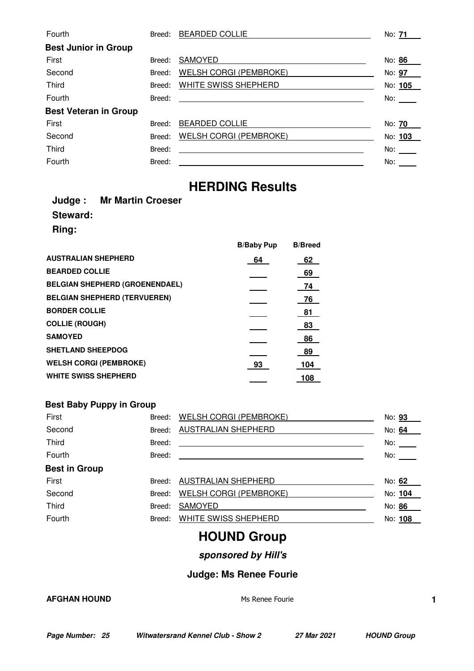| Fourth                       | Breed: | <b>BEARDED COLLIE</b>                                                                                                | No: <b>71</b>       |
|------------------------------|--------|----------------------------------------------------------------------------------------------------------------------|---------------------|
| <b>Best Junior in Group</b>  |        |                                                                                                                      |                     |
| First                        | Breed: | SAMOYED                                                                                                              | No: 86              |
| Second                       | Breed: | <b>WELSH CORGI (PEMBROKE)</b>                                                                                        | No: 97              |
| <b>Third</b>                 | Breed: | WHITE SWISS SHEPHERD                                                                                                 | No: 105             |
| Fourth                       | Breed: | <u> 1980 - Jan Samuel Barbara, martin da shekara 1980 - An tsara 1980 - An tsara 1980 - An tsara 1980 - An tsara</u> | No:                 |
| <b>Best Veteran in Group</b> |        |                                                                                                                      |                     |
| First                        | Breed: | <b>BEARDED COLLIE</b>                                                                                                | No: 70              |
| Second                       | Breed: | <b>WELSH CORGI (PEMBROKE)</b>                                                                                        | No: 103             |
| Third                        | Breed: |                                                                                                                      | No: $\qquad \qquad$ |
| Fourth                       | Breed: |                                                                                                                      | No:                 |

### **HERDING Results**

|              | <b>Judge: Mr Martin Croeser</b> |
|--------------|---------------------------------|
| Steward:     |                                 |
| <b>Ring:</b> |                                 |

|                                       | <b>B/Baby Pup</b> | <b>B/Breed</b> |
|---------------------------------------|-------------------|----------------|
| <b>AUSTRALIAN SHEPHERD</b>            | 64                | 62             |
| <b>BEARDED COLLIE</b>                 |                   | 69             |
| <b>BELGIAN SHEPHERD (GROENENDAEL)</b> |                   | 74             |
| <b>BELGIAN SHEPHERD (TERVUEREN)</b>   |                   | 76             |
| <b>BORDER COLLIE</b>                  |                   | 81             |
| <b>COLLIE (ROUGH)</b>                 |                   | 83             |
| <b>SAMOYED</b>                        |                   | 86             |
| <b>SHETLAND SHEEPDOG</b>              |                   | 89             |
| <b>WELSH CORGI (PEMBROKE)</b>         | 93                | 104            |
| <b>WHITE SWISS SHEPHERD</b>           |                   | 108            |

#### **Best Baby Puppy in Group**

| First                | Breed: | <b>WELSH CORGI (PEMBROKE)</b> | No: 93  |
|----------------------|--------|-------------------------------|---------|
| Second               | Breed: | <b>AUSTRALIAN SHEPHERD</b>    | No: 64  |
| <b>Third</b>         | Breed: |                               | No:     |
| Fourth               | Breed: |                               | No:     |
| <b>Best in Group</b> |        |                               |         |
| First                | Breed: | <b>AUSTRALIAN SHEPHERD</b>    | No: 62  |
| Second               | Breed: | <b>WELSH CORGI (PEMBROKE)</b> | No: 104 |
| Third                | Breed: | SAMOYED                       | No: 86  |
| Fourth               | Breed: | WHITE SWISS SHEPHERD          | No: 108 |
|                      |        |                               |         |

### **HOUND Group**

**sponsored by Hill's**

#### **Judge: Ms Renee Fourie**

#### **AFGHAN HOUND 1**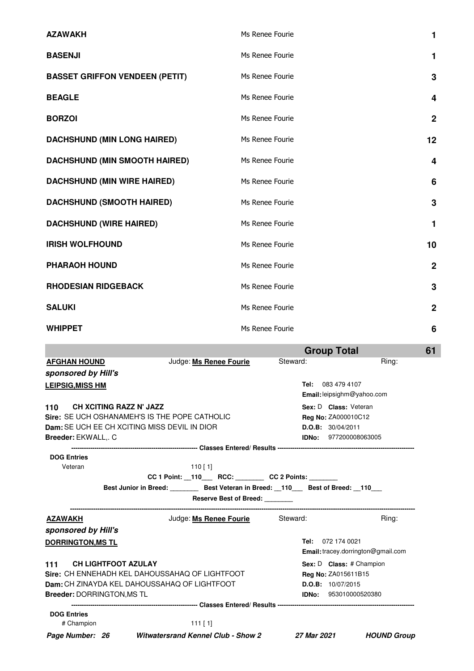| <b>AZAWAKH</b>                                                      | Ms Renee Fourie                               | 1              |
|---------------------------------------------------------------------|-----------------------------------------------|----------------|
| <b>BASENJI</b>                                                      | Ms Renee Fourie                               | 1              |
| <b>BASSET GRIFFON VENDEEN (PETIT)</b>                               | Ms Renee Fourie                               | 3              |
| <b>BEAGLE</b>                                                       | Ms Renee Fourie                               | 4              |
| <b>BORZOI</b>                                                       | Ms Renee Fourie                               | $\mathbf 2$    |
| <b>DACHSHUND (MIN LONG HAIRED)</b>                                  | Ms Renee Fourie                               | 12             |
| <b>DACHSHUND (MIN SMOOTH HAIRED)</b>                                | Ms Renee Fourie                               | 4              |
| <b>DACHSHUND (MIN WIRE HAIRED)</b>                                  | Ms Renee Fourie                               | 6              |
| <b>DACHSHUND (SMOOTH HAIRED)</b>                                    | Ms Renee Fourie                               | 3              |
| <b>DACHSHUND (WIRE HAIRED)</b>                                      | Ms Renee Fourie                               | 1              |
| <b>IRISH WOLFHOUND</b>                                              | Ms Renee Fourie                               | 10             |
| <b>PHARAOH HOUND</b>                                                | Ms Renee Fourie                               | $\mathbf{2}$   |
| <b>RHODESIAN RIDGEBACK</b>                                          | Ms Renee Fourie                               | 3              |
| <b>SALUKI</b>                                                       | Ms Renee Fourie                               | $\overline{2}$ |
| <b>WHIPPET</b>                                                      | Ms Renee Fourie                               | 6              |
|                                                                     | <b>Group Total</b>                            | 61             |
| <b>AFGHAN HOUND</b><br>Judge: Ms Renee Fourie                       | Steward:<br>Ring:                             |                |
| sponsored by Hill's                                                 | Tel: 083 479 4107                             |                |
| <b>LEIPSIG, MISS HM</b>                                             | Email: leipsighm@yahoo.com                    |                |
| <b>CH XCITING RAZZ N' JAZZ</b><br>110                               | Sex: D Class: Veteran                         |                |
| Sire: SE UCH OSHANAMEH'S IS THE POPE CATHOLIC                       | Reg No: ZA000010C12                           |                |
| Dam: SE UCH EE CH XCITING MISS DEVIL IN DIOR<br>Breeder: EKWALL,. C | D.O.B: 30/04/2011<br>IDNo:<br>977200008063005 |                |
|                                                                     |                                               |                |

| <b>DOG Entries</b>       |                                                                     |                                           |
|--------------------------|---------------------------------------------------------------------|-------------------------------------------|
| Veteran                  | 110 [ 1]                                                            |                                           |
|                          | CC 1 Point: 110 RCC: CC 2 Points:                                   |                                           |
|                          | Best Junior in Breed: Best Veteran in Breed: 110 Best of Breed: 110 |                                           |
|                          | <b>Reserve Best of Breed:</b>                                       |                                           |
| <b>AZAWAKH</b>           | Judge: Ms Renee Fourie                                              | Steward:<br>Ring:                         |
| sponsored by Hill's      |                                                                     |                                           |
| <b>DORRINGTON, MS TL</b> |                                                                     | 072 174 0021<br>Tel:                      |
|                          |                                                                     | <b>Email:</b> tracey.dorrington@gmail.com |
| 111                      | <b>CH LIGHTFOOT AZULAY</b>                                          | <b>Sex: D Class:</b> # Champion           |
|                          | Sire: CH ENNEHADH KEL DAHOUSSAHAO OF LIGHTFOOT                      | <b>Reg No: ZA015611B15</b>                |
|                          | Dam: CH ZINAYDA KEL DAHOUSSAHAQ OF LIGHTFOOT                        | D.O.B: 10/07/2015                         |
|                          | <b>Breeder: DORRINGTON, MS TL</b>                                   | <b>IDNo: 953010000520380</b>              |
|                          |                                                                     |                                           |
| <b>DOG Entries</b>       |                                                                     |                                           |
| # Champion               | $111$ [ 1]                                                          |                                           |

**Page Number: 26 Witwatersrand Kennel Club - Show 2 27 Mar 2021 HOUND Group**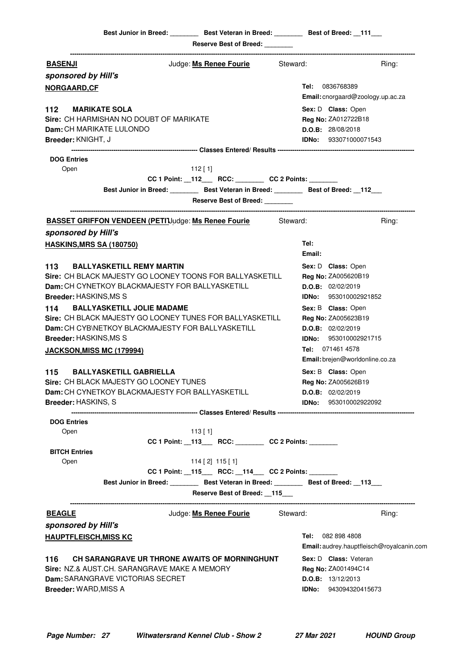|                                  | Best Junior in Breed: _________ Best Veteran in Breed: ________ Best of Breed: __111___   |                                                                    |          |                                                                       |
|----------------------------------|-------------------------------------------------------------------------------------------|--------------------------------------------------------------------|----------|-----------------------------------------------------------------------|
|                                  |                                                                                           | Reserve Best of Breed: ________                                    |          |                                                                       |
| <b>BASENJI</b>                   |                                                                                           | Judge: <u>Ms Renee Fourie</u>                                      | Steward: | Ring:                                                                 |
| sponsored by Hill's              |                                                                                           |                                                                    |          |                                                                       |
| <b>NORGAARD,CF</b>               |                                                                                           |                                                                    |          | <b>Tel:</b> 0836768389                                                |
|                                  |                                                                                           |                                                                    |          | Email: cnorgaard@zoology.up.ac.za                                     |
| 112 MARIKATE SOLA                |                                                                                           |                                                                    |          | Sex: D Class: Open                                                    |
|                                  | Sire: CH HARMISHAN NO DOUBT OF MARIKATE                                                   |                                                                    |          | Reg No: ZA012722B18                                                   |
| Dam: CH MARIKATE LULONDO         |                                                                                           |                                                                    |          | D.O.B: 28/08/2018                                                     |
| Breeder: KNIGHT, J               |                                                                                           |                                                                    |          | <b>IDNo:</b> 933071000071543                                          |
|                                  |                                                                                           |                                                                    |          |                                                                       |
| <b>DOG Entries</b>               |                                                                                           |                                                                    |          |                                                                       |
| Open                             |                                                                                           | $112$ [ 1]<br>CC 1 Point: _112___ RCC: _______ CC 2 Points: ______ |          |                                                                       |
|                                  | Best Junior in Breed: Best Veteran in Breed: Best of Breed: 112                           |                                                                    |          |                                                                       |
|                                  |                                                                                           | <b>Reserve Best of Breed:</b>                                      |          |                                                                       |
|                                  | <b>BASSET GRIFFON VENDEEN (PETIJJudge: Ms Renee Fourie</b>                                |                                                                    | Steward: | Ring:                                                                 |
| sponsored by Hill's              |                                                                                           |                                                                    |          |                                                                       |
| <b>HASKINS, MRS SA (180750)</b>  |                                                                                           |                                                                    | Tel:     |                                                                       |
|                                  |                                                                                           |                                                                    | Email:   |                                                                       |
| 113                              | <b>BALLYASKETILL REMY MARTIN</b>                                                          |                                                                    |          | Sex: D Class: Open                                                    |
|                                  | Sire: CH BLACK MAJESTY GO LOONEY TOONS FOR BALLYASKETILL                                  |                                                                    |          | Reg No: ZA005620B19                                                   |
|                                  | Dam: CH CYNETKOY BLACKMAJESTY FOR BALLYASKETILL                                           |                                                                    |          | D.O.B: 02/02/2019                                                     |
| <b>Breeder: HASKINS, MS S</b>    |                                                                                           |                                                                    |          | <b>IDNo:</b> 953010002921852                                          |
|                                  | 114 BALLYASKETILL JOLIE MADAME                                                            |                                                                    |          | Sex: B Class: Open                                                    |
|                                  | Sire: CH BLACK MAJESTY GO LOONEY TUNES FOR BALLYASKETILL                                  |                                                                    |          | Reg No: ZA005623B19                                                   |
|                                  | Dam: CH CYB\NETKOY BLACKMAJESTY FOR BALLYASKETILL                                         |                                                                    |          | D.O.B: 02/02/2019                                                     |
| Breeder: HASKINS, MS S           |                                                                                           |                                                                    |          | <b>IDNo:</b> 953010002921715                                          |
| <b>JACKSON, MISS MC (179994)</b> |                                                                                           |                                                                    |          | Tel: 071461 4578                                                      |
|                                  |                                                                                           |                                                                    |          | Email: brejen@worldonline.co.za                                       |
| 115                              | <b>BALLYASKETILL GABRIELLA</b>                                                            |                                                                    |          | Sex: B Class: Open                                                    |
|                                  | Sire: CH BLACK MAJESTY GO LOONEY TUNES<br>Dam: CH CYNETKOY BLACKMAJESTY FOR BALLYASKETILL |                                                                    |          | <b>Reg No: ZA005626B19</b>                                            |
| <b>Breeder: HASKINS, S</b>       |                                                                                           |                                                                    |          | D.O.B: 02/02/2019<br><b>IDNo:</b> 953010002922092                     |
|                                  |                                                                                           |                                                                    |          |                                                                       |
| <b>DOG Entries</b>               |                                                                                           |                                                                    |          |                                                                       |
| Open                             |                                                                                           | $113$ [ 1]                                                         |          |                                                                       |
|                                  |                                                                                           | CC 1 Point: _113___ RCC: _______ CC 2 Points: ______               |          |                                                                       |
| <b>BITCH Entries</b>             |                                                                                           |                                                                    |          |                                                                       |
| Open                             |                                                                                           | $114$ [2] $115$ [1]                                                |          |                                                                       |
|                                  |                                                                                           | CC 1 Point: _115___ RCC: _114__ CC 2 Points: ______                |          |                                                                       |
|                                  | Best Junior in Breed: Best Veteran in Breed: Best of Breed: 113                           |                                                                    |          |                                                                       |
|                                  |                                                                                           | Reserve Best of Breed: __115___                                    |          |                                                                       |
| <b>BEAGLE</b>                    |                                                                                           | Judge: Ms Renee Fourie Steward:                                    |          | Ring:                                                                 |
| sponsored by Hill's              |                                                                                           |                                                                    |          |                                                                       |
| <b>HAUPTFLEISCH, MISS KC</b>     |                                                                                           |                                                                    |          | <b>Tel:</b> 082 898 4808<br>Email: audrey.hauptfleisch@royalcanin.com |
| 116                              | CH SARANGRAVE UR THRONE AWAITS OF MORNINGHUNT                                             |                                                                    |          | Sex: D Class: Veteran                                                 |
|                                  | Sire: NZ.& AUST.CH. SARANGRAVE MAKE A MEMORY                                              |                                                                    |          | Reg No: ZA001494C14                                                   |
|                                  | Dam: SARANGRAVE VICTORIAS SECRET                                                          |                                                                    |          | <b>D.O.B:</b> $13/12/2013$                                            |
| Breeder: WARD, MISS A            |                                                                                           |                                                                    |          | <b>IDNo:</b> 943094320415673                                          |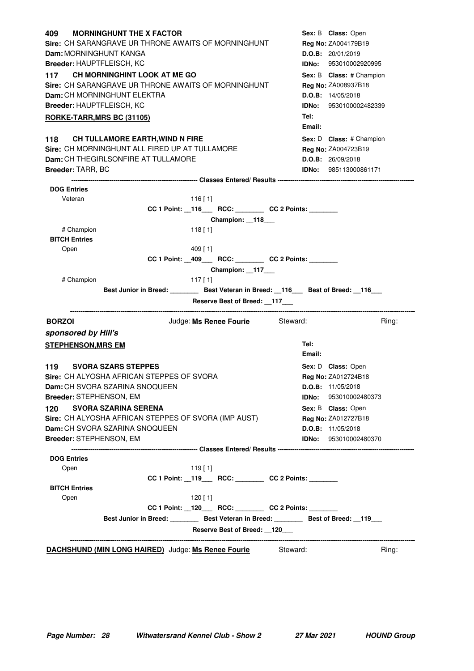| <b>MORNINGHUNT THE X FACTOR</b><br>409.                                                | Sex: B Class: Open           |
|----------------------------------------------------------------------------------------|------------------------------|
| Sire: CH SARANGRAVE UR THRONE AWAITS OF MORNINGHUNT                                    | Reg No: ZA004179B19          |
| <b>Dam: MORNINGHUNT KANGA</b>                                                          | D.O.B: 20/01/2019            |
| Breeder: HAUPTFLEISCH, KC                                                              | <b>IDNo:</b> 953010002920995 |
| 117 CH MORNINGHINT LOOK AT ME GO                                                       | Sex: B Class: # Champion     |
| Sire: CH SARANGRAVE UR THRONE AWAITS OF MORNINGHUNT                                    | <b>Reg No: ZA008937B18</b>   |
| Dam: CH MORNINGHUNT ELEKTRA                                                            | D.O.B: 14/05/2018            |
| Breeder: HAUPTFLEISCH, KC                                                              | IDNo: 9530100002482339       |
| <b>RORKE-TARR, MRS BC (31105)</b>                                                      | Tel:                         |
|                                                                                        | Email:                       |
| 118 CH TULLAMORE EARTH, WIND N FIRE                                                    | Sex: D Class: # Champion     |
| Sire: CH MORNINGHUNT ALL FIRED UP AT TULLAMORE                                         | Reg No: ZA004723B19          |
| Dam: CH THEGIRLSONFIRE AT TULLAMORE                                                    | D.O.B: 26/09/2018            |
| <b>Breeder: TARR, BC</b>                                                               | <b>IDNo: 985113000861171</b> |
|                                                                                        |                              |
| <b>DOG Entries</b>                                                                     |                              |
| Veteran<br>$116$ [1]<br>CC 1 Point: _116___ RCC: _______ CC 2 Points: ______           |                              |
| Champion: 118                                                                          |                              |
| # Champion<br>$118$ [1]                                                                |                              |
| <b>BITCH Entries</b>                                                                   |                              |
| Open<br>$409$ [ 1]                                                                     |                              |
| CC 1 Point: _409___ RCC: _______ CC 2 Points: ______                                   |                              |
| Champion: 117___                                                                       |                              |
| # Champion<br>$117$ [1]                                                                |                              |
| Best Junior in Breed: ________ Best Veteran in Breed: __116___ Best of Breed: __116___ |                              |
| Reserve Best of Breed: __117___                                                        |                              |
| Judge: Ms Renee Fourie Steward:<br><b>BORZOI</b>                                       | Ring:                        |
| sponsored by Hill's                                                                    |                              |
| <b>STEPHENSON, MRS EM</b>                                                              | Tel:                         |
|                                                                                        | Email:                       |
| <b>SVORA SZARS STEPPES</b><br>119                                                      | Sex: D Class: Open           |
| Sire: CH ALYOSHA AFRICAN STEPPES OF SVORA                                              | Reg No: ZA012724B18          |
| Dam: CH SVORA SZARINA SNOQUEEN                                                         | D.O.B: 11/05/2018            |
| Breeder: STEPHENSON, EM                                                                | IDNo:<br>953010002480373     |
| <b>SVORA SZARINA SERENA</b><br>120                                                     | Sex: B Class: Open           |
| Sire: CH ALYOSHA AFRICAN STEPPES OF SVORA (IMP AUST)                                   | Reg No: ZA012727B18          |
| Dam: CH SVORA SZARINA SNOQUEEN                                                         | D.O.B: 11/05/2018            |
| Breeder: STEPHENSON, EM                                                                | IDNo:<br>953010002480370     |
|                                                                                        |                              |
| <b>DOG Entries</b><br>440 F 41                                                         |                              |

| Open                 |                                                    | $119$ [ 1] |                                                                 |       |
|----------------------|----------------------------------------------------|------------|-----------------------------------------------------------------|-------|
|                      |                                                    |            | CC 1 Point: 119 RCC: CC 2 Points:                               |       |
| <b>BITCH Entries</b> |                                                    |            |                                                                 |       |
| Open                 |                                                    | 120 [ 1]   |                                                                 |       |
|                      |                                                    |            | CC 1 Point: 120 RCC: CC 2 Points:                               |       |
|                      |                                                    |            | Best Junior in Breed: Best Veteran in Breed: Best of Breed: 119 |       |
|                      |                                                    |            | Reserve Best of Breed: 120                                      |       |
|                      | DACHSHUND (MIN LONG HAIRED) Judge: Ms Renee Fourie |            | Steward:                                                        | Ring: |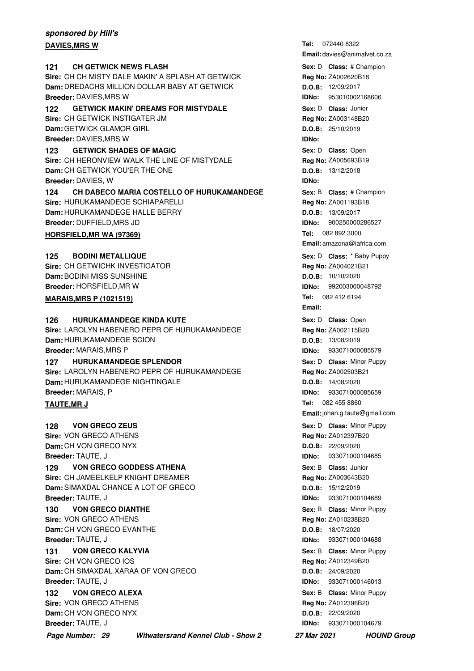#### **sponsored by Hill's DAVIES, MRS W**

#### **121 CH GETWICK NEWS FLASH 121 121 121 Sex:** D **Class:** # Champion **Sire:** CH CH MISTY DALE MAKIN' A SPLASH AT GETWICK **Dam:** DREDACHS MILLION DOLLAR BABY AT GETWICK

**Breeder:** DAVIES,MRS W **122 GETWICK MAKIN' DREAMS FOR MISTYDALE 120 Sex: D Class: Junior Sire:** CH GETWICK INSTIGATER JM

**Dam:** GETWICK GLAMOR GIRL **Breeder:** DAVIES,MRS W

#### **123 GETWICK SHADES OF MAGIC 120 CONTRACT CONSUMING Sex: D Class: Open**

**Sire:** CH HERONVIEW WALK THE LINE OF MISTYDALE **Dam:** CH GETWICK YOU'ER THE ONE **Breeder:** DAVIES, W

**124 CH DABECO MARIA COSTELLO OF HURUKAMANDEGE** Sex: B Class: # Champion **Sire:** HURUKAMANDEGE SCHIAPARELLI **Dam:** HURUKAMANDEGE HALLE BERRY **Breeder:** DUFFIELD,MRS JD

#### **HORSFIELD, MR WA (97369)**

#### **BODINI METALLIQUE 125 BODINI METALLIQUE CONSERVITY CONSUMING SEX:** D Class: \* Baby Puppy

**Sire:** CH GETWICHK INVESTIGATOR **Dam:** BODINI MISS SUNSHINE **Breeder:** HORSFIELD,MR W

#### **MARAIS, MRS P (1021519)**

#### **126 HURUKAMANDEGE KINDA KUTE 128 CHALLE 128 CONSTRUCT Sex:** D Class: Open

**Sire:** LAROLYN HABENERO PEPR OF HURUKAMANDEGE **Dam:** HURUKAMANDEGE SCION **Breeder:** MARAIS,MRS P

#### **127 • HURUKAMANDEGE SPLENDOR 127 128 128 128 128 128 128 128 128 128 128 128 128 128 128 128 128 128 128 128 128 128 128 128 128 128 128 128 128 128 128 128**

**Sire:** LAROLYN HABENERO PEPR OF HURUKAMANDEGE **Dam:** HURUKAMANDEGE NIGHTINGALE **Breeder:** MARAIS, P

#### **TAUTE, MR J**

**VON GRECO ZEUS Sire:** VON GRECO ATHENS **Dam:** CH VON GRECO NYX **Breeder:** TAUTE, J **Sex:** D **Class:** Minor Puppy **Sex:** D **Class:** Minor Puppy

### **129 VON GRECO GODDESS ATHENA 129 Class: Junior**

**Sire:** CH JAMEELKELP KNIGHT DREAMER **Dam:** SIMAXDAL CHANCE A LOT OF GRECO **Breeder:** TAUTE, J

**VON GRECO DIANTHE Sire:** VON GRECO ATHENS **Dam:** CH VON GRECO EVANTHE **Breeder:** TAUTE, J **130 VON GRECO DIANTHE Sex:** B **Class:** Minor Puppy

**VON GRECO KALYVIA Sire:** CH VON GRECO IOS **Dam:** CH SIMAXDAL XARAA OF VON GRECO **Breeder:** TAUTE, J **131 VON GRECO KALYVIA CONSERVIA Sex:** B Class: Minor Puppy

**VON GRECO ALEXA Sire:** VON GRECO ATHENS **Dam:** CH VON GRECO NYX **Breeder:** TAUTE, J **Sex:** B **Class:** Minor Puppy **CONCERCITY Sex:** B **Class:** Minor Puppy

**Page Number: 29 Witwatersrand Kennel Club - Show 2 27 Mar 2021 HOUND Group**

Tel: 072440 8322 **Email:** davies@animalvet.co.za **Sex:** D **Class: Reg No:** ZA002620B18 **D.O.B:** 12/09/2017 **IDNo:** 953010002168606 **Sex:** D **Class: Reg No:** ZA003148B20 **D.O.B:** 25/10/2019 **IDNo: Sex:** D **Class: Reg No:** ZA005693B19 **D.O.B:** 13/12/2018 **IDNo: Sex:** B **Class: Reg No:** ZA001193B18 **D.O.B:** 13/09/2017 **IDNo:** 900250000286527 Tel: 082 892 3000 **Email:** amazona@iafrica.com **Reg No:** ZA004021B21 **D.O.B:** 10/10/2020 **IDNo:** 992003000048792 Tel: 082 412 6194 **Email:** Sex: D **Class:** Open **Reg No:** ZA002115B20 **D.O.B:** 13/08/2019 **IDNo:** 933071000085579 **Sex:** D **Class:** Minor Puppy **Reg No:** ZA002503B21 **D.O.B:** 14/08/2020 **IDNo:** 933071000085659 Tel: 082 455 8860 **Email:**johan.g.taute@gmail.com **Reg No:** ZA012397B20 **D.O.B:** 22/09/2020 **IDNo:** 933071000104685 **Sex:** B **Class: Reg No:** ZA003643B20

**D.O.B:** 15/12/2019 **IDNo:** 933071000104689 **Reg No:** ZA010238B20 **D.O.B:** 18/07/2020 **IDNo:** 933071000104688 **Reg No:** ZA012349B20 **D.O.B:** 24/09/2020

**IDNo:** 933071000146013

**Reg No:** ZA012396B20

**D.O.B:** 22/09/2020 **IDNo:** 933071000104679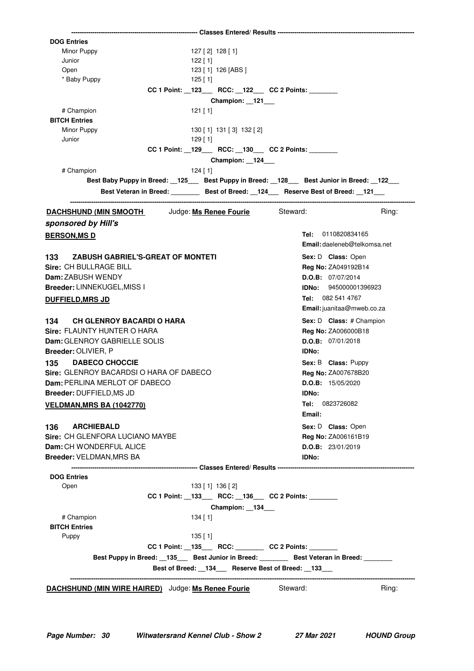| <b>DOG Entries</b>                                                                                    |                                     |
|-------------------------------------------------------------------------------------------------------|-------------------------------------|
| Minor Puppy<br>$127$ [ 2] $128$ [ 1]                                                                  |                                     |
| Junior<br>122 [ 1]                                                                                    |                                     |
| Open<br>123 [ 1] 126 [ABS ]                                                                           |                                     |
| * Baby Puppy<br>$125$ [ 1]                                                                            |                                     |
| CC 1 Point: _123___ RCC: _122__ CC 2 Points: ______                                                   |                                     |
| Champion: 121                                                                                         |                                     |
| # Champion<br>$121$ [1]                                                                               |                                     |
| <b>BITCH Entries</b>                                                                                  |                                     |
| Minor Puppy<br>130 [1] 131 [3] 132 [2]                                                                |                                     |
| Junior<br>$129$ [ 1]                                                                                  |                                     |
| CC 1 Point: _129___ RCC: _130__ CC 2 Points: _______                                                  |                                     |
| Champion: 124___                                                                                      |                                     |
| # Champion                                                                                            |                                     |
| $124$ [ 1]                                                                                            |                                     |
| Best Baby Puppy in Breed: 125 Best Puppy in Breed: 128 Best Junior in Breed: 122                      |                                     |
| Best Veteran in Breed: __________ Best of Breed: __124____ Reserve Best of Breed: __121___            |                                     |
| <b>DACHSHUND (MIN SMOOTH Judge: Ms Renee Fourie</b>                                                   | Steward:<br>Ring:                   |
| sponsored by Hill's                                                                                   |                                     |
| <b>BERSON, MS D</b>                                                                                   | 0110820834165<br>Tel:               |
|                                                                                                       | <b>Email:</b> daeleneb@telkomsa.net |
| <b>ZABUSH GABRIEL'S-GREAT OF MONTETI</b><br>133                                                       | Sex: D Class: Open                  |
| Sire: CH BULLRAGE BILL                                                                                | Reg No: ZA049192B14                 |
|                                                                                                       |                                     |
| Dam: ZABUSH WENDY                                                                                     | D.O.B: 07/07/2014                   |
| Breeder: LINNEKUGEL, MISS I                                                                           | <b>IDNo:</b> 945000001396923        |
| <b>DUFFIELD, MRS JD</b>                                                                               | Tel: 082 541 4767                   |
|                                                                                                       | Email: juanitaa@mweb.co.za          |
| <b>CH GLENROY BACARDI O HARA</b><br>134                                                               | Sex: D Class: # Champion            |
| Sire: FLAUNTY HUNTER O HARA                                                                           | <b>Reg No: ZA006000B18</b>          |
| Dam: GLENROY GABRIELLE SOLIS                                                                          | D.O.B: 07/01/2018                   |
| Breeder: OLIVIER, P                                                                                   | <b>IDNo:</b>                        |
|                                                                                                       |                                     |
| <b>DABECO CHOCCIE</b><br>135                                                                          | Sex: B Class: Puppy                 |
| Sire: GLENROY BACARDSI O HARA OF DABECO                                                               | Reg No: ZA007678B20                 |
| Dam: PERLINA MERLOT OF DABECO                                                                         | D.O.B: 15/05/2020                   |
| Breeder: DUFFIELD, MS JD                                                                              | IDNo:                               |
| <b>VELDMAN, MRS BA (1042770)</b>                                                                      | Tel:<br>0823726082                  |
|                                                                                                       | Email:                              |
| 136<br><b>ARCHIEBALD</b>                                                                              | Sex: D Class: Open                  |
| Sire: CH GLENFORA LUCIANO MAYBE                                                                       | Reg No: ZA006161B19                 |
| Dam: CH WONDERFUL ALICE                                                                               | D.O.B: 23/01/2019                   |
| <b>Breeder: VELDMAN, MRS BA</b>                                                                       | <b>IDNo:</b>                        |
|                                                                                                       |                                     |
| <b>DOG Entries</b>                                                                                    |                                     |
| Open<br>133 [ 1] 136 [ 2]                                                                             |                                     |
| CC 1 Point: _133___ RCC: _136___ CC 2 Points: _______                                                 |                                     |
| Champion: 134                                                                                         |                                     |
| # Champion<br>$134$ [1]                                                                               |                                     |
| <b>BITCH Entries</b>                                                                                  |                                     |
| $135$ [ 1]<br>Puppy                                                                                   |                                     |
| CC 1 Point: _135___ RCC: _______ CC 2 Points: ______                                                  |                                     |
|                                                                                                       |                                     |
| Best Puppy in Breed: 135 Best Junior in Breed: Best Veteran in Breed: 16. [11] Best Veteran in Breed: |                                     |
| Best of Breed: 134 Reserve Best of Breed: 133                                                         |                                     |
|                                                                                                       |                                     |
| <b>DACHSHUND (MIN WIRE HAIRED)</b> Judge: Ms Renee Fourie Steward:                                    | Ring:                               |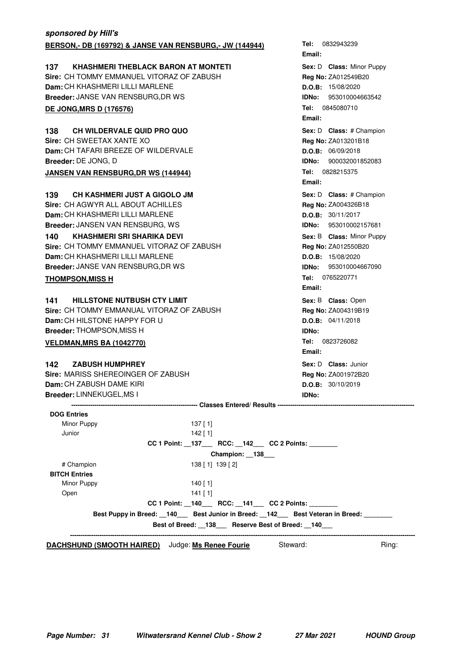| sponsored by Hill's                                     |                              |
|---------------------------------------------------------|------------------------------|
| BERSON,- DB (169792) & JANSE VAN RENSBURG,- JW (144944) | Tel: 0832943239              |
|                                                         | Email:                       |
| <b>KHASHMERI THEBLACK BARON AT MONTETI</b><br>137       | Sex: D Class: Minor Puppy    |
| Sire: CH TOMMY EMMANUEL VITORAZ OF ZABUSH               | Reg No: ZA012549B20          |
| Dam: CH KHASHMERI LILLI MARLENE                         | D.O.B: 15/08/2020            |
| <b>Breeder: JANSE VAN RENSBURG, DR WS</b>               | <b>IDNo:</b> 953010004663542 |
| <b>DE JONG, MRS D (176576)</b>                          | Tel: 0845080710              |
|                                                         | Email:                       |
| 138<br>CH WILDERVALE QUID PRO QUO                       | Sex: D Class: # Champion     |
| Sire: CH SWEETAX XANTE XO                               | Reg No: ZA013201B18          |
| Dam: CH TAFARI BREEZE OF WILDERVALE                     | D.O.B: 06/09/2018            |
| Breeder: DE JONG, D                                     | 900032001852083<br>IDNo:     |
| <b>JANSEN VAN RENSBURG, DR WS (144944)</b>              | Tel: 0828215375              |
|                                                         | Email:                       |
| <b>CH KASHMERI JUST A GIGOLO JM</b><br>139              | Sex: D Class: # Champion     |
| Sire: CH AGWYR ALL ABOUT ACHILLES                       | Reg No: ZA004326B18          |
| Dam: CH KHASHMERI LILLI MARLENE                         | D.O.B: 30/11/2017            |
| Breeder: JANSEN VAN RENSBURG, WS                        | <b>IDNo:</b> 953010002157681 |
| 140<br><b>KHASHMERI SRI SHARIKA DEVI</b>                | Sex: B Class: Minor Puppy    |
| Sire: CH TOMMY EMMANUEL VITORAZ OF ZABUSH               | Reg No: ZA012550B20          |
| <b>Dam:</b> CH KHASHMERI LILLI MARLENE                  | D.O.B: 15/08/2020            |
| Breeder: JANSE VAN RENSBURG, DR WS                      | <b>IDNo: 953010004667090</b> |
| <b>THOMPSON, MISS H</b>                                 | Tel: 0765220771              |
|                                                         | Email:                       |
| <b>HILLSTONE NUTBUSH CTY LIMIT</b><br>141               | Sex: B Class: Open           |
| Sire: CH TOMMY EMMANUAL VITORAZ OF ZABUSH               | Reg No: ZA004319B19          |
| Dam: CH HILSTONE HAPPY FOR U                            | D.O.B: 04/11/2018            |
| <b>Breeder: THOMPSON, MISS H</b>                        | IDNo:                        |
|                                                         | Tel: 0823726082              |
| <b>VELDMAN, MRS BA (1042770)</b>                        | Email:                       |
| 142<br><b>ZABUSH HUMPHREY</b>                           | Sex: D Class: Junior         |
| Sire: MARISS SHEREOINGER OF ZABUSH                      | Reg No: ZA001972B20          |
| Dam: CH ZABUSH DAME KIRI                                | D.O.B: 30/10/2019            |
| Breeder: LINNEKUGEL, MS I                               | <b>IDNo:</b>                 |
|                                                         |                              |
| <b>DOG Entries</b>                                      |                              |
| Minor Puppy<br>$137$ [1]                                |                              |
| 142 [1]<br>Junior                                       |                              |
| CC 1 Point: _137___ RCC: _142__ CC 2 Points: ______     |                              |
| Champion: _138_                                         |                              |

|                                                                           | Champion: 138                                 |          |       |
|---------------------------------------------------------------------------|-----------------------------------------------|----------|-------|
| # Champion                                                                | 138 [ 1] 139 [ 2]                             |          |       |
| <b>BITCH Entries</b>                                                      |                                               |          |       |
| Minor Puppy                                                               | 140 $[1]$                                     |          |       |
| Open                                                                      | $141$ [ 1]                                    |          |       |
|                                                                           | $CC 1$ Point: $140$ RCC: $141$ CC 2 Points:   |          |       |
| Best Puppy in Breed: 140 Best Junior in Breed: 142 Best Veteran in Breed: |                                               |          |       |
|                                                                           | Best of Breed: 138 Reserve Best of Breed: 140 |          |       |
| <b>DACHSHUND (SMOOTH HAIRED)</b> Judge: Ms Renee Fourie                   |                                               | Steward: | Ring: |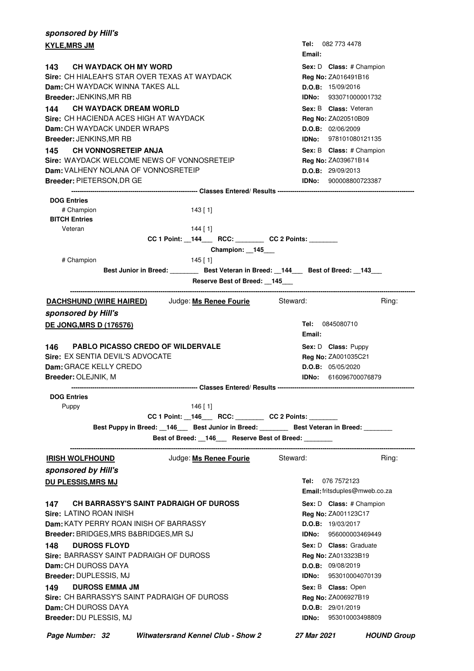| sponsored by Hill's                                            |                                                                                |                                                                                         |
|----------------------------------------------------------------|--------------------------------------------------------------------------------|-----------------------------------------------------------------------------------------|
| <b>KYLE,MRS JM</b>                                             |                                                                                | <b>Tel:</b> 082 773 4478<br>Email:                                                      |
| 143 CH WAYDACK OH MY WORD                                      |                                                                                | Sex: D Class: # Champion                                                                |
| Sire: CH HIALEAH'S STAR OVER TEXAS AT WAYDACK                  |                                                                                | <b>Reg No: ZA016491B16</b>                                                              |
| <b>Dam:</b> CH WAYDACK WINNA TAKES ALL                         |                                                                                | D.O.B: 15/09/2016                                                                       |
| Breeder: JENKINS, MR RB                                        |                                                                                | <b>IDNo:</b> 933071000001732                                                            |
| <b>CH WAYDACK DREAM WORLD</b><br>144                           |                                                                                | Sex: B Class: Veteran                                                                   |
| Sire: CH HACIENDA ACES HIGH AT WAYDACK                         |                                                                                | Reg No: ZA020510B09                                                                     |
| Dam: CH WAYDACK UNDER WRAPS                                    |                                                                                | D.O.B: 02/06/2009                                                                       |
| Breeder: JENKINS,MR RB                                         |                                                                                | <b>IDNo:</b> 978101080121135                                                            |
| 145 CH VONNOSRETEIP ANJA                                       |                                                                                | Sex: B Class: # Champion                                                                |
| Sire: WAYDACK WELCOME NEWS OF VONNOSRETEIP                     |                                                                                | Reg No: ZA039671B14                                                                     |
| <b>Dam:</b> VALHENY NOLANA OF VONNOSRETEIP                     |                                                                                | D.O.B: 29/09/2013                                                                       |
| Breeder: PIETERSON, DR GE                                      |                                                                                | <b>IDNo:</b> 900008800723387                                                            |
| <b>DOG Entries</b>                                             |                                                                                |                                                                                         |
| # Champion                                                     | 143 [ 1]                                                                       |                                                                                         |
| <b>BITCH Entries</b>                                           |                                                                                |                                                                                         |
| Veteran                                                        | 144 [ 1]                                                                       |                                                                                         |
|                                                                | CC 1 Point: _144___ RCC: _______ CC 2 Points: ______                           |                                                                                         |
|                                                                | Champion: 145                                                                  |                                                                                         |
| # Champion                                                     | 145 [ 1]                                                                       |                                                                                         |
|                                                                |                                                                                | Best Junior in Breed: _________ Best Veteran in Breed: __144___ Best of Breed: __143___ |
|                                                                | Reserve Best of Breed: 145                                                     |                                                                                         |
| <b>DACHSHUND (WIRE HAIRED)</b> Judge: Ms Renee Fourie Steward: |                                                                                | Ring:                                                                                   |
| sponsored by Hill's                                            |                                                                                |                                                                                         |
| <b>DE JONG, MRS D (176576)</b>                                 |                                                                                | Tel: 0845080710<br>Email:                                                               |
| <b>PABLO PICASSO CREDO OF WILDERVALE</b><br>146                |                                                                                | Sex: D Class: Puppy                                                                     |
| Sire: EX SENTIA DEVIL'S ADVOCATE                               |                                                                                | Reg No: ZA001035C21                                                                     |
| Dam: GRACE KELLY CREDO                                         |                                                                                | D.O.B: 05/05/2020                                                                       |
| Breeder: OLEJNIK, M                                            |                                                                                | <b>IDNo: 616096700076879</b>                                                            |
|                                                                | -------------------------------- Classes Entered/ Results -------------------- |                                                                                         |
| <b>DOG Entries</b>                                             |                                                                                |                                                                                         |
| Puppy                                                          | $146$ [ 1]                                                                     |                                                                                         |
|                                                                | CC 1 Point: _146___ RCC: _______ CC 2 Points: ______                           |                                                                                         |
|                                                                |                                                                                | Best Puppy in Breed: 146 Best Junior in Breed: Best Veteran in Breed: 1686 Meter 2016   |
| -------------------------                                      | Best of Breed: _146__ Reserve Best of Breed: _______                           |                                                                                         |
| <b>IRISH WOLFHOUND</b>                                         | Judge: <b>Ms Renee Fourie</b> Steward:                                         | Ring:                                                                                   |
| sponsored by Hill's                                            |                                                                                |                                                                                         |
| <u>DU PLESSIS,MRS MJ</u>                                       |                                                                                | <b>Tel:</b> 076 7572123                                                                 |
|                                                                |                                                                                | Email: fritsduples@mweb.co.za                                                           |
| CH BARRASSY'S SAINT PADRAIGH OF DUROSS<br>147 -                |                                                                                | Sex: D Class: # Champion                                                                |
| <b>Sire:</b> LATINO ROAN INISH                                 |                                                                                | Reg No: ZA001123C17                                                                     |
| <b>Dam:</b> KATY PERRY ROAN INISH OF BARRASSY                  |                                                                                | D.O.B: 19/03/2017                                                                       |
| Breeder: BRIDGES, MRS B&BRIDGES, MR SJ                         |                                                                                | <b>IDNo:</b> 956000003469449                                                            |
| <b>DUROSS FLOYD</b><br>148 —                                   |                                                                                | Sex: D Class: Graduate                                                                  |
| Sire: BARRASSY SAINT PADRAIGH OF DUROSS                        |                                                                                | Reg No: ZA013323B19                                                                     |
| <b>Dam:</b> CH DUROSS DAYA                                     |                                                                                | D.O.B: 09/08/2019                                                                       |
| Breeder: DUPLESSIS, MJ                                         |                                                                                | <b>IDNo: 953010004070139</b>                                                            |
| <b>DUROSS EMMA JM</b><br>149.                                  |                                                                                | Sex: B Class: Open                                                                      |
| Sire: CH BARRASSY'S SAINT PADRAIGH OF DUROSS                   |                                                                                | Reg No: ZA006927B19                                                                     |
| <b>Dam:</b> CH DUROSS DAYA                                     |                                                                                | D.O.B: 29/01/2019                                                                       |
| Breeder: DU PLESSIS, MJ                                        |                                                                                | <b>IDNo: 953010003498809</b>                                                            |
|                                                                |                                                                                |                                                                                         |

**Page Number: 32 Witwatersrand Kennel Club - Show 2 27 Mar 2021 HOUND Group**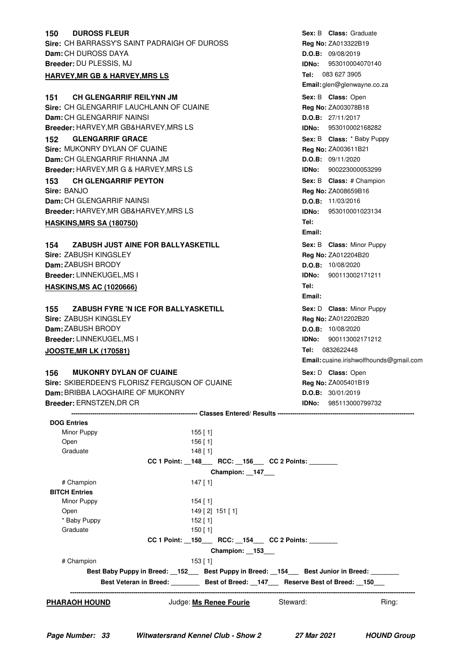| <b>DUROSS FLEUR</b><br>150                          |                                                       |                 |              | Sex: B Class: Graduate                  |
|-----------------------------------------------------|-------------------------------------------------------|-----------------|--------------|-----------------------------------------|
| <b>Sire: CH BARRASSY'S SAINT PADRAIGH OF DUROSS</b> |                                                       |                 |              | Reg No: ZA013322B19                     |
| Dam: CH DUROSS DAYA                                 |                                                       |                 |              | D.O.B: 09/08/2019                       |
| Breeder: DU PLESSIS, MJ                             |                                                       |                 | IDNo:        | 953010004070140                         |
| <b>HARVEY, MR GB &amp; HARVEY, MRS LS</b>           |                                                       |                 |              | Tel: 083 627 3905                       |
|                                                     |                                                       |                 |              | Email: glen@glenwayne.co.za             |
| <b>CH GLENGARRIF REILYNN JM</b><br>151              |                                                       |                 |              | Sex: B Class: Open                      |
| Sire: CH GLENGARRIF LAUCHLANN OF CUAINE             |                                                       |                 |              | Reg No: ZA003078B18                     |
| <b>Dam: CH GLENGARRIF NAINSI</b>                    |                                                       |                 |              | D.O.B: 27/11/2017                       |
| <b>Breeder: HARVEY, MR GB&amp;HARVEY, MRS LS</b>    |                                                       |                 | IDNo:        | 953010002168282                         |
| <b>GLENGARRIF GRACE</b><br>152                      |                                                       |                 |              | Sex: B Class: * Baby Puppy              |
| Sire: MUKONRY DYLAN OF CUAINE                       |                                                       |                 |              | Reg No: ZA003611B21                     |
| <b>Dam:</b> CH GLENGARRIF RHIANNA JM                |                                                       |                 |              | D.O.B: 09/11/2020                       |
| <b>Breeder: HARVEY, MR G &amp; HARVEY, MRS LS</b>   |                                                       |                 | <b>IDNo:</b> | 900223000053299                         |
| <b>CH GLENGARRIF PEYTON</b><br>153                  |                                                       |                 |              | Sex: B Class: # Champion                |
| Sire: BANJO                                         |                                                       |                 |              | Reg No: ZA008659B16                     |
| Dam: CH GLENGARRIF NAINSI                           |                                                       |                 |              | D.O.B: 11/03/2016                       |
| Breeder: HARVEY, MR GB&HARVEY, MRS LS               |                                                       |                 | IDNo:        | 953010001023134                         |
| <b>HASKINS, MRS SA (180750)</b>                     |                                                       |                 | Tel:         |                                         |
|                                                     |                                                       |                 | Email:       |                                         |
|                                                     |                                                       |                 |              |                                         |
| ZABUSH JUST AINE FOR BALLYASKETILL<br>154           |                                                       |                 |              | Sex: B Class: Minor Puppy               |
| <b>Sire: ZABUSH KINGSLEY</b>                        |                                                       |                 |              | <b>Reg No: ZA012204B20</b>              |
| Dam: ZABUSH BRODY                                   |                                                       |                 |              | D.O.B: 10/08/2020                       |
| <b>Breeder: LINNEKUGEL, MS I</b>                    |                                                       |                 | IDNo:        | 900113002171211                         |
| <b>HASKINS, MS AC (1020666)</b>                     |                                                       |                 | Tel:         |                                         |
|                                                     |                                                       |                 | Email:       |                                         |
| ZABUSH FYRE 'N ICE FOR BALLYASKETILL<br>155         |                                                       |                 |              | Sex: D Class: Minor Puppy               |
| Sire: ZABUSH KINGSLEY                               |                                                       |                 |              | <b>Reg No: ZA012202B20</b>              |
| <b>Dam: ZABUSH BRODY</b>                            |                                                       |                 |              | D.O.B: 10/08/2020                       |
| <b>Breeder: LINNEKUGEL, MS I</b>                    |                                                       |                 |              | <b>IDNo:</b> 900113002171212            |
| <b>JOOSTE, MR LK (170581)</b>                       |                                                       |                 |              | Tel: 0832622448                         |
|                                                     |                                                       |                 |              | Email: cuaine.irishwolfhounds@gmail.com |
| <b>MUKONRY DYLAN OF CUAINE</b><br>156               |                                                       |                 |              | Sex: D Class: Open                      |
| Sire: SKIBERDEEN'S FLORISZ FERGUSON OF CUAINE       |                                                       |                 |              | Reg No: ZA005401B19                     |
| Dam: BRIBBA LAOGHAIRE OF MUKONRY                    |                                                       |                 |              | D.O.B: 30/01/2019                       |
| Breeder: ERNSTZEN, DR CR                            |                                                       |                 | IDNo:        | 985113000799732                         |
|                                                     |                                                       |                 |              |                                         |
| <b>DOG Entries</b>                                  |                                                       |                 |              |                                         |
| Minor Puppy                                         | $155$ [1]                                             |                 |              |                                         |
| Open                                                | $156$ [1]                                             |                 |              |                                         |
| Graduate                                            | 148 [1]                                               |                 |              |                                         |
|                                                     | CC 1 Point: _148___ RCC: _156___ CC 2 Points: _______ |                 |              |                                         |
|                                                     |                                                       | Champion: 147_  |              |                                         |
| # Champion                                          | $147$ [ 1]                                            |                 |              |                                         |
| <b>BITCH Entries</b>                                |                                                       |                 |              |                                         |
| Minor Puppy                                         | $154$ [ 1]                                            |                 |              |                                         |
| Open<br>* Baby Puppy                                |                                                       | 149 [2] 151 [1] |              |                                         |
| Graduate                                            | $152$ [ 1]<br>$150$ [1]                               |                 |              |                                         |
|                                                     | CC 1 Point: _150___ RCC: _154___ CC 2 Points: ____    |                 |              |                                         |
|                                                     |                                                       |                 |              |                                         |

| # Champion                    | 153 [ 1]                      |                          |                              |
|-------------------------------|-------------------------------|--------------------------|------------------------------|
|                               | Best Baby Puppy in Breed: 152 | Best Puppy in Breed: 154 | <b>Best Junior in Breed:</b> |
| <b>Best Veteran in Breed:</b> |                               | Best of Breed: 147       | Reserve Best of Breed: 150   |
|                               |                               |                          |                              |

**Champion: \_\_153\_\_\_**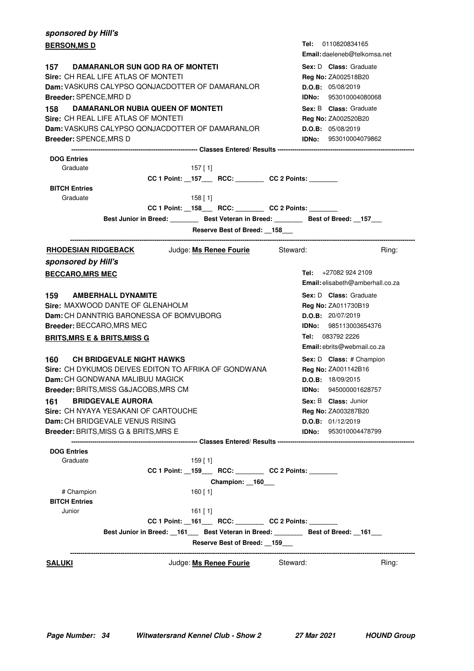| sponsored by Hill's                                                                    |            |                                                          |          |              |                                         |
|----------------------------------------------------------------------------------------|------------|----------------------------------------------------------|----------|--------------|-----------------------------------------|
| <b>BERSON,MS D</b>                                                                     |            |                                                          |          |              | <b>Tel:</b> 0110820834165               |
|                                                                                        |            |                                                          |          |              | <b>Email:</b> daeleneb@telkomsa.net     |
| 157 DAMARANLOR SUN GOD RA OF MONTETI                                                   |            |                                                          |          |              | Sex: D Class: Graduate                  |
| Sire: CH REAL LIFE ATLAS OF MONTETI                                                    |            |                                                          |          |              | Reg No: ZA002518B20                     |
| Dam: VASKURS CALYPSO QONJACDOTTER OF DAMARANLOR                                        |            |                                                          |          |              | D.O.B: 05/08/2019                       |
| Breeder: SPENCE,MRD D                                                                  |            |                                                          |          |              | <b>IDNo:</b> 953010004080068            |
| DAMARANLOR NUBIA QUEEN OF MONTETI<br>158                                               |            |                                                          |          |              | Sex: B Class: Graduate                  |
| Sire: CH REAL LIFE ATLAS OF MONTETI                                                    |            |                                                          |          |              | <b>Reg No: ZA002520B20</b>              |
| <b>Dam:</b> VASKURS CALYPSO QONJACDOTTER OF DAMARANLOR                                 |            |                                                          |          |              | D.O.B: 05/08/2019                       |
| Breeder: SPENCE,MRS D                                                                  |            |                                                          |          |              | <b>IDNo: 953010004079862</b>            |
| <b>DOG Entries</b>                                                                     |            |                                                          |          |              |                                         |
| Graduate                                                                               | $157$ [ 1] |                                                          |          |              |                                         |
|                                                                                        |            | CC 1 Point: __157____ RCC: ________ CC 2 Points: _______ |          |              |                                         |
| <b>BITCH Entries</b>                                                                   |            |                                                          |          |              |                                         |
| Graduate                                                                               | $158$ [ 1] |                                                          |          |              |                                         |
|                                                                                        |            | CC 1 Point: _158___ RCC: _______ CC 2 Points: ______     |          |              |                                         |
| Best Junior in Breed: Best Veteran in Breed: Best of Breed: 157                        |            |                                                          |          |              |                                         |
|                                                                                        |            | Reserve Best of Breed: 158                               |          |              |                                         |
| RHODESIAN RIDGEBACK Judge: Ms Renee Fourie Steward:                                    |            |                                                          |          |              | Ring:                                   |
| sponsored by Hill's                                                                    |            |                                                          |          |              |                                         |
| <b>BECCARO, MRS MEC</b>                                                                |            |                                                          |          |              | Tel: $+270829242109$                    |
|                                                                                        |            |                                                          |          |              | <b>Email:</b> elisabeth@amberhall.co.za |
| 159 AMBERHALL DYNAMITE                                                                 |            |                                                          |          |              | Sex: D Class: Graduate                  |
| Sire: MAXWOOD DANTE OF GLENAHOLM                                                       |            |                                                          |          |              | <b>Reg No: ZA011730B19</b>              |
| Dam: CH DANNTRIG BARONESSA OF BOMVUBORG                                                |            |                                                          |          |              | <b>D.O.B:</b> 20/07/2019                |
| <b>Breeder:</b> BECCARO,MRS MEC                                                        |            |                                                          |          |              | IDNo: 985113003654376                   |
| <b>BRITS,MRS E &amp; BRITS,MISS G</b>                                                  |            |                                                          |          |              | Tel: 083792 2226                        |
|                                                                                        |            |                                                          |          |              | <b>Email:</b> ebrits@webmail.co.za      |
| 160 CH BRIDGEVALE NIGHT HAWKS                                                          |            |                                                          |          |              | Sex: D Class: # Champion                |
| Sire: CH DYKUMOS DEIVES EDITON TO AFRIKA OF GONDWANA                                   |            |                                                          |          |              | Reg No: ZA001142B16                     |
| <b>Dam:</b> CH GONDWANA MALIBUU MAGICK                                                 |            |                                                          |          |              | D.O.B: 18/09/2015                       |
| Breeder: BRITS, MISS G&JACOBS, MRS CM                                                  |            |                                                          |          | <b>IDNo:</b> | 945000001628757                         |
| <b>BRIDGEVALE AURORA</b><br>161                                                        |            |                                                          |          |              | Sex: B Class: Junior                    |
| Sire: CH NYAYA YESAKANI OF CARTOUCHE                                                   |            |                                                          |          |              | Reg No: ZA003287B20                     |
| Dam: CH BRIDGEVALE VENUS RISING                                                        |            |                                                          |          |              | D.O.B: 01/12/2019                       |
| <b>Breeder:</b> BRITS,MISS G & BRITS,MRS E                                             |            |                                                          |          |              | IDNo: 953010004478799                   |
|                                                                                        |            |                                                          |          |              |                                         |
| <b>DOG Entries</b>                                                                     |            |                                                          |          |              |                                         |
| Graduate                                                                               | $159$ [ 1] |                                                          |          |              |                                         |
|                                                                                        |            | CC 1 Point: _159___ RCC: _______ CC 2 Points: ______     |          |              |                                         |
|                                                                                        |            | Champion: _160__                                         |          |              |                                         |
| # Champion                                                                             | 160 [ 1]   |                                                          |          |              |                                         |
| <b>BITCH Entries</b>                                                                   |            |                                                          |          |              |                                         |
| Junior                                                                                 | 161 [ 1]   |                                                          |          |              |                                         |
|                                                                                        |            | CC 1 Point: _161___ RCC: _______ CC 2 Points: ______     |          |              |                                         |
| Best Junior in Breed: __161___ Best Veteran in Breed: ________ Best of Breed: __161___ |            | Reserve Best of Breed: 159                               |          |              |                                         |
|                                                                                        |            |                                                          |          |              |                                         |
| <u>SALUKI</u>                                                                          |            | Judge: Ms Renee Fourie                                   | Steward: |              | Ring:                                   |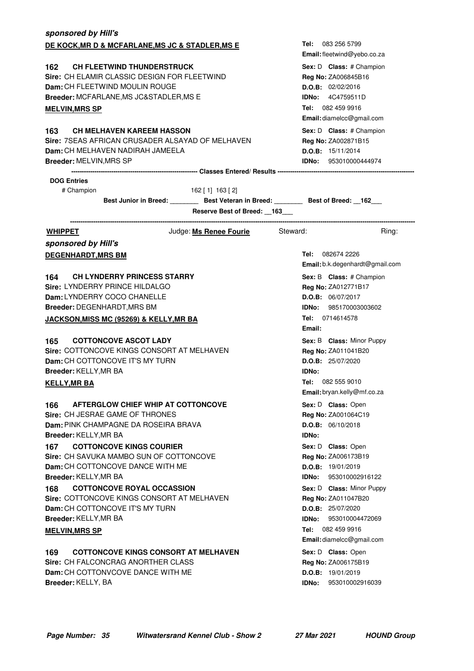| sponsored by Hill's                                     |                                                                                           |
|---------------------------------------------------------|-------------------------------------------------------------------------------------------|
| DE KOCK, MR D & MCFARLANE, MS JC & STADLER, MS E        | <b>Tel:</b> 083 256 5799                                                                  |
|                                                         | Email: fleetwind@yebo.co.za                                                               |
| <b>CH FLEETWIND THUNDERSTRUCK</b><br>162.               | Sex: D Class: # Champion                                                                  |
| Sire: CH ELAMIR CLASSIC DESIGN FOR FLEETWIND            | Reg No: ZA006845B16                                                                       |
| Dam: CH FLEETWIND MOULIN ROUGE                          | D.O.B: 02/02/2016                                                                         |
| Breeder: MCFARLANE, MS JC&STADLER, MS E                 | <b>IDNo:</b> 4C4759511D                                                                   |
| <b>MELVIN, MRS SP</b>                                   | Tel: 082 459 9916                                                                         |
|                                                         | Email: diamelcc@gmail.com                                                                 |
| 163<br><b>CH MELHAVEN KAREEM HASSON</b>                 | Sex: D Class: # Champion                                                                  |
| Sire: 7SEAS AFRICAN CRUSADER ALSAYAD OF MELHAVEN        | Reg No: ZA002871B15                                                                       |
| Dam: CH MELHAVEN NADIRAH JAMEELA                        | <b>D.O.B:</b> 15/11/2014                                                                  |
| <b>Breeder: MELVIN, MRS SP</b>                          | <b>IDNo:</b> 953010000444974                                                              |
|                                                         |                                                                                           |
| <b>DOG Entries</b>                                      |                                                                                           |
| # Champion<br>162 [ 1] 163 [ 2]                         |                                                                                           |
|                                                         | Best Junior in Breed: __________ Best Veteran in Breed: _________ Best of Breed: __162___ |
|                                                         | Reserve Best of Breed: __163___                                                           |
| <b>WHIPPET</b>                                          | Judge: Ms Renee Fourie Steward:<br>Ring:                                                  |
| sponsored by Hill's                                     |                                                                                           |
| <b>DEGENHARDT, MRS BM</b>                               | Tel: 082674 2226                                                                          |
|                                                         | Email: b.k.degenhardt@gmail.com                                                           |
| 164<br><b>CH LYNDERRY PRINCESS STARRY</b>               | Sex: B Class: # Champion                                                                  |
| Sire: LYNDERRY PRINCE HILDALGO                          | Reg No: ZA012771B17                                                                       |
| Dam: LYNDERRY COCO CHANELLE                             | <b>D.O.B:</b> 06/07/2017                                                                  |
| Breeder: DEGENHARDT, MRS BM                             | <b>IDNo: 985170003003602</b>                                                              |
| JACKSON, MISS MC (95269) & KELLY, MR BA                 | Tel: 0714614578                                                                           |
|                                                         | Email:                                                                                    |
| <b>COTTONCOVE ASCOT LADY</b><br>165                     | Sex: B Class: Minor Puppy                                                                 |
| Sire: COTTONCOVE KINGS CONSORT AT MELHAVEN              | Reg No: ZA011041B20                                                                       |
| <b>Dam:</b> CH COTTONCOVE IT'S MY TURN                  | D.O.B: 25/07/2020                                                                         |
| Breeder: KELLY, MR BA                                   | <b>IDNo:</b>                                                                              |
| <u>KELLY,MR BA</u>                                      | Tel: 082 555 9010                                                                         |
|                                                         | Email: bryan.kelly@mf.co.za                                                               |
| AFTERGLOW CHIEF WHIP AT COTTONCOVE<br>166               | Sex: D Class: Open                                                                        |
| Sire: CH JESRAE GAME OF THRONES                         | Reg No: ZA001064C19                                                                       |
| Dam: PINK CHAMPAGNE DA ROSEIRA BRAVA                    | D.O.B: 06/10/2018                                                                         |
| Breeder: KELLY, MR BA                                   | IDNo:                                                                                     |
| <b>COTTONCOVE KINGS COURIER</b><br>167                  | Sex: D Class: Open                                                                        |
| Sire: CH SAVUKA MAMBO SUN OF COTTONCOVE                 | Reg No: ZA006173B19                                                                       |
| Dam: CH COTTONCOVE DANCE WITH ME                        | D.O.B: 19/01/2019                                                                         |
| Breeder: KELLY, MR BA                                   | 953010002916122<br>IDNo:                                                                  |
| <b>COTTONCOVE ROYAL OCCASSION</b><br>168                | Sex: D Class: Minor Puppy                                                                 |
| Sire: COTTONCOVE KINGS CONSORT AT MELHAVEN              | Reg No: ZA011047B20                                                                       |
| Dam: CH COTTONCOVE IT'S MY TURN                         | D.O.B: 25/07/2020                                                                         |
| Breeder: KELLY, MR BA                                   | 953010004472069<br>IDNo:                                                                  |
| <b>MELVIN, MRS SP</b>                                   | 082 459 9916<br>Tel:                                                                      |
|                                                         | Email: diamelcc@gmail.com                                                                 |
| <b>COTTONCOVE KINGS CONSORT AT MELHAVEN</b><br>169      | Sex: D Class: Open                                                                        |
| Sire: CH FALCONCRAG ANORTHER CLASS                      | Reg No: ZA006175B19                                                                       |
| Dam: CH COTTONVCOVE DANCE WITH ME<br>Breeder: KELLY, BA | D.O.B: 19/01/2019<br>953010002916039<br>IDNo:                                             |
|                                                         |                                                                                           |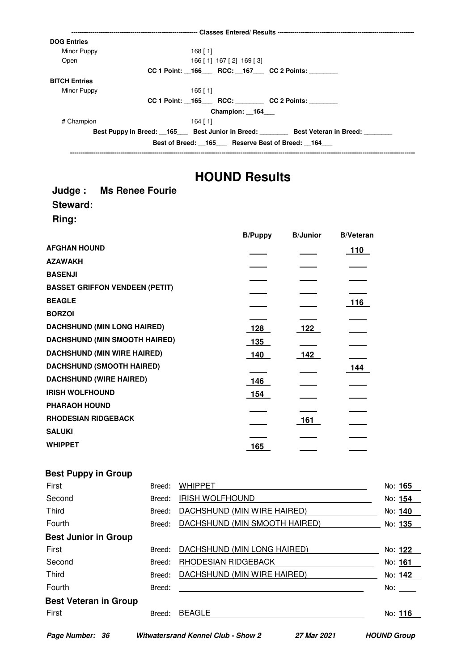| <b>DOG Entries</b>   |                                                       |                                                                       |
|----------------------|-------------------------------------------------------|-----------------------------------------------------------------------|
| Minor Puppy          | $168$ [ 1]                                            |                                                                       |
| Open                 | 166 [1] 167 [2] 169 [3]                               |                                                                       |
|                      | CC 1 Point: _166___ RCC: _167___ CC 2 Points: _______ |                                                                       |
| <b>BITCH Entries</b> |                                                       |                                                                       |
| Minor Puppy          | $165$ [ 1]                                            |                                                                       |
|                      | CC 1 Point: 165 RCC: CC 2 Points:                     |                                                                       |
|                      | Champion: 164                                         |                                                                       |
| # Champion           | 164 [ 1]                                              |                                                                       |
|                      |                                                       | Best Puppy in Breed: 165 Best Junior in Breed: Best Veteran in Breed: |
|                      | Best of Breed: 165 Reserve Best of Breed: 164         |                                                                       |
|                      |                                                       |                                                                       |

### **HOUND Results**

#### **Judge : Ms Renee Fourie Steward: Ring:**

|                                       | <b>B/Puppy</b> | <b>B/Junior</b> | <b>B/Veteran</b> |
|---------------------------------------|----------------|-----------------|------------------|
| <b>AFGHAN HOUND</b>                   |                |                 | 110              |
| <b>AZAWAKH</b>                        |                |                 |                  |
| <b>BASENJI</b>                        |                |                 |                  |
| <b>BASSET GRIFFON VENDEEN (PETIT)</b> |                |                 |                  |
| <b>BEAGLE</b>                         |                |                 | 116              |
| <b>BORZOI</b>                         |                |                 |                  |
| <b>DACHSHUND (MIN LONG HAIRED)</b>    | 128            | 122             |                  |
| <b>DACHSHUND (MIN SMOOTH HAIRED)</b>  | 135            |                 |                  |
| <b>DACHSHUND (MIN WIRE HAIRED)</b>    | 140            | 142             |                  |
| <b>DACHSHUND (SMOOTH HAIRED)</b>      |                |                 | 144              |
| <b>DACHSHUND (WIRE HAIRED)</b>        | 146            |                 |                  |
| <b>IRISH WOLFHOUND</b>                | 154            |                 |                  |
| <b>PHARAOH HOUND</b>                  |                |                 |                  |
| <b>RHODESIAN RIDGEBACK</b>            |                | 161             |                  |
| <b>SALUKI</b>                         |                |                 |                  |
| <b>WHIPPET</b>                        | 165            |                 |                  |

#### **Best Puppy in Group**

| First                        | Breed: | <b>WHIPPET</b>                | No: 165 |
|------------------------------|--------|-------------------------------|---------|
| Second                       | Breed: | <b>IRISH WOLFHOUND</b>        | No: 154 |
| Third                        | Breed: | DACHSHUND (MIN WIRE HAIRED)   | No: 140 |
| Fourth                       | Breed: | DACHSHUND (MIN SMOOTH HAIRED) | No: 135 |
| <b>Best Junior in Group</b>  |        |                               |         |
| First                        | Breed: | DACHSHUND (MIN LONG HAIRED)   | No: 122 |
| Second                       | Breed: | RHODESIAN RIDGEBACK           | No: 161 |
| <b>Third</b>                 | Breed: | DACHSHUND (MIN WIRE HAIRED)   | No: 142 |
| Fourth                       | Breed: |                               | No:     |
| <b>Best Veteran in Group</b> |        |                               |         |
| First                        | Breed: | <b>BEAGLE</b>                 | No: 116 |
|                              |        |                               |         |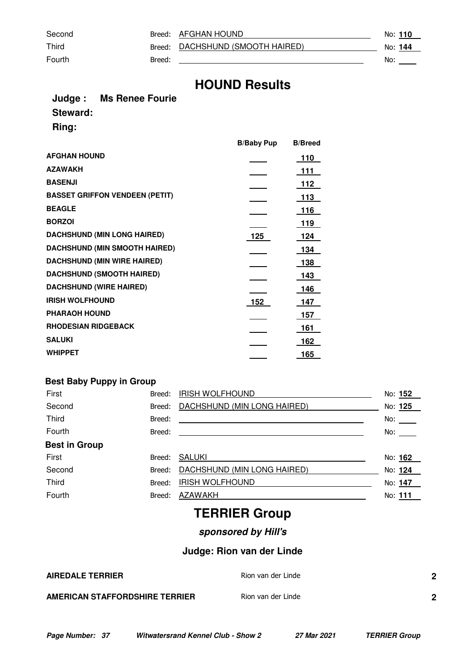Second Breed: AFGHAN HOUND No: 110

Third Breed: DACHSHUND (SMOOTH HAIRED) No: 144

Fourth **Breed:** <u>Breed: 2000 **Breed:** No: 2000 **Breed:** 2000 **No:** 2000 **No:** 2000</u>

#### **Judge : Ms Renee Fourie Steward: Ring:**

|                                       | <b>B/Baby Pup</b> | <b>B/Breed</b> |
|---------------------------------------|-------------------|----------------|
| <b>AFGHAN HOUND</b>                   |                   | 110            |
| <b>AZAWAKH</b>                        |                   | 111            |
| <b>BASENJI</b>                        |                   | 112            |
| <b>BASSET GRIFFON VENDEEN (PETIT)</b> |                   | 113            |
| <b>BEAGLE</b>                         |                   | <u> 116</u>    |
| <b>BORZOI</b>                         |                   | 119            |
| <b>DACHSHUND (MIN LONG HAIRED)</b>    | 125               | <u>124</u>     |
| <b>DACHSHUND (MIN SMOOTH HAIRED)</b>  |                   | 134            |
| <b>DACHSHUND (MIN WIRE HAIRED)</b>    |                   | 138            |
| <b>DACHSHUND (SMOOTH HAIRED)</b>      |                   | 143            |
| <b>DACHSHUND (WIRE HAIRED)</b>        |                   | 146            |
| <b>IRISH WOLFHOUND</b>                | 152               | 147            |
| <b>PHARAOH HOUND</b>                  |                   | 157            |
| <b>RHODESIAN RIDGEBACK</b>            |                   | 161            |
| <b>SALUKI</b>                         |                   | 162            |
| <b>WHIPPET</b>                        |                   | 165            |

#### **Best Baby Puppy in Group**

| First                | Breed: | <b>IRISH WOLFHOUND</b>      | No: 152                  |
|----------------------|--------|-----------------------------|--------------------------|
| Second               | Breed: | DACHSHUND (MIN LONG HAIRED) | No: 125                  |
| <b>Third</b>         | Breed: |                             | No: $\_\_$               |
| Fourth               | Breed: |                             | No: $\rule{1em}{0.15mm}$ |
| <b>Best in Group</b> |        |                             |                          |
| First                | Breed: | SALUKI                      | No: 162                  |
| Second               | Breed: | DACHSHUND (MIN LONG HAIRED) | No: 124                  |
| <b>Third</b>         | Breed: | <b>IRISH WOLFHOUND</b>      | No: 147                  |
| Fourth               | Breed: | AZAWAKH                     | No: 111                  |
|                      |        |                             |                          |

# **TERRIER Group**

### **sponsored by Hill's**

### **Judge: Rion van der Linde**

| <b>AIREDALE TERRIER</b>        | Rion van der Linde | n |
|--------------------------------|--------------------|---|
| AMERICAN STAFFORDSHIRE TERRIER | Rion van der Linde | n |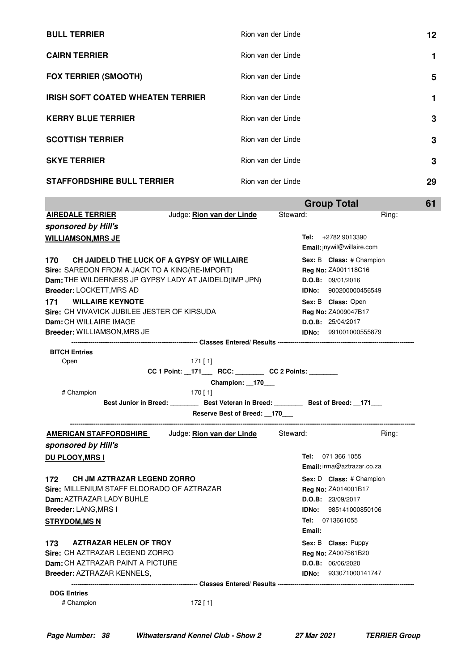| <b>BULL TERRIER</b>                      | Rion van der Linde | 12 |
|------------------------------------------|--------------------|----|
| <b>CAIRN TERRIER</b>                     | Rion van der Linde | 1  |
| <b>FOX TERRIER (SMOOTH)</b>              | Rion van der Linde | 5  |
| <b>IRISH SOFT COATED WHEATEN TERRIER</b> | Rion van der Linde | 1  |
| <b>KERRY BLUE TERRIER</b>                | Rion van der Linde | 3  |
| <b>SCOTTISH TERRIER</b>                  | Rion van der Linde | 3  |
| <b>SKYE TERRIER</b>                      | Rion van der Linde | 3  |
| <b>STAFFORDSHIRE BULL TERRIER</b>        | Rion van der Linde | 29 |

|                                                                                                                                                                                                                                                                                                                                          |                                                                                                                                                   | <b>Group Total</b>                                                                                                                                                                              | 61    |
|------------------------------------------------------------------------------------------------------------------------------------------------------------------------------------------------------------------------------------------------------------------------------------------------------------------------------------------|---------------------------------------------------------------------------------------------------------------------------------------------------|-------------------------------------------------------------------------------------------------------------------------------------------------------------------------------------------------|-------|
| <b>AIREDALE TERRIER</b>                                                                                                                                                                                                                                                                                                                  | Judge: Rion van der Linde                                                                                                                         | Steward:                                                                                                                                                                                        | Ring: |
| sponsored by Hill's                                                                                                                                                                                                                                                                                                                      |                                                                                                                                                   |                                                                                                                                                                                                 |       |
| <b>WILLIAMSON, MRS JE</b>                                                                                                                                                                                                                                                                                                                |                                                                                                                                                   | Tel: $+27829013390$<br>Email: jnywil@willaire.com                                                                                                                                               |       |
| 170<br><b>Sire: SAREDON FROM A JACK TO A KING(RE-IMPORT)</b><br>Dam: THE WILDERNESS JP GYPSY LADY AT JAIDELD(IMP JPN)<br><b>Breeder: LOCKETT, MRS AD</b><br><b>WILLAIRE KEYNOTE</b><br>171<br><b>Sire: CH VIVAVICK JUBILEE JESTER OF KIRSUDA</b><br>Dam: CH WILLAIRE IMAGE<br><b>Breeder: WILLIAMSON, MRS JE</b><br><b>BITCH Entries</b> | CH JAIDELD THE LUCK OF A GYPSY OF WILLAIRE                                                                                                        | Sex: B Class: # Champion<br><b>Reg No: ZA001118C16</b><br>D.O.B: 09/01/2016<br>IDNo: 900200000456549<br>Sex: B Class: Open<br>Reg No: ZA009047B17<br>D.O.B: 25/04/2017<br>IDNo: 991001000555879 |       |
| Open                                                                                                                                                                                                                                                                                                                                     | $171$ [ 1]                                                                                                                                        |                                                                                                                                                                                                 |       |
| # Champion                                                                                                                                                                                                                                                                                                                               | Champion: 170<br>$170$ [ 1]<br>Best Junior in Breed: ________ Best Veteran in Breed: _______ Best of Breed: _171___<br>Reserve Best of Breed: 170 |                                                                                                                                                                                                 |       |
| <u>AMERICAN STAFFORDSHIRE</u><br>sponsored by Hill's                                                                                                                                                                                                                                                                                     | Judge: Rion van der Linde                                                                                                                         | Steward:                                                                                                                                                                                        | Ring: |
| <b>DU PLOOY, MRS I</b>                                                                                                                                                                                                                                                                                                                   |                                                                                                                                                   | Tel: 071 366 1055<br>Email: irma@aztrazar.co.za                                                                                                                                                 |       |
| <b>CH JM AZTRAZAR LEGEND ZORRO</b><br>172<br>Sire: MILLENIUM STAFF ELDORADO OF AZTRAZAR<br>Dam: AZTRAZAR LADY BUHLE<br><b>Breeder: LANG, MRS I</b><br><b>STRYDOM,MS N</b>                                                                                                                                                                |                                                                                                                                                   | Sex: D Class: # Champion<br><b>Reg No: ZA014001B17</b><br><b>D.O.B:</b> 23/09/2017<br><b>IDNo:</b> 985141000850106<br>Tel: 0713661055<br>Email:                                                 |       |
| 173<br><b>AZTRAZAR HELEN OF TROY</b><br>Sire: CH AZTRAZAR LEGEND ZORRO<br>Dam: CH AZTRAZAR PAINT A PICTURE<br><b>Breeder: AZTRAZAR KENNELS,</b>                                                                                                                                                                                          |                                                                                                                                                   | Sex: B Class: Puppy<br>Reg No: ZA007561B20<br>D.O.B: 06/06/2020<br><b>IDNo:</b> 933071000141747                                                                                                 |       |
| <b>DOG Entries</b>                                                                                                                                                                                                                                                                                                                       |                                                                                                                                                   |                                                                                                                                                                                                 |       |
|                                                                                                                                                                                                                                                                                                                                          |                                                                                                                                                   |                                                                                                                                                                                                 |       |

# Champion 172 [ 1]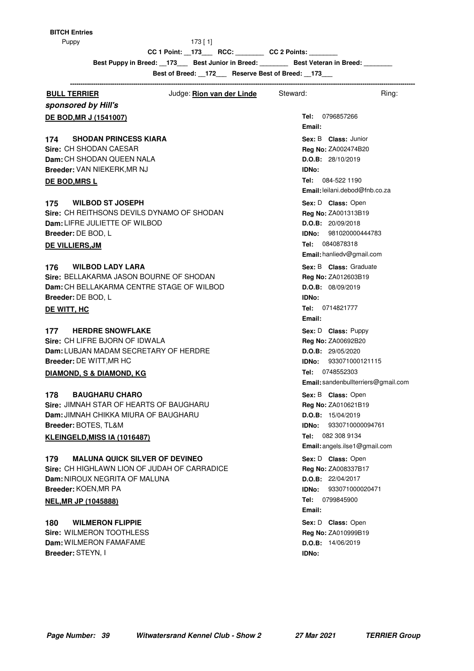$173 [ 1]$ 

**CC 1 Point: \_\_173\_\_\_ RCC: \_\_\_\_\_\_\_\_ CC 2 Points: \_\_\_\_\_\_\_\_**

Best Puppy in Breed: \_\_173\_\_\_ Best Junior in Breed: \_\_\_\_\_\_\_\_ Best Veteran in Breed: \_\_\_\_\_\_\_

**Best of Breed: \_\_172\_\_\_ Reserve Best of Breed: \_\_173\_\_\_**

| <b>BULL TERRIER</b>                            | Judge: <u>Rion van der Linde</u> | Steward:                       | Ring:                               |
|------------------------------------------------|----------------------------------|--------------------------------|-------------------------------------|
| sponsored by Hill's                            |                                  |                                |                                     |
| <b>DE BOD, MR J (1541007)</b>                  |                                  | Tel: 0796857266<br>Email:      |                                     |
| <b>SHODAN PRINCESS KIARA</b><br>174            |                                  | Sex: B Class: Junior           |                                     |
| Sire: CH SHODAN CAESAR                         |                                  | Reg No: ZA002474B20            |                                     |
| Dam: CH SHODAN QUEEN NALA                      |                                  | D.O.B: 28/10/2019              |                                     |
| Breeder: VAN NIEKERK, MR NJ                    |                                  | IDNo:                          |                                     |
| DE BOD, MRS L                                  |                                  | Tel: 084-522 1190              |                                     |
|                                                |                                  | Email: leilani.debod@fnb.co.za |                                     |
| <b>WILBOD ST JOSEPH</b><br>175                 |                                  | Sex: D Class: Open             |                                     |
| Sire: CH REITHSONS DEVILS DYNAMO OF SHODAN     |                                  | Reg No: ZA001313B19            |                                     |
| Dam: LIFRE JULIETTE OF WILBOD                  |                                  | D.O.B: 20/09/2018              |                                     |
| Breeder: DE BOD, L                             |                                  | IDNo:                          | 981020000444783                     |
| DE VILLIERS, JM                                |                                  | 0840878318<br>Tel:             |                                     |
|                                                |                                  | Email: hanliedv@gmail.com      |                                     |
| <b>WILBOD LADY LARA</b><br>176                 |                                  | Sex: B Class: Graduate         |                                     |
| Sire: BELLAKARMA JASON BOURNE OF SHODAN        |                                  | Reg No: ZA012603B19            |                                     |
| Dam: CH BELLAKARMA CENTRE STAGE OF WILBOD      |                                  | D.O.B: 08/09/2019              |                                     |
| Breeder: DE BOD, L                             |                                  | <b>IDNo:</b>                   |                                     |
| DE WITT, HC                                    |                                  | Tel: 0714821777                |                                     |
|                                                |                                  | Email:                         |                                     |
| <b>HERDRE SNOWFLAKE</b><br>177                 |                                  | Sex: D Class: Puppy            |                                     |
| Sire: CH LIFRE BJORN OF IDWALA                 |                                  | Reg No: ZA00692B20             |                                     |
| Dam: LUBJAN MADAM SECRETARY OF HERDRE          |                                  | D.O.B: 29/05/2020              |                                     |
| Breeder: DE WITT, MR HC                        |                                  | <b>IDNo:</b> 933071000121115   |                                     |
| DIAMOND, S & DIAMOND, KG                       |                                  | Tel: 0748552303                |                                     |
|                                                |                                  |                                | Email: sandenbullterriers@gmail.com |
| <b>BAUGHARU CHARO</b><br>178                   |                                  | Sex: B Class: Open             |                                     |
| <b>Sire: JIMNAH STAR OF HEARTS OF BAUGHARU</b> |                                  | Reg No: ZA010621B19            |                                     |
| <b>Dam: JIMNAH CHIKKA MIURA OF BAUGHARU</b>    |                                  | D.O.B: 15/04/2019              |                                     |
| Breeder: BOTES, TL&M                           |                                  | IDNo:                          | 9330710000094761                    |
| KLEINGELD, MISS IA (1016487)                   |                                  | Tel: 082 308 9134              |                                     |
|                                                |                                  | Email: angels.ilse1@gmail.com  |                                     |
| <b>MALUNA QUICK SILVER OF DEVINEO</b><br>179   |                                  | Sex: D Class: Open             |                                     |
| Sire: CH HIGHLAWN LION OF JUDAH OF CARRADICE   |                                  | Reg No: ZA008337B17            |                                     |
| Dam: NIROUX NEGRITA OF MALUNA                  |                                  | D.O.B: 22/04/2017              |                                     |
| Breeder: KOEN, MR PA                           |                                  | IDNo:                          | 933071000020471                     |
| <b>NEL, MR JP (1045888)</b>                    |                                  | Tel: 0799845900                |                                     |
|                                                |                                  | Email:                         |                                     |
| <b>WILMERON FLIPPIE</b><br>180                 |                                  | Sex: D Class: Open             |                                     |
| Sire: WILMERON TOOTHLESS                       |                                  | Reg No: ZA010999B19            |                                     |
| Dam: WILMERON FAMAFAME                         |                                  | D.O.B: 14/06/2019              |                                     |
| Breeder: STEYN, I                              |                                  | <b>IDNo:</b>                   |                                     |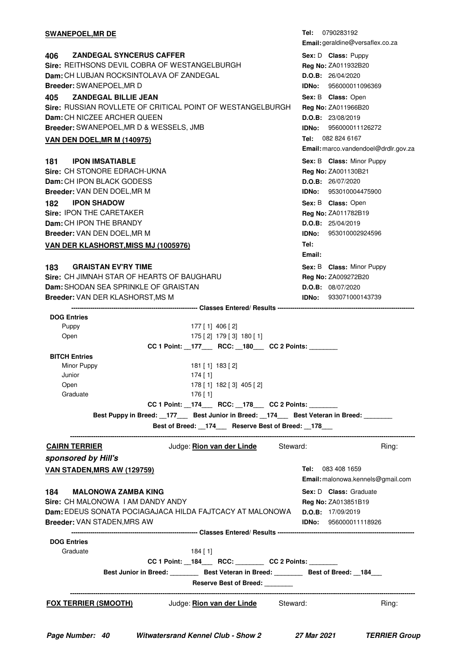| <u>SWANEPOEL,MR DE</u>                                                                                                                                                                                                                                                                                                                                                                                                                                                                          | <b>Tel:</b> 0790283192<br>Email: geraldine@versaflex.co.za                                                                                                                                                                                                                                            |
|-------------------------------------------------------------------------------------------------------------------------------------------------------------------------------------------------------------------------------------------------------------------------------------------------------------------------------------------------------------------------------------------------------------------------------------------------------------------------------------------------|-------------------------------------------------------------------------------------------------------------------------------------------------------------------------------------------------------------------------------------------------------------------------------------------------------|
| <b>ZANDEGAL SYNCERUS CAFFER</b><br>406.<br>Sire: REITHSONS DEVIL COBRA OF WESTANGELBURGH<br>Dam: CH LUBJAN ROCKSINTOLAVA OF ZANDEGAL<br>Breeder: SWANEPOEL, MR D                                                                                                                                                                                                                                                                                                                                | Sex: D Class: Puppy<br>Reg No: ZA011932B20<br>D.O.B: 26/04/2020<br>IDNo: 956000011096369                                                                                                                                                                                                              |
| <b>ZANDEGAL BILLIE JEAN</b><br>405<br>Sire: RUSSIAN ROVLLETE OF CRITICAL POINT OF WESTANGELBURGH<br><b>Dam:</b> CH NICZEE ARCHER QUEEN<br>Breeder: SWANEPOEL,MR D & WESSELS, JMB                                                                                                                                                                                                                                                                                                                | Sex: B Class: Open<br>Reg No: ZA011966B20<br>D.O.B: 23/08/2019<br><b>IDNo: 956000011126272</b><br>082 824 6167<br>Tel:                                                                                                                                                                                |
| <b>VAN DEN DOEL,MR M (140975)</b>                                                                                                                                                                                                                                                                                                                                                                                                                                                               | Email: marco.vandendoel@drdlr.gov.za                                                                                                                                                                                                                                                                  |
| <b>IPON IMSATIABLE</b><br>181<br>Sire: CH STONORE EDRACH-UKNA<br>Dam: CH IPON BLACK GODESS<br><b>Breeder:</b> VAN DEN DOEL,MR M<br><b>IPON SHADOW</b><br>182<br>Sire: IPON THE CARETAKER<br><b>Dam: CH IPON THE BRANDY</b><br>Breeder: VAN DEN DOEL, MR M<br><b>VAN DER KLASHORST,MISS MJ (1005976)</b><br><b>GRAISTAN EV'RY TIME</b><br>183<br>Sire: CH JIMNAH STAR OF HEARTS OF BAUGHARU<br>Dam: SHODAN SEA SPRINKLE OF GRAISTAN                                                              | Sex: B Class: Minor Puppy<br>Reg No: ZA001130B21<br>D.O.B: 26/07/2020<br><b>IDNo: 953010004475900</b><br>Sex: B Class: Open<br>Reg No: ZA011782B19<br>D.O.B: 25/04/2019<br>953010002924596<br>IDNo:<br>Tel:<br>Email:<br>Sex: B Class: Minor Puppy<br><b>Reg No: ZA009272B20</b><br>D.O.B: 08/07/2020 |
| <b>Breeder:</b> VAN DER KLASHORST,MS M                                                                                                                                                                                                                                                                                                                                                                                                                                                          | <b>IDNo:</b> 933071000143739                                                                                                                                                                                                                                                                          |
| <b>DOG Entries</b><br>Puppy<br>$177$ [ 1] 406 [ 2]<br>175 [2] 179 [3] 180 [1]<br>Open<br>CC 1 Point: 177 RCC: 180 CC 2 Points:<br><b>BITCH Entries</b><br>Minor Puppy<br>181 [ 1] 183 [ 2]<br>Junior<br>$174$ [ 1]<br>178 [1] 182 [3] 405 [2]<br>Open<br>$176$ [1]<br>Graduate<br>CC 1 Point: _174___ RCC: _178___ CC 2 Points: ______<br>Best Puppy in Breed: __177 ____ Best Junior in Breed: __174 ___ Best Veteran in Breed: _______<br>Best of Breed: _174__ Reserve Best of Breed: _178__ |                                                                                                                                                                                                                                                                                                       |
| Judge: <b>Rion van der Linde</b> Steward:<br><b>CAIRN TERRIER</b>                                                                                                                                                                                                                                                                                                                                                                                                                               | Ring:                                                                                                                                                                                                                                                                                                 |
| sponsored by Hill's<br><u>VAN STADEN,MRS AW (129759)</u><br>184<br><b>MALONOWA ZAMBA KING</b><br>Sire: CH MALONOWA I AM DANDY ANDY<br><b>Dam:</b> EDEUS SONATA POCIAGAJACA HILDA FAJTCACY AT MALONOWA<br>Breeder: VAN STADEN,MRS AW                                                                                                                                                                                                                                                             | <b>Tel:</b> 083 408 1659<br>Email: malonowa.kennels@gmail.com<br>Sex: D Class: Graduate<br>Reg No: ZA013851B19<br>D.O.B: 17/09/2019<br><b>IDNo:</b> 956000011118926                                                                                                                                   |
| <b>DOG Entries</b><br>Graduate<br>$184$ [1]<br>CC 1 Point: _184___ RCC: _______ CC 2 Points: ______<br>Best Junior in Breed: __________ Best Veteran in Breed: _________ Best of Breed: __184___<br><b>Reserve Best of Breed:</b>                                                                                                                                                                                                                                                               |                                                                                                                                                                                                                                                                                                       |
| Judge: Rion van der Linde<br>Steward:<br><u>FOX TERRIER (SMOOTH)</u>                                                                                                                                                                                                                                                                                                                                                                                                                            | Ring:                                                                                                                                                                                                                                                                                                 |
|                                                                                                                                                                                                                                                                                                                                                                                                                                                                                                 |                                                                                                                                                                                                                                                                                                       |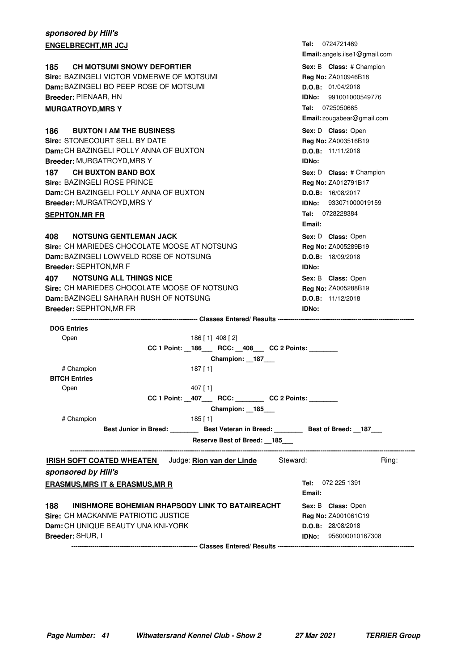| sponsored by Hill's                                                                       |                                                   |
|-------------------------------------------------------------------------------------------|---------------------------------------------------|
| <b>ENGELBRECHT,MR JCJ</b>                                                                 | <b>Tel:</b> 0724721469                            |
|                                                                                           | Email: angels.ilse1@gmail.com                     |
| <b>CH MOTSUMI SNOWY DEFORTIER</b><br>185                                                  | Sex: B Class: # Champion                          |
| Sire: BAZINGELI VICTOR VDMERWE OF MOTSUMI                                                 | Reg No: ZA010946B18                               |
| Dam: BAZINGELI BO PEEP ROSE OF MOTSUMI                                                    | D.O.B: 01/04/2018                                 |
| Breeder: PIENAAR, HN                                                                      | <b>IDNo: 991001000549776</b>                      |
| <b>MURGATROYD,MRS Y</b>                                                                   | Tel: 0725050665                                   |
|                                                                                           | Email: zougabear@gmail.com                        |
| 186<br><b>BUXTON I AM THE BUSINESS</b>                                                    | Sex: D Class: Open                                |
| Sire: STONECOURT SELL BY DATE                                                             | Reg No: ZA003516B19                               |
| <b>Dam:</b> CH BAZINGELI POLLY ANNA OF BUXTON                                             | D.O.B: 11/11/2018                                 |
| Breeder: MURGATROYD, MRS Y                                                                | <b>IDNo:</b>                                      |
| <b>CH BUXTON BAND BOX</b><br>187                                                          | Sex: D Class: # Champion                          |
| Sire: BAZINGELI ROSE PRINCE                                                               | Reg No: ZA012791B17                               |
| <b>Dam:</b> CH BAZINGELI POLLY ANNA OF BUXTON                                             | D.O.B: 16/08/2017                                 |
| Breeder: MURGATROYD, MRS Y                                                                | <b>IDNo: 933071000019159</b>                      |
| SEPHTON,MR FR                                                                             | Tel: 0728228384                                   |
|                                                                                           | Email:                                            |
| <b>NOTSUNG GENTLEMAN JACK</b><br>408.                                                     | Sex: D Class: Open                                |
| Sire: CH MARIEDES CHOCOLATE MOOSE AT NOTSUNG                                              | Reg No: ZA005289B19                               |
| Dam: BAZINGELI LOWVELD ROSE OF NOTSUNG                                                    | D.O.B: 18/09/2018                                 |
| Breeder: SEPHTON, MR F                                                                    | <b>IDNo:</b>                                      |
| <b>NOTSUNG ALL THINGS NICE</b><br>407                                                     | Sex: B Class: Open                                |
| Sire: CH MARIEDES CHOCOLATE MOOSE OF NOTSUNG                                              | Reg No: ZA005288B19                               |
| Dam: BAZINGELI SAHARAH RUSH OF NOTSUNG                                                    | D.O.B: 11/12/2018                                 |
| Breeder: SEPHTON, MR FR                                                                   | IDNo:                                             |
|                                                                                           |                                                   |
| <b>DOG Entries</b><br>186 [1] 408 [2]                                                     |                                                   |
| Open                                                                                      |                                                   |
|                                                                                           |                                                   |
| CC 1 Point: _186___ RCC: _408___ CC 2 Points: ______                                      |                                                   |
| Champion: _187___                                                                         |                                                   |
| # Champion<br>$187$ [1]                                                                   |                                                   |
| <b>BITCH Entries</b>                                                                      |                                                   |
| 407 [1]<br>Open                                                                           |                                                   |
| $CC 1$ Point: $\_407$ RCC: $\_$ CC 2 Points: $\_$                                         |                                                   |
| Champion: 185<br># Champion                                                               |                                                   |
| $185$ [1]                                                                                 |                                                   |
| Best Junior in Breed: __________ Best Veteran in Breed: _________ Best of Breed: __187___ |                                                   |
| Reserve Best of Breed: 185                                                                |                                                   |
| IRISH SOFT COATED WHEATEN Judge: Rion van der Linde                                       | Steward:<br>Ring:                                 |
| sponsored by Hill's                                                                       |                                                   |
|                                                                                           | Tel: 072 225 1391                                 |
| <u>ERASMUS,MRS IT &amp; ERASMUS,MR R</u>                                                  | Email:                                            |
|                                                                                           |                                                   |
| 188<br>INISHMORE BOHEMIAN RHAPSODY LINK TO BATAIREACHT                                    | Sex: B Class: Open                                |
| Sire: CH MACKANME PATRIOTIC JUSTICE                                                       | Reg No: ZA001061C19                               |
| Dam: CH UNIQUE BEAUTY UNA KNI-YORK<br>Breeder: SHUR, I                                    | D.O.B: 28/08/2018<br><b>IDNo:</b> 956000010167308 |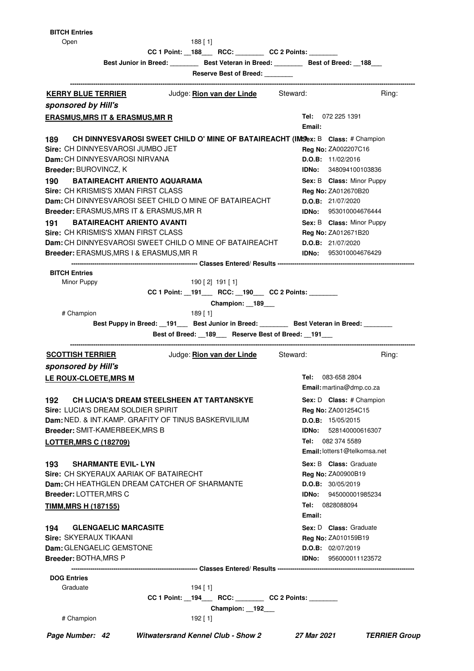$188 [1]$ 

**CC 1 Point: \_\_188\_\_\_ RCC: \_\_\_\_\_\_\_\_ CC 2 Points: \_\_\_\_\_\_\_\_**

**Best Junior in Breed: \_\_\_\_\_\_\_\_ Best Veteran in Breed: \_\_\_\_\_\_\_\_ Best of Breed: \_\_188\_\_\_ Reserve Best of Breed: \_\_\_\_\_\_\_\_**

| <u>KERRY BLUE TERRIER</u>                                      | Judge: <i>Rion van der Linde</i>                                                | Steward:                            | Ring:                |
|----------------------------------------------------------------|---------------------------------------------------------------------------------|-------------------------------------|----------------------|
| sponsored by Hill's                                            |                                                                                 |                                     |                      |
| <b>ERASMUS, MRS IT &amp; ERASMUS, MR R</b>                     |                                                                                 | <b>Tel:</b> 072 225 1391            |                      |
|                                                                |                                                                                 | Email:                              |                      |
| 189                                                            | CH DINNYESVAROSI SWEET CHILD O' MINE OF BATAIREACHT (IMSex: B Class: # Champion |                                     |                      |
| Sire: CH DINNYESVAROSI JUMBO JET                               |                                                                                 | <b>Reg No: ZA002207C16</b>          |                      |
| <b>Dam:</b> CH DINNYESVAROSI NIRVANA                           |                                                                                 | D.O.B: 11/02/2016                   |                      |
| <b>Breeder: BUROVINCZ, K</b>                                   |                                                                                 | <b>IDNo:</b> 348094100103836        |                      |
| <b>BATAIREACHT ARIENTO AQUARAMA</b><br>190                     |                                                                                 | Sex: B Class: Minor Puppy           |                      |
| Sire: CH KRISMIS'S XMAN FIRST CLASS                            |                                                                                 | Reg No: ZA012670B20                 |                      |
|                                                                | <b>Dam:</b> CH DINNYESVAROSI SEET CHILD O MINE OF BATAIREACHT                   | D.O.B: 21/07/2020                   |                      |
| Breeder: ERASMUS, MRS IT & ERASMUS, MR R                       |                                                                                 | <b>IDNo:</b> 953010004676444        |                      |
| <b>BATAIREACHT ARIENTO AVANTI</b><br>191                       |                                                                                 | Sex: B Class: Minor Puppy           |                      |
| Sire: CH KRISMIS'S XMAN FIRST CLASS                            |                                                                                 | Reg No: ZA012671B20                 |                      |
|                                                                | Dam: CH DINNYESVAROSI SWEET CHILD O MINE OF BATAIREACHT                         | D.O.B: 21/07/2020                   |                      |
| <b>Breeder: ERASMUS, MRS I &amp; ERASMUS, MR R</b>             |                                                                                 | <b>IDNo:</b> 953010004676429        |                      |
| <b>BITCH Entries</b>                                           |                                                                                 |                                     |                      |
| Minor Puppy                                                    | 190 [2] 191 [1]                                                                 |                                     |                      |
|                                                                | CC 1 Point: __191___ RCC: __190___ CC 2 Points: _______                         |                                     |                      |
|                                                                | Champion: 189                                                                   |                                     |                      |
| # Champion                                                     | 189 [ 1]                                                                        |                                     |                      |
|                                                                | Best Puppy in Breed: 191 Best Junior in Breed: Best Veteran in Breed: ______    |                                     |                      |
|                                                                | Best of Breed: _189__ Reserve Best of Breed: _191__                             |                                     |                      |
| <b>SCOTTISH TERRIER</b>                                        | Judge: Rion van der Linde Steward:                                              |                                     | Ring:                |
| sponsored by Hill's                                            |                                                                                 |                                     |                      |
| <b>LE ROUX-CLOETE, MRS M</b>                                   |                                                                                 | Tel: 083-658 2804                   |                      |
|                                                                |                                                                                 | Email: martina@dmp.co.za            |                      |
| 192.                                                           | CH LUCIA'S DREAM STEELSHEEN AT TARTANSKYE                                       | Sex: D Class: # Champion            |                      |
| <b>Sire: LUCIA'S DREAM SOLDIER SPIRIT</b>                      |                                                                                 | Reg No: ZA001254C15                 |                      |
| <b>Dam: NED. &amp; INT.KAMP. GRAFITY OF TINUS BASKERVILIUM</b> |                                                                                 | D.O.B: 15/05/2015                   |                      |
| <b>Breeder: SMIT-KAMERBEEK, MRS B</b>                          |                                                                                 | IDNo:                               | 528140000616307      |
| <b>LOTTER, MRS C (182709)</b>                                  |                                                                                 | <b>Tel:</b> 082 374 5589            |                      |
|                                                                |                                                                                 | <b>Email:</b> lotters1@telkomsa.net |                      |
| <b>SHARMANTE EVIL-LYN</b><br>193                               |                                                                                 | Sex: B Class: Graduate              |                      |
| Sire: CH SKYERAUX AARIAK OF BATAIRECHT                         |                                                                                 | <b>Reg No: ZA00900B19</b>           |                      |
| Dam: CH HEATHGLEN DREAM CATCHER OF SHARMANTE                   |                                                                                 | <b>D.O.B:</b> 30/05/2019            |                      |
| Breeder: LOTTER, MRS C                                         |                                                                                 | IDNo: 945000001985234               |                      |
| <b>TIMM, MRS H (187155)</b>                                    |                                                                                 | Tel: 0828088094                     |                      |
|                                                                |                                                                                 | Email:                              |                      |
| <b>GLENGAELIC MARCASITE</b><br>194                             |                                                                                 | <b>Sex: D Class:</b> Graduate       |                      |
| Sire: SKYERAUX TIKAANI                                         |                                                                                 | Reg No: ZA010159B19                 |                      |
| Dam: GLENGAELIC GEMSTONE                                       |                                                                                 | D.O.B: 02/07/2019                   |                      |
| <b>Breeder: BOTHA, MRS P</b>                                   |                                                                                 | IDNo: 956000011123572               |                      |
|                                                                |                                                                                 |                                     |                      |
| <b>DOG Entries</b><br>Graduate                                 | $194$ [ 1]                                                                      |                                     |                      |
|                                                                | CC 1 Point: __194____ RCC: ________ CC 2 Points: _______                        |                                     |                      |
|                                                                | Champion: 192                                                                   |                                     |                      |
| # Champion                                                     | $192$ [1]                                                                       |                                     |                      |
|                                                                |                                                                                 |                                     |                      |
| Page Number: 42                                                | <b>Witwatersrand Kennel Club - Show 2</b>                                       | 27 Mar 2021                         | <b>TERRIER Group</b> |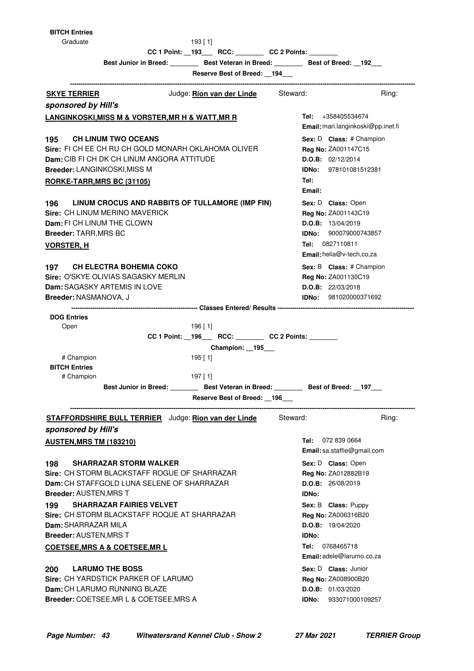Graduate 193 [ 1]

**CC 1 Point: \_\_193\_\_\_ RCC: \_\_\_\_\_\_\_\_ CC 2 Points: \_\_\_\_\_\_\_\_**

**Best Junior in Breed: \_\_\_\_\_\_\_\_ Best Veteran in Breed: \_\_\_\_\_\_\_\_ Best of Breed: \_\_192\_\_\_**

**Reserve Best of Breed: \_\_194\_\_\_**

| <b>SKYE TERRIER</b>                                                                                                                                                                                         | Judge: <b>Rion van der Linde</b>                                                                                                  | Steward:                                                                                                                                | Ring: |
|-------------------------------------------------------------------------------------------------------------------------------------------------------------------------------------------------------------|-----------------------------------------------------------------------------------------------------------------------------------|-----------------------------------------------------------------------------------------------------------------------------------------|-------|
| sponsored by Hill's                                                                                                                                                                                         |                                                                                                                                   |                                                                                                                                         |       |
| LANGINKOSKI,MISS M & VORSTER,MR H & WATT,MR R                                                                                                                                                               |                                                                                                                                   | +358405534674<br>Tel:<br>Email: mari.langinkoski@pp.inet.fi                                                                             |       |
| <b>CH LINUM TWO OCEANS</b><br>195<br>Sire: FI CH EE CH RU CH GOLD MONARH OKLAHOMA OLIVER<br>Dam: CIB FI CH DK CH LINUM ANGORA ATTITUDE<br><b>Breeder: LANGINKOSKI, MISS M</b><br>RORKE-TARR, MRS BC (31105) |                                                                                                                                   | Sex: D Class: # Champion<br>Reg No: ZA001147C15<br>D.O.B: 02/12/2014<br><b>IDNo:</b> 978101081512381<br>Tel:<br>Email:                  |       |
| 196<br>Sire: CH LINUM MERINO MAVERICK<br>Dam: FI CH LINUM THE CLOWN<br>Breeder: TARR, MRS BC<br><b>VORSTER, H</b>                                                                                           | LINUM CROCUS AND RABBITS OF TULLAMORE (IMP FIN)                                                                                   | Sex: D Class: Open<br>Reg No: ZA001143C19<br>D.O.B: 13/04/2019<br>IDNo: 900079000743857<br>Tel: 0827110811<br>Email: helia@v-tech,co,za |       |
| <b>CH ELECTRA BOHEMIA COKO</b><br>197<br>Sire: O'SKYE OLIVIAS SAGASKY MERLIN<br>Dam: SAGASKY ARTEMIS IN LOVE<br>Breeder: NASMANOVA, J                                                                       |                                                                                                                                   | Sex: B Class: # Champion<br>Reg No: ZA001130C19<br>D.O.B: 22/03/2018<br><b>IDNo: 981020000371692</b>                                    |       |
| <b>DOG Entries</b><br>Open<br># Champion<br><b>BITCH Entries</b>                                                                                                                                            | $196$ [ 1]<br>CC 1 Point: _196___ RCC: _______ CC 2 Points: ______<br>Champion: 195<br>$195$ [ 1]                                 |                                                                                                                                         |       |
| # Champion                                                                                                                                                                                                  | 197 [ 1]<br>Best Junior in Breed: _________ Best Veteran in Breed: ________ Best of Breed: __197___<br>Reserve Best of Breed: 196 |                                                                                                                                         |       |
| <b>STAFFORDSHIRE BULL TERRIER</b> Judge: Rion van der Linde<br>sponsored by Hill's                                                                                                                          |                                                                                                                                   | Steward:                                                                                                                                | Ring: |
| <b>AUSTEN, MRS TM (183210)</b>                                                                                                                                                                              |                                                                                                                                   | 072 839 0664<br>Tel:<br>Email: sa.staffie@gmail.com                                                                                     |       |
| <b>SHARRAZAR STORM WALKER</b><br>198<br>Sire: CH STORM BLACKSTAFF ROGUE OF SHARRAZAR<br>Dam: CH STAFFGOLD LUNA SELENE OF SHARRAZAR<br><b>Breeder: AUSTEN, MRS T</b>                                         |                                                                                                                                   | Sex: D Class: Open<br>Reg No: ZA012882B19<br>D.O.B: 26/08/2019<br><b>IDNo:</b>                                                          |       |
| <b>SHARRAZAR FAIRIES VELVET</b><br>199<br>Sire: CH STORM BLACKSTAFF ROQUE AT SHARRAZAR<br>Dam: SHARRAZAR MILA<br><b>Breeder: AUSTEN, MRS T</b><br><b>COETSEE, MRS A &amp; COETSEE, MRL</b>                  |                                                                                                                                   | Sex: B Class: Puppy<br>Reg No: ZA006316B20<br>D.O.B: 19/04/2020<br><b>IDNo:</b><br>Tel:<br>0768465718                                   |       |
| <b>LARUMO THE BOSS</b><br><b>200</b><br><b>Sire: CH YARDSTICK PARKER OF LARUMO</b><br>Dam: CH LARUMO RUNNING BLAZE<br>Breeder: COETSEE, MR L & COETSEE, MRS A                                               |                                                                                                                                   | Email: adele@larumo.co.za<br>Sex: D Class: Junior<br>Reg No: ZA008900B20<br>D.O.B: 01/03/2020<br>933071000109257<br>IDNo:               |       |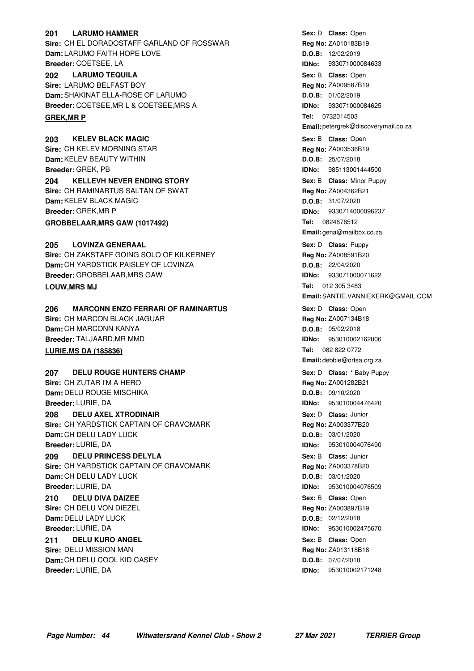#### **LARUMO HAMMER 201 LARUMO HAMMER CONSIDERATION CONSIDERS CLASS:** Open

**Sire:** CH EL DORADOSTAFF GARLAND OF ROSSWAR **Dam:** LARUMO FAITH HOPE LOVE **Breeder:** COETSEE, LA

#### **LARUMO TEQUILA 202 LARUMO TEQUILA CONSIDERING A CONSIDER SEX:** B Class: Open

**Sire:** LARUMO BELFAST BOY **Dam:** SHAKINAT ELLA-ROSE OF LARUMO **Breeder:** COETSEE,MR L & COETSEE,MRS A

#### **GREK, MR P**

**203** KELEV BLACK MAGIC **CONSERVING SEXELS CONSTRUSS SEX: B** Class: Open **Sire:** CH KELEV MORNING STAR **Dam:** KELEV BEAUTY WITHIN **Breeder:** GREK, PB **204 • KELLEVH NEVER ENDING STORY 1988 1988** • Sex: B Class: Minor Puppy **Sire:** CH RAMINARTUS SALTAN OF SWAT **Dam:** KELEV BLACK MAGIC **Breeder:** GREK,MR P **GROBBELAAR, MRS GAW (1017492)** 

#### **LOVINZA GENERAAL Sire:** CH ZAKSTAFF GOING SOLO OF KILKERNEY **Dam:** CH YARDSTICK PAISLEY OF LOVINZA **Breeder:** GROBBELAAR,MRS GAW **Sex:** D **CINEXAL CONSEX:** D **Class:** Puppy **LOUW, MRS MJ**

**206 MARCONN ENZO FERRARI OF RAMINARTUS Cass:** Denne Denne Sex: D Class: Open **Sire:** CH MARCON BLACK JAGUAR **Dam:** CH MARCONN KANYA **Breeder:** TALJAARD,MR MMD **LURIE, MS DA (185836)** 

**207 • DELU ROUGE HUNTERS CHAMP 12 CHAMP 12 CHAMP 12 CHASE**: \* Baby Puppy **Sire:** CH ZUTAR I'M A HERO **Dam:** DELU ROUGE MISCHIKA **Breeder:** LURIE, DA **208 DELU AXEL XTRODINAIR CONSERVING SEXEL CONSTRUSS ON SEXEL DESCRIPTION OF SEXEL DESCRIPTION OF SEXUS SEXUS Sire:** CH YARDSTICK CAPTAIN OF CRAVOMARK **Dam:** CH DELU LADY LUCK

**Breeder:** LURIE, DA **209 DELU PRINCESS DELYLA 1988 1999 120 Class: Junior** Sex: B Class: Junior **Sire:** CH YARDSTICK CAPTAIN OF CRAVOMARK

**Dam:** CH DELU LADY LUCK **Breeder:** LURIE, DA

**DELU DIVA DAIZEE Sire:** CH DELU VON DIEZEL **Dam:** DELU LADY LUCK **Breeder:** LURIE, DA **210 DELU DIVA DAIZEE CONSUMPTER SEX: B Class: Open** 

**DELU KURO ANGEL Sire:** DELU MISSION MAN **Dam:** CH DELU COOL KID CASEY **211 DELU KURO ANGEL CONSEX CONSEX CONSEXED Sex: B Class: Open** 

**Breeder:** LURIE, DA

**Reg No:** ZA010183B19 **D.O.B:** 12/02/2019 **IDNo:** 933071000084633 **Reg No:** ZA009587B19 **D.O.B:** 01/02/2019 **IDNo:** 933071000084625 **Tel: Email:** petergrek@discoverymail.co.za **Sex:** B **Class: Reg No:** ZA003536B19 **D.O.B:** 25/07/2018 **IDNo:** 985113001444500 **Sex:** B **Class: Reg No:** ZA004362B21 **D.O.B:** 31/07/2020 **IDNo:** 9330714000096237 **Tel: Email:** gena@mailbox,co.za **Reg No:** ZA008591B20 **D.O.B:** 22/04/2020 **IDNo:** 933071000071622 Tel: 012 305 3483 **Email:**SANTIE.VANNIEKERK@GMAIL.COM Sex: D **Class:** Open **Reg No:** ZA007134B18 **D.O.B:** 05/02/2018 **IDNo:** 953010002162006 Tel: 082 822 0772 **Email:** debbie@ortsa.org.za Sex: D **Class:** \* Baby Puppy **Reg No:** ZA001282B21 **D.O.B:** 09/10/2020 **IDNo:** 953010004476420 **Sex:** D **Class: Reg No:** ZA003377B20 **D.O.B:** 03/01/2020 **IDNo:** 953010004076490 **Sex:** B **Class: Reg No:** ZA003378B20 **D.O.B:** 03/01/2020 **IDNo:** 953010004076509 **Reg No:** ZA003897B19 **D.O.B:** 02/12/2018 **IDNo:** 953010002475670 **Reg No:** ZA013118B18 **D.O.B:** 07/07/2018 **IDNo:** 953010002171248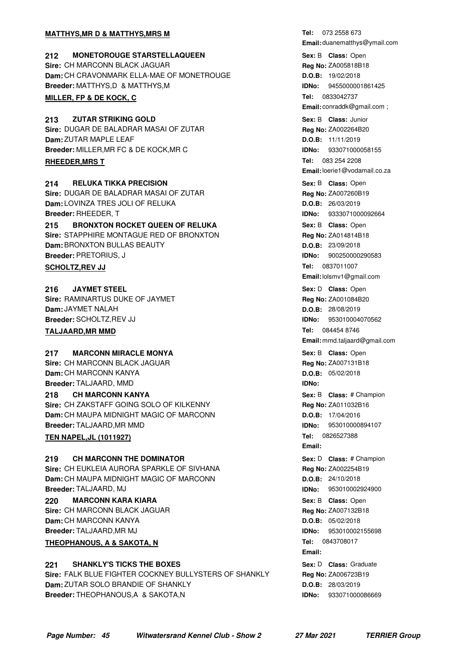#### **MATTHYS, MR D & MATTHYS, MRS M**

**212 MONETOROUGE STARSTELLAQUEEN 120 CONSERVING Sex: B Class:** Open **Sire:** CH MARCONN BLACK JAGUAR **Dam:** CH CRAVONMARK ELLA-MAE OF MONETROUGE **Breeder:** MATTHYS,D & MATTHYS,M

#### **MILLER, FP & DE KOCK, C**

**213 ZUTAR STRIKING GOLD 120 CONDUCTS 213 Class:** Junior **Sire:** DUGAR DE BALADRAR MASAI OF ZUTAR **Dam:** ZUTAR MAPLE LEAF **Breeder:** MILLER,MR FC & DE KOCK,MR C **RHEEDER, MRS T** 

**214 RELUKA TIKKA PRECISION CONSERVING SEXEL SEXELS CRISS:** Open **Sire:** DUGAR DE BALADRAR MASAI OF ZUTAR **Dam:** LOVINZA TRES JOLI OF RELUKA **Breeder:** RHEEDER, T

**215 BRONXTON ROCKET QUEEN OF RELUKA Example 215 Sex: B Class:** Open **Sire:** STAPPHIRE MONTAGUE RED OF BRONXTON **Dam:** BRONXTON BULLAS BEAUTY **Breeder:** PRETORIUS, J

#### **SCHOLTZ, REV JJ**

**JAYMET STEEL Sire:** RAMINARTUS DUKE OF JAYMET **Dam:** JAYMET NALAH **Breeder:** SCHOLTZ,REV JJ **216 JAYMET STEEL CONSUMPTER SEX:** D **Class:** Open

#### **TALJAARD, MR MMD**

#### **217 MARCONN MIRACLE MONYA 1988 217 MARCONN MIRACLE MONYA**

**Sire:** CH MARCONN BLACK JAGUAR **Dam:** CH MARCONN KANYA **Breeder:** TALJAARD, MMD **CH MARCONN KANYA Sire:** CH ZAKSTAFF GOING SOLO OF KILKENNY **Dam:** CH MAUPA MIDNIGHT MAGIC OF MARCONN **Breeder:** TALJAARD,MR MMD **218 CH MARCONN KANYA CHIMARY AND THE SEXELUS SEX:** B Class: # Champion

#### **TEN NAPEL, JL (1011927)**

**219 • CH MARCONN THE DOMINATOR 1988 219** • **Class:** # Champion **Sire:** CH EUKLEIA AURORA SPARKLE OF SIVHANA **Dam:** CH MAUPA MIDNIGHT MAGIC OF MARCONN **Breeder:** TALJAARD, MJ

**220 MARCONN KARA KIARA CONSERVING SEXELS CRISS** MESS: Open **Sire:** CH MARCONN BLACK JAGUAR **Dam:** CH MARCONN KANYA **Breeder:** TALJAARD,MR MJ **THEOPHANOUS, A & SAKOTA, N** 

#### **221 SHANKLY'S TICKS THE BOXES CONSTANDIAL SEXEL SEX: D Class: Graduate**

**Sire:** FALK BLUE FIGHTER COCKNEY BULLYSTERS OF SHANKLY **Dam:** ZUTAR SOLO BRANDIE OF SHANKLY **Breeder:** THEOPHANOUS,A & SAKOTA,N

Tel: 073 2558 673 **Email:** duanematthys@ymail.com **Sex:** B **Class: Reg No:** ZA005818B18 **D.O.B:** 19/02/2018 **IDNo:** 9455000001861425 **Tel: Email:** conraddk@gmail.com ; **Sex:** B **Class: Reg No:** ZA002264B20 **D.O.B:** 11/11/2019 **IDNo:** 933071000058155 **Tel: Email:**loerie1@vodamail.co.za Sex: B **Class: Open Reg No:** ZA007260B19 **D.O.B:** 26/03/2019 **IDNo:** 9333071000092664 **Sex:** B **Class: Reg No:** ZA014814B18 **D.O.B:** 23/09/2018 **IDNo:** 900250000290583 **Tel: Email:**lolsmv1@gmail.com **Reg No:** ZA001084B20 **D.O.B:** 28/08/2019 **IDNo:** 953010004070562 **Tel: Email:** mmd.taljaard@gmail.com Sex: B **Class:** Open **Reg No:** ZA007131B18 **D.O.B:** 05/02/2018 **IDNo: Reg No:** ZA011032B16 **D.O.B:** 17/04/2016 **IDNo:** 953010000894107 **Tel: Email:** Sex: D **Class:** # Champion **Reg No:** ZA002254B19 **D.O.B:** 24/10/2018 **IDNo:** 953010002924900 Sex: B **Class:** Open **Reg No:** ZA007132B18 **D.O.B:** 05/02/2018 **IDNo:** 953010002155698 **Tel:** 0843708017 **Email: Sex:** D **Class: Reg No:** ZA006723B19 **D.O.B:** 28/03/2019 **IDNo:** 933071000086669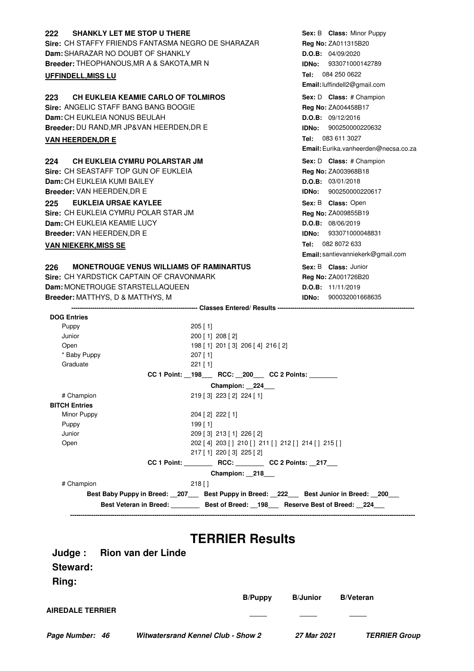| <b>Reg No: ZA011315B20</b><br>D.O.B: 04/09/2020<br><b>IDNo: 933071000142789</b><br>Tel: 084 250 0622<br>Email: luffindell2@gmail.com<br>Sex: D Class: # Champion<br><b>Reg No: ZA004458B17</b><br>D.O.B: 09/12/2016<br><b>IDNo:</b> 900250000220632<br>Tel: 083 611 3027 |
|--------------------------------------------------------------------------------------------------------------------------------------------------------------------------------------------------------------------------------------------------------------------------|
|                                                                                                                                                                                                                                                                          |
|                                                                                                                                                                                                                                                                          |
|                                                                                                                                                                                                                                                                          |
|                                                                                                                                                                                                                                                                          |
|                                                                                                                                                                                                                                                                          |
|                                                                                                                                                                                                                                                                          |
|                                                                                                                                                                                                                                                                          |
|                                                                                                                                                                                                                                                                          |
|                                                                                                                                                                                                                                                                          |
| Email: Eurika.vanheerden@necsa.co.za                                                                                                                                                                                                                                     |
|                                                                                                                                                                                                                                                                          |
| Sex: D Class: # Champion                                                                                                                                                                                                                                                 |
| Reg No: ZA003968B18<br>D.O.B: 03/01/2018                                                                                                                                                                                                                                 |
| IDNo: 900250000220617                                                                                                                                                                                                                                                    |
|                                                                                                                                                                                                                                                                          |
| Sex: B Class: Open                                                                                                                                                                                                                                                       |
| Reg No: ZA009855B19<br>D.O.B: 08/06/2019                                                                                                                                                                                                                                 |
| <b>IDNo: 933071000048831</b>                                                                                                                                                                                                                                             |
| Tel: 082 8072 633                                                                                                                                                                                                                                                        |
| Email: santievanniekerk@gmail.com                                                                                                                                                                                                                                        |
|                                                                                                                                                                                                                                                                          |
| Sex: B Class: Junior                                                                                                                                                                                                                                                     |
| Reg No: ZA001726B20<br>D.O.B: 11/11/2019                                                                                                                                                                                                                                 |
| <b>IDNo:</b> 900032001668635                                                                                                                                                                                                                                             |
|                                                                                                                                                                                                                                                                          |
|                                                                                                                                                                                                                                                                          |
|                                                                                                                                                                                                                                                                          |
|                                                                                                                                                                                                                                                                          |
|                                                                                                                                                                                                                                                                          |
|                                                                                                                                                                                                                                                                          |
|                                                                                                                                                                                                                                                                          |
| <b>CC 2 Points:</b>                                                                                                                                                                                                                                                      |
|                                                                                                                                                                                                                                                                          |
|                                                                                                                                                                                                                                                                          |
|                                                                                                                                                                                                                                                                          |
|                                                                                                                                                                                                                                                                          |
|                                                                                                                                                                                                                                                                          |
|                                                                                                                                                                                                                                                                          |
|                                                                                                                                                                                                                                                                          |
| 202 [4] 203 [] 210 [] 211 [] 212 [] 214 [] 215 []                                                                                                                                                                                                                        |
| CC 1 Point: RCC: CC 2 Points: 217                                                                                                                                                                                                                                        |
|                                                                                                                                                                                                                                                                          |
|                                                                                                                                                                                                                                                                          |
| Best Baby Puppy in Breed: _207___ Best Puppy in Breed: _222__ Best Junior in Breed: _200__                                                                                                                                                                               |
|                                                                                                                                                                                                                                                                          |

|                         |                                           | <b>B/Puppy</b> | <b>B</b> /Junior | <b>B/Veteran</b>     |
|-------------------------|-------------------------------------------|----------------|------------------|----------------------|
| <b>AIREDALE TERRIER</b> |                                           |                |                  |                      |
| Page Number: 46         | <b>Witwatersrand Kennel Club - Show 2</b> |                | 27 Mar 2021      | <b>TERRIER Group</b> |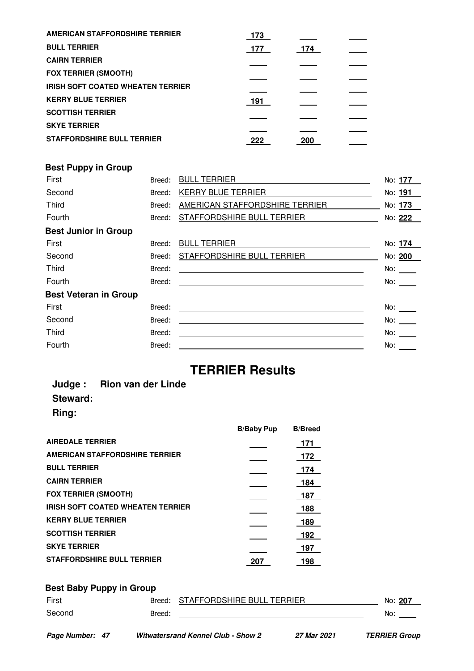| AMERICAN STAFFORDSHIRE TERRIER           | 173 |     |  |
|------------------------------------------|-----|-----|--|
| <b>BULL TERRIER</b>                      | 177 | 174 |  |
| <b>CAIRN TERRIER</b>                     |     |     |  |
| <b>FOX TERRIER (SMOOTH)</b>              |     |     |  |
| <b>IRISH SOFT COATED WHEATEN TERRIER</b> |     |     |  |
| <b>KERRY BLUE TERRIER</b>                | 191 |     |  |
| <b>SCOTTISH TERRIER</b>                  |     |     |  |
| <b>SKYE TERRIER</b>                      |     |     |  |
| <b>STAFFORDSHIRE BULL TERRIER</b>        | 222 | 200 |  |

### **Best Puppy in Group**

| First                        | Breed: | <b>BULL TERRIER</b>                                     | No: 177 |
|------------------------------|--------|---------------------------------------------------------|---------|
| Second                       | Breed: | <b>KERRY BLUE TERRIER</b>                               | No: 191 |
| Third                        | Breed: | AMERICAN STAFFORDSHIRE TERRIER                          | No: 173 |
| Fourth                       | Breed: | STAFFORDSHIRE BULL TERRIER                              | No: 222 |
| <b>Best Junior in Group</b>  |        |                                                         |         |
| First                        | Breed: | <b>BULL TERRIER</b>                                     | No: 174 |
| Second                       | Breed: | STAFFORDSHIRE BULL TERRIER                              | No: 200 |
| <b>Third</b>                 | Breed: | <u> 1989 - Johann Barnett, fransk politik (d. 1989)</u> | No:     |
| Fourth                       | Breed: |                                                         | No:     |
| <b>Best Veteran in Group</b> |        |                                                         |         |
| First                        | Breed: |                                                         | No:     |
| Second                       | Breed: | <u> 1980 - Johann Barnett, fransk politik (f. 1980)</u> | No:     |
| Third                        | Breed: |                                                         | No:     |
| Fourth                       | Breed: |                                                         | No:     |
|                              |        |                                                         |         |

# **TERRIER Results**

### **Judge : Rion van der Linde Steward: Ring:**

|                                          | <b>B/Baby Pup</b> | <b>B/Breed</b> |
|------------------------------------------|-------------------|----------------|
| <b>AIREDALE TERRIER</b>                  |                   | -171           |
| <b>AMERICAN STAFFORDSHIRE TERRIER</b>    |                   | 172            |
| <b>BULL TERRIER</b>                      |                   | 174            |
| <b>CAIRN TERRIER</b>                     |                   | 184            |
| <b>FOX TERRIER (SMOOTH)</b>              |                   | 187            |
| <b>IRISH SOFT COATED WHEATEN TERRIER</b> |                   | 188            |
| <b>KERRY BLUE TERRIER</b>                |                   | 189            |
| <b>SCOTTISH TERRIER</b>                  |                   | 192            |
| <b>SKYE TERRIER</b>                      |                   | 197            |
| <b>STAFFORDSHIRE BULL TERRIER</b>        | 207               | 198            |

# **Best Baby Puppy in Group** First Breed: STAFFORDSHIRE BULL TERRIER No: 207 Second Breed: <u>Preed: 2000 Breed: 2000 Breed: 2000 Breed: 2000 Breed: 2000 Breed: 2000 Breed: 2000 Breed: 2000 Breed: 2000 Breed: 2000 Breed: 2000 Breed: 2000 Breed: 2000 Breed: 2000 Breed: 2000 Breed: 2000 Breed: 2000 Bre</u>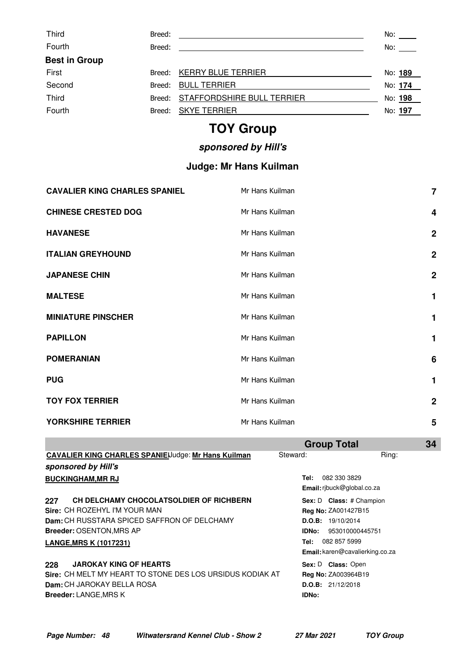| <b>Third</b>         | Breed: |                                   | No:     |
|----------------------|--------|-----------------------------------|---------|
| Fourth               | Breed: |                                   | No:     |
| <b>Best in Group</b> |        |                                   |         |
| First                | Breed: | <b>KERRY BLUE TERRIER</b>         | No: 189 |
| Second               | Breed: | <b>BULL TERRIER</b>               | No: 174 |
| <b>Third</b>         |        | Breed: STAFFORDSHIRE BULL TERRIER | No: 198 |
| Fourth               | Breed: | <b>SKYE TERRIER</b>               | No: 197 |

# **TOY Group**

# **sponsored by Hill's**

# **Judge: Mr Hans Kuilman**

| <b>CAVALIER KING CHARLES SPANIEL</b> | Mr Hans Kuilman | $\overline{7}$          |
|--------------------------------------|-----------------|-------------------------|
| <b>CHINESE CRESTED DOG</b>           | Mr Hans Kuilman | $\overline{\mathbf{4}}$ |
| <b>HAVANESE</b>                      | Mr Hans Kuilman | $\overline{2}$          |
| <b>ITALIAN GREYHOUND</b>             | Mr Hans Kuilman | $\boldsymbol{2}$        |
| <b>JAPANESE CHIN</b>                 | Mr Hans Kuilman | $\boldsymbol{2}$        |
| <b>MALTESE</b>                       | Mr Hans Kuilman | 1                       |
| <b>MINIATURE PINSCHER</b>            | Mr Hans Kuilman | 1                       |
| <b>PAPILLON</b>                      | Mr Hans Kuilman | 1                       |
| <b>POMERANIAN</b>                    | Mr Hans Kuilman | 6                       |
| <b>PUG</b>                           | Mr Hans Kuilman | 1                       |
| <b>TOY FOX TERRIER</b>               | Mr Hans Kuilman | $\mathbf 2$             |
| YORKSHIRE TERRIER                    | Mr Hans Kuilman | 5                       |

|                                                            | <b>Group Total</b>                | 34                                     |
|------------------------------------------------------------|-----------------------------------|----------------------------------------|
| <b>CAVALIER KING CHARLES SPANIE</b> Uudge: Mr Hans Kuilman | Steward:                          | Ring:                                  |
| sponsored by Hill's                                        |                                   |                                        |
| <b>BUCKINGHAM, MR RJ</b>                                   | 082 330 3829<br>Tel:              |                                        |
|                                                            | <b>Email:</b> ribuck@global.co.za |                                        |
| CH DELCHAMY CHOCOLATSOLDIER OF RICHBERN<br>227             | Sex: D Class: # Champion          |                                        |
| Sire: CH ROZEHYL I'M YOUR MAN                              | <b>Reg No: ZA001427B15</b>        |                                        |
| Dam: CH RUSSTARA SPICED SAFFRON OF DELCHAMY                | D.O.B: 19/10/2014                 |                                        |
| <b>Breeder: OSENTON, MRS AP</b>                            | IDNo:                             | 953010000445751                        |
| <b>LANGE, MRS K (1017231)</b>                              | 082 857 5999<br>Tel:              |                                        |
|                                                            |                                   | <b>Email:</b> karen@cavalierking.co.za |
| <b>JAROKAY KING OF HEARTS</b><br>228                       | Sex: D Class: Open                |                                        |
| Sire: CH MELT MY HEART TO STONE DES LOS URSIDUS KODIAK AT  | <b>Reg No: ZA003964B19</b>        |                                        |
| Dam: CH JAROKAY BELLA ROSA                                 | D.O.B: 21/12/2018                 |                                        |
| <b>Breeder: LANGE, MRS K</b>                               | IDNo:                             |                                        |
|                                                            |                                   |                                        |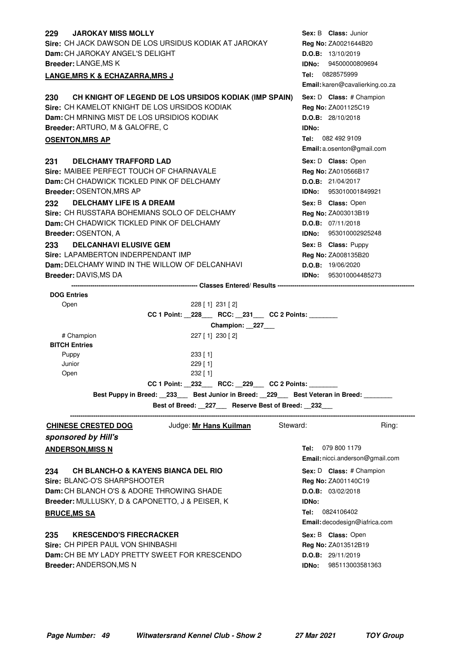| <b>JAROKAY MISS MOLLY</b><br>229                                                | Sex: B Class: Junior                                     |
|---------------------------------------------------------------------------------|----------------------------------------------------------|
| Sire: CH JACK DAWSON DE LOS URSIDUS KODIAK AT JAROKAY                           | Reg No: ZA0021644B20                                     |
| Dam: CH JAROKAY ANGEL'S DELIGHT<br>Breeder: LANGE, MS K                         | D.O.B: 13/10/2019<br><b>IDNo:</b> 94500000809694         |
|                                                                                 | Tel: 0828575999                                          |
| <b>LANGE, MRS K &amp; ECHAZARRA, MRS J</b>                                      | Email: karen@cavalierking.co.za                          |
| CH KNIGHT OF LEGEND DE LOS URSIDOS KODIAK (IMP SPAIN)<br>230                    | Sex: D Class: # Champion                                 |
| Sire: CH KAMELOT KNIGHT DE LOS URSIDOS KODIAK                                   | Reg No: ZA001125C19                                      |
| Dam: CH MRNING MIST DE LOS URSIDIOS KODIAK                                      | D.O.B: 28/10/2018                                        |
| Breeder: ARTURO, M & GALOFRE, C                                                 | <b>IDNo:</b>                                             |
| <b>OSENTON, MRS AP</b>                                                          | <b>Tel:</b> 082 492 9109                                 |
|                                                                                 | Email: a.osenton@gmail.com                               |
| <b>DELCHAMY TRAFFORD LAD</b><br>231                                             | Sex: D Class: Open                                       |
| Sire: MAIBEE PERFECT TOUCH OF CHARNAVALE                                        | Reg No: ZA010566B17                                      |
| Dam: CH CHADWICK TICKLED PINK OF DELCHAMY                                       | D.O.B: 21/04/2017                                        |
| <b>Breeder: OSENTON, MRS AP</b>                                                 | <b>IDNo:</b> 953010001849921                             |
| 232<br><b>DELCHAMY LIFE IS A DREAM</b>                                          | Sex: B Class: Open                                       |
| Sire: CH RUSSTARA BOHEMIANS SOLO OF DELCHAMY                                    | Reg No: ZA003013B19                                      |
| Dam: CH CHADWICK TICKLED PINK OF DELCHAMY                                       | D.O.B: 07/11/2018                                        |
| Breeder: OSENTON, A                                                             | IDNo: 953010002925248                                    |
| <b>DELCANHAVI ELUSIVE GEM</b><br>233                                            | Sex: B Class: Puppy                                      |
| Sire: LAPAMBERTON INDERPENDANT IMP                                              | Reg No: ZA008135B20                                      |
| Dam: DELCHAMY WIND IN THE WILLOW OF DELCANHAVI                                  | D.O.B: 19/06/2020                                        |
| <b>Breeder: DAVIS, MS DA</b>                                                    | <b>IDNo:</b> 953010004485273                             |
|                                                                                 |                                                          |
| <b>DOG Entries</b><br>228 [ 1] 231 [ 2]                                         |                                                          |
| Open<br>CC 1 Point: _228___ RCC: _231___ CC 2 Points: ______                    |                                                          |
| Champion: 227_                                                                  |                                                          |
| # Champion<br>227 [1] 230 [2]                                                   |                                                          |
| <b>BITCH Entries</b>                                                            |                                                          |
| 233 [1]<br>Puppy                                                                |                                                          |
| Junior<br>229 [1]                                                               |                                                          |
| 232 [ 1]<br>Open                                                                |                                                          |
| CC 1 Point: _232___ RCC: _229___ CC 2 Points: ______                            |                                                          |
| Best Puppy in Breed: 233 Best Junior in Breed: 229 Best Veteran in Breed:       |                                                          |
| Best of Breed: _227__ Reserve Best of Breed: _232__                             |                                                          |
| Judge: Mr Hans Kuilman Steward:<br><b>CHINESE CRESTED DOG</b>                   | Ring:                                                    |
| sponsored by Hill's                                                             |                                                          |
| <b>ANDERSON, MISS N</b>                                                         | Tel: 079 800 1179                                        |
|                                                                                 | Email: nicci.anderson@gmail.com                          |
| 234<br><b>CH BLANCH-O &amp; KAYENS BIANCA DEL RIO</b>                           | Sex: D Class: # Champion                                 |
|                                                                                 | Reg No: ZA001140C19                                      |
|                                                                                 |                                                          |
| Sire: BLANC-O'S SHARPSHOOTER                                                    |                                                          |
| <b>Dam:</b> CH BLANCH O'S & ADORE THROWING SHADE                                | D.O.B: 03/02/2018                                        |
| Breeder: MULLUSKY, D & CAPONETTO, J & PEISER, K                                 | <b>IDNo:</b><br><b>Tel:</b> 0824106402                   |
| <b>BRUCE, MS SA</b>                                                             |                                                          |
|                                                                                 | Email: decodesign@iafrica.com                            |
| <b>KRESCENDO'S FIRECRACKER</b><br>235                                           | Sex: B Class: Open                                       |
| Sire: CH PIPER PAUL VON SHINBASHI                                               | Reg No: ZA013512B19                                      |
| Dam: CH BE MY LADY PRETTY SWEET FOR KRESCENDO<br><b>Breeder: ANDERSON, MS N</b> | <b>D.O.B:</b> 29/11/2019<br><b>IDNo:</b> 985113003581363 |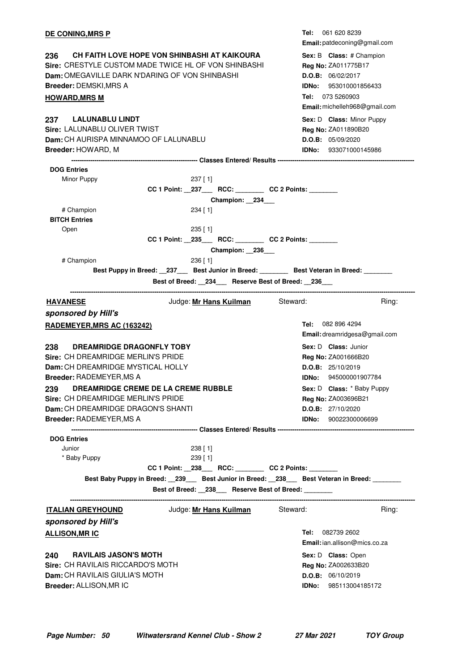| <b>DE CONING, MRS P</b>                                                                                                                                                                                         |                                                                                                  | 061 620 8239<br>Tel:<br>Email: patdeconing@gmail.com                                                                                                      |
|-----------------------------------------------------------------------------------------------------------------------------------------------------------------------------------------------------------------|--------------------------------------------------------------------------------------------------|-----------------------------------------------------------------------------------------------------------------------------------------------------------|
| CH FAITH LOVE HOPE VON SHINBASHI AT KAIKOURA<br>236<br>Sire: CRESTYLE CUSTOM MADE TWICE HL OF VON SHINBASHI<br>Dam: OMEGAVILLE DARK N'DARING OF VON SHINBASHI<br>Breeder: DEMSKI, MRS A<br><b>HOWARD, MRS M</b> |                                                                                                  | Sex: B Class: # Champion<br>Reg No: ZA011775B17<br>D.O.B: 06/02/2017<br><b>IDNo:</b> 953010001856433<br>Tel: 073 5260903<br>Email: michelleh968@gmail.com |
| <b>LALUNABLU LINDT</b><br>237<br>Sire: LALUNABLU OLIVER TWIST<br>Dam: CH AURISPA MINNAMOO OF LALUNABLU<br>Breeder: HOWARD, M                                                                                    |                                                                                                  | Sex: D Class: Minor Puppy<br>Reg No: ZA011890B20<br>D.O.B: 05/09/2020<br><b>IDNo:</b> 933071000145986                                                     |
|                                                                                                                                                                                                                 |                                                                                                  |                                                                                                                                                           |
| <b>DOG Entries</b>                                                                                                                                                                                              |                                                                                                  |                                                                                                                                                           |
| Minor Puppy                                                                                                                                                                                                     | $237$ [ 1]                                                                                       |                                                                                                                                                           |
|                                                                                                                                                                                                                 | CC 1 Point: _237___ RCC: _______ CC 2 Points: ______                                             |                                                                                                                                                           |
|                                                                                                                                                                                                                 | Champion: 234                                                                                    |                                                                                                                                                           |
| # Champion                                                                                                                                                                                                      | $234$ [ 1]                                                                                       |                                                                                                                                                           |
| <b>BITCH Entries</b>                                                                                                                                                                                            |                                                                                                  |                                                                                                                                                           |
| Open                                                                                                                                                                                                            | $235$ [ 1]                                                                                       |                                                                                                                                                           |
|                                                                                                                                                                                                                 | CC 1 Point: _235___ RCC: _______ CC 2 Points: ______                                             |                                                                                                                                                           |
|                                                                                                                                                                                                                 | Champion: 236                                                                                    |                                                                                                                                                           |
| # Champion                                                                                                                                                                                                      |                                                                                                  |                                                                                                                                                           |
|                                                                                                                                                                                                                 | $236$ [ 1]                                                                                       |                                                                                                                                                           |
|                                                                                                                                                                                                                 | Best Puppy in Breed: __237___ Best Junior in Breed: ________ Best Veteran in Breed: _______      |                                                                                                                                                           |
|                                                                                                                                                                                                                 | Best of Breed: 234 Reserve Best of Breed: 236                                                    |                                                                                                                                                           |
| <b>HAVANESE</b>                                                                                                                                                                                                 | Judge: Mr Hans Kuilman Steward:                                                                  | Ring:                                                                                                                                                     |
|                                                                                                                                                                                                                 |                                                                                                  |                                                                                                                                                           |
| sponsored by Hill's                                                                                                                                                                                             |                                                                                                  |                                                                                                                                                           |
|                                                                                                                                                                                                                 |                                                                                                  | Tel: 082 896 4294                                                                                                                                         |
| <b>RADEMEYER, MRS AC (163242)</b>                                                                                                                                                                               |                                                                                                  |                                                                                                                                                           |
|                                                                                                                                                                                                                 |                                                                                                  | Email: dreamridgesa@gmail.com                                                                                                                             |
| 238<br><b>DREAMRIDGE DRAGONFLY TOBY</b>                                                                                                                                                                         |                                                                                                  | Sex: D Class: Junior                                                                                                                                      |
| Sire: CH DREAMRIDGE MERLIN'S PRIDE                                                                                                                                                                              |                                                                                                  | <b>Reg No: ZA001666B20</b>                                                                                                                                |
| Dam: CH DREAMRIDGE MYSTICAL HOLLY                                                                                                                                                                               |                                                                                                  | D.O.B: 25/10/2019                                                                                                                                         |
| <b>Breeder: RADEMEYER, MS A</b>                                                                                                                                                                                 |                                                                                                  | <b>IDNo:</b> 945000001907784                                                                                                                              |
| 239<br><b>DREAMRIDGE CREME DE LA CREME RUBBLE</b>                                                                                                                                                               |                                                                                                  | Sex: D Class: * Baby Puppy                                                                                                                                |
| Sire: CH DREAMRIDGE MERLIN'S PRIDE                                                                                                                                                                              |                                                                                                  | <b>Reg No: ZA003696B21</b>                                                                                                                                |
| Dam: CH DREAMRIDGE DRAGON'S SHANTI                                                                                                                                                                              |                                                                                                  | D.O.B: 27/10/2020                                                                                                                                         |
| <b>Breeder: RADEMEYER, MS A</b>                                                                                                                                                                                 |                                                                                                  | <b>IDNo: 90022300006699</b>                                                                                                                               |
|                                                                                                                                                                                                                 |                                                                                                  |                                                                                                                                                           |
| <b>DOG Entries</b>                                                                                                                                                                                              |                                                                                                  |                                                                                                                                                           |
| Junior                                                                                                                                                                                                          | $238$ [1]                                                                                        |                                                                                                                                                           |
| * Baby Puppy                                                                                                                                                                                                    | $239$ [ 1]                                                                                       |                                                                                                                                                           |
|                                                                                                                                                                                                                 |                                                                                                  |                                                                                                                                                           |
|                                                                                                                                                                                                                 | CC 1 Point: 238 RCC: CC 2 Points:                                                                |                                                                                                                                                           |
|                                                                                                                                                                                                                 | Best Baby Puppy in Breed: __239___ Best Junior in Breed: __238___ Best Veteran in Breed: _______ |                                                                                                                                                           |
|                                                                                                                                                                                                                 | Best of Breed: _238__ Reserve Best of Breed: _______                                             |                                                                                                                                                           |
| <b>ITALIAN GREYHOUND</b>                                                                                                                                                                                        | Steward:<br>Judge: <b>Mr Hans Kuilman</b>                                                        | Ring:                                                                                                                                                     |
|                                                                                                                                                                                                                 |                                                                                                  |                                                                                                                                                           |
| sponsored by Hill's                                                                                                                                                                                             |                                                                                                  |                                                                                                                                                           |
| <b>ALLISON, MRIC</b>                                                                                                                                                                                            |                                                                                                  | Tel: 082739 2602                                                                                                                                          |
|                                                                                                                                                                                                                 |                                                                                                  | <b>Email:</b> ian.allison@mics.co.za                                                                                                                      |
| <b>RAVILAIS JASON'S MOTH</b><br>240                                                                                                                                                                             |                                                                                                  | Sex: D Class: Open                                                                                                                                        |
| <b>Sire: CH RAVILAIS RICCARDO'S MOTH</b>                                                                                                                                                                        |                                                                                                  | Reg No: ZA002633B20                                                                                                                                       |
| Dam: CH RAVILAIS GIULIA'S MOTH                                                                                                                                                                                  |                                                                                                  | D.O.B: 06/10/2019                                                                                                                                         |
| Breeder: ALLISON, MR IC                                                                                                                                                                                         |                                                                                                  | <b>IDNo:</b> 985113004185172                                                                                                                              |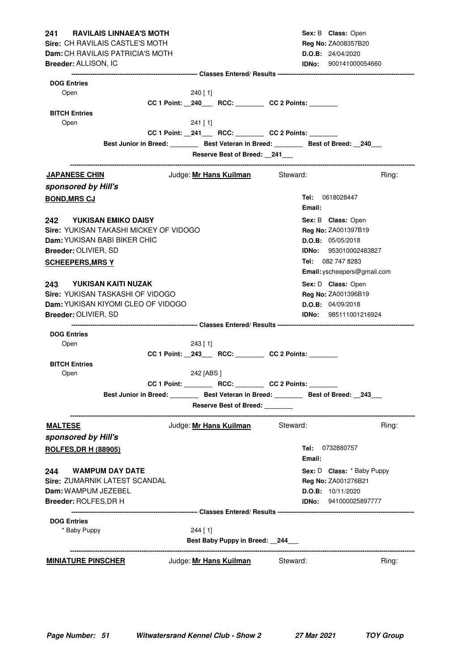| <b>RAVILAIS LINNAEA'S MOTH</b><br>241 — |                        |                                 |                                                      | Sex: B Class: Open                                                                        |
|-----------------------------------------|------------------------|---------------------------------|------------------------------------------------------|-------------------------------------------------------------------------------------------|
| Sire: CH RAVILAIS CASTLE'S MOTH         |                        |                                 |                                                      | Reg No: ZA008357B20                                                                       |
| Dam: CH RAVILAIS PATRICIA'S MOTH        |                        |                                 |                                                      | D.O.B: 24/04/2020                                                                         |
| Breeder: ALLISON, IC                    |                        |                                 |                                                      | <b>IDNo:</b> 900141000054660                                                              |
|                                         |                        |                                 |                                                      |                                                                                           |
| <b>DOG Entries</b><br>Open              | 240 [1]                |                                 |                                                      |                                                                                           |
|                                         |                        |                                 | CC 1 Point: _240___ RCC: _______ CC 2 Points: ______ |                                                                                           |
| <b>BITCH Entries</b>                    |                        |                                 |                                                      |                                                                                           |
| Open                                    | 241 [1]                |                                 |                                                      |                                                                                           |
|                                         |                        |                                 | CC 1 Point: _241___ RCC: _______ CC 2 Points: ______ |                                                                                           |
|                                         |                        |                                 |                                                      | Best Junior in Breed: Best Veteran in Breed: Best of Breed: 240                           |
|                                         |                        | Reserve Best of Breed: 241      |                                                      |                                                                                           |
|                                         |                        |                                 |                                                      | Ring:                                                                                     |
| <b>JAPANESE CHIN</b>                    |                        | Judge: Mr Hans Kuilman Steward: |                                                      |                                                                                           |
| sponsored by Hill's                     |                        |                                 |                                                      |                                                                                           |
| <b>BOND, MRS CJ</b>                     |                        |                                 | Email:                                               | <b>Tel:</b> 0618028447                                                                    |
| 242 YUKISAN EMIKO DAISY                 |                        |                                 |                                                      | Sex: B Class: Open                                                                        |
| Sire: YUKISAN TAKASHI MICKEY OF VIDOGO  |                        |                                 |                                                      | Reg No: ZA001397B19                                                                       |
| <b>Dam:</b> YUKISAN BABI BIKER CHIC     |                        |                                 |                                                      | D.O.B: 05/05/2018                                                                         |
| Breeder: OLIVIER, SD                    |                        |                                 |                                                      | <b>IDNo:</b> 953010002483827                                                              |
| <b>SCHEEPERS, MRS Y</b>                 |                        |                                 |                                                      | Tel: 082 747 8283                                                                         |
|                                         |                        |                                 |                                                      | Email: yscheepers@gmail.com                                                               |
| 243 YUKISAN KAITI NUZAK                 |                        |                                 |                                                      | Sex: D Class: Open                                                                        |
| Sire: YUKISAN TASKASHI OF VIDOGO        |                        |                                 |                                                      | Reg No: ZA001396B19                                                                       |
| Dam: YUKISAN KIYOMI CLEO OF VIDOGO      |                        |                                 |                                                      | D.O.B: 04/09/2018                                                                         |
| Breeder: OLIVIER, SD                    |                        |                                 |                                                      | <b>IDNo:</b> 985111001216924                                                              |
|                                         |                        |                                 |                                                      |                                                                                           |
| <b>DOG Entries</b>                      |                        |                                 |                                                      |                                                                                           |
| Open                                    | $243$ [1]              |                                 |                                                      |                                                                                           |
|                                         |                        |                                 | CC 1 Point: _243___ RCC: _______ CC 2 Points: ______ |                                                                                           |
| <b>BITCH Entries</b>                    |                        |                                 |                                                      |                                                                                           |
| Open                                    | 242 [ABS ]             |                                 |                                                      |                                                                                           |
|                                         | <b>CC 1 Point:</b>     | RCC:                            | <b>CC 2 Points:</b>                                  |                                                                                           |
|                                         |                        |                                 |                                                      | Best Junior in Breed: __________ Best Veteran in Breed: _________ Best of Breed: __243___ |
|                                         |                        | Reserve Best of Breed: ______   |                                                      |                                                                                           |
| <u>MALTESE</u>                          | Judge: Mr Hans Kuilman |                                 | Steward:                                             | Ring:                                                                                     |
| sponsored by Hill's                     |                        |                                 |                                                      |                                                                                           |
| <b>ROLFES, DR H (88905)</b>             |                        |                                 | Email:                                               | <b>Tel:</b> 0732880757                                                                    |
| <b>WAMPUM DAY DATE</b><br>244           |                        |                                 |                                                      | Sex: D Class: * Baby Puppy                                                                |
| Sire: ZUMARNIK LATEST SCANDAL           |                        |                                 |                                                      | Reg No: ZA001276B21                                                                       |
| Dam: WAMPUM JEZEBEL                     |                        |                                 |                                                      | D.O.B: 10/11/2020                                                                         |
| <b>Breeder: ROLFES, DR H</b>            |                        |                                 |                                                      | IDNo: 941000025897777                                                                     |
|                                         |                        |                                 |                                                      |                                                                                           |
| <b>DOG Entries</b>                      |                        |                                 |                                                      |                                                                                           |
| * Baby Puppy                            | $244$ [1]              |                                 |                                                      |                                                                                           |
|                                         |                        | Best Baby Puppy in Breed: 244   |                                                      |                                                                                           |
| <b>MINIATURE PINSCHER</b>               | Judge: Mr Hans Kuilman |                                 | Steward:                                             | Ring:                                                                                     |
|                                         |                        |                                 |                                                      |                                                                                           |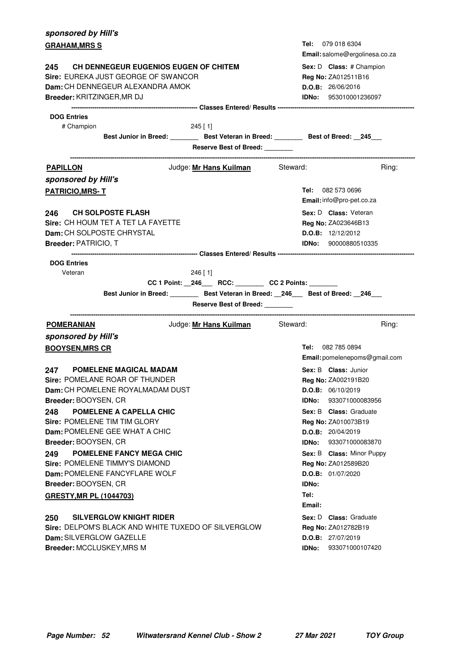| sponsored by Hill's                                                                                                      |                                                           |
|--------------------------------------------------------------------------------------------------------------------------|-----------------------------------------------------------|
| <b>GRAHAM, MRS S</b>                                                                                                     | Tel: 079 018 6304<br>Email: salome@ergolinesa.co.za       |
| <b>CH DENNEGEUR EUGENIOS EUGEN OF CHITEM</b><br>245                                                                      | Sex: D Class: # Champion                                  |
| Sire: EUREKA JUST GEORGE OF SWANCOR                                                                                      | Reg No: ZA012511B16                                       |
| <b>Dam:</b> CH DENNEGEUR ALEXANDRA AMOK                                                                                  | D.O.B: 26/06/2016                                         |
| Breeder: KRITZINGER, MR DJ                                                                                               | <b>IDNo:</b> 953010001236097                              |
|                                                                                                                          |                                                           |
| <b>DOG Entries</b>                                                                                                       |                                                           |
| # Champion<br>$245$ [ 1]                                                                                                 |                                                           |
| Best Junior in Breed: __________ Best Veteran in Breed: _________ Best of Breed: __245___                                |                                                           |
| Reserve Best of Breed:                                                                                                   |                                                           |
| Judge: Mr Hans Kuilman Steward:<br><b>PAPILLON</b>                                                                       | Ring:                                                     |
| sponsored by Hill's                                                                                                      |                                                           |
| <b>PATRICIO, MRS-T</b>                                                                                                   | <b>Tel:</b> 082 573 0696                                  |
|                                                                                                                          | Email: info@pro-pet.co.za                                 |
| 246 CH SOLPOSTE FLASH                                                                                                    | Sex: D Class: Veteran                                     |
| Sire: CH HOUM TET A TET LA FAYETTE                                                                                       | <b>Reg No: ZA023646B13</b>                                |
| Dam: CH SOLPOSTE CHRYSTAL                                                                                                | D.O.B: 12/12/2012                                         |
| Breeder: PATRICIO, T                                                                                                     | <b>IDNo:</b> 90000880510335                               |
|                                                                                                                          |                                                           |
| <b>DOG Entries</b><br>Veteran<br>$246$ [ 1]<br>CC 1 Point: _246___ RCC: _______ CC 2 Points: ______                      |                                                           |
|                                                                                                                          |                                                           |
| Best Junior in Breed: ________ Best Veteran in Breed: __246___ Best of Breed: __246___<br>Reserve Best of Breed: _______ |                                                           |
| Judge: Mr Hans Kuilman Steward:<br><b>POMERANIAN</b>                                                                     | Ring:                                                     |
| sponsored by Hill's                                                                                                      |                                                           |
| <b>BOOYSEN, MRS CR</b>                                                                                                   | <b>Tel:</b> 082 785 0894<br>Email: pomelenepoms@gmail.com |
| 247<br><b>POMELENE MAGICAL MADAM</b>                                                                                     | Sex: B Class: Junior                                      |
| Sire: POMELANE ROAR OF THUNDER                                                                                           | <b>Reg No: ZA002191B20</b>                                |
| Dam: CH POMELENE ROYALMADAM DUST                                                                                         | D.O.B: 06/10/2019                                         |
| Breeder: BOOYSEN, CR                                                                                                     | 933071000083956<br>IDNo:                                  |
| <b>POMELENE A CAPELLA CHIC</b><br>248                                                                                    | <b>Sex: B Class: Graduate</b>                             |
| Sire: POMELENE TIM TIM GLORY                                                                                             | Reg No: ZA010073B19                                       |
| Dam: POMELENE GEE WHAT A CHIC                                                                                            | D.O.B: 20/04/2019                                         |
| Breeder: BOOYSEN, CR                                                                                                     | IDNo:<br>933071000083870                                  |
| POMELENE FANCY MEGA CHIC<br>249                                                                                          | Sex: B Class: Minor Puppy                                 |
| Sire: POMELENE TIMMY'S DIAMOND                                                                                           | Reg No: ZA012589B20                                       |
| Dam: POMELENE FANCYFLARE WOLF                                                                                            | D.O.B: 01/07/2020                                         |
| Breeder: BOOYSEN, CR                                                                                                     | <b>IDNo:</b>                                              |
| GRESTY, MR PL (1044703)                                                                                                  | Tel:<br>Email:                                            |
| <b>SILVERGLOW KNIGHT RIDER</b><br>250                                                                                    | Sex: D Class: Graduate                                    |
| Sire: DELPOM'S BLACK AND WHITE TUXEDO OF SILVERGLOW                                                                      | Reg No: ZA012782B19                                       |
| Dam: SILVERGLOW GAZELLE                                                                                                  | D.O.B: 27/07/2019                                         |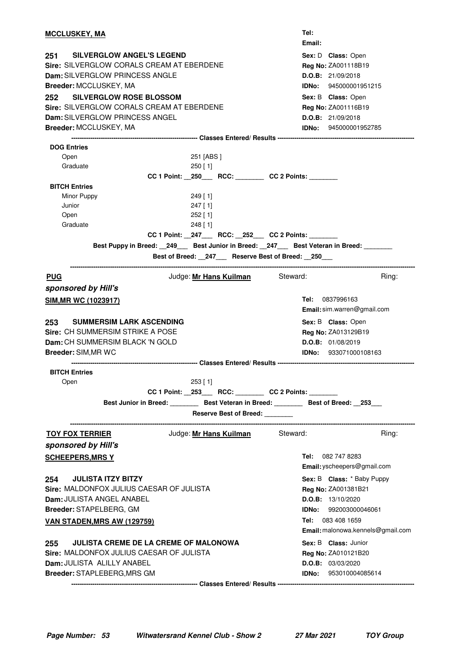| <u>MCCLUSKEY, MA</u>                                                                                                   | Tel:<br>Email:                                                                           |
|------------------------------------------------------------------------------------------------------------------------|------------------------------------------------------------------------------------------|
| 251<br><b>SILVERGLOW ANGEL'S LEGEND</b><br>Sire: SILVERGLOW CORALS CREAM AT EBERDENE<br>Dam: SILVERGLOW PRINCESS ANGLE | Sex: D Class: Open<br>Reg No: ZA001118B19<br>D.O.B: 21/09/2018                           |
| <b>Breeder: MCCLUSKEY, MA</b>                                                                                          | <b>IDNo:</b> 945000001951215                                                             |
| <b>SILVERGLOW ROSE BLOSSOM</b><br>252                                                                                  | Sex: B Class: Open                                                                       |
| Sire: SILVERGLOW CORALS CREAM AT EBERDENE                                                                              | Reg No: ZA001116B19                                                                      |
| Dam: SILVERGLOW PRINCESS ANGEL                                                                                         | D.O.B: 21/09/2018                                                                        |
| Breeder: MCCLUSKEY, MA                                                                                                 | <b>IDNo: 945000001952785</b>                                                             |
|                                                                                                                        |                                                                                          |
| <b>DOG Entries</b>                                                                                                     |                                                                                          |
| Open<br>251 [ABS ]                                                                                                     |                                                                                          |
| Graduate<br>$250$ [ 1]                                                                                                 |                                                                                          |
|                                                                                                                        | CC 1 Point: _250___ RCC: _______ CC 2 Points: ______                                     |
| <b>BITCH Entries</b>                                                                                                   |                                                                                          |
| Minor Puppy<br>$249$ [1]                                                                                               |                                                                                          |
| Junior<br>$247$ [1]                                                                                                    |                                                                                          |
| $252$ [1]<br>Open                                                                                                      |                                                                                          |
| Graduate<br>248 [ 1]                                                                                                   |                                                                                          |
|                                                                                                                        | CC 1 Point: _247___ RCC: _252__ CC 2 Points: ______                                      |
|                                                                                                                        | Best Puppy in Breed: _249__ Best Junior in Breed: _247__ Best Veteran in Breed: ______   |
|                                                                                                                        | Best of Breed: 247 Reserve Best of Breed: 250                                            |
| <b>PUG</b>                                                                                                             | Judge: Mr Hans Kuilman Steward:<br>Ring:                                                 |
| sponsored by Hill's                                                                                                    |                                                                                          |
| <b>SIM, MR WC (1023917)</b>                                                                                            | <b>Tel:</b> 0837996163                                                                   |
|                                                                                                                        | Email: sim.warren@gmail.com                                                              |
|                                                                                                                        |                                                                                          |
| 253<br><b>SUMMERSIM LARK ASCENDING</b>                                                                                 | Sex: B Class: Open                                                                       |
| Sire: CH SUMMERSIM STRIKE A POSE                                                                                       | Reg No: ZA013129B19                                                                      |
| Dam: CH SUMMERSIM BLACK 'N GOLD                                                                                        | D.O.B: 01/08/2019                                                                        |
| Breeder: SIM, MR WC                                                                                                    | <b>IDNo:</b> 933071000108163                                                             |
|                                                                                                                        | --------------------------------- Classes Entered/ Results ----------------------------- |
| <b>BITCH Entries</b>                                                                                                   |                                                                                          |
| 253 [1]<br>Open                                                                                                        |                                                                                          |
|                                                                                                                        | CC 1 Point: _253___ RCC: _______ CC 2 Points: ______                                     |
|                                                                                                                        | Best Junior in Breed: Best Veteran in Breed: Best of Breed: 253                          |
|                                                                                                                        | Reserve Best of Breed:                                                                   |
| <b>TOY FOX TERRIER</b>                                                                                                 | Judge: Mr Hans Kuilman Steward:<br>Ring:                                                 |
|                                                                                                                        |                                                                                          |
| sponsored by Hill's                                                                                                    |                                                                                          |
| <b>SCHEEPERS, MRS Y</b>                                                                                                | Tel: 082 747 8283<br>Email: yscheepers@gmail.com                                         |
| <b>JULISTA ITZY BITZY</b><br>254                                                                                       | Sex: B Class: * Baby Puppy                                                               |
| Sire: MALDONFOX JULIUS CAESAR OF JULISTA                                                                               | Reg No: ZA001381B21                                                                      |
| Dam: JULISTA ANGEL ANABEL                                                                                              |                                                                                          |
|                                                                                                                        | D.O.B: 13/10/2020                                                                        |
| Breeder: STAPELBERG, GM                                                                                                | <b>IDNo:</b> 992003000046061                                                             |
| <b>VAN STADEN, MRS AW (129759)</b>                                                                                     | Tel: 083 408 1659                                                                        |
|                                                                                                                        | Email: malonowa.kennels@gmail.com                                                        |
| <b>JULISTA CREME DE LA CREME OF MALONOWA</b><br>255                                                                    | Sex: B Class: Junior                                                                     |
| Sire: MALDONFOX JULIUS CAESAR OF JULISTA                                                                               | <b>Reg No: ZA010121B20</b>                                                               |
| Dam: JULISTA ALILLY ANABEL                                                                                             | D.O.B: 03/03/2020                                                                        |
| Breeder: STAPLEBERG, MRS GM                                                                                            | <b>IDNo:</b> 953010004085614                                                             |
|                                                                                                                        |                                                                                          |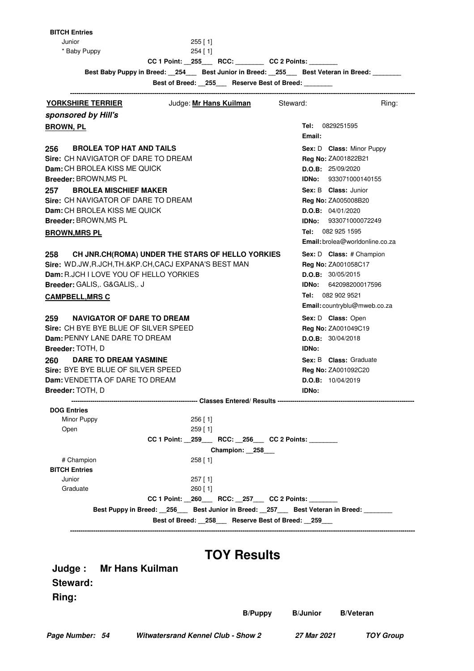Junior 255 [ 1] \* Baby Puppy 254 [ 1]

| ×<br>۰.<br>× |  |  |
|--------------|--|--|
|              |  |  |

**CC 1 Point: \_\_255\_\_\_ RCC: \_\_\_\_\_\_\_\_ CC 2 Points: \_\_\_\_\_\_\_\_**

Best Baby Puppy in Breed: \_\_254\_\_\_ Best Junior in Breed: \_\_255\_\_\_ Best Veteran in Breed: \_\_\_\_\_

**Best of Breed: 255 Reserve Best of Breed:** 

| Judge: Mr Hans Kuilman<br><b>YORKSHIRE TERRIER</b>                                                                                 | Steward:<br>Ring:               |
|------------------------------------------------------------------------------------------------------------------------------------|---------------------------------|
| sponsored by Hill's                                                                                                                |                                 |
| <b>BROWN, PL</b>                                                                                                                   | 0829251595<br>Tel:              |
|                                                                                                                                    | Email:                          |
| <b>BROLEA TOP HAT AND TAILS</b><br>256                                                                                             | Sex: D Class: Minor Puppy       |
| Sire: CH NAVIGATOR OF DARE TO DREAM                                                                                                | Reg No: ZA001822B21             |
| Dam: CH BROLEA KISS ME QUICK                                                                                                       | D.O.B: 25/09/2020               |
| Breeder: BROWN, MS PL                                                                                                              | <b>IDNo: 933071000140155</b>    |
| <b>BROLEA MISCHIEF MAKER</b><br>257                                                                                                | <b>Sex: B Class: Junior</b>     |
| Sire: CH NAVIGATOR OF DARE TO DREAM                                                                                                | Reg No: ZA005008B20             |
| Dam: CH BROLEA KISS ME QUICK                                                                                                       | D.O.B: 04/01/2020               |
| Breeder: BROWN, MS PL                                                                                                              | IDNo: 933071000072249           |
| <b>BROWN, MRS PL</b>                                                                                                               | Tel: 082 925 1595               |
|                                                                                                                                    | Email: brolea@worldonline.co.za |
| CH JNR.CH(ROMA) UNDER THE STARS OF HELLO YORKIES<br>258                                                                            | Sex: D Class: # Champion        |
| Sire: WD.JW, R.JCH, TH.&KP.CH, CACJ EXPANA'S BEST MAN                                                                              | Reg No: ZA001058C17             |
| Dam: R.JCH I LOVE YOU OF HELLO YORKIES                                                                                             | D.O.B: 30/05/2015               |
| Breeder: GALIS,. G&GALIS,. J                                                                                                       | IDNo: 642098200017596           |
| <b>CAMPBELL, MRS C</b>                                                                                                             | Tel: 082 902 9521               |
|                                                                                                                                    | Email: countryblu@mweb.co.za    |
| <b>NAVIGATOR OF DARE TO DREAM</b><br>259                                                                                           | Sex: D Class: Open              |
| Sire: CH BYE BYE BLUE OF SILVER SPEED                                                                                              | Reg No: ZA001049C19             |
| <b>Dam: PENNY LANE DARE TO DREAM</b>                                                                                               | D.O.B: 30/04/2018               |
| Breeder: TOTH, D                                                                                                                   | <b>IDNo:</b>                    |
| <b>DARE TO DREAM YASMINE</b><br>260                                                                                                | <b>Sex: B Class: Graduate</b>   |
| Sire: BYE BYE BLUE OF SILVER SPEED                                                                                                 | Reg No: ZA001092C20             |
| <b>Dam: VENDETTA OF DARE TO DREAM</b>                                                                                              | D.O.B: 10/04/2019               |
| Breeder: TOTH, D                                                                                                                   | <b>IDNo:</b>                    |
|                                                                                                                                    |                                 |
| <b>DOG Entries</b>                                                                                                                 |                                 |
| Minor Puppy<br>$256$ [ 1]                                                                                                          |                                 |
| $259$ [1]<br>Open                                                                                                                  |                                 |
| <b>CC 2 Points:</b><br>CC 1 Point:<br>259<br><b>RCC:</b><br>256                                                                    |                                 |
| Champion: 258                                                                                                                      |                                 |
| # Champion<br>258 [1]                                                                                                              |                                 |
| <b>BITCH Entries</b>                                                                                                               |                                 |
| Junior<br>$257$ [1]                                                                                                                |                                 |
| $260$ [ 1]<br>Graduate                                                                                                             |                                 |
| CC 1 Point: _260___ RCC: _257___ CC 2 Points: _______<br>Best Puppy in Breed: 256 Best Junior in Breed: 257 Best Veteran in Breed: |                                 |
|                                                                                                                                    |                                 |
| Best of Breed: 258___ Reserve Best of Breed: 259_                                                                                  |                                 |

#### **Steward:**

**Ring:**

**B/Puppy B/Junior**

**B/Veteran**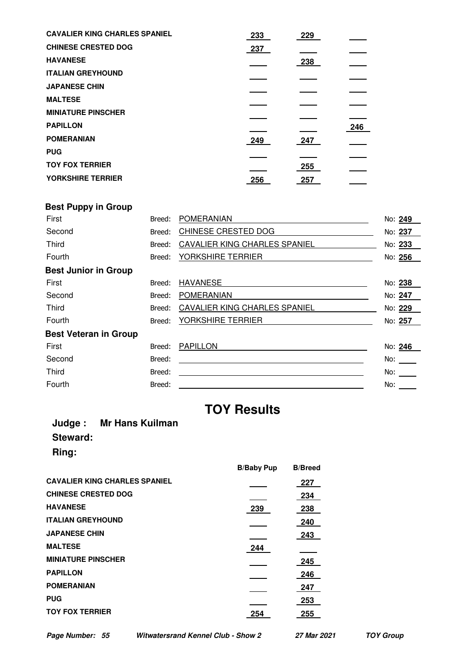| 246 |
|-----|
|     |
|     |
|     |
|     |
|     |

# **Best Puppy in Group**

| First                        | Breed: | <b>POMERANIAN</b>             | No: 249                                                                                                                                                                                                                        |
|------------------------------|--------|-------------------------------|--------------------------------------------------------------------------------------------------------------------------------------------------------------------------------------------------------------------------------|
| Second                       | Breed: | CHINESE CRESTED DOG           | No: 237                                                                                                                                                                                                                        |
| <b>Third</b>                 | Breed: | CAVALIER KING CHARLES SPANIEL | No: 233                                                                                                                                                                                                                        |
| Fourth                       | Breed: | YORKSHIRE TERRIER             | No: 256                                                                                                                                                                                                                        |
| <b>Best Junior in Group</b>  |        |                               |                                                                                                                                                                                                                                |
| First                        | Breed: | <b>HAVANESE</b>               | No: 238                                                                                                                                                                                                                        |
| Second                       | Breed: | <b>POMERANIAN</b>             | No: 247                                                                                                                                                                                                                        |
| <b>Third</b>                 | Breed: | CAVALIER KING CHARLES SPANIEL | No: 229                                                                                                                                                                                                                        |
| Fourth                       | Breed: | YORKSHIRE TERRIER             | No: 257                                                                                                                                                                                                                        |
| <b>Best Veteran in Group</b> |        |                               |                                                                                                                                                                                                                                |
| First                        | Breed: | <b>PAPILLON</b>               | No: 246                                                                                                                                                                                                                        |
| Second                       | Breed: |                               | No:                                                                                                                                                                                                                            |
| <b>Third</b>                 | Breed: |                               | No: logical control of the set of the set of the set of the set of the set of the set of the set of the set of the set of the set of the set of the set of the set of the set of the set of the set of the set of the set of t |
| Fourth                       | Breed: |                               | No:                                                                                                                                                                                                                            |

# **TOY Results**

#### **Judge : Mr Hans Kuilman Steward: Ring:**

|                                      | <b>B/Baby Pup</b> | <b>B/Breed</b> |
|--------------------------------------|-------------------|----------------|
| <b>CAVALIER KING CHARLES SPANIEL</b> |                   | 227            |
| <b>CHINESE CRESTED DOG</b>           |                   | 234            |
| <b>HAVANESE</b>                      | 239               | 238            |
| <b>ITALIAN GREYHOUND</b>             |                   | 240            |
| <b>JAPANESE CHIN</b>                 |                   | 243            |
| <b>MALTESE</b>                       | 244               |                |
| <b>MINIATURE PINSCHER</b>            |                   | 245            |
| <b>PAPILLON</b>                      |                   | 246            |
| <b>POMERANIAN</b>                    |                   | 247            |
| <b>PUG</b>                           |                   | 253            |
| <b>TOY FOX TERRIER</b>               | 254               | 255            |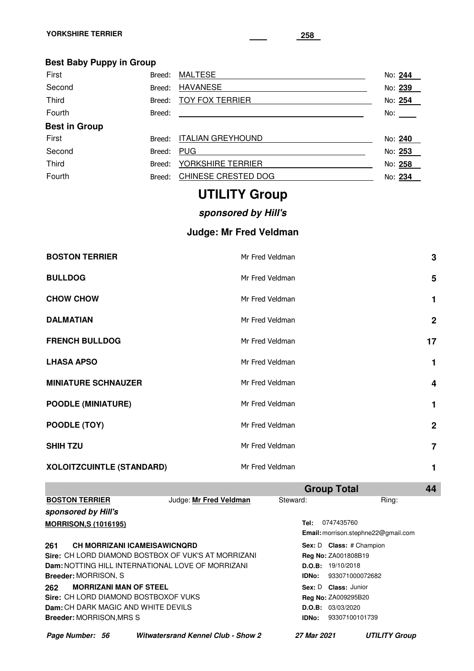### **Best Baby Puppy in Group**

| First                | Breed: | <b>MALTESE</b>           | No: 244 |  |
|----------------------|--------|--------------------------|---------|--|
| Second               | Breed: | <b>HAVANESE</b>          | No: 239 |  |
| <b>Third</b>         | Breed: | <b>TOY FOX TERRIER</b>   | No: 254 |  |
| Fourth               | Breed: |                          | No: No  |  |
| <b>Best in Group</b> |        |                          |         |  |
| First                | Breed: | <b>ITALIAN GREYHOUND</b> | No: 240 |  |
| Second               | Breed: | <b>PUG</b>               | No: 253 |  |
| Third                | Breed: | YORKSHIRE TERRIER        | No: 258 |  |
| Fourth               | Breed: | CHINESE CRESTED DOG      | No: 234 |  |

# **UTILITY Group**

### **sponsored by Hill's**

### **Judge: Mr Fred Veldman**

| <b>BOSTON TERRIER</b>      | Mr Fred Veldman | $\mathbf 3$     |
|----------------------------|-----------------|-----------------|
| <b>BULLDOG</b>             | Mr Fred Veldman | $5\phantom{.0}$ |
| <b>CHOW CHOW</b>           | Mr Fred Veldman | 1               |
| <b>DALMATIAN</b>           | Mr Fred Veldman | $\mathbf{2}$    |
| <b>FRENCH BULLDOG</b>      | Mr Fred Veldman | 17              |
| <b>LHASA APSO</b>          | Mr Fred Veldman | 1               |
| <b>MINIATURE SCHNAUZER</b> | Mr Fred Veldman | 4               |
| <b>POODLE (MINIATURE)</b>  | Mr Fred Veldman | 1               |
| POODLE (TOY)               | Mr Fred Veldman | $\mathbf{2}$    |
| <b>SHIH TZU</b>            | Mr Fred Veldman | $\overline{7}$  |
| XOLOITZCUINTLE (STANDARD)  | Mr Fred Veldman | 1               |

|                                 |                                                            |                                           |              | <b>Group Total</b>              |                                     | 44 |
|---------------------------------|------------------------------------------------------------|-------------------------------------------|--------------|---------------------------------|-------------------------------------|----|
| <b>BOSTON TERRIER</b>           |                                                            | Judge: Mr Fred Veldman                    | Steward:     |                                 | Ring:                               |    |
| sponsored by Hill's             |                                                            |                                           |              |                                 |                                     |    |
| <b>MORRISON, S (1016195)</b>    |                                                            |                                           | Tel:         | 0747435760                      |                                     |    |
|                                 |                                                            |                                           |              |                                 | Email: morrison.stephne22@gmail.com |    |
| 261                             | CH MORRIZANI ICAMEISAWICNQRD                               |                                           |              | <b>Sex: D Class:</b> # Champion |                                     |    |
|                                 | <b>Sire: CH LORD DIAMOND BOSTBOX OF VUK'S AT MORRIZANI</b> |                                           |              | Reg No: ZA001808B19             |                                     |    |
|                                 | <b>Dam: NOTTING HILL INTERNATIONAL LOVE OF MORRIZANI</b>   |                                           | D.O.B:       | 19/10/2018                      |                                     |    |
| <b>Breeder: MORRISON, S</b>     |                                                            |                                           | <b>IDNo:</b> | 933071000072682                 |                                     |    |
| 262                             | <b>MORRIZANI MAN OF STEEL</b>                              |                                           |              | Sex: D Class: Junior            |                                     |    |
|                                 | Sire: CH LORD DIAMOND BOSTBOXOF VUKS                       |                                           |              | Reg No: ZA009295B20             |                                     |    |
|                                 | Dam: CH DARK MAGIC AND WHITE DEVILS                        |                                           |              | D.O.B: 03/03/2020               |                                     |    |
| <b>Breeder: MORRISON, MRS S</b> |                                                            |                                           | <b>IDNo:</b> | 93307100101739                  |                                     |    |
| Page Number: 56                 |                                                            | <b>Witwatersrand Kennel Club - Show 2</b> | 27 Mar 2021  |                                 | <b>UTILITY Group</b>                |    |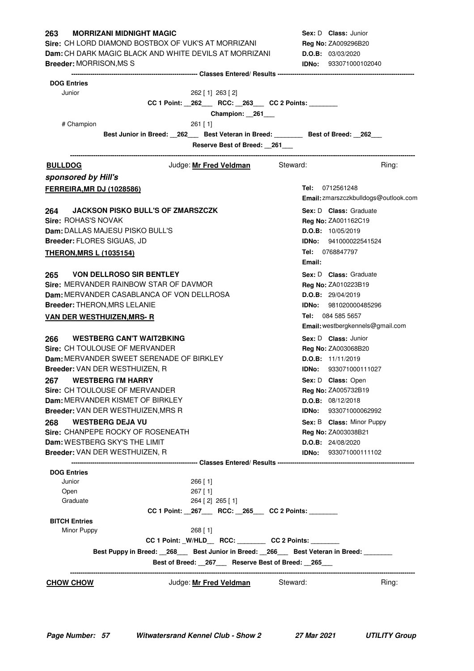| <b>MORRIZANI MIDNIGHT MAGIC</b><br>263                                                   | <b>Sex: D Class: Junior</b>          |
|------------------------------------------------------------------------------------------|--------------------------------------|
| <b>Sire: CH LORD DIAMOND BOSTBOX OF VUK'S AT MORRIZANI</b>                               | <b>Reg No: ZA009296B20</b>           |
| <b>Dam:</b> CH DARK MAGIC BLACK AND WHITE DEVILS AT MORRIZANI                            | D.O.B: 03/03/2020                    |
| <b>Breeder: MORRISON, MS S</b>                                                           | <b>IDNo:</b> 933071000102040         |
| <b>DOG Entries</b>                                                                       |                                      |
| Junior<br>262 [ 1] 263 [ 2]                                                              |                                      |
| CC 1 Point: _262___ RCC: _263___ CC 2 Points: _______                                    |                                      |
| Champion: 261                                                                            |                                      |
| # Champion<br>$261$ [1]                                                                  |                                      |
| Best Junior in Breed: 262 Best Veteran in Breed: ________ Best of Breed: 262             |                                      |
| Reserve Best of Breed: 261                                                               |                                      |
| Judge: <b>Mr Fred Veldman</b> Steward:<br><b>BULLDOG</b>                                 | Ring:                                |
| sponsored by Hill's                                                                      |                                      |
| <b>FERREIRA, MR DJ (1028586)</b>                                                         | Tel: 0712561248                      |
|                                                                                          | Email: zmarszczkbulldogs@outlook.com |
| <b>JACKSON PISKO BULL'S OF ZMARSZCZK</b><br>264                                          | Sex: D Class: Graduate               |
| Sire: ROHAS'S NOVAK                                                                      | Reg No: ZA001162C19                  |
| Dam: DALLAS MAJESU PISKO BULL'S                                                          | <b>D.O.B:</b> 10/05/2019             |
| Breeder: FLORES SIGUAS, JD                                                               | <b>IDNo:</b> 941000022541524         |
|                                                                                          | Tel: 0768847797                      |
| <b>THERON, MRS L (1035154)</b>                                                           | Email:                               |
| 265 VON DELLROSO SIR BENTLEY                                                             | <b>Sex: D Class:</b> Graduate        |
| Sire: MERVANDER RAINBOW STAR OF DAVMOR                                                   | <b>Reg No: ZA010223B19</b>           |
| Dam: MERVANDER CASABLANCA OF VON DELLROSA                                                | D.O.B: 29/04/2019                    |
| <b>Breeder: THERON, MRS LELANIE</b>                                                      | <b>IDNo:</b> 981020000485296         |
| <b>VAN DER WESTHUIZEN, MRS- R</b>                                                        | Tel: 084 585 5657                    |
|                                                                                          | Email: westbergkennels@gmail.com     |
| <b>WESTBERG CAN'T WAIT2BKING</b><br>266                                                  | Sex: D Class: Junior                 |
| <b>Sire: CH TOULOUSE OF MERVANDER</b>                                                    | Reg No: ZA003068B20                  |
| Dam: MERVANDER SWEET SERENADE OF BIRKLEY                                                 | <b>D.O.B:</b> $11/11/2019$           |
| Breeder: VAN DER WESTHUIZEN, R                                                           | IDNo: 933071000111027                |
| 267 WESTBERG I'M HARRY                                                                   | Sex: D Class: Open                   |
| Sire: CH TOULOUSE OF MERVANDER                                                           | Reg No: ZA005732B19                  |
| Dam: MERVANDER KISMET OF BIRKLEY                                                         | D.O.B: 08/12/2018                    |
| Breeder: VAN DER WESTHUIZEN, MRS R                                                       | IDNo: 933071000062992                |
| <b>WESTBERG DEJA VU</b><br>268                                                           | Sex: B Class: Minor Puppy            |
| Sire: CHANPEPE ROCKY OF ROSENEATH                                                        | Reg No: ZA003038B21                  |
| Dam: WESTBERG SKY'S THE LIMIT                                                            | D.O.B: 24/08/2020                    |
|                                                                                          |                                      |
| Breeder: VAN DER WESTHUIZEN, R                                                           | <b>IDNo:</b> 933071000111102         |
| <b>DOG Entries</b>                                                                       |                                      |
| Junior<br>$266$ [ 1]                                                                     |                                      |
| $267$ [ 1]<br>Open                                                                       |                                      |
| Graduate<br>264 [2] 265 [1]                                                              |                                      |
| CC 1 Point: _267___ RCC: _265__ CC 2 Points: ______                                      |                                      |
| <b>BITCH Entries</b>                                                                     |                                      |
| Minor Puppy<br>$268$ [1]                                                                 |                                      |
| CC 1 Point: _W/HLD__ RCC: ________ CC 2 Points: _______                                  |                                      |
| Best Puppy in Breed: _268___ Best Junior in Breed: _266___ Best Veteran in Breed: ______ |                                      |
| Best of Breed: _267__ Reserve Best of Breed: _265__                                      |                                      |
| Steward:<br><b>CHOW CHOW</b><br>Judge: <u>Mr Fred Veldman</u>                            | Ring:                                |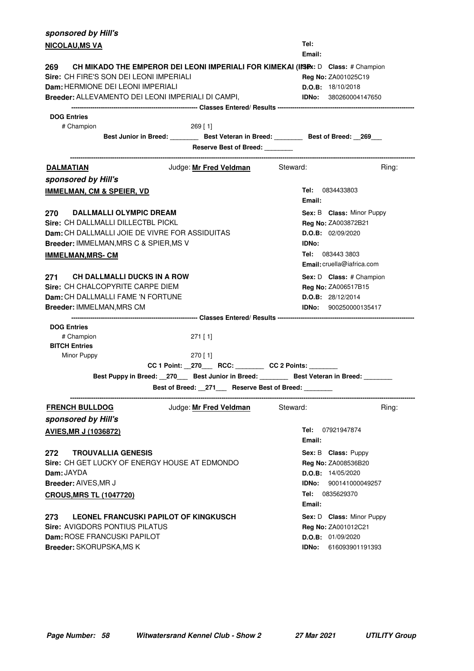| sponsored by Hill's                                                                          |                                                                                        |              |                                   |
|----------------------------------------------------------------------------------------------|----------------------------------------------------------------------------------------|--------------|-----------------------------------|
| <b>NICOLAU, MS VA</b>                                                                        |                                                                                        | Tel:         |                                   |
|                                                                                              |                                                                                        | Email:       |                                   |
| CH MIKADO THE EMPEROR DEI LEONI IMPERIALI FOR KIMEKAI (IISEX: D Class: # Champion<br>269     |                                                                                        |              |                                   |
| Sire: CH FIRE'S SON DEI LEONI IMPERIALI                                                      |                                                                                        |              | Reg No: ZA001025C19               |
| Dam: HERMIONE DEI LEONI IMPERIALI                                                            |                                                                                        |              | D.O.B: 18/10/2018                 |
| Breeder: ALLEVAMENTO DEI LEONI IMPERIALI DI CAMPI,                                           |                                                                                        |              | <b>IDNo:</b> 380260004147650      |
| <b>DOG Entries</b>                                                                           |                                                                                        |              |                                   |
| # Champion                                                                                   | $269$ [ 1]                                                                             |              |                                   |
|                                                                                              | Best Junior in Breed: _________ Best Veteran in Breed: ________ Best of Breed: _269___ |              |                                   |
|                                                                                              | Reserve Best of Breed: _______                                                         |              |                                   |
| <b>DALMATIAN</b>                                                                             | Judge: Mr Fred Veldman Steward:                                                        |              | Ring:                             |
|                                                                                              |                                                                                        |              |                                   |
| sponsored by Hill's                                                                          |                                                                                        |              |                                   |
| <b>IMMELMAN, CM &amp; SPEIER, VD</b>                                                         |                                                                                        | Email:       | <b>Tel:</b> 0834433803            |
| <b>DALLMALLI OLYMPIC DREAM</b><br>270                                                        |                                                                                        |              | Sex: B Class: Minor Puppy         |
| Sire: CH DALLMALLI DILLECTBL PICKL                                                           |                                                                                        |              | Reg No: ZA003872B21               |
| Dam: CH DALLMALLI JOIE DE VIVRE FOR ASSIDUITAS                                               |                                                                                        |              | D.O.B: 02/09/2020                 |
| Breeder: IMMELMAN, MRS C & SPIER, MS V                                                       |                                                                                        | <b>IDNo:</b> |                                   |
| <b>IMMELMAN, MRS- CM</b>                                                                     |                                                                                        |              | Tel: 083443 3803                  |
|                                                                                              |                                                                                        |              | <b>Email:</b> cruella@iafrica.com |
| <b>CH DALLMALLI DUCKS IN A ROW</b><br>271 —                                                  |                                                                                        |              | Sex: D Class: # Champion          |
| Sire: CH CHALCOPYRITE CARPE DIEM                                                             |                                                                                        |              | Reg No: ZA006517B15               |
| <b>Dam:</b> CH DALLMALLI FAME 'N FORTUNE                                                     |                                                                                        |              | D.O.B: 28/12/2014                 |
| Breeder: IMMELMAN, MRS CM                                                                    |                                                                                        |              | <b>IDNo:</b> 900250000135417      |
|                                                                                              |                                                                                        |              |                                   |
| <b>DOG Entries</b>                                                                           |                                                                                        |              |                                   |
| # Champion                                                                                   | $271$ [ 1]                                                                             |              |                                   |
| <b>BITCH Entries</b>                                                                         |                                                                                        |              |                                   |
| Minor Puppy                                                                                  | $270$ [ 1]<br>CC 1 Point: _270___ RCC: _______ CC 2 Points: ______                     |              |                                   |
| Best Puppy in Breed: __270____ Best Junior in Breed: ________ Best Veteran in Breed: _______ |                                                                                        |              |                                   |
|                                                                                              |                                                                                        |              |                                   |
|                                                                                              | Best of Breed: _271__ Reserve Best of Breed: _____                                     |              |                                   |
| <b>FRENCH BULLDOG</b>                                                                        | Judge: Mr Fred Veldman                                                                 | Steward:     | Ring:                             |
| sponsored by Hill's                                                                          |                                                                                        |              |                                   |
| <b>AVIES, MR J (1036872)</b>                                                                 |                                                                                        | Tel:         | 07921947874                       |
|                                                                                              |                                                                                        | Email:       |                                   |
| <b>TROUVALLIA GENESIS</b><br>272                                                             |                                                                                        |              | Sex: B Class: Puppy               |
| Sire: CH GET LUCKY OF ENERGY HOUSE AT EDMONDO                                                |                                                                                        |              | Reg No: ZA008536B20               |
| <b>Dam: JAYDA</b>                                                                            |                                                                                        |              | D.O.B: 14/05/2020                 |
| Breeder: AIVES, MR J                                                                         |                                                                                        | IDNo:        | 900141000049257                   |
| <b>CROUS, MRS TL (1047720)</b>                                                               |                                                                                        |              | <b>Tel:</b> 0835629370            |
|                                                                                              |                                                                                        | Email:       |                                   |
| LEONEL FRANCUSKI PAPILOT OF KINGKUSCH<br>273                                                 |                                                                                        |              | Sex: D Class: Minor Puppy         |
| <b>Sire: AVIGDORS PONTIUS PILATUS</b>                                                        |                                                                                        |              | Reg No: ZA001012C21               |
| Dam: ROSE FRANCUSKI PAPILOT                                                                  |                                                                                        |              | D.O.B: 01/09/2020                 |
| Breeder: SKORUPSKA, MS K                                                                     |                                                                                        | IDNo:        | 616093901191393                   |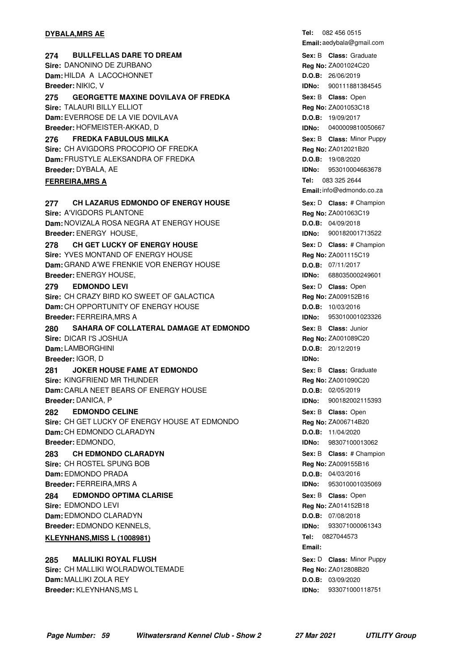#### **DYBALA, MRS AE**

**274 BULLFELLAS DARE TO DREAM CONSIDENT CONSTRUSS SEX: B Class: Graduate Sire:** DANONINO DE ZURBANO **Dam:** HILDA A LACOCHONNET **Breeder:** NIKIC, V **275 GEORGETTE MAXINE DOVILAVA OF FREDKA CHARGE SEX: B Class:** Open **Sire:** TALAURI BILLY ELLIOT **Dam:** EVERROSE DE LA VIE DOVILAVA **Breeder:** HOFMEISTER-AKKAD, D **FREDKA FABULOUS MILKA 276** Minor Puppy **Sire:** CH AVIGDORS PROCOPIO OF FREDKA **Dam:** FRUSTYLE ALEKSANDRA OF FREDKA **Breeder:** DYBALA, AE **FERREIRA, MRS A 277 CH LAZARUS EDMONDO OF ENERGY HOUSE Example A Sex: D Class: # Champion Sire:** A'VIGDORS PLANTONE **Dam:** NOVIZALA ROSA NEGRA AT ENERGY HOUSE **Breeder:** ENERGY HOUSE, **278** CH GET LUCKY OF ENERGY HOUSE **And Sext Demonstration** Sex: D Class: # Champion **Sire:** YVES MONTAND OF ENERGY HOUSE **Dam:** GRAND A'WE FRENKIE VOR ENERGY HOUSE **Breeder:** ENERGY HOUSE, **EDMONDO LEVI Sire:** CH CRAZY BIRD KO SWEET OF GALACTICA **Dam:** CH OPPORTUNITY OF ENERGY HOUSE **Breeder:** FERREIRA,MRS A **279 • EDMONDO LEVI CONSERVITY CONSERVITY CONSERVITY Sex:** D Class: Open **280 SAHARA OF COLLATERAL DAMAGE AT EDMONDO** Sex: B Class: Junior **Sire:** DICAR I'S JOSHUA **Dam:** LAMBORGHINI **Breeder:** IGOR, D **281 •• JOKER HOUSE FAME AT EDMONDO CONSEX CONSEXERY SEX: B Class: Graduate Sire:** KINGFRIEND MR THUNDER **Dam:** CARLA NEET BEARS OF ENERGY HOUSE **Breeder:** DANICA, P **282 • EDMONDO CELINE CONSERVANT CONSERVERSE SEX: B Class: Open Sire:** CH GET LUCKY OF ENERGY HOUSE AT EDMONDO **Dam:** CH EDMONDO CLARADYN **Breeder:** EDMONDO, **283 • CH EDMONDO CLARADYN 1988** • **283** • **Class: # Champion Sex: B • Class: # Champion Sire:** CH ROSTEL SPUNG BOB **Dam:** EDMONDO PRADA **Breeder:** FERREIRA,MRS A **284 • EDMONDO OPTIMA CLARISE CONSERVING SEXELY SEX: B Class:** Open **Sire:** EDMONDO LEVI **Dam:** EDMONDO CLARADYN **Breeder:** EDMONDO KENNELS, **KLEYNHANS, MISS L (1008981) 285 MALILIKI ROYAL FLUSH 1988 1989 CLAUSE 1989 Sex: D Class: Minor Puppy Sire:** CH MALLIKI WOLRADWOLTEMADE

**Dam:** MALLIKI ZOLA REY **Breeder:** KLEYNHANS,MS L Tel: 082 456 0515 **Email:** aedybala@gmail.com **Sex:** B **Class: Reg No:** ZA001024C20 **D.O.B:** 26/06/2019 **IDNo:** 900111881384545 **Sex:** B **Class: Reg No:** ZA001053C18 **D.O.B:** 19/09/2017 **IDNo:** 0400009810050667 **Sex:** B **Class: Reg No:** ZA012021B20 **D.O.B:** 19/08/2020 **IDNo:** 953010004663678 Tel: 083 325 2644 **Email:**info@edmondo.co.za Sex: D **Class:** # Champion **Reg No:** ZA001063C19 **D.O.B:** 04/09/2018 **IDNo:** 900182001713522 Sex: D **Class:** # Champion **Reg No:** ZA001115C19 **D.O.B:** 07/11/2017 **IDNo:** 688035000249601 **Reg No:** ZA009152B16 **D.O.B:** 10/03/2016 **IDNo:** 953010001023326 **Sex:** B **Class: Reg No:** ZA001089C20 **D.O.B:** 20/12/2019 **IDNo: Sex:** B **Class: Reg No:** ZA001090C20 **D.O.B:** 02/05/2019 **IDNo:** 900182002115393 **Sex:** B **Class: Reg No:** ZA006714B20 **D.O.B:** 11/04/2020 **IDNo:** 98307100013062 **Sex:** B **Class: Reg No:** ZA009155B16 **D.O.B:** 04/03/2016 **IDNo:** 953010001035069 **Sex:** B **Class: Reg No:** ZA014152B18 **D.O.B:** 07/08/2018 **IDNo:** 933071000061343 **Tel: Email:** Sex: D **Class: Minor Puppy Reg No:** ZA012808B20 **D.O.B:** 03/09/2020 **IDNo:** 933071000118751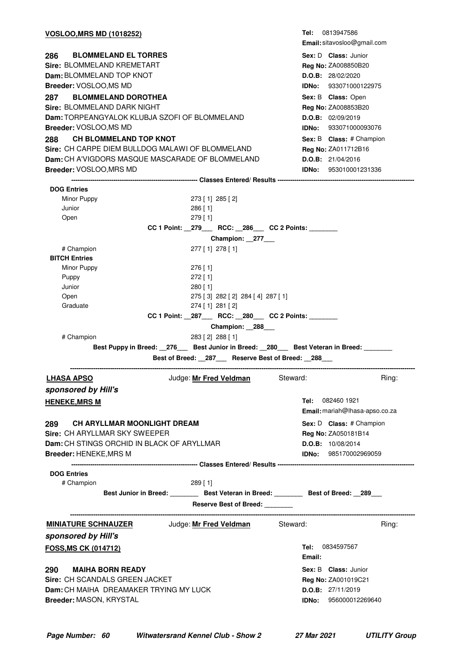| <u>VOSLOO,MRS MD (1018252)</u>                             | <b>Tel:</b> 0813947586                                                                 |
|------------------------------------------------------------|----------------------------------------------------------------------------------------|
|                                                            | Email: sitavosloo@gmail.com                                                            |
| <b>BLOMMELAND EL TORRES</b><br>286                         | Sex: D Class: Junior                                                                   |
| Sire: BLOMMELAND KREMETART                                 | Reg No: ZA008850B20                                                                    |
| Dam: BLOMMELAND TOP KNOT                                   | <b>D.O.B:</b> 28/02/2020                                                               |
| Breeder: VOSLOO,MS MD                                      | <b>IDNo:</b> 933071000122975                                                           |
| <b>BLOMMELAND DOROTHEA</b><br>287                          | Sex: B Class: Open                                                                     |
| Sire: BLOMMELAND DARK NIGHT                                | Reg No: ZA008853B20                                                                    |
| Dam: TORPEANGYALOK KLUBJA SZOFI OF BLOMMELAND              | D.O.B: 02/09/2019                                                                      |
| Breeder: VOSLOO,MS MD                                      | <b>IDNo: 933071000093076</b>                                                           |
| <b>CH BLOMMELAND TOP KNOT</b><br>288                       | Sex: B Class: # Champion                                                               |
| Sire: CH CARPE DIEM BULLDOG MALAWI OF BLOMMELAND           | Reg No: ZA011712B16                                                                    |
| Dam: CH A'VIGDORS MASQUE MASCARADE OF BLOMMELAND           | D.O.B: 21/04/2016                                                                      |
| Breeder: VOSLOO, MRS MD                                    | <b>IDNo: 953010001231336</b>                                                           |
|                                                            |                                                                                        |
| <b>DOG Entries</b>                                         |                                                                                        |
| Minor Puppy<br>273 [1] 285 [2]                             |                                                                                        |
| Junior<br>$286$ [1]                                        |                                                                                        |
| Open<br>$279$ [ 1]                                         |                                                                                        |
|                                                            | CC 1 Point: _279___ RCC: _286___ CC 2 Points: _______                                  |
|                                                            | Champion: 277                                                                          |
| # Champion<br>277 [1] 278 [1]                              |                                                                                        |
| <b>BITCH Entries</b><br>Minor Puppy<br>$276$ [ 1]          |                                                                                        |
| Puppy<br>$272$ [ 1]                                        |                                                                                        |
| Junior<br>$280$ [ 1]                                       |                                                                                        |
| Open                                                       | 275 [3] 282 [2] 284 [4] 287 [1]                                                        |
| Graduate<br>274 [1] 281 [2]                                |                                                                                        |
|                                                            | CC 1 Point: _287___ RCC: _280___ CC 2 Points: ______                                   |
|                                                            | Champion: 288                                                                          |
| # Champion<br>283 [2] 288 [1]                              |                                                                                        |
|                                                            | Best Puppy in Breed: 276 Best Junior in Breed: 280 Best Veteran in Breed: 200          |
|                                                            | Best of Breed: 287 Reserve Best of Breed: 288                                          |
| Judge: Mr Fred Veldman<br><u>LHASA APSO</u>                | Steward:<br>Ring:                                                                      |
| sponsored by Hill's                                        |                                                                                        |
| <u>HENEKE,MRS M</u>                                        | <b>Tel:</b> 082460 1921                                                                |
|                                                            | Email: mariah@lhasa-apso.co.za                                                         |
| <b>CH ARYLLMAR MOONLIGHT DREAM</b><br>289 —                | Sex: D Class: # Champion                                                               |
| <b>Sire: CH ARYLLMAR SKY SWEEPER</b>                       | Reg No: ZA050181B14                                                                    |
| <b>Dam:</b> CH STINGS ORCHID IN BLACK OF ARYLLMAR          | D.O.B: 10/08/2014                                                                      |
| Breeder: HENEKE, MRS M                                     | <b>IDNo: 985170002969059</b>                                                           |
|                                                            |                                                                                        |
| <b>DOG Entries</b>                                         |                                                                                        |
| # Champion<br>$289$ [ 1]                                   |                                                                                        |
|                                                            | Best Junior in Breed: _________ Best Veteran in Breed: ________ Best of Breed: _289___ |
|                                                            | Reserve Best of Breed: _______                                                         |
| <b>MINIATURE SCHNAUZER</b> Judge: Mr Fred Veldman Steward: | Ring:                                                                                  |
| sponsored by Hill's                                        |                                                                                        |
| FOSS, MS CK (014712)                                       | <b>Tel:</b> 0834597567                                                                 |
|                                                            | Email:                                                                                 |
| <b>MAIHA BORN READY</b>                                    |                                                                                        |
| 290<br>Sire: CH SCANDALS GREEN JACKET                      | <b>Sex: B Class: Junior</b>                                                            |
| Dam: CH MAIHA DREAMAKER TRYING MY LUCK                     | <b>Reg No: ZA001019C21</b><br>D.O.B: 27/11/2019                                        |
| Breeder: MASON, KRYSTAL                                    | 956000012269640<br>IDNo:                                                               |
|                                                            |                                                                                        |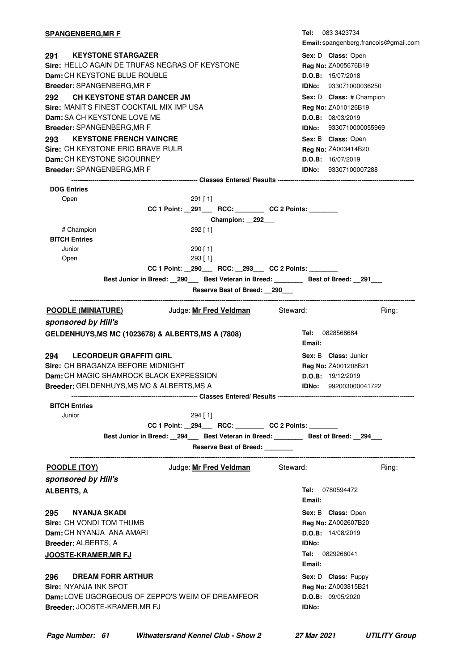| <u>SPANGENBERG,MR F</u>                                                                                                                                                               | <b>Tel:</b> 083 3423734<br>Email: spangenberg.francois@gmail.com                                                               |
|---------------------------------------------------------------------------------------------------------------------------------------------------------------------------------------|--------------------------------------------------------------------------------------------------------------------------------|
| 291<br><b>KEYSTONE STARGAZER</b><br>Sire: HELLO AGAIN DE TRUFAS NEGRAS OF KEYSTONE<br><b>Dam: CH KEYSTONE BLUE ROUBLE</b><br><b>Breeder: SPANGENBERG, MR F</b>                        | Sex: D Class: Open<br>Reg No: ZA005676B19<br>D.O.B: 15/07/2018<br><b>IDNo:</b> 933071000036250                                 |
| <b>CH KEYSTONE STAR DANCER JM</b><br>292<br>Sire: MANIT'S FINEST COCKTAIL MIX IMP USA<br><b>Dam:</b> SA CH KEYSTONE LOVE ME                                                           | Sex: D Class: # Champion<br>Reg No: ZA010126B19<br>D.O.B: 08/03/2019                                                           |
| <b>Breeder: SPANGENBERG, MR F</b><br><b>KEYSTONE FRENCH VAINCRE</b><br>293<br>Sire: CH KEYSTONE ERIC BRAVE RULR<br>Dam: CH KEYSTONE SIGOURNEY<br><b>Breeder: SPANGENBERG, MR F</b>    | <b>IDNo:</b> 9330710000055969<br>Sex: B Class: Open<br>Reg No: ZA003414B20<br>D.O.B: 16/07/2019<br><b>IDNo:</b> 93307100007288 |
|                                                                                                                                                                                       |                                                                                                                                |
| <b>DOG Entries</b><br>Open<br>$291$ [1]<br>CC 1 Point: _291___ RCC: _______ CC 2 Points: ______<br>Champion: 292                                                                      |                                                                                                                                |
| # Champion<br>292 [ 1]<br><b>BITCH Entries</b><br>Junior<br>290 [ 1]                                                                                                                  |                                                                                                                                |
| Open<br>$293$ [ 1]<br>CC 1 Point: _290___ RCC: _293__ CC 2 Points: ____<br>Best Junior in Breed: __290___ Best Veteran in Breed: _______ Best of Breed: __291___                      |                                                                                                                                |
| Reserve Best of Breed: 290                                                                                                                                                            |                                                                                                                                |
| Judge: Mr Fred Veldman Steward:<br><u>POODLE (MINIATURE)</u><br>sponsored by Hill's                                                                                                   | Ring:                                                                                                                          |
| GELDENHUYS, MS MC (1023678) & ALBERTS, MS A (7808)                                                                                                                                    | <b>Tel: 0828568684</b><br>Email:                                                                                               |
| <b>LECORDEUR GRAFFITI GIRL</b><br>294<br>Sire: CH BRAGANZA BEFORE MIDNIGHT<br><b>Dam:</b> CH MAGIC SHAMROCK BLACK EXPRESSION<br><b>Breeder: GELDENHUYS, MS MC &amp; ALBERTS, MS A</b> | <b>Sex: B Class: Junior</b><br>Reg No: ZA001208B21<br>D.O.B: 19/12/2019<br><b>IDNo:</b> 992003000041722                        |
| <b>BITCH Entries</b><br>Junior<br>294 [ 1]<br>CC 1 Point: 294 RCC: CC 2 Points:                                                                                                       |                                                                                                                                |
| Best Junior in Breed: _294___ Best Veteran in Breed: _______ Best of Breed: _294__<br>Reserve Best of Breed: _______                                                                  |                                                                                                                                |
| Judge: <u>Mr Fred Veldman</u><br>Steward:<br>POODLE (TOY)<br>sponsored by Hill's                                                                                                      | Ring:                                                                                                                          |
| <u>ALBERTS, A</u>                                                                                                                                                                     | Tel:<br>0780594472<br>Email:                                                                                                   |
| 295<br>NYANJA SKADI<br>Sire: CH VONDI TOM THUMB<br>Dam: CH NYANJA ANA AMARI<br>Breeder: ALBERTS, A<br><u>JOOSTE-KRAMER,MR FJ</u>                                                      | Sex: B Class: Open<br>Reg No: ZA002607B20<br>D.O.B: 14/08/2019<br><b>IDNo:</b><br><b>Tel:</b> 0829266041<br>Email:             |
| 296<br><b>DREAM FORR ARTHUR</b><br>Sire: NYANJA INK SPOT<br><b>Dam: LOVE UGORGEOUS OF ZEPPO'S WEIM OF DREAMFEOR</b><br>Breeder: JOOSTE-KRAMER, MR FJ                                  | Sex: D Class: Puppy<br>Reg No: ZA003815B21<br>D.O.B: 09/05/2020<br>IDNo:                                                       |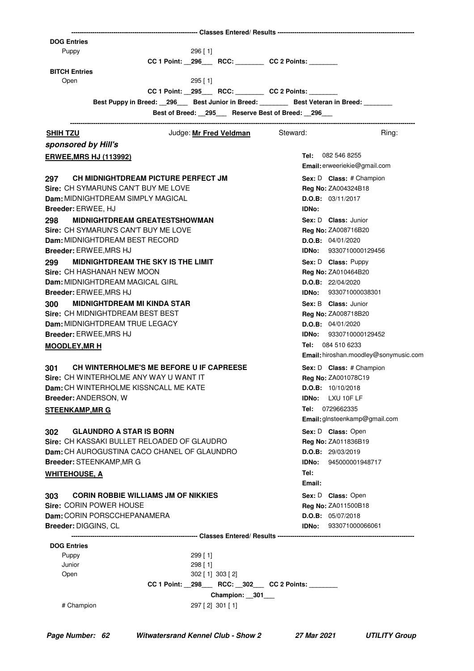| <b>DOG Entries</b>                                                                       |                                                                              |               |                                             |
|------------------------------------------------------------------------------------------|------------------------------------------------------------------------------|---------------|---------------------------------------------|
| Puppy                                                                                    | $296$ [ 1]                                                                   |               |                                             |
| <b>BITCH Entries</b>                                                                     | CC 1 Point: _296___ RCC: _______ CC 2 Points: ______                         |               |                                             |
| Open                                                                                     | $295$ [1]                                                                    |               |                                             |
|                                                                                          | CC 1 Point: _295___ RCC: _______ CC 2 Points: _____                          |               |                                             |
| Best Puppy in Breed: _296___ Best Junior in Breed: ________ Best Veteran in Breed: _____ |                                                                              |               |                                             |
|                                                                                          | Best of Breed: _295__ Reserve Best of Breed: _296__                          |               |                                             |
| <b>SHIH TZU</b>                                                                          | Judge: Mr Fred Veldman                                                       | Steward:      | Ring:                                       |
| sponsored by Hill's                                                                      |                                                                              |               |                                             |
| <b>ERWEE, MRS HJ (113992)</b>                                                            |                                                                              |               | Tel: 082 546 8255                           |
|                                                                                          |                                                                              |               | Email: erweeriekie@gmail.com                |
| 297<br>CH MIDNIGHTDREAM PICTURE PERFECT JM                                               |                                                                              |               | Sex: D Class: # Champion                    |
| Sire: CH SYMARUNS CAN'T BUY ME LOVE                                                      |                                                                              |               | <b>Reg No: ZA004324B18</b>                  |
| Dam: MIDNIGHTDREAM SIMPLY MAGICAL                                                        |                                                                              |               | D.O.B: 03/11/2017                           |
| Breeder: ERWEE, HJ                                                                       |                                                                              | <b>IDNo:</b>  |                                             |
| <b>MIDNIGHTDREAM GREATESTSHOWMAN</b><br>298                                              |                                                                              |               | Sex: D Class: Junior                        |
| Sire: CH SYMARUN'S CAN'T BUY ME LOVE<br>Dam: MIDNIGHTDREAM BEST RECORD                   |                                                                              |               | <b>Reg No: ZA008716B20</b>                  |
| <b>Breeder: ERWEE, MRS HJ</b>                                                            |                                                                              |               | D.O.B: 04/01/2020<br>IDNo: 9330710000129456 |
| <b>MIDNIGHTDREAM THE SKY IS THE LIMIT</b><br>299                                         |                                                                              |               | Sex: D Class: Puppy                         |
| Sire: CH HASHANAH NEW MOON                                                               |                                                                              |               | Reg No: ZA010464B20                         |
| Dam: MIDNIGHTDREAM MAGICAL GIRL                                                          |                                                                              |               | D.O.B: 22/04/2020                           |
| <b>Breeder: ERWEE, MRS HJ</b>                                                            |                                                                              |               | <b>IDNo:</b> 933071000038301                |
| <b>MIDNIGHTDREAM MI KINDA STAR</b><br>300                                                |                                                                              |               | Sex: B Class: Junior                        |
| Sire: CH MIDNIGHTDREAM BEST BEST                                                         |                                                                              |               | <b>Reg No: ZA008718B20</b>                  |
| Dam: MIDNIGHTDREAM TRUE LEGACY                                                           |                                                                              |               | <b>D.O.B:</b> $04/01/2020$                  |
| Breeder: ERWEE, MRS HJ                                                                   |                                                                              |               | <b>IDNo:</b> 9330710000129452               |
| <b>MOODLEY, MR H</b>                                                                     |                                                                              |               | Tel: 084 510 6233                           |
|                                                                                          |                                                                              |               | Email: hiroshan.moodley@sonymusic.com       |
| CH WINTERHOLME'S ME BEFORE U IF CAPREESE<br>301                                          |                                                                              |               | <b>Sex: D Class:</b> # Champion             |
| Sire: CH WINTERHOLME ANY WAY U WANT IT                                                   |                                                                              |               | Reg No: ZA001078C19                         |
| Dam: CH WINTERHOLME KISSNCALL ME KATE                                                    |                                                                              |               | D.O.B: 10/10/2018                           |
| Breeder: ANDERSON, W                                                                     |                                                                              | IDNo:<br>Tel: | LXU 10F LF<br>0729662335                    |
| <b>STEENKAMP, MR G</b>                                                                   |                                                                              |               | Email: glnsteenkamp@gmail.com               |
| <b>GLAUNDRO A STAR IS BORN</b><br>302                                                    |                                                                              |               | Sex: D Class: Open                          |
| Sire: CH KASSAKI BULLET RELOADED OF GLAUDRO                                              |                                                                              |               | Reg No: ZA011836B19                         |
| Dam: CH AUROGUSTINA CACO CHANEL OF GLAUNDRO                                              |                                                                              |               | D.O.B: 29/03/2019                           |
| Breeder: STEENKAMP, MR G                                                                 |                                                                              |               | IDNo: 945000001948717                       |
| <b>WHITEHOUSE, A</b>                                                                     |                                                                              | Tel:          |                                             |
|                                                                                          |                                                                              | Email:        |                                             |
| <b>CORIN ROBBIE WILLIAMS JM OF NIKKIES</b><br>303                                        |                                                                              |               | Sex: D Class: Open                          |
| Sire: CORIN POWER HOUSE                                                                  |                                                                              |               | Reg No: ZA011500B18                         |
| Dam: CORIN PORSCCHEPANAMERA                                                              |                                                                              |               | D.O.B: 05/07/2018                           |
| <b>Breeder: DIGGINS, CL</b>                                                              |                                                                              |               | <b>IDNo: 933071000066061</b>                |
| <b>DOG Entries</b>                                                                       |                                                                              |               |                                             |
| Puppy                                                                                    | $299$ [ 1]                                                                   |               |                                             |
| Junior                                                                                   | 298 [1]                                                                      |               |                                             |
| Open                                                                                     | $302$ [ 1] $303$ [ 2]<br>CC 1 Point: _298___ RCC: _302__ CC 2 Points: ______ |               |                                             |
|                                                                                          | Champion: __301___                                                           |               |                                             |
| # Champion                                                                               | 297 [2] 301 [1]                                                              |               |                                             |
|                                                                                          |                                                                              |               |                                             |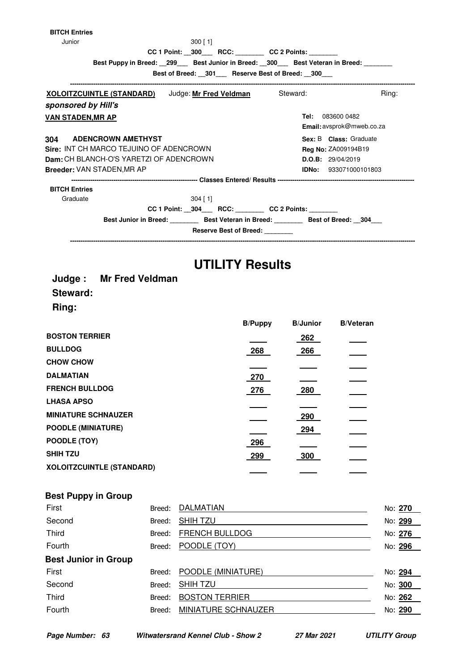| <b>BITCH Entries</b>                    |                               |                                                                                |       |
|-----------------------------------------|-------------------------------|--------------------------------------------------------------------------------|-------|
| Junior                                  | $300$ [ 1]                    |                                                                                |       |
|                                         |                               | CC 1 Point: _300___ RCC: _______ CC 2 Points: ______                           |       |
|                                         |                               | Best Puppy in Breed: 299 Best Junior in Breed: 300 Best Veteran in Breed:      |       |
|                                         |                               | Best of Breed: 301 Reserve Best of Breed: 300<br>----------------------------- |       |
| <u>XOLOITZCUINTLE (STANDARD)</u>        | Judge: <u>Mr Fred Veldman</u> | Steward:                                                                       | Ring: |
| sponsored by Hill's                     |                               |                                                                                |       |
| <b>VAN STADEN, MR AP</b>                |                               | 083600 0482<br>Tel:                                                            |       |
|                                         |                               | Email: avsprok@mweb.co.za                                                      |       |
| <b>ADENCROWN AMETHYST</b><br>304        |                               | Sex: B Class: Graduate                                                         |       |
| Sire: INT CH MARCO TEJUINO OF ADENCROWN |                               | <b>Reg No: ZA009194B19</b>                                                     |       |
| Dam: CH BLANCH-O'S YARETZI OF ADENCROWN |                               | D.O.B: 29/04/2019                                                              |       |
| <b>Breeder: VAN STADEN.MR AP</b>        |                               | <b>IDNo:</b> 933071000101803                                                   |       |
|                                         |                               |                                                                                |       |
| <b>BITCH Entries</b>                    |                               |                                                                                |       |
| Graduate                                | $304$ [ 1]                    |                                                                                |       |
|                                         |                               | CC 1 Point: 304 RCC: CC 2 Points:                                              |       |
|                                         |                               | Best Junior in Breed: Best Veteran in Breed: Best of Breed: 304                |       |
|                                         | <b>Reserve Best of Breed:</b> |                                                                                |       |

# **UTILITY Results**

|          | <b>Judge:</b> Mr Fred Veldman |
|----------|-------------------------------|
| Steward: |                               |
| Ring:    |                               |

|                                  | <b>B/Puppy</b> | <b>B/Junior</b> | <b>B/Veteran</b> |
|----------------------------------|----------------|-----------------|------------------|
| <b>BOSTON TERRIER</b>            |                | 262             |                  |
| <b>BULLDOG</b>                   | 268            | 266             |                  |
| <b>CHOW CHOW</b>                 |                |                 |                  |
| <b>DALMATIAN</b>                 | 270            |                 |                  |
| <b>FRENCH BULLDOG</b>            | 276            | 280             |                  |
| <b>LHASA APSO</b>                |                |                 |                  |
| <b>MINIATURE SCHNAUZER</b>       |                | 290             |                  |
| <b>POODLE (MINIATURE)</b>        |                | 294             |                  |
| POODLE (TOY)                     | 296            |                 |                  |
| <b>SHIH TZU</b>                  | 299            | 300             |                  |
| <b>XOLOITZCUINTLE (STANDARD)</b> |                |                 |                  |

| First                       | Breed: | DALMATIAN             | No: 270 |  |
|-----------------------------|--------|-----------------------|---------|--|
| Second                      | Breed: | <b>SHIHTZU</b>        | No: 299 |  |
| <b>Third</b>                | Breed: | FRENCH BULLDOG        | No: 276 |  |
| Fourth                      | Breed: | POODLE (TOY)          | No: 296 |  |
| <b>Best Junior in Group</b> |        |                       |         |  |
| First                       | Breed: | POODLE (MINIATURE)    | No: 294 |  |
| Second                      | Breed: | <b>SHIHTZU</b>        | No: 300 |  |
| <b>Third</b>                | Breed: | <b>BOSTON TERRIER</b> | No: 262 |  |
| Fourth                      | Breed: | MINIATURE SCHNAUZER   | No: 290 |  |
|                             |        |                       |         |  |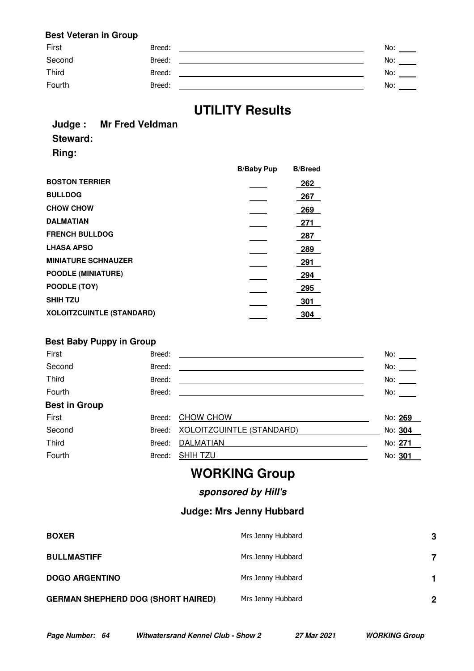### **Best Veteran in Group**

| Breed: | No: |
|--------|-----|
| Breed: | No: |
| Breed: | No: |
| Breed: | No: |
|        |     |

# **UTILITY Results**

#### **Judge : Mr Fred Veldman Steward:**

**Ring:**

|                                  | <b>B/Baby Pup</b> | <b>B/Breed</b> |
|----------------------------------|-------------------|----------------|
| <b>BOSTON TERRIER</b>            |                   | 262            |
| <b>BULLDOG</b>                   |                   | 267            |
| <b>CHOW CHOW</b>                 |                   | 269            |
| <b>DALMATIAN</b>                 |                   | 271            |
| <b>FRENCH BULLDOG</b>            |                   | 287            |
| <b>LHASA APSO</b>                |                   | 289            |
| <b>MINIATURE SCHNAUZER</b>       |                   | 291            |
| <b>POODLE (MINIATURE)</b>        |                   | 294            |
| POODLE (TOY)                     |                   | 295            |
| <b>SHIH TZU</b>                  |                   | 301            |
| <b>XOLOITZCUINTLE (STANDARD)</b> |                   | 304            |

### **Best Baby Puppy in Group**

| First                | Breed: |                                                              | No:     |
|----------------------|--------|--------------------------------------------------------------|---------|
| Second               | Breed: |                                                              | No:     |
| Third                | Breed: |                                                              | No:     |
| Fourth               | Breed: | <u> 1989 - Johann Stein, Amerikaansk politiker (</u> † 1920) | No:     |
| <b>Best in Group</b> |        |                                                              |         |
| First                | Breed: | CHOW CHOW                                                    | No: 269 |
| Second               |        | Breed: XOLOITZCUINTLE (STANDARD)                             | No: 304 |
| Third                | Breed: | <b>DALMATIAN</b>                                             | No: 271 |
| Fourth               | Breed: | <b>SHIHTZU</b>                                               | No: 301 |

# **WORKING Group**

### **sponsored by Hill's**

### **Judge: Mrs Jenny Hubbard**

| <b>BOXER</b>                              | Mrs Jenny Hubbard | 3 |
|-------------------------------------------|-------------------|---|
| <b>BULLMASTIFF</b>                        | Mrs Jenny Hubbard |   |
| <b>DOGO ARGENTINO</b>                     | Mrs Jenny Hubbard |   |
| <b>GERMAN SHEPHERD DOG (SHORT HAIRED)</b> | Mrs Jenny Hubbard | 2 |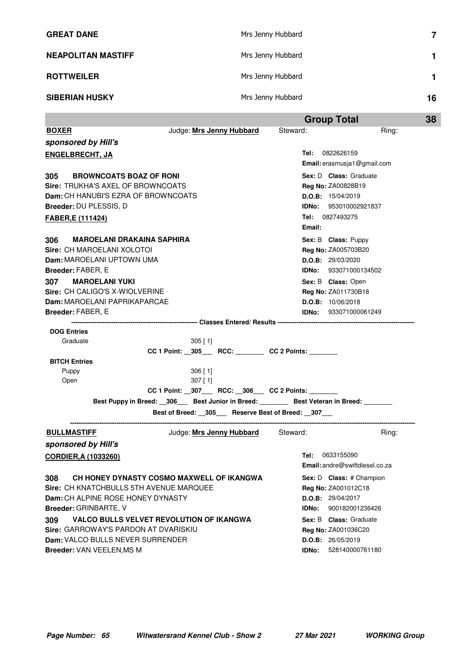| <b>GREAT DANE</b>         | Mrs Jenny Hubbard |    |
|---------------------------|-------------------|----|
| <b>NEAPOLITAN MASTIFF</b> | Mrs Jenny Hubbard |    |
| <b>ROTTWEILER</b>         | Mrs Jenny Hubbard |    |
| <b>SIBERIAN HUSKY</b>     | Mrs Jenny Hubbard | 16 |

|                                                                                                                                        |                                                                                            | <b>Group Total</b>                                                                                            | 38                                    |
|----------------------------------------------------------------------------------------------------------------------------------------|--------------------------------------------------------------------------------------------|---------------------------------------------------------------------------------------------------------------|---------------------------------------|
| <b>BOXER</b>                                                                                                                           | Judge: Mrs Jenny Hubbard                                                                   | Steward:                                                                                                      | Ring:                                 |
| sponsored by Hill's                                                                                                                    |                                                                                            |                                                                                                               |                                       |
| <b>ENGELBRECHT, JA</b>                                                                                                                 |                                                                                            | Tel: 0822626159                                                                                               | Email: erasmusja1@gmail.com           |
| <b>BROWNCOATS BOAZ OF RONI</b><br>305<br><b>Sire: TRUKHA'S AXEL OF BROWNCOATS</b>                                                      |                                                                                            | Sex: D Class: Graduate<br><b>Reg No: ZA00828B19</b>                                                           |                                       |
| <b>Dam:</b> CH HANUBI'S EZRA OF BROWNCOATS<br>Breeder: DU PLESSIS, D                                                                   |                                                                                            | D.O.B: 15/04/2019<br><b>IDNo:</b> 953010002921837                                                             |                                       |
| FABER, E (111424)                                                                                                                      |                                                                                            | Tel: 0827493275<br>Email:                                                                                     |                                       |
| <b>MAROELANI DRAKAINA SAPHIRA</b><br>306<br>Sire: CH MAROELANI XOLOTOI<br><b>Dam:</b> MAROELANI UPTOWN UMA<br><b>Breeder: FABER, E</b> |                                                                                            | Sex: B Class: Puppy<br><b>Reg No: ZA005703B20</b><br><b>D.O.B:</b> 29/03/2020<br><b>IDNo: 933071000134502</b> |                                       |
| <b>MAROELANI YUKI</b><br>307                                                                                                           |                                                                                            | Sex: B Class: Open                                                                                            |                                       |
| Sire: CH CALIGO'S X-WIOLVERINE                                                                                                         |                                                                                            | <b>Reg No: ZA011730B18</b>                                                                                    |                                       |
| Dam: MAROELANI PAPRIKAPARCAE                                                                                                           |                                                                                            | D.O.B: 10/06/2018                                                                                             |                                       |
| Breeder: FABER, E                                                                                                                      |                                                                                            | <b>IDNo:</b> 933071000061249                                                                                  |                                       |
| <b>DOG Entries</b>                                                                                                                     |                                                                                            |                                                                                                               |                                       |
| Graduate                                                                                                                               | $305$ [ 1]<br>CC 1 Point: _305___ RCC: _______ CC 2 Points:                                |                                                                                                               |                                       |
| <b>BITCH Entries</b>                                                                                                                   |                                                                                            |                                                                                                               |                                       |
| Puppy<br>Open                                                                                                                          | $306$ [1]<br>$307$ [ 1]                                                                    |                                                                                                               |                                       |
|                                                                                                                                        | CC 1 Point: __307____ RCC: __306___ CC 2 Points: ________                                  |                                                                                                               |                                       |
|                                                                                                                                        | Best Puppy in Breed: __306___ Best Junior in Breed: _______ Best Veteran in Breed: _______ |                                                                                                               |                                       |
|                                                                                                                                        | Best of Breed: 305 Reserve Best of Breed: 307                                              |                                                                                                               |                                       |
| <b>BULLMASTIFF</b>                                                                                                                     | Judge: Mrs Jenny Hubbard Steward:                                                          |                                                                                                               | Ring:                                 |
| sponsored by Hill's                                                                                                                    |                                                                                            |                                                                                                               |                                       |
| CORDIER, A (1033260)                                                                                                                   |                                                                                            | Tel: 0633155090                                                                                               | <b>Email:</b> andre@swiftdiesel.co.za |
| 308<br>Sire: CH KNATCHBULLS 5TH AVENUE MARQUEE                                                                                         | CH HONEY DYNASTY COSMO MAXWELL OF IKANGWA                                                  | Reg No: ZA001012C18                                                                                           | Sex: D Class: # Champion              |
| Dam: CH ALPINE ROSE HONEY DYNASTY                                                                                                      |                                                                                            | D.O.B: 29/04/2017                                                                                             |                                       |
| Breeder: GRINBARTE, V                                                                                                                  |                                                                                            | IDNo:                                                                                                         | 900182001236426                       |
| 309                                                                                                                                    | <b>VALCO BULLS VELVET REVOLUTION OF IKANGWA</b>                                            | Sex: B Class: Graduate                                                                                        |                                       |
| Sire: GARROWAY'S PARDON AT DVARISKIU                                                                                                   |                                                                                            | Reg No: ZA001036C20                                                                                           |                                       |
| Dam: VALCO BULLS NEVER SURRENDER                                                                                                       |                                                                                            | D.O.B: 26/05/2019                                                                                             |                                       |
| Breeder: VAN VEELEN, MS M                                                                                                              |                                                                                            | IDNo:                                                                                                         | 528140000761180                       |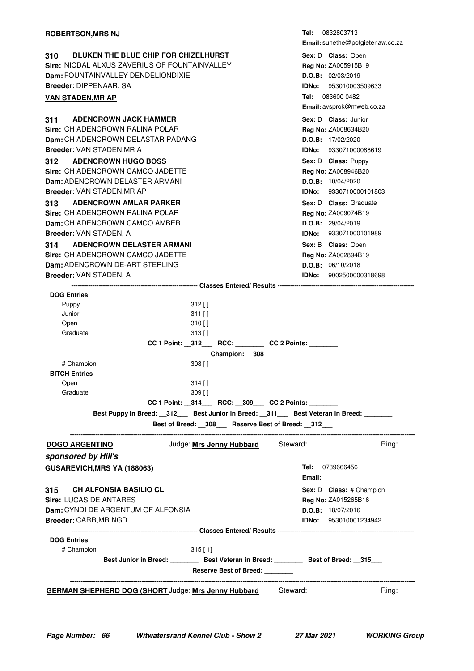| <b>ROBERTSON, MRS NJ</b>                                                                                                                                                                                                                                                                                                                                                                                                                                                                      | <b>Tel:</b> 0832803713<br>Email: sunethe@potgieterlaw.co.za                                                                                                                                                                                                                                         |
|-----------------------------------------------------------------------------------------------------------------------------------------------------------------------------------------------------------------------------------------------------------------------------------------------------------------------------------------------------------------------------------------------------------------------------------------------------------------------------------------------|-----------------------------------------------------------------------------------------------------------------------------------------------------------------------------------------------------------------------------------------------------------------------------------------------------|
| <b>BLUKEN THE BLUE CHIP FOR CHIZELHURST</b><br>310<br>Sire: NICDAL ALXUS ZAVERIUS OF FOUNTAINVALLEY<br>Dam: FOUNTAINVALLEY DENDELIONDIXIE<br>Breeder: DIPPENAAR, SA<br><b>VAN STADEN, MR AP</b>                                                                                                                                                                                                                                                                                               | Sex: D Class: Open<br>Reg No: ZA005915B19<br>D.O.B: 02/03/2019<br><b>IDNo:</b> 953010003509633<br>Tel: 083600 0482<br>Email: avsprok@mweb.co.za                                                                                                                                                     |
| <b>ADENCROWN JACK HAMMER</b><br>311<br>Sire: CH ADENCROWN RAI INA POI AR<br>Dam: CH ADENCROWN DELASTAR PADANG<br><b>Breeder: VAN STADEN, MR A</b><br><b>ADENCROWN HUGO BOSS</b><br>312<br>Sire: CH ADENCROWN CAMCO JADETTE<br>Dam: ADENCROWN DELASTER ARMANI<br>Breeder: VAN STADEN, MR AP<br><b>ADENCROWN AMLAR PARKER</b><br>313<br>Sire: CH ADENCROWN RALINA POLAR<br>Dam: CH ADENCROWN CAMCO AMBER<br>Breeder: VAN STADEN, A                                                              | Sex: D Class: Junior<br>Reg No: ZA008634B20<br>D.O.B: 17/02/2020<br><b>IDNo: 933071000088619</b><br>Sex: D Class: Puppy<br>Reg No: ZA008946B20<br>D.O.B: 10/04/2020<br><b>IDNo: 9330710000101803</b><br>Sex: D Class: Graduate<br>Reg No: ZA009074B19<br>D.O.B: 29/04/2019<br>IDNo: 933071000101989 |
| <b>ADENCROWN DELASTER ARMANI</b><br>314<br>Sire: CH ADENCROWN CAMCO JADETTE<br><b>Dam: ADENCROWN DE-ART STERLING</b><br>Breeder: VAN STADEN, A                                                                                                                                                                                                                                                                                                                                                | Sex: B Class: Open<br><b>Reg No: ZA002894B19</b><br>D.O.B: 06/10/2018<br>IDNo: 9002500000318698                                                                                                                                                                                                     |
| <b>DOG Entries</b><br>$312$ []<br>Puppy<br>Junior<br>$311$ []<br>Open<br>$310$ []<br>Graduate<br>313 [ ]<br>CC 1 Point: _312___ RCC: _______ CC 2 Points: ______<br>Champion: _308__<br>$308$ []<br># Champion<br><b>BITCH Entries</b><br>$314$ []<br>Open<br>Graduate<br>$309$ [ ]<br>CC 1 Point: _314___ RCC: _309___ CC 2 Points: _______<br>Best Puppy in Breed: _312__ Best Junior in Breed: _311__ Best Veteran in Breed: ______<br>Best of Breed: _308__ Reserve Best of Breed: _312__ |                                                                                                                                                                                                                                                                                                     |
| Judge: Mrs Jenny Hubbard Steward:<br><b>DOGO ARGENTINO</b><br>sponsored by Hill's<br>GUSAREVICH, MRS YA (188063)                                                                                                                                                                                                                                                                                                                                                                              | Ring:<br><b>Tel:</b> 0739666456                                                                                                                                                                                                                                                                     |
| CH ALFONSIA BASILIO CL<br>315<br>Sire: LUCAS DE ANTARES<br><b>Dam:</b> CYNDI DE ARGENTUM OF ALFONSIA<br>Breeder: CARR, MR NGD                                                                                                                                                                                                                                                                                                                                                                 | Email:<br>Sex: D Class: # Champion<br>Reg No: ZA015265B16<br>D.O.B: 18/07/2016<br><b>IDNo:</b> 953010001234942                                                                                                                                                                                      |
| <b>DOG Entries</b><br># Champion<br>$315$ [1]<br>Best Junior in Breed: Best Veteran in Breed: Best of Breed: 315<br>Reserve Best of Breed: _______                                                                                                                                                                                                                                                                                                                                            |                                                                                                                                                                                                                                                                                                     |
| <b>GERMAN SHEPHERD DOG (SHORT Judge: Mrs Jenny Hubbard</b><br>Steward:                                                                                                                                                                                                                                                                                                                                                                                                                        | Ring:                                                                                                                                                                                                                                                                                               |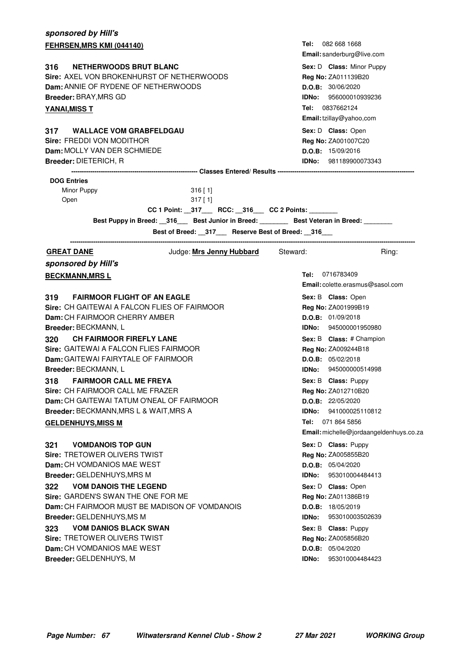| sponsored by Hill's                                                   |                                         |  |  |
|-----------------------------------------------------------------------|-----------------------------------------|--|--|
| FEHRSEN, MRS KMI (044140)                                             | Tel: 082 668 1668                       |  |  |
|                                                                       | Email: sanderburg@live.com              |  |  |
| <b>NETHERWOODS BRUT BLANC</b><br>316                                  | Sex: D Class: Minor Puppy               |  |  |
| Sire: AXEL VON BROKENHURST OF NETHERWOODS                             | Reg No: ZA011139B20                     |  |  |
| Dam: ANNIE OF RYDENE OF NETHERWOODS                                   | D.O.B: 30/06/2020                       |  |  |
| <b>Breeder: BRAY, MRS GD</b>                                          | <b>IDNo: 956000010939236</b>            |  |  |
| <b>YANAI, MISS T</b>                                                  | Tel: 0837662124                         |  |  |
|                                                                       | Email: tzillay@yahoo,com                |  |  |
| <b>WALLACE VOM GRABFELDGAU</b><br>317                                 | Sex: D Class: Open                      |  |  |
| <b>Sire: FREDDI VON MODITHOR</b>                                      | Reg No: ZA001007C20                     |  |  |
| Dam: MOLLY VAN DER SCHMIEDE                                           | D.O.B: 15/09/2016                       |  |  |
| <b>Breeder: DIETERICH, R</b>                                          | <b>IDNo:</b> 981189900073343            |  |  |
| <b>DOG Entries</b>                                                    |                                         |  |  |
| Minor Puppy<br>$316$ [1]                                              |                                         |  |  |
| Open<br>$317$ [ 1]                                                    |                                         |  |  |
| CC 1 Point: _317___ RCC: _316__ CC 2 Points: ______                   |                                         |  |  |
| Best Puppy in Breed: 316 Best Junior in Breed: Best Veteran in Breed: |                                         |  |  |
| Best of Breed: __317___ Reserve Best of Breed: __316___               |                                         |  |  |
|                                                                       |                                         |  |  |
| Steward:<br><b>GREAT DANE</b><br>Judge: <u>Mrs Jenny Hubbard</u>      | Ring:                                   |  |  |
| sponsored by Hill's                                                   |                                         |  |  |
| <b>BECKMANN, MRSL</b>                                                 | Tel: 0716783409                         |  |  |
|                                                                       | Email: colette.erasmus@sasol.com        |  |  |
| <b>FAIRMOOR FLIGHT OF AN EAGLE</b><br>319                             | Sex: B Class: Open                      |  |  |
| Sire: CH GAITEWAI A FALCON FLIES OF FAIRMOOR                          | Reg No: ZA001999B19                     |  |  |
| Dam: CH FAIRMOOR CHERRY AMBER                                         | D.O.B: 01/09/2018                       |  |  |
| Breeder: BECKMANN, L                                                  | <b>IDNo:</b> 945000001950980            |  |  |
| <b>CH FAIRMOOR FIREFLY LANE</b><br>320                                | Sex: B Class: # Champion                |  |  |
| Sire: GAITEWAI A FALCON FLIES FAIRMOOR                                | Reg No: ZA009244B18                     |  |  |
| <b>Dam:</b> GAITEWAI FAIRYTALE OF FAIRMOOR                            | D.O.B: 05/02/2018                       |  |  |
| Breeder: BECKMANN, L                                                  | <b>IDNo:</b> 945000000514998            |  |  |
| <b>FAIRMOOR CALL ME FREYA</b><br>318                                  | Sex: B Class: Puppy                     |  |  |
| Sire: CH FAIRMOOR CALL ME FRAZER                                      | Reg No: ZA012710B20                     |  |  |
| Dam: CH GAITEWAI TATUM O'NEAL OF FAIRMOOR                             | D.O.B: 22/05/2020                       |  |  |
| Breeder: BECKMANN, MRS L & WAIT, MRS A                                | <b>IDNo:</b> 941000025110812            |  |  |
| <b>GELDENHUYS, MISS M</b>                                             | <b>Tel:</b> 071 864 5856                |  |  |
|                                                                       | Email: michelle@jordaangeldenhuys.co.za |  |  |
| <b>VOMDANOIS TOP GUN</b><br>321                                       | Sex: D Class: Puppy                     |  |  |
| <b>Sire: TRETOWER OLIVERS TWIST</b>                                   | Reg No: ZA005855B20                     |  |  |
| Dam: CH VOMDANIOS MAE WEST                                            | D.O.B: 05/04/2020                       |  |  |
| <b>Breeder: GELDENHUYS, MRS M</b>                                     | <b>IDNo:</b> 953010004484413            |  |  |
| <b>VOM DANOIS THE LEGEND</b><br>322                                   | Sex: D Class: Open                      |  |  |
| Sire: GARDEN'S SWAN THE ONE FOR ME                                    | Reg No: ZA011386B19                     |  |  |
| <b>Dam:</b> CH FAIRMOOR MUST BE MADISON OF VOMDANOIS                  | D.O.B: 18/05/2019                       |  |  |
| Breeder: GELDENHUYS, MS M                                             | IDNo:<br>953010003502639                |  |  |
| <b>VOM DANIOS BLACK SWAN</b><br>323                                   | Sex: B Class: Puppy                     |  |  |
| <b>Sire: TRETOWER OLIVERS TWIST</b>                                   | Reg No: ZA005856B20                     |  |  |
| Dam: CH VOMDANIOS MAE WEST                                            | D.O.B: 05/04/2020                       |  |  |
| Breeder: GELDENHUYS, M                                                | 953010004484423<br>IDNo:                |  |  |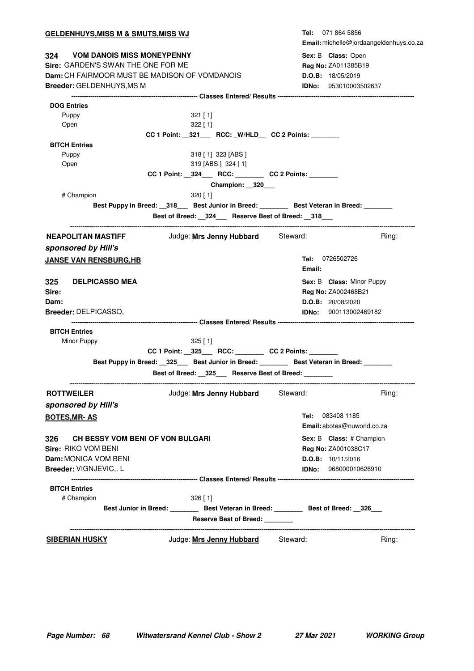| <b>GELDENHUYS, MISS M &amp; SMUTS, MISS WJ</b>                                              | Tel: 071 864 5856                       |
|---------------------------------------------------------------------------------------------|-----------------------------------------|
|                                                                                             | Email: michelle@jordaangeldenhuys.co.za |
| 324 VOM DANOIS MISS MONEYPENNY                                                              | Sex: B Class: Open                      |
| Sire: GARDEN'S SWAN THE ONE FOR ME                                                          | Reg No: ZA011385B19                     |
| Dam: CH FAIRMOOR MUST BE MADISON OF VOMDANOIS                                               | D.O.B: 18/05/2019                       |
| <b>Breeder: GELDENHUYS, MS M</b>                                                            | IDNo: 953010003502637                   |
|                                                                                             |                                         |
| <b>DOG Entries</b>                                                                          |                                         |
| Puppy<br>$321$ [ 1]                                                                         |                                         |
| 322 [ 1]<br>Open                                                                            |                                         |
| CC 1 Point: _321___ RCC: _W/HLD__ CC 2 Points: _______                                      |                                         |
| <b>BITCH Entries</b>                                                                        |                                         |
| 318 [1] 323 [ABS ]<br>Puppy<br>319 [ABS ] 324 [1]                                           |                                         |
| Open                                                                                        |                                         |
| CC 1 Point: _324___ RCC: _______ CC 2 Points: ______                                        |                                         |
| Champion: 320                                                                               |                                         |
| # Champion<br>$320$ [ 1]                                                                    |                                         |
| Best Puppy in Breed: __318___ Best Junior in Breed: ________ Best Veteran in Breed: _______ |                                         |
| Best of Breed: _324__ Reserve Best of Breed: _318__                                         |                                         |
| Judge: Mrs Jenny Hubbard Steward:<br><b>NEAPOLITAN MASTIFF</b>                              | Ring:                                   |
| sponsored by Hill's                                                                         |                                         |
| <b>JANSE VAN RENSBURG,HB</b>                                                                | Tel: 0726502726                         |
|                                                                                             | Email:                                  |
|                                                                                             |                                         |
| 325<br><b>DELPICASSO MEA</b>                                                                | Sex: B Class: Minor Puppy               |
| Sire:                                                                                       | Reg No: ZA002468B21                     |
| Dam:                                                                                        | D.O.B: 20/08/2020                       |
| Breeder: DELPICASSO,                                                                        | <b>IDNo:</b> 900113002469182            |
| <b>BITCH Entries</b>                                                                        |                                         |
| Minor Puppy<br>$325$ [ 1]                                                                   |                                         |
| CC 1 Point: _325___ RCC: _______ CC 2 Points: ______                                        |                                         |
| Best Puppy in Breed: 325 Best Junior in Breed: Best Veteran in Breed:                       |                                         |
| Best of Breed: __325___ Reserve Best of Breed: _______                                      |                                         |
|                                                                                             |                                         |
| <b>ROTTWEILER</b><br>Judge: Mrs Jenny Hubbard                                               | Steward:<br>Ring:                       |
| sponsored by Hill's                                                                         |                                         |
| <b>BOTES, MR-AS</b>                                                                         | Tel: 083408 1185                        |
|                                                                                             | Email: abotes@nuworld.co.za             |
| <b>CH BESSY VOM BENI OF VON BULGARI</b><br>326                                              | Sex: B Class: # Champion                |
| Sire: RIKO VOM BENI                                                                         | Reg No: ZA001038C17                     |
| Dam: MONICA VOM BENI                                                                        | D.O.B: 10/11/2016                       |
| Breeder: VIGNJEVIC,. L                                                                      | <b>IDNo:</b> 968000010626910            |
|                                                                                             |                                         |
| <b>BITCH Entries</b>                                                                        |                                         |
| # Champion<br>$326$ [ 1]                                                                    |                                         |
| Best Junior in Breed: __________ Best Veteran in Breed: _________ Best of Breed: __326___   |                                         |
| Reserve Best of Breed:                                                                      |                                         |
|                                                                                             |                                         |
| Judge: Mrs Jenny Hubbard<br><b>SIBERIAN HUSKY</b>                                           | Steward:<br>Ring:                       |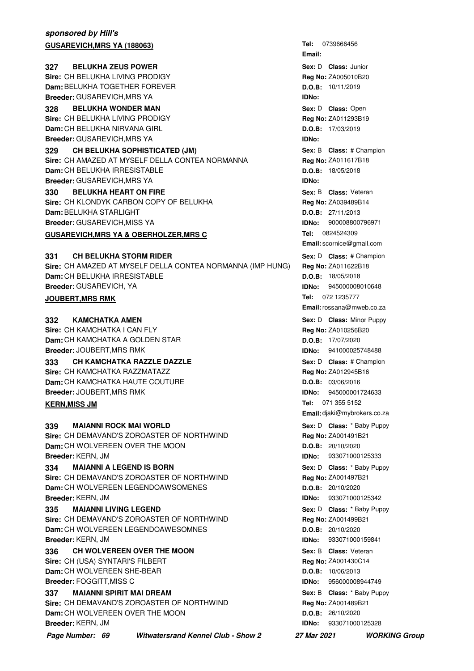#### **sponsored by Hill's GUSAREVICH, MRS YA (188063) BELUKHA ZEUS POWER 1988 1999 <b>1999 1999 ISO 1999 1999 ISO 1999 ISO 1999 ISO 1999 ISO 1999 ISO 1999 ISO 1999 ISO 1999 ISO 1999 ISO 1999 ISO 1999 ISO 1999 ISO 1999 ISO 1999 ISO 1999 ISO 1999 ISO 1999 ISO 1999 ISO 1999 Sire:** CH BELUKHA LIVING PRODIGY **Dam:** BELUKHA TOGETHER FOREVER **Breeder:** GUSAREVICH,MRS YA **328 BELUKHA WONDER MAN CONSERVING SEXEL SEXEL SOME SEX:** D Class: Open **Sire:** CH BELUKHA LIVING PRODIGY **Dam:** CH BELUKHA NIRVANA GIRL **Breeder:** GUSAREVICH,MRS YA **329 CH BELUKHA SOPHISTICATED (JM) And Some Sextime Sex: B Class: # Champion Sire:** CH AMAZED AT MYSELF DELLA CONTEA NORMANNA **Dam:** CH BELUKHA IRRESISTABLE **Breeder:** GUSAREVICH,MRS YA **330 BELUKHA HEART ON FIRE CONVERTED ASSES FOR SEX: B Class: Veteran Sire:** CH KLONDYK CARBON COPY OF BELUKHA **Dam:** BELUKHA STARLIGHT **Breeder:** GUSAREVICH,MISS YA **GUSAREVICH, MRS YA & OBERHOLZER, MRS C CH BELUKHA STORM RIDER Sire:** CH AMAZED AT MYSELF DELLA CONTEA NORMANNA (IMP HUNG) **Dam:** CH BELUKHA IRRESISTABLE **Breeder:** GUSAREVICH, YA **Sex:** D **CH BELUKHA STORM RIDER And Sex:** D **Class:** # Champion **JOUBERT, MRS RMK KAMCHATKA AMEN Sire:** CH KAMCHATKA I CAN FLY **Dam:** CH KAMCHATKA A GOLDEN STAR **Breeder:** JOUBERT,MRS RMK **Sex:** D **Class:** Minor Puppy **Contract Contract Property Contract Contract Contract Contract Contract Contract Contract Contract Contract Contract Contract Contract Contract Contract Contract Contract Contract Contract Co 333 • CH KAMCHATKA RAZZLE DAZZLE And All Accord Contract Contract Contract Contract Changion Sire:** CH KAMCHATKA RAZZMATAZZ **Dam:** CH KAMCHATKA HAUTE COUTURE **Breeder:** JOUBERT,MRS RMK **KERN, MISS JM MAIANNI ROCK MAI WORLD Sire:** CH DEMAVAND'S ZOROASTER OF NORTHWIND **Dam:** CH WOLVEREEN OVER THE MOON **Breeder:** KERN, JM **Sex:** D **Class:** \* Baby Puppy **Class:** \* Baby Puppy **334 MAIANNI A LEGEND IS BORN 1988 1988 1988 1988 1988 1988 1988 1989 1999 1999 1999 1999 1999 1999 1999 1999 1999 1999 1999 1999 1999 1999 1999 1999 1999 1999 1999 1 Sire:** CH DEMAVAND'S ZOROASTER OF NORTHWIND **Dam:** CH WOLVEREEN LEGENDOAWSOMENES **Breeder:** KERN, JM **MAIANNI LIVING LEGEND 12 AND 1335 5 MAIANNI LIVING LEGEND**

**Sire:** CH DEMAVAND'S ZOROASTER OF NORTHWIND **Dam:** CH WOLVEREEN LEGENDOAWESOMNES **Breeder:** KERN, JM

**336 CH WOLVEREEN OVER THE MOON Sex: B Class: Veteran Sire:** CH (USA) SYNTARI'S FILBERT **Dam:** CH WOLVEREEN SHE-BEAR **Breeder:** FOGGITT,MISS C

#### **337 MAIANNI SPIRIT MAI DREAM 1988 1989 MBI 1989 MBI 1989 MBI 1989 MBI 1989 MBI 1989 MBI 1989 MBI 1989 MBI 1989 MBI 1989 MBI 1989 MBI 1989 MBI 1989 MBI 1989 MBI 1989 MBI 1989 MBI 1989 MBI 1989 MBI 1989 MBI 1989 MBI 198 Sire:** CH DEMAVAND'S ZOROASTER OF NORTHWIND **Dam:** CH WOLVEREEN OVER THE MOON

**Breeder:** KERN, JM **Page Number: 69 Witwatersrand Kennel Club - Show 2 27 Mar 2021 WORKING Group**

**Tel: Email: Sex:** D **Class: Reg No:** ZA005010B20 **D.O.B:** 10/11/2019 **IDNo:** Sex: D **Class: Open Reg No:** ZA011293B19 **D.O.B:** 17/03/2019 **IDNo: Sex:** B **Class: Reg No:** ZA011617B18 **D.O.B:** 18/05/2018 **IDNo: Sex:** B **Class: Reg No:** ZA039489B14 **D.O.B:** 27/11/2013 **IDNo:** 900008800796971 Tel: 0824524309 **Email:** scornice@gmail.com **Reg No:** ZA011622B18 **D.O.B:** 18/05/2018 **IDNo:** 945000008010648 **Tel: Email:**rossana@mweb.co.za **Reg No:** ZA010256B20 **D.O.B:** 17/07/2020 **IDNo:** 941000025748488 Sex: D **Class:** # Champion **Reg No:** ZA012945B16 **D.O.B:** 03/06/2016 **IDNo:** 945000001724633 Tel: 071 355 5152 **Email:** djaki@mybrokers.co.za **Reg No:** ZA001491B21 **D.O.B:** 20/10/2020 **IDNo:** 933071000125333 **Sex:** D **Class:** \* Baby Puppy **Reg No:** ZA001497B21 **D.O.B:** 20/10/2020 **IDNo:** 933071000125342 Sex: D **Class:** \* Baby Puppy **Reg No:** ZA001499B21 **D.O.B:** 20/10/2020 **IDNo:** 933071000159841 **Sex:** B **Class: Reg No:** ZA001430C14 **D.O.B:** 10/06/2013 **IDNo:** 956000008944749 Sex: B **Class:** \* Baby Puppy **Reg No:** ZA001489B21

**D.O.B:** 26/10/2020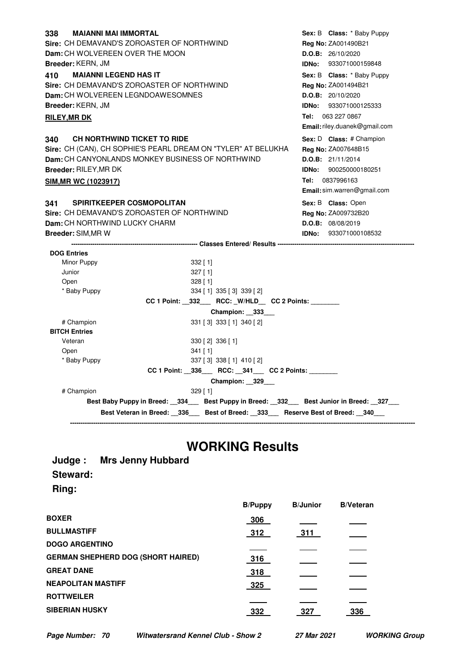| <b>MAIANNI MAI IMMORTAL</b><br>338                            |                                                        |                     | Sex: B Class: * Baby Puppy    |
|---------------------------------------------------------------|--------------------------------------------------------|---------------------|-------------------------------|
| Sire: CH DEMAVAND'S ZOROASTER OF NORTHWIND                    |                                                        | Reg No: ZA001490B21 |                               |
| Dam: CH WOLVEREEN OVER THE MOON                               |                                                        | D.O.B: 26/10/2020   |                               |
| <b>Breeder: KERN, JM</b>                                      |                                                        |                     | <b>IDNo: 933071000159848</b>  |
|                                                               |                                                        |                     |                               |
| <b>MAIANNI LEGEND HAS IT</b><br>410                           |                                                        |                     | Sex: B Class: * Baby Puppy    |
| Sire: CH DEMAVAND'S ZOROASTER OF NORTHWIND                    |                                                        |                     | Reg No: ZA001494B21           |
| Dam: CH WOLVEREEN LEGNDOAWESOMNES                             |                                                        | D.O.B: 20/10/2020   |                               |
| Breeder: KERN, JM                                             |                                                        |                     | <b>IDNo: 933071000125333</b>  |
| <b>RILEY, MR DK</b>                                           |                                                        | Tel: 063 227 0867   |                               |
|                                                               |                                                        |                     | Email: riley.duanek@gmail.com |
| 340 CH NORTHWIND TICKET TO RIDE                               |                                                        |                     | Sex: D Class: # Champion      |
| Sire: CH (CAN), CH SOPHIE'S PEARL DREAM ON "TYLER" AT BELUKHA |                                                        |                     | Reg No: ZA007648B15           |
| Dam: CH CANYONLANDS MONKEY BUSINESS OF NORTHWIND              |                                                        | D.O.B: 21/11/2014   |                               |
| Breeder: RILEY, MR DK                                         |                                                        |                     | <b>IDNo:</b> 900250000180251  |
| <b>SIM, MR WC (1023917)</b>                                   |                                                        | Tel: 0837996163     |                               |
|                                                               |                                                        |                     | Email: sim.warren@gmail.com   |
|                                                               |                                                        |                     |                               |
| <b>SPIRITKEEPER COSMOPOLITAN</b><br>341                       |                                                        |                     | Sex: B Class: Open            |
| Sire: CH DEMAVAND'S ZOROASTER OF NORTHWIND                    |                                                        |                     | Reg No: ZA009732B20           |
| Dam: CH NORTHWIND LUCKY CHARM                                 |                                                        | D.O.B: 08/08/2019   |                               |
| Breeder: SIM, MR W                                            |                                                        |                     | <b>IDNo:</b> 933071000108532  |
|                                                               |                                                        |                     |                               |
| <b>DOG Entries</b>                                            |                                                        |                     |                               |
| Minor Puppy<br>332 [1]                                        |                                                        |                     |                               |
| 327 [1]<br>Junior                                             |                                                        |                     |                               |
| 328 [1]<br>Open                                               |                                                        |                     |                               |
| * Baby Puppy                                                  | 334 [ 1] 335 [ 3] 339 [ 2]                             |                     |                               |
|                                                               | CC 1 Point: _332___ RCC: _W/HLD__ CC 2 Points: _______ |                     |                               |
|                                                               | Champion: 333                                          |                     |                               |
| # Champion                                                    | 331 [3] 333 [1] 340 [2]                                |                     |                               |
| <b>BITCH Entries</b>                                          |                                                        |                     |                               |
| Veteran                                                       | 330 [2] 336 [1]                                        |                     |                               |
| 341 [1]<br>Open                                               |                                                        |                     |                               |
| * Baby Puppy                                                  | 337 [3] 338 [1] 410 [2]                                |                     |                               |
|                                                               | CC 1 Point: _336___ RCC: _341___ CC 2 Points: ______   |                     |                               |
|                                                               | Champion: 329                                          |                     |                               |
| # Champion<br>$329$ [1]                                       |                                                        |                     |                               |

**Best Baby Puppy in Breed: \_\_334\_\_\_ Best Puppy in Breed: \_\_332\_\_\_ Best Junior in Breed: \_\_327\_\_\_ Best Veteran in Breed: \_\_336\_\_\_ Best of Breed: \_\_333\_\_\_ Reserve Best of Breed: \_\_340\_\_\_**

**--------------------------------------------------------------------------------------------------------------------------------------------------------------------**

# **WORKING Results**

#### **Judge : Mrs Jenny Hubbard**

**Steward:**

**Ring:**

|                                           | <b>B/Puppy</b> | <b>B</b> /Junior | <b>B/Veteran</b> |
|-------------------------------------------|----------------|------------------|------------------|
| <b>BOXER</b>                              | 306            |                  |                  |
| <b>BULLMASTIFF</b>                        | 312            | 311              |                  |
| <b>DOGO ARGENTINO</b>                     |                |                  |                  |
| <b>GERMAN SHEPHERD DOG (SHORT HAIRED)</b> | 316            |                  |                  |
| <b>GREAT DANE</b>                         | 318            |                  |                  |
| <b>NEAPOLITAN MASTIFF</b>                 | 325            |                  |                  |
| <b>ROTTWEILER</b>                         |                |                  |                  |
| <b>SIBERIAN HUSKY</b>                     | 332            | 327              | 336              |
|                                           |                |                  |                  |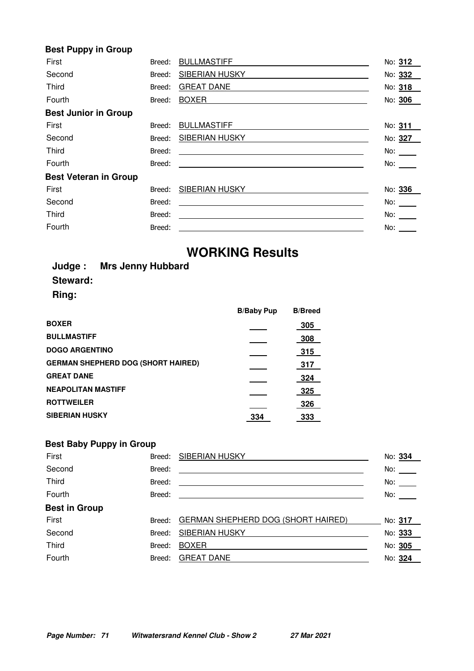#### **Best Puppy in Group**

| First                        | Breed: | <b>BULLMASTIFF</b>                                                                                                    | No: 312             |
|------------------------------|--------|-----------------------------------------------------------------------------------------------------------------------|---------------------|
| Second                       | Breed: | <b>SIBERIAN HUSKY</b>                                                                                                 | No: 332             |
| Third                        | Breed: | <b>GREAT DANE</b>                                                                                                     | No: 318             |
| Fourth                       | Breed: | <b>BOXER</b>                                                                                                          | No: 306             |
| <b>Best Junior in Group</b>  |        |                                                                                                                       |                     |
| First                        | Breed: | <b>BULLMASTIFF</b>                                                                                                    | No: 311             |
| Second                       | Breed: | <b>SIBERIAN HUSKY</b>                                                                                                 | No: 327             |
| Third                        | Breed: | <u> 1989 - Johann Harry Harry Harry Harry Harry Harry Harry Harry Harry Harry Harry Harry Harry Harry Harry Harry</u> | No: $\_\_$          |
| Fourth                       | Breed: | <u> 1989 - Johann John Stein, fransk politik (d. 1989)</u>                                                            | No: $\_\_$          |
| <b>Best Veteran in Group</b> |        |                                                                                                                       |                     |
| First                        | Breed: | SIBERIAN HUSKY                                                                                                        | No: 336             |
| Second                       | Breed: | <u> 1980 - Andrea Station Barbara, amerikan personal (h. 1980).</u>                                                   | No: $\_\_$          |
| Third                        | Breed: | <u> Alexandria de la contrada de la contrada de la contrada de la contrada de la contrada de la contrada de la c</u>  | No: $\_\_\_\_\_\_\$ |
| Fourth                       | Breed: |                                                                                                                       | No:                 |

# **WORKING Results**

|          | Judge: Mrs Jenny Hubbard |
|----------|--------------------------|
| Steward: |                          |
| Ring:    |                          |

**Best Baby Puppy in Group**

| <b>B/Baby Pup</b> | <b>B/Breed</b> |
|-------------------|----------------|
|                   | 305            |
|                   | 308            |
|                   | 315            |
|                   | 317            |
|                   | 324            |
|                   | 325            |
|                   | 326            |
| 334               | 333            |
|                   |                |

| First                | Breed: | SIBERIAN HUSKY                            | No: 334    |
|----------------------|--------|-------------------------------------------|------------|
| Second               | Breed: |                                           | No: $\_\_$ |
| Third                | Breed: |                                           | No: $\_\_$ |
| Fourth               | Breed: |                                           | No:        |
| <b>Best in Group</b> |        |                                           |            |
| First                | Breed: | <b>GERMAN SHEPHERD DOG (SHORT HAIRED)</b> | No: 317    |
| Second               | Breed: | <b>SIBERIAN HUSKY</b>                     | No: 333    |
| Third                | Breed: | <b>BOXER</b>                              | No: 305    |
| Fourth               | Breed: | <b>GREAT DANE</b>                         | No: 324    |
|                      |        |                                           |            |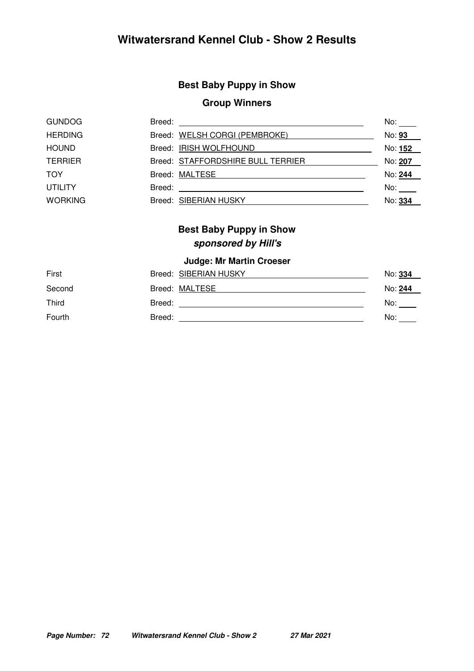# **Witwatersrand Kennel Club - Show 2 Results**

# **Best Baby Puppy in Show**

### **Group Winners**

| <u> 1989 - John Stein, mars and der Stein Stein Stein Stein Stein Stein Stein Stein Stein Stein Stein Stein Stein</u> | No:                                                                                                                                                         |
|-----------------------------------------------------------------------------------------------------------------------|-------------------------------------------------------------------------------------------------------------------------------------------------------------|
|                                                                                                                       | No: 93                                                                                                                                                      |
|                                                                                                                       | No: 152                                                                                                                                                     |
|                                                                                                                       | No: 207                                                                                                                                                     |
|                                                                                                                       | No: 244                                                                                                                                                     |
|                                                                                                                       | No:                                                                                                                                                         |
|                                                                                                                       | No: 334                                                                                                                                                     |
|                                                                                                                       | Breed:<br>Breed: WELSH CORGI (PEMBROKE)<br>Breed: IRISH WOLFHOUND<br>Breed: STAFFORDSHIRE BULL TERRIER<br>Breed: MALTESE<br>Breed:<br>Breed: SIBERIAN HUSKY |

# **Best Baby Puppy in Show sponsored by Hill's**

#### **Judge: Mr Martin Croeser**

| First  |        | Breed: SIBERIAN HUSKY | No: 334 |
|--------|--------|-----------------------|---------|
| Second |        | Breed: MALTESE        | No: 244 |
| Third  | Breed: |                       | No:     |
| Fourth | Breed: |                       | No:     |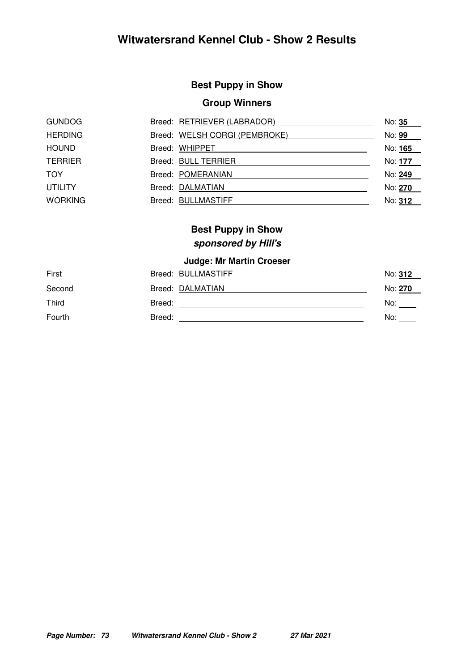## **Best Puppy in Show**

## **Group Winners**

| <b>GUNDOG</b>  | Breed: RETRIEVER (LABRADOR)   | No: 35  |
|----------------|-------------------------------|---------|
| <b>HERDING</b> | Breed: WELSH CORGI (PEMBROKE) | No: 99  |
| <b>HOUND</b>   | Breed: WHIPPET                | No: 165 |
| <b>TERRIER</b> | Breed: BULL TERRIER           | No: 177 |
| <b>TOY</b>     | Breed: POMERANIAN             | No: 249 |
| <b>UTILITY</b> | Breed: DALMATIAN              | No: 270 |
| <b>WORKING</b> | Breed: BULLMASTIFF            | No: 312 |

## **Best Puppy in Show sponsored by Hill's**

## **Judge: Mr Martin Croeser**

| First  |        | Breed: BULLMASTIFF | No: 312 |
|--------|--------|--------------------|---------|
| Second |        | Breed: DALMATIAN   | No: 270 |
| Third  | Breed: |                    | No:     |
| Fourth | Breed: |                    | No:     |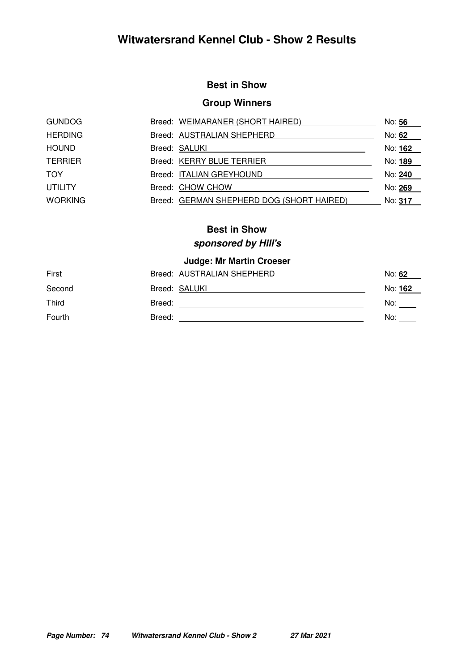## **Best in Show**

## **Group Winners**

| <b>GUNDOG</b>  | Breed: WEIMARANER (SHORT HAIRED)          | No: 56         |
|----------------|-------------------------------------------|----------------|
| <b>HERDING</b> | Breed: AUSTRALIAN SHEPHERD                | No: 62         |
| <b>HOUND</b>   | Breed: SALUKI                             | No: 162        |
| <b>TERRIER</b> | Breed: KERRY BLUE TERRIER                 | No: 189        |
| TOY            | Breed: ITALIAN GREYHOUND                  | No: <b>240</b> |
| <b>UTILITY</b> | Breed: CHOW CHOW                          | No: 269        |
| <b>WORKING</b> | Breed: GERMAN SHEPHERD DOG (SHORT HAIRED) | No: 317        |

## **Best in Show**

## **sponsored by Hill's**

## **Judge: Mr Martin Croeser**

| First  | Breed: AUSTRALIAN SHEPHERD | No: 62  |
|--------|----------------------------|---------|
| Second | Breed: SALUKI              | No: 162 |
| Third  | Breed:                     | No:     |
| Fourth | Breed:                     | No:     |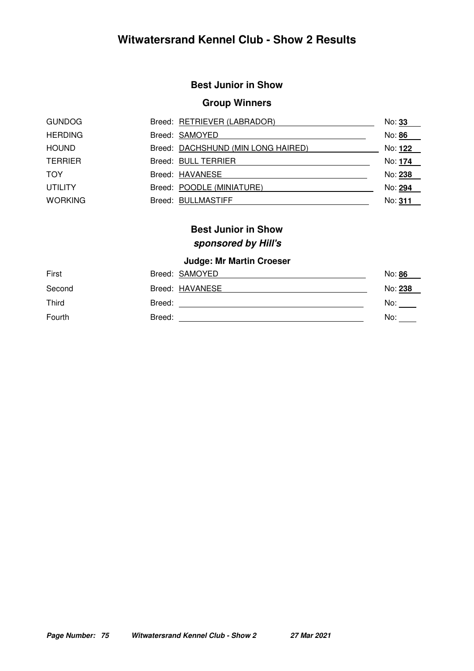## **Best Junior in Show**

## **Group Winners**

| <b>GUNDOG</b>  | Breed: RETRIEVER (LABRADOR)        | No: 33  |
|----------------|------------------------------------|---------|
| <b>HERDING</b> | Breed: SAMOYED                     | No: 86  |
| <b>HOUND</b>   | Breed: DACHSHUND (MIN LONG HAIRED) | No: 122 |
| <b>TERRIER</b> | Breed: BULL TERRIER                | No: 174 |
| <b>TOY</b>     | Breed: HAVANESE                    | No: 238 |
| <b>UTILITY</b> | Breed: POODLE (MINIATURE)          | No: 294 |
| <b>WORKING</b> | Breed: BULLMASTIFF                 | No: 311 |

## **Best Junior in Show sponsored by Hill's**

## **Judge: Mr Martin Croeser**

| First  | Breed: SAMOYED  | No: 86  |
|--------|-----------------|---------|
| Second | Breed: HAVANESE | No: 238 |
| Third  | Breed:          | No:     |
| Fourth | Breed:          | No:     |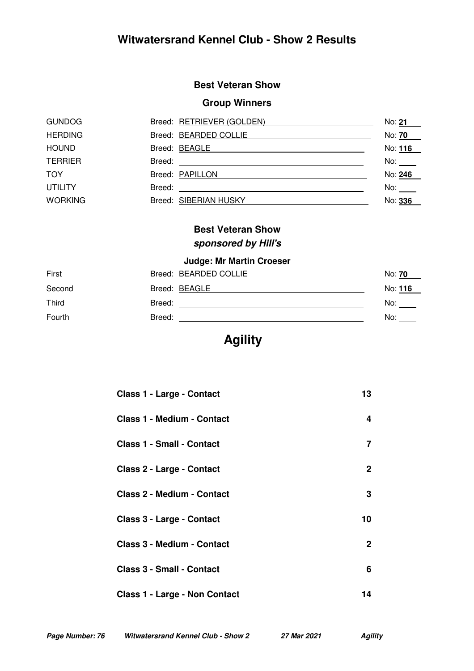## **Best Veteran Show**

## **Group Winners**

| <b>GUNDOG</b>  | Breed: RETRIEVER (GOLDEN) | No: 21                   |
|----------------|---------------------------|--------------------------|
| <b>HERDING</b> | Breed: BEARDED COLLIE     | No: 70                   |
| <b>HOUND</b>   | Breed: BEAGLE             | No: 116                  |
| <b>TERRIER</b> |                           | No: $\rule{1em}{0.15mm}$ |
| <b>TOY</b>     | Breed: PAPILLON           | No: 246                  |
| <b>UTILITY</b> | Breed:                    | No:                      |
| <b>WORKING</b> | Breed: SIBERIAN HUSKY     | No: 336                  |

## **Best Veteran Show sponsored by Hill's**

## **Judge: Mr Martin Croeser**

| First  | Breed: BEARDED COLLIE | No: <b>70</b> |
|--------|-----------------------|---------------|
| Second | Breed: BEAGLE         | No: 116       |
| Third  | Breed:                | No:           |
| Fourth | Breed:                | No:           |

# **Agility**

| <b>Class 1 - Large - Contact</b>     | 13           |
|--------------------------------------|--------------|
| <b>Class 1 - Medium - Contact</b>    | 4            |
| <b>Class 1 - Small - Contact</b>     | 7            |
| Class 2 - Large - Contact            | $\mathbf{2}$ |
| <b>Class 2 - Medium - Contact</b>    | 3            |
| <b>Class 3 - Large - Contact</b>     | 10           |
| <b>Class 3 - Medium - Contact</b>    | $\mathbf{2}$ |
| <b>Class 3 - Small - Contact</b>     | 6            |
| <b>Class 1 - Large - Non Contact</b> | 14           |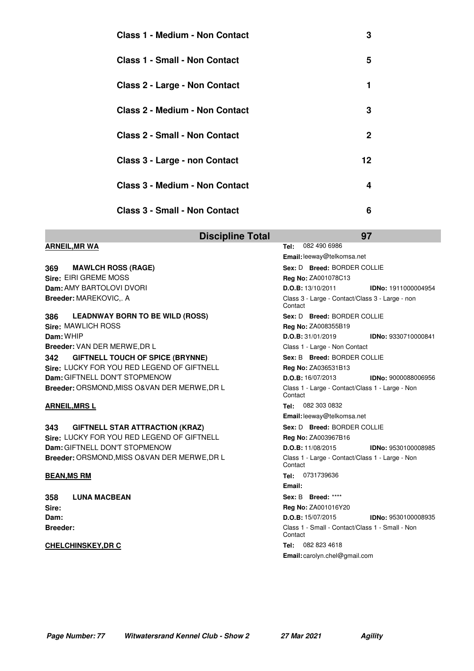| <b>Class 1 - Medium - Non Contact</b> | 3  |
|---------------------------------------|----|
| Class 1 - Small - Non Contact         | 5  |
| <b>Class 2 - Large - Non Contact</b>  | 1  |
| <b>Class 2 - Medium - Non Contact</b> | 3  |
| <b>Class 2 - Small - Non Contact</b>  | 2  |
| Class 3 - Large - non Contact         | 12 |
| <b>Class 3 - Medium - Non Contact</b> | 4  |
| <b>Class 3 - Small - Non Contact</b>  | 6  |

|                                                | <b>Discipline Total</b> |                                                            | 97                         |
|------------------------------------------------|-------------------------|------------------------------------------------------------|----------------------------|
| <b>ARNEIL, MR WA</b>                           |                         | 082 490 6986<br>Tel:                                       |                            |
|                                                |                         | Email: leeway@telkomsa.net                                 |                            |
| 369<br><b>MAWLCH ROSS (RAGE)</b>               |                         | Sex: D Breed: BORDER COLLIE                                |                            |
| Sire: EIRI GREME MOSS                          |                         | Reg No: ZA001078C13                                        |                            |
| Dam: AMY BARTOLOVI DVORI                       |                         | D.O.B: 13/10/2011                                          | <b>IDNo: 1911000004954</b> |
| Breeder: MAREKOVIC,. A                         |                         | Class 3 - Large - Contact/Class 3 - Large - non<br>Contact |                            |
| 386<br><b>LEADNWAY BORN TO BE WILD (ROSS)</b>  |                         | Sex: D Breed: BORDER COLLIE                                |                            |
| Sire: MAWLICH ROSS                             |                         | Reg No: ZA008355B19                                        |                            |
| Dam: WHIP                                      |                         | D.O.B: 31/01/2019                                          | IDNo: 9330710000841        |
| Breeder: VAN DER MERWE, DR L                   |                         | Class 1 - Large - Non Contact                              |                            |
| <b>GIFTNELL TOUCH OF SPICE (BRYNNE)</b><br>342 |                         | Sex: B Breed: BORDER COLLIE                                |                            |
| Sire: LUCKY FOR YOU RED LEGEND OF GIFTNELL     |                         | Reg No: ZA036531B13                                        |                            |
| Dam: GIFTNELL DON'T STOPMENOW                  |                         | D.O.B: 16/07/2013                                          | <b>IDNo: 9000088006956</b> |
| Breeder: ORSMOND, MISS O& VAN DER MERWE, DR L  |                         | Class 1 - Large - Contact/Class 1 - Large - Non<br>Contact |                            |
| <b>ARNEIL, MRSL</b>                            |                         | Tel: 082 303 0832                                          |                            |
|                                                |                         | Email: leeway@telkomsa.net                                 |                            |
| <b>GIFTNELL STAR ATTRACTION (KRAZ)</b><br>343  |                         | Sex: D Breed: BORDER COLLIE                                |                            |
| Sire: LUCKY FOR YOU RED LEGEND OF GIFTNELL     |                         | <b>Reg No: ZA003967B16</b>                                 |                            |
| Dam: GIFTNELL DON'T STOPMENOW                  |                         | D.O.B: 11/08/2015                                          | <b>IDNo: 9530100008985</b> |
| Breeder: ORSMOND, MISS O& VAN DER MERWE, DR L  |                         | Class 1 - Large - Contact/Class 1 - Large - Non<br>Contact |                            |
| <b>BEAN, MS RM</b>                             |                         | Tel: 0731739636                                            |                            |
|                                                |                         | Email:                                                     |                            |
| <b>LUNA MACBEAN</b><br>358                     |                         | Sex: B Breed: ****                                         |                            |
| Sire:                                          |                         | Reg No: ZA001016Y20                                        |                            |
| Dam:                                           |                         | D.O.B: 15/07/2015                                          | <b>IDNo: 9530100008935</b> |
| <b>Breeder:</b>                                |                         | Class 1 - Small - Contact/Class 1 - Small - Non<br>Contact |                            |
| <b>CHELCHINSKEY, DR C</b>                      |                         | Tel: 082 823 4618                                          |                            |
|                                                |                         | Email: carolyn.chel@gmail.com                              |                            |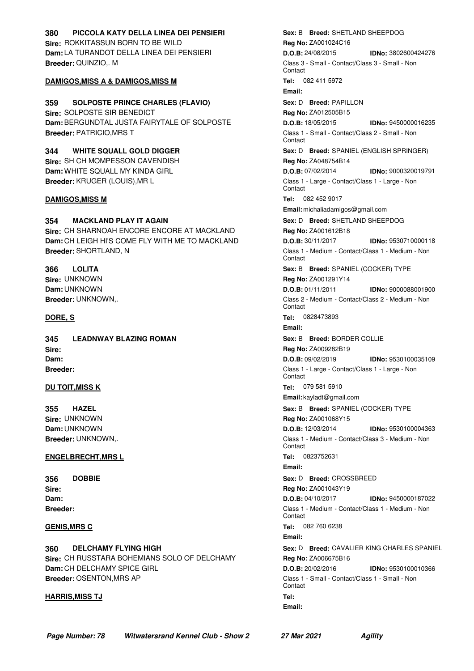### **Sire:** ROKKITASSUN BORN TO BE WILD **Dam:** LA TURANDOT DELLA LINEA DEI PENSIERI **Breeder:** QUINZIO,. M **380 PICCOLA KATY DELLA LINEA DEI PENSIERI**

### **DAMIGOS,MISS A & DAMIGOS,MISS M Tel:** 082 411 5972

**Sire:** SOLPOSTE SIR BENEDICT **Dam:**BERGUNDTAL JUSTA FAIRYTALE OF SOLPOSTE **Breeder:** PATRICIO,MRS T **359 SOLPOSTE PRINCE CHARLES (FLAVIO)**

**Sire:** SH CH MOMPESSON CAVENDISH **Dam:** WHITE SQUALL MY KINDA GIRL **Breeder:** KRUGER (LOUIS),MR L **344 WHITE SQUALL GOLD DIGGER**

**Sire:** CH SHARNOAH ENCORE ENCORE AT MACKLAND **Dam:** CH LEIGH HI'S COME FLY WITH ME TO MACKLAND **Breeder:** SHORTLAND, N **354 MACKLAND PLAY IT AGAIN**

**Sire:** UNKNOWN **Dam:** UNKNOWN **Breeder:** UNKNOWN,. **366 LOLITA**

**Sire: Dam: Breeder: 345 LEADNWAY BLAZING ROMAN**

**Sire:** UNKNOWN **Dam:** UNKNOWN **Breeder:** UNKNOWN,. **355 HAZEL**

### **ENGELBRECHT,MRS L Tel:** 0823752631

**Sire: Dam: Breeder: 356 DOBBIE**

**Sire:** CH RUSSTARA BOHEMIANS SOLO OF DELCHAMY **Dam:** CH DELCHAMY SPICE GIRL **Breeder:** OSENTON,MRS AP **360 DELCHAMY FLYING HIGH**

#### **HARRIS,MISS TJ Tel:**

 $Sex: B$  **Breed:** SHETLAND SHEEPDOG **Reg No:** ZA001024C16 **D.O.B:** 24/08/2015 **IDNo:** 3802600424276 Class 3 - Small - Contact/Class 3 - Small - Non **Contact** 

### **Email:**

**Sex:** D **Breed:** PAPILLON

**Reg No:** ZA012505B15 **D.O.B:** 18/05/2015 **IDNo:** 9450000016235 Class 1 - Small - Contact/Class 2 - Small - Non **Contact Sex:** D **Breed:** SPANIEL (ENGLISH SPRINGER) **Reg No:** ZA048754B14 **D.O.B:** 07/02/2014 **IDNo:** 9000320019791 Class 1 - Large - Contact/Class 1 - Large - Non **Contact DAMIGOS,MISS M Tel:** 082 452 9017 **Email:** michaliadamigos@gmail.com  $\textbf{Sex: D} \quad \textbf{Breed: SHETLAND SHEEPDOG}$ **Reg No:** ZA001612B18 **D.O.B:** 30/11/2017 **IDNo:** 9530710000118 Class 1 - Medium - Contact/Class 1 - Medium - Non Contact  $\textbf{Sex: B} \quad \textbf{Breed: SPANIEL} \text{ (COCKER) TYPEE}$ **Reg No:** ZA001291Y14 **D.O.B:** 01/11/2011 **IDNo:** 9000088001900 Class 2 - Medium - Contact/Class 2 - Medium - Non Contact **DORE, S Tel:** 0828473893 **Email: Sex: B Breed: BORDER COLLIE Reg No:** ZA009282B19 **D.O.B:** 09/02/2019 **IDNo:** 9530100035109 Class 1 - Large - Contact/Class 1 - Large - Non Contact **DU TOIT,MISS K Tel:** 079 581 5910 **Email:** kayladt@gmail.com  $\textbf{Sex: B} \quad \textbf{Breed: SPANIEL} \text{ (COCKER) TYPEE}$ **Reg No:** ZA001068Y15 **D.O.B:** 12/03/2014 **IDNo:** 9530100004363 Class 1 - Medium - Contact/Class 3 - Medium - Non Contact **Email:**  $Sex: D$  **Breed:** CROSSBREED **Reg No:** ZA001043Y19 **D.O.B:** 04/10/2017 **IDNo:** 9450000187022 Class 1 - Medium - Contact/Class 1 - Medium - Non Contact **GENIS,MRS C Tel:** 082 760 6238 **Email:**  $Sex: D$  **Breed:** CAVALIER KING CHARLES SPANIEL **Reg No:** ZA006675B16 **D.O.B:** 20/02/2016 **IDNo:** 9530100010366 Class 1 - Small - Contact/Class 1 - Small - Non **Contact Email:**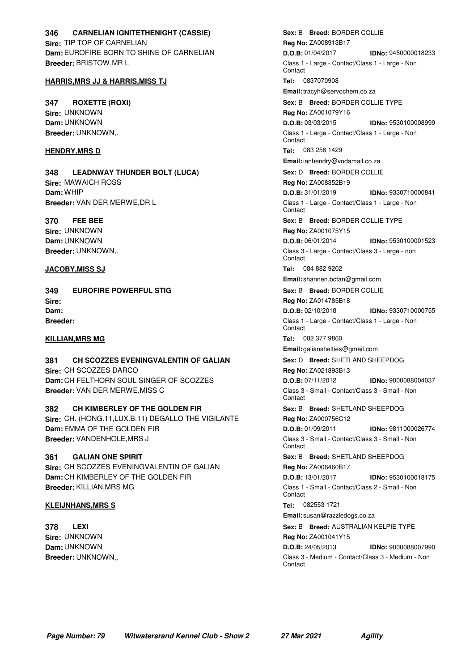### **Sire:** TIP TOP OF CARNELIAN **Dam:**EUROFIRE BORN TO SHINE OF CARNELIAN **Breeder:** BRISTOW,MR L **346 CARNELIAN IGNITETHENIGHT (CASSIE)**

### **HARRIS,MRS JJ & HARRIS,MISS TJ Tel:** 0837070908

**Sire:** UNKNOWN **Dam:** UNKNOWN **Breeder:** UNKNOWN,. **347 ROXETTE (ROXI)**

**Sire:** MAWAICH ROSS **Dam:** WHIP **Breeder:** VAN DER MERWE,DR L **348 LEADNWAY THUNDER BOLT (LUCA)**

**Sire:** UNKNOWN **Dam:** UNKNOWN **Breeder:** UNKNOWN,. **370 FEE BEE**

**Sire: Dam: Breeder: 349 EUROFIRE POWERFUL STIG**

**Sire:** CH SCOZZES DARCO **Dam:** CH FELTHORN SOUL SINGER OF SCOZZES **Breeder:** VAN DER MERWE,MISS C **381 CH SCOZZES EVENINGVALENTIN OF GALIAN**

**Sire:** CH. (HONG.11,LUX.B.11) DEGALLO THE VIGILANTE **Dam:**EMMA OF THE GOLDEN FIR **Breeder:** VANDENHOLE,MRS J **382 CH KIMBERLEY OF THE GOLDEN FIR**

**Sire:** CH SCOZZES EVENINGVALENTIN OF GALIAN **Dam:** CH KIMBERLEY OF THE GOLDEN FIR **Breeder:** KILLIAN,MRS MG **361 GALIAN ONE SPIRIT**

#### **KLEIJNHANS,MRS S Tel:** 082553 1721

**Sire:** UNKNOWN **Dam:** UNKNOWN **Breeder:** UNKNOWN,. **378 LEXI**

 $\textbf{Sex:} \text{ B} \quad \textbf{Breed:} \text{ BORDER COLLIE}$ **Reg No:** ZA008913B17 **D.O.B:** 01/04/2017 **IDNo:** 9450000018233 Class 1 - Large - Contact/Class 1 - Large - Non **Contact Email:**tracyh@servochem.co.za  $\textbf{Sex: B}$  **Breed:** BORDER COLLIE TYPE **Reg No:** ZA001079Y16 **D.O.B:** 03/03/2015 **IDNo:** 9530100008999 Class 1 - Large - Contact/Class 1 - Large - Non Contact **HENDRY,MRS D Tel:** 083 256 1429 **Email:**ianhendry@vodamail.co.za **Sex:** D **Breed:** BORDER COLLIE **Reg No:** ZA008352B19 **D.O.B:** 31/01/2019 **IDNo:** 9330710000841 Class 1 - Large - Contact/Class 1 - Large - Non **Contact**  $Sex: B$  **Breed:** BORDER COLLIE TYPE **Reg No:** ZA001075Y15 **D.O.B:** 06/01/2014 **IDNo:** 9530100001523 Class 3 - Large - Contact/Class 3 - Large - non Contact **JACOBY,MISS SJ Tel:** 084 882 9202 **Email:** shannen.bcfan@gmail.com  $\textbf{Sex:} \text{ B} \quad \textbf{Breed:} \text{ BORDER COLLIE}$ **Reg No:** ZA014785B18 **D.O.B:** 02/10/2018 **IDNo:** 9330710000755 Class 1 - Large - Contact/Class 1 - Large - Non **Contact KILLIAN,MRS MG Tel:** 082 377 9860 **Email:** galianshelties@gmail.com

 $\textbf{Sex: D} \quad \textbf{Breed: SHETLAND SHEEPDOG}$ 

**Reg No:** ZA021893B13

**D.O.B:** 07/11/2012 **IDNo:** 9000088004037 Class 3 - Small - Contact/Class 3 - Small - Non **Contact** 

 $Sex: B$  **Breed:** SHETLAND SHEEPDOG

**Reg No:** ZA000756C12 **D.O.B:** 01/09/2011 **IDNo:** 9811000026774

Class 3 - Small - Contact/Class 3 - Small - Non Contact

 $Sex: B$  **Breed:** SHETLAND SHEEPDOG

**Reg No:** ZA006460B17 **D.O.B:** 13/01/2017 **IDNo:** 9530100018175 Class 1 - Small - Contact/Class 2 - Small - Non **Contact** 

**Email:** susan@razzledogs.co.za

**Sex: B Breed:** AUSTRALIAN KELPIE TYPE

**Reg No:** ZA001041Y15 **D.O.B:** 24/05/2013 **IDNo:** 9000088007990 Class 3 - Medium - Contact/Class 3 - Medium - Non **Contact**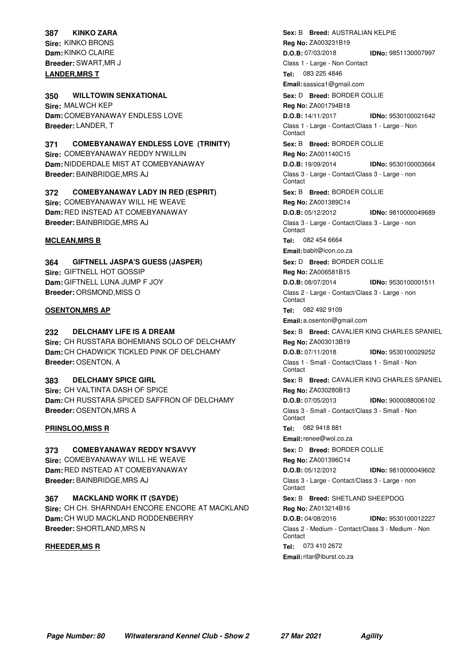## **387 KINKO ZARA**

**Sire:** KINKO BRONS **Dam:**KINKO CLAIRE **Breeder:** SWART,MR J **LANDER,MRS T Tel:** 083 225 4846

**Sire:** MALWCH KEP **Dam:** COMEBYANAWAY ENDLESS LOVE **Breeder:** LANDER, T **350 WILLTOWIN SENXATIONAL**

**Sire:** COMEBYANAWAY REDDY N'WILLIN **Dam:** NIDDERDALE MIST AT COMEBYANAWAY **Breeder:** BAINBRIDGE,MRS AJ **371 COMEBYANAWAY ENDLESS LOVE (TRINITY)**

### **Sire:** COMEBYANAWAY WILL HE WEAVE **Dam:** RED INSTEAD AT COMEBYANAWAY **372 COMEBYANAWAY LADY IN RED (ESPRIT)**

**Breeder:** BAINBRIDGE,MRS AJ

### **MCLEAN,MRS B Tel:** 082 454 6664

**Sire:** GIFTNELL HOT GOSSIP **Dam:** GIFTNELL LUNA JUMP F JOY **Breeder:** ORSMOND,MISS O **364 GIFTNELL JASPA'S GUESS (JASPER)**

### **OSENTON,MRS AP Tel:** 082 492 9109

### **232 DELCHAMY LIFE IS A DREAM**

**Sire:** CH RUSSTARA BOHEMIANS SOLO OF DELCHAMY **Dam:** CH CHADWICK TICKLED PINK OF DELCHAMY **Breeder:** OSENTON, A

**Sire:** CH VALTINTA DASH OF SPICE **Dam:** CH RUSSTARA SPICED SAFFRON OF DELCHAMY **Breeder:** OSENTON,MRS A **383 DELCHAMY SPICE GIRL**

### **PRINSLOO,MISS R Tel:** 082 9418 881

**Sire:** COMEBYANAWAY WILL HE WEAVE **Dam:** RED INSTEAD AT COMEBYANAWAY **Breeder:** BAINBRIDGE,MRS AJ **373 COMEBYANAWAY REDDY N'SAVVY**

**Sire:** CH CH. SHARNDAH ENCORE ENCORE AT MACKLAND **Dam:** CH WUD MACKLAND RODDENBERRY **Breeder:** SHORTLAND,MRS N **367 MACKLAND WORK IT (SAYDE)**

 $\textbf{Sex: B} \quad \textbf{Breed: AUSTRALIAN KELPIE}$ **Reg No:** ZA003231B19 **D.O.B:** 07/03/2018 **IDNo:** 9851130007997 Class 1 - Large - Non Contact **Email:** sassica1@gmail.com **Sex: D Breed:** BORDER COLLIE

**Reg No:** ZA001794B18 **D.O.B:** 14/11/2017 **IDNo:** 9530100021642 Class 1 - Large - Contact/Class 1 - Large - Non Contact

 $\textbf{Sex:} \text{ B} \quad \textbf{Breed:} \text{ BORDER COLLIE}$ **Reg No:** ZA001140C15

**D.O.B:** 19/09/2014 **IDNo:** 9530100003664 Class 3 - Large - Contact/Class 3 - Large - non **Contact** 

 $\textbf{Sex:} \text{ B} \quad \textbf{Breed:} \text{ BORDER COLLIE}$ 

**Reg No:** ZA001389C14 **D.O.B:** 05/12/2012 **IDNo:** 9810000049689

Class 3 - Large - Contact/Class 3 - Large - non **Contact** 

**Email:** babit@icon.co.za

**Sex: D Breed: BORDER COLLIE** 

**Reg No:** ZA006581B15 **D.O.B:** 08/07/2014 **IDNo:** 9530100001511 Class 2 - Large - Contact/Class 3 - Large - non **Contact** 

**Email:** a.osenton@gmail.com

 $Sex: B$  **Breed:** CAVALIER KING CHARLES SPANIEL **Reg No:** ZA003013B19

**D.O.B:** 07/11/2018 **IDNo:** 9530100029252 Class 1 - Small - Contact/Class 1 - Small - Non Contact

 $Sex: B$  **Breed:** CAVALIER KING CHARLES SPANIEL **Reg No:** ZA030280B13

**D.O.B:** 07/05/2013 **IDNo:** 9000088006102 Class 3 - Small - Contact/Class 3 - Small - Non

Contact

**Email:**renee@wol.co.za

**Sex: D Breed: BORDER COLLIE** 

**Reg No:** ZA001396C14

**D.O.B:** 05/12/2012 **IDNo:** 9810000049602 Class 3 - Large - Contact/Class 3 - Large - non **Contact** 

 $Sex: B$  **Breed:** SHETLAND SHEEPDOG

**Reg No:** ZA013214B16

**D.O.B:** 04/08/2016 **IDNo:** 9530100012227 Class 2 - Medium - Contact/Class 3 - Medium - Non Contact

**RHEEDER,MS R Tel:** 073 410 2672 **Email:**ritar@iburst.co.za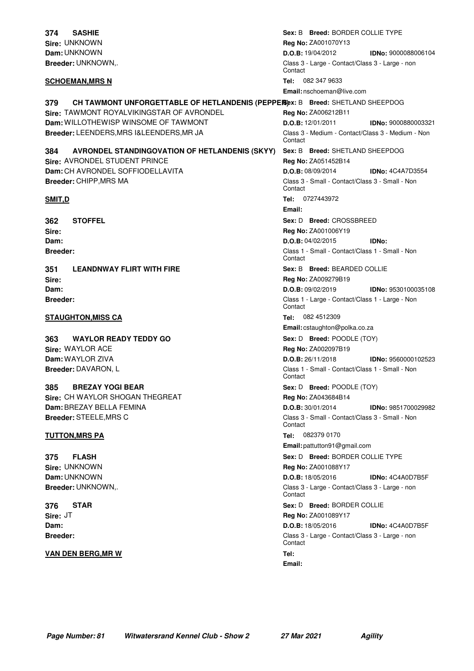**Sire:** UNKNOWN **Dam:** UNKNOWN **Breeder:** UNKNOWN,. **374 SASHIE**

**379 CH TAWMONT UNFORGETTABLE OF HETLANDENIS (PEPPERS)**  $\mathbf{s}$ : B Breed: SHETLAND SHEEPDOG **Sire:** TAWMONT ROYALVIKINGSTAR OF AVRONDEL **Dam:** WILLOTHEWISP WINSOME OF TAWMONT **Breeder:** LEENDERS,MRS I&LEENDERS,MR JA

### **Sire:** AVRONDEL STUDENT PRINCE **Dam:** CH AVRONDEL SOFFIODELLAVITA **384 AVRONDEL STANDINGOVATION OF HETLANDENIS (SKYY)**

**Sire: Dam: Breeder: 362 STOFFEL**

**Breeder:** CHIPP,MRS MA

**Sire: Dam: Breeder: 351 LEANDNWAY FLIRT WITH FIRE**

#### **STAUGHTON,MISS CA Tel:** 082 4512309

**Sire:** WAYLOR ACE **Dam:** WAYLOR ZIVA **Breeder:** DAVARON, L **363 WAYLOR READY TEDDY GO**

**Sire:** CH WAYLOR SHOGAN THEGREAT **Dam:**BREZAY BELLA FEMINA **Breeder:** STEELE,MRS C **385 BREZAY YOGI BEAR**

**Sire:** UNKNOWN **Dam:** UNKNOWN **Breeder:** UNKNOWN,. **375 FLASH**

**Sire:** JT **Dam: Breeder: 376 STAR**

#### **VAN DEN BERG,MR W Tel:**

 $Sex: B$  **Breed:** BORDER COLLIE TYPE **Reg No:** ZA001070Y13 **D.O.B:** 19/04/2012 **IDNo:** 9000088006104 Class 3 - Large - Contact/Class 3 - Large - non **Contact SCHOEMAN,MRS N Tel:** 082 347 9633 **Email:** nschoeman@live.com **Reg No:** ZA006212B11 **D.O.B:** 12/01/2011 **IDNo:** 9000880003321 Class 3 - Medium - Contact/Class 3 - Medium - Non Contact  $Sex: B$  **Breed:** SHETLAND SHEEPDOG **Reg No:** ZA051452B14 **D.O.B:** 08/09/2014 **IDNo:** 4C4A7D3554 Class 3 - Small - Contact/Class 3 - Small - Non **Contact SMIT,D Tel:** 0727443972 **Email:**  $Sex: D$  **Breed:** CROSSBREED **Reg No:** ZA001006Y19 **D.O.B:** 04/02/2015 **IDNo:** Class 1 - Small - Contact/Class 1 - Small - Non Contact BEARDED COLLIE **Sex:** B **Breed: Reg No:** ZA009279B19 **D.O.B:** 09/02/2019 **IDNo:** 9530100035108 Class 1 - Large - Contact/Class 1 - Large - Non **Contact Email:** cstaughton@polka.co.za **Sex:** D **Breed:** POODLE (TOY) **Reg No:** ZA002097B19 **D.O.B:** 26/11/2018 **IDNo:** 9560000102523 Class 1 - Small - Contact/Class 1 - Small - Non **Contact Sex:** D **Breed:** POODLE (TOY) **Reg No:** ZA043684B14 **D.O.B:** 30/01/2014 **IDNo:** 9851700029982 Class 3 - Small - Contact/Class 3 - Small - Non Contact **TUTTON,MRS PA Tel:** 082379 0170 **Email:** pattutton91@gmail.com **Sex:** D **Breed:** BORDER COLLIE TYPE **Reg No:** ZA001088Y17 **D.O.B:** 18/05/2016 **IDNo:** 4C4A0D7B5F Class 3 - Large - Contact/Class 3 - Large - non **Contact Sex: D Breed:** BORDER COLLIE **Reg No:** ZA001089Y17 **D.O.B:** 18/05/2016 **IDNo:** 4C4A0D7B5F Class 3 - Large - Contact/Class 3 - Large - non **Contact Email:**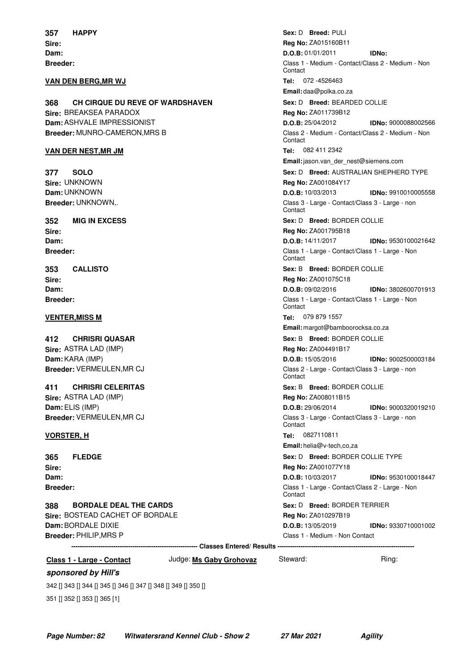**Sire: Dam: Breeder: 357 HAPPY**

#### **VAN DEN BERG,MR WJ Tel:** 072 -4526463

**Sire:** BREAKSEA PARADOX **Dam:**ASHVALE IMPRESSIONIST **Breeder:** MUNRO-CAMERON,MRS B **368 CH CIRQUE DU REVE OF WARDSHAVEN**

### **VAN DER NEST,MR JM Tel:** 082 411 2342

**Sire:** UNKNOWN **Dam:** UNKNOWN **Breeder:** UNKNOWN,. **377 SOLO**

**Sire: Dam: Breeder: 352 MIG IN EXCESS**

**Sire: Dam: Breeder: 353 CALLISTO**

**Sire:** ASTRA LAD (IMP) **Dam:**KARA (IMP) **Breeder:** VERMEULEN,MR CJ **412 CHRISRI QUASAR**

**Sire:** ASTRA LAD (IMP) **Dam:**ELIS (IMP) **Breeder:** VERMEULEN,MR CJ **411 CHRISRI CELERITAS**

**Sire: Dam: Breeder: 365 FLEDGE**

**Sire:** BOSTEAD CACHET OF BORDALE **Dam:**BORDALE DIXIE **Breeder:** PHILIP,MRS P **388 BORDALE DEAL THE CARDS**

 $\mathsf{Sex: D} \quad \mathsf{Breed: \, \, \text{PULI}}$ **Reg No:** ZA015160B11 **D.O.B:** 01/01/2011 **IDNo:** Class 1 - Medium - Contact/Class 2 - Medium - Non **Contact Email:** daa@polka.co.za BEARDED COLLIE **Sex:** D **Breed: Reg No:** ZA011739B12 **D.O.B:** 25/04/2012 **IDNo:** 9000088002566 Class 2 - Medium - Contact/Class 2 - Medium - Non **Contact Email:**jason.van\_der\_nest@siemens.com  $\textbf{Sex: D} \quad \textbf{Breed: AUSTRALIAN SHEPHERD TYPE}$ **Reg No:** ZA001084Y17 **D.O.B:** 10/03/2013 **IDNo:** 9910010005558 Class 3 - Large - Contact/Class 3 - Large - non **Contact Sex: D Breed:** BORDER COLLIE **Reg No:** ZA001795B18 **D.O.B:** 14/11/2017 **IDNo:** 9530100021642 Class 1 - Large - Contact/Class 1 - Large - Non **Contact**  $\textbf{Sex:} \text{ B} \quad \textbf{Breed:} \text{ BORDER COLLIE}$ **Reg No:** ZA001075C18 **D.O.B:** 09/02/2016 **IDNo:** 3802600701913 Class 1 - Large - Contact/Class 1 - Large - Non **Contact VENTER,MISS M Tel:** 079 879 1557 **Email:** margot@bamboorocksa.co.za **Sex: B Breed: BORDER COLLIE Reg No:** ZA004491B17 **D.O.B:** 15/05/2016 **IDNo:** 9002500003184 Class 2 - Large - Contact/Class 3 - Large - non **Contact Sex: B Breed: BORDER COLLIE Reg No:** ZA008011B15 **D.O.B:** 29/06/2014 **IDNo:** 9000320019210 Class 3 - Large - Contact/Class 3 - Large - non **Contact VORSTER, H Tel:** 0827110811 **Email:** helia@v-tech,co,za **Sex:** D **Breed:** BORDER COLLIE TYPE **Reg No:** ZA001077Y18 **D.O.B:** 10/03/2017 **IDNo:** 9530100018447 Class 1 - Large - Contact/Class 2 - Large - Non **Contact Sex: D Breed:** BORDER TERRIER **Reg No:** ZA010297B19 **D.O.B:** 13/05/2019 **IDNo:** 9330710001002 Class 1 - Medium - Non Contact

**------------------------------------------------------------ Classes Entered/ Results -----------------------------------------------------------------**

**Class 1 - Large - Contact** Judge: **Ms Gaby Grohovaz** Steward: Ring:

#### **sponsored by Hill's**

342 [] 343 [] 344 [] 345 [] 346 [] 347 [] 348 [] 349 [] 350 [] 351 [] 352 [] 353 [] 365 [1]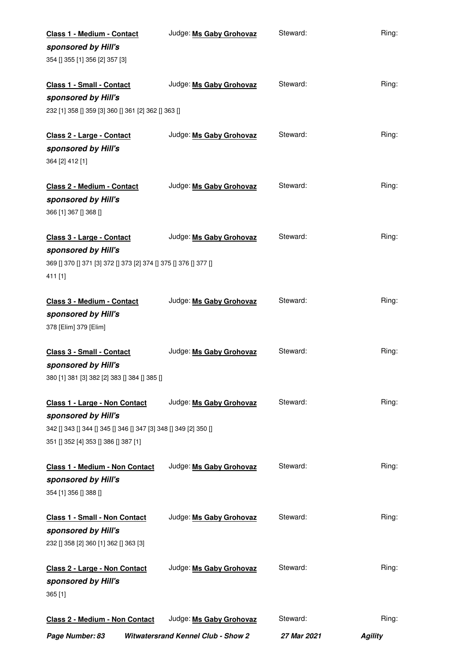| Class 1 - Medium - Contact                                       | Judge: Ms Gaby Grohovaz                   | Steward:           | Ring:          |
|------------------------------------------------------------------|-------------------------------------------|--------------------|----------------|
| sponsored by Hill's                                              |                                           |                    |                |
| 354 [] 355 [1] 356 [2] 357 [3]                                   |                                           |                    |                |
|                                                                  |                                           |                    |                |
| Class 1 - Small - Contact                                        | Judge: Ms Gaby Grohovaz                   | Steward:           | Ring:          |
| sponsored by Hill's                                              |                                           |                    |                |
| 232 [1] 358 [] 359 [3] 360 [] 361 [2] 362 [] 363 []              |                                           |                    |                |
|                                                                  |                                           |                    |                |
| Class 2 - Large - Contact                                        | Judge: Ms Gaby Grohovaz                   | Steward:           | Ring:          |
| sponsored by Hill's                                              |                                           |                    |                |
| 364 [2] 412 [1]                                                  |                                           |                    |                |
| Class 2 - Medium - Contact                                       | Judge: Ms Gaby Grohovaz                   | Steward:           | Ring:          |
|                                                                  |                                           |                    |                |
| sponsored by Hill's                                              |                                           |                    |                |
| 366 [1] 367 [] 368 []                                            |                                           |                    |                |
| Class 3 - Large - Contact                                        | Judge: Ms Gaby Grohovaz                   | Steward:           | Ring:          |
| sponsored by Hill's                                              |                                           |                    |                |
| 369 [] 370 [] 371 [3] 372 [] 373 [2] 374 [] 375 [] 376 [] 377 [] |                                           |                    |                |
| 411 [1]                                                          |                                           |                    |                |
|                                                                  |                                           |                    |                |
| Class 3 - Medium - Contact                                       | Judge: Ms Gaby Grohovaz                   | Steward:           | Ring:          |
| sponsored by Hill's                                              |                                           |                    |                |
| 378 [Elim] 379 [Elim]                                            |                                           |                    |                |
|                                                                  |                                           |                    |                |
| Class 3 - Small - Contact                                        | Judge: Ms Gaby Grohovaz                   | Steward:           | Ring:          |
| sponsored by Hill's                                              |                                           |                    |                |
| 380 [1] 381 [3] 382 [2] 383 [] 384 [] 385 []                     |                                           |                    |                |
|                                                                  |                                           |                    |                |
| Class 1 - Large - Non Contact                                    | Judge: Ms Gaby Grohovaz                   | Steward:           | Ring:          |
| sponsored by Hill's                                              |                                           |                    |                |
| 342 [] 343 [] 344 [] 345 [] 346 [] 347 [3] 348 [] 349 [2] 350 [] |                                           |                    |                |
| 351 [] 352 [4] 353 [] 386 [] 387 [1]                             |                                           |                    |                |
|                                                                  |                                           |                    |                |
| Class 1 - Medium - Non Contact                                   | Judge: Ms Gaby Grohovaz                   | Steward:           | Ring:          |
| sponsored by Hill's                                              |                                           |                    |                |
| 354 [1] 356 [] 388 []                                            |                                           |                    |                |
|                                                                  |                                           | Steward:           |                |
| <b>Class 1 - Small - Non Contact</b>                             | Judge: Ms Gaby Grohovaz                   |                    | Ring:          |
| sponsored by Hill's                                              |                                           |                    |                |
| 232 [] 358 [2] 360 [1] 362 [] 363 [3]                            |                                           |                    |                |
| Class 2 - Large - Non Contact                                    | Judge: Ms Gaby Grohovaz                   | Steward:           | Ring:          |
| sponsored by Hill's                                              |                                           |                    |                |
| 365 [1]                                                          |                                           |                    |                |
|                                                                  |                                           |                    |                |
| Class 2 - Medium - Non Contact                                   | Judge: Ms Gaby Grohovaz                   | Steward:           | Ring:          |
| Page Number: 83                                                  | <b>Witwatersrand Kennel Club - Show 2</b> | <b>27 Mar 2021</b> | <b>Agility</b> |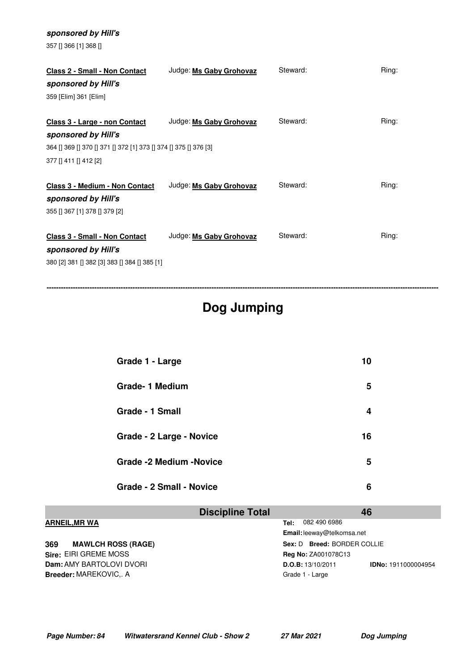| 357 [] 366 [1] 368 []                                                                |                         |          |       |
|--------------------------------------------------------------------------------------|-------------------------|----------|-------|
| <b>Class 2 - Small - Non Contact</b><br>sponsored by Hill's<br>359 [Elim] 361 [Elim] | Judge: Ms Gaby Grohovaz | Steward: | Ring: |
| Class 3 - Large - non Contact                                                        | Judge: Ms Gaby Grohovaz | Steward: | Ring: |
| sponsored by Hill's                                                                  |                         |          |       |
| 364 [] 369 [] 370 [] 371 [] 372 [1] 373 [] 374 [] 375 [] 376 [3]                     |                         |          |       |
| 377   411   412 [2]                                                                  |                         |          |       |
|                                                                                      |                         |          |       |
| <b>Class 3 - Medium - Non Contact</b>                                                | Judge: Ms Gaby Grohovaz | Steward: | Ring: |
| sponsored by Hill's                                                                  |                         |          |       |
| 355 [] 367 [1] 378 [] 379 [2]                                                        |                         |          |       |
|                                                                                      |                         |          |       |
| <b>Class 3 - Small - Non Contact</b>                                                 | Judge: Ms Gaby Grohovaz | Steward: | Ring: |
| sponsored by Hill's                                                                  |                         |          |       |
| 380 [2] 381 [] 382 [3] 383 [] 384 [] 385 [1]                                         |                         |          |       |

**sponsored by Hill's**

# **Dog Jumping**

**--------------------------------------------------------------------------------------------------------------------------------------------------------------------**

| Grade 1 - Large                 | 10 |  |
|---------------------------------|----|--|
| Grade-1 Medium                  | 5  |  |
| Grade - 1 Small                 | 4  |  |
| Grade - 2 Large - Novice        | 16 |  |
| <b>Grade -2 Medium -Novice</b>  | 5  |  |
| <b>Grade - 2 Small - Novice</b> | 6  |  |

|                                  | <b>Discipline Total</b> |                             | 46                         |
|----------------------------------|-------------------------|-----------------------------|----------------------------|
| <b>ARNEIL, MR WA</b>             | Tel:                    | 082 490 6986                |                            |
|                                  |                         | Email: leeway@telkomsa.net  |                            |
| <b>MAWLCH ROSS (RAGE)</b><br>369 |                         | Sex: D Breed: BORDER COLLIE |                            |
| Sire: EIRI GREME MOSS            |                         | <b>Reg No: ZA001078C13</b>  |                            |
| <b>Dam: AMY BARTOLOVI DVORI</b>  |                         | D.O.B: 13/10/2011           | <b>IDNo: 1911000004954</b> |
| <b>Breeder: MAREKOVIC A</b>      |                         | Grade 1 - Large             |                            |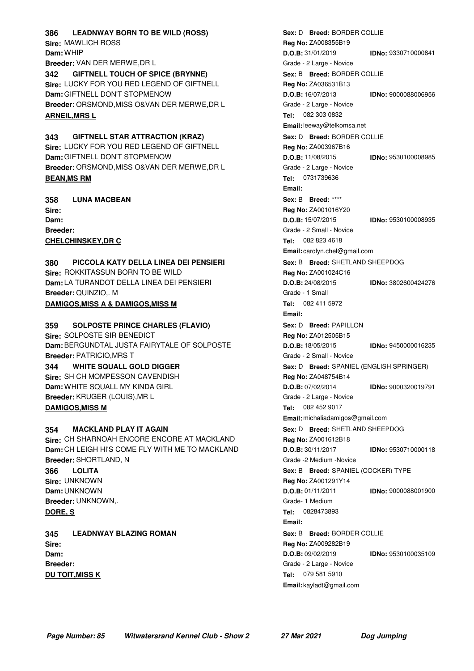**Sire:** MAWLICH ROSS **Dam:** WHIP **Breeder:** VAN DER MERWE,DR L **386 LEADNWAY BORN TO BE WILD (ROSS) Sire:** LUCKY FOR YOU RED LEGEND OF GIFTNELL **342 GIFTNELL TOUCH OF SPICE (BRYNNE)**

**Dam:** GIFTNELL DON'T STOPMENOW **Breeder:** ORSMOND,MISS O&VAN DER MERWE,DR L **ARNEIL,MRS L Tel:** 082 303 0832

**Sire:** LUCKY FOR YOU RED LEGEND OF GIFTNELL **Dam:** GIFTNELL DON'T STOPMENOW **Breeder:** ORSMOND,MISS O&VAN DER MERWE,DR L **343 GIFTNELL STAR ATTRACTION (KRAZ) BEAN,MS RM Tel:** 0731739636

**Sire: Dam: Breeder: 358 LUNA MACBEAN CHELCHINSKEY,DR C Tel:** 082 823 4618

**Sire:** ROKKITASSUN BORN TO BE WILD **Dam:** LA TURANDOT DELLA LINEA DEI PENSIERI **Breeder:** QUINZIO,. M **380 PICCOLA KATY DELLA LINEA DEI PENSIERI DAMIGOS,MISS A & DAMIGOS,MISS M Tel:** 082 411 5972

**Sire:** SOLPOSTE SIR BENEDICT **Dam:**BERGUNDTAL JUSTA FAIRYTALE OF SOLPOSTE **Breeder:** PATRICIO,MRS T **359 SOLPOSTE PRINCE CHARLES (FLAVIO) Sire:** SH CH MOMPESSON CAVENDISH **Dam:** WHITE SQUALL MY KINDA GIRL **Breeder:** KRUGER (LOUIS),MR L **344 WHITE SQUALL GOLD DIGGER DAMIGOS,MISS M Tel:** 082 452 9017

**Sire:** CH SHARNOAH ENCORE ENCORE AT MACKLAND **Dam:** CH LEIGH HI'S COME FLY WITH ME TO MACKLAND **Breeder:** SHORTLAND, N **354 MACKLAND PLAY IT AGAIN Sire:** UNKNOWN **Dam:** UNKNOWN **Breeder:** UNKNOWN,. **366 LOLITA DORE, S Tel:** 0828473893 **345 LEADNWAY BLAZING ROMAN**

**Sire: Dam: Breeder: DU TOIT,MISS K Tel:** 079 581 5910

**Reg No:** ZA008355B19 **D.O.B:** 31/01/2019 **IDNo:** 9330710000841 Grade - 2 Large - Novice **Sex: B Breed: BORDER COLLIE Reg No:** ZA036531B13 **D.O.B:** 16/07/2013 **IDNo:** 9000088006956 Grade - 2 Large - Novice **Email:**leeway@telkomsa.net **Sex: D Breed: BORDER COLLIE Reg No:** ZA003967B16 **D.O.B:** 11/08/2015 **IDNo:** 9530100008985 Grade - 2 Large - Novice **Email:** \*\*\*\* **Sex:** B **Breed: Reg No:** ZA001016Y20 **D.O.B:** 15/07/2015 **IDNo:** 9530100008935 Grade - 2 Small - Novice **Email:** carolyn.chel@gmail.com  $Sex: B$  **Breed:** SHETLAND SHEEPDOG **Reg No:** ZA001024C16 **D.O.B:** 24/08/2015 **IDNo:** 3802600424276 Grade - 1 Small **Email: Sex: D Breed:** PAPILLON **Reg No:** ZA012505B15 **D.O.B:** 18/05/2015 **IDNo:** 9450000016235 Grade - 2 Small - Novice **Sex:** D **Breed:** SPANIEL (ENGLISH SPRINGER) **Reg No:** ZA048754B14 **D.O.B:** 07/02/2014 **IDNo:** 9000320019791 Grade - 2 Large - Novice **Email:** michaliadamigos@gmail.com  $\textbf{Sex: D} \quad \textbf{Breed: SHETLAND SHEEPDOG}$ **Reg No:** ZA001612B18 **D.O.B:** 30/11/2017 **IDNo:** 9530710000118 Grade -2 Medium -Novice **Sex: B Breed: SPANIEL (COCKER) TYPE Reg No:** ZA001291Y14 **D.O.B:** 01/11/2011 **IDNo:** 9000088001900 Grade- 1 Medium **Email:**  $\textbf{Sex: } \textsf{B} \quad \textbf{Breed: } \textsf{BORDER} \textsf{COLLIE}$ **Reg No:** ZA009282B19 **D.O.B:** 09/02/2019 **IDNo:** 9530100035109 Grade - 2 Large - Novice **Email:** kayladt@gmail.com

**Sex: D Breed:** BORDER COLLIE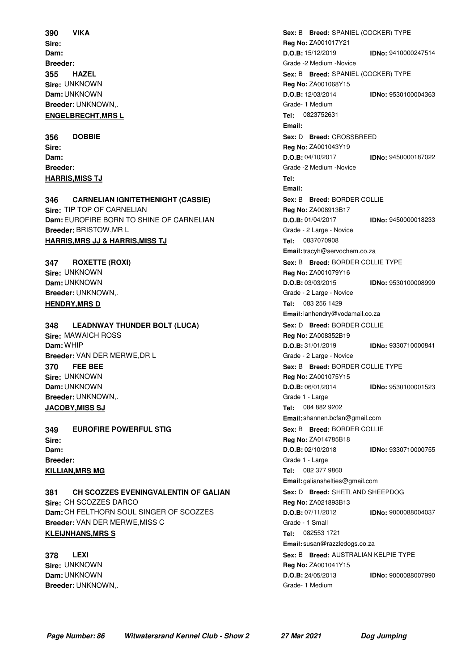**Sire: Dam: Breeder: 390 VIKA Sire:** UNKNOWN **Dam:** UNKNOWN **Breeder:** UNKNOWN,. **355 HAZEL ENGELBRECHT,MRS L Tel:** 0823752631

**Sire: Dam: Breeder: 356 DOBBIE HARRIS,MISS TJ Tel:**

### **Sire:** TIP TOP OF CARNELIAN **Dam:**EUROFIRE BORN TO SHINE OF CARNELIAN **Breeder:** BRISTOW,MR L **346 CARNELIAN IGNITETHENIGHT (CASSIE) HARRIS,MRS JJ & HARRIS,MISS TJ Tel:** 0837070908

**Sire:** UNKNOWN **Dam:** UNKNOWN **Breeder:** UNKNOWN,. **347 ROXETTE (ROXI) HENDRY,MRS D Tel:** 083 256 1429

## **348 LEADNWAY THUNDER BOLT (LUCA)**

**Sire:** MAWAICH ROSS **Dam:** WHIP **Breeder:** VAN DER MERWE,DR L **Sire:** UNKNOWN **Dam:** UNKNOWN **Breeder:** UNKNOWN,. **370 FEE BEE JACOBY,MISS SJ Tel:** 084 882 9202

**Sire: Dam: Breeder: 349 EUROFIRE POWERFUL STIG KILLIAN,MRS MG Tel:** 082 377 9860

**Sire:** CH SCOZZES DARCO **Dam:** CH FELTHORN SOUL SINGER OF SCOZZES **Breeder:** VAN DER MERWE,MISS C **381 CH SCOZZES EVENINGVALENTIN OF GALIAN KLEIJNHANS,MRS S Tel:** 082553 1721

**Sire:** UNKNOWN **Dam:** UNKNOWN **Breeder:** UNKNOWN,. **378 LEXI**

 $\textbf{Sex: B} \quad \textbf{Breed: SPANIEL} \text{ (COCKER) TYPEE}$ **Reg No:** ZA001017Y21 **D.O.B:** 15/12/2019 **IDNo:** 9410000247514 Grade -2 Medium -Novice **Sex: B Breed: SPANIEL (COCKER) TYPE Reg No:** ZA001068Y15 **D.O.B:** 12/03/2014 **IDNo:** 9530100004363 Grade- 1 Medium **Email: Sex: D Breed: CROSSBREED Reg No:** ZA001043Y19 **D.O.B:** 04/10/2017 **IDNo:** 9450000187022 Grade -2 Medium -Novice **Email:**  $\textbf{Sex:} \text{ B} \quad \textbf{Breed:} \text{ BORDER COLLIE}$ **Reg No:** ZA008913B17 **D.O.B:** 01/04/2017 **IDNo:** 9450000018233 Grade - 2 Large - Novice **Email:**tracyh@servochem.co.za  $Sex: B$  **Breed:** BORDER COLLIE TYPE **Reg No:** ZA001079Y16 **D.O.B:** 03/03/2015 **IDNo:** 9530100008999 Grade - 2 Large - Novice **Email:**ianhendry@vodamail.co.za **Sex: D Breed:** BORDER COLLIE **Reg No:** ZA008352B19 **D.O.B:** 31/01/2019 **IDNo:** 9330710000841 Grade - 2 Large - Novice  $Sex: B$  **Breed:** BORDER COLLIE TYPE **Reg No:** ZA001075Y15 **D.O.B:** 06/01/2014 **IDNo:** 9530100001523 Grade 1 - Large **Email:** shannen.bcfan@gmail.com  $\textbf{Sex:} \text{ B} \quad \textbf{Breed:} \text{ BORDER COLLIE}$ **Reg No:** ZA014785B18 **D.O.B:** 02/10/2018 **IDNo:** 9330710000755 Grade 1 - Large **Email:** galianshelties@gmail.com  $\textbf{Sex: D} \quad \textbf{Breed: SHETLAND SHEEPDOG}$ **Reg No:** ZA021893B13 **D.O.B:** 07/11/2012 **IDNo:** 9000088004037 Grade - 1 Small **Email:** susan@razzledogs.co.za **Sex: B Breed:** AUSTRALIAN KELPIE TYPE **Reg No:** ZA001041Y15 **D.O.B:** 24/05/2013 **IDNo:** 9000088007990 Grade- 1 Medium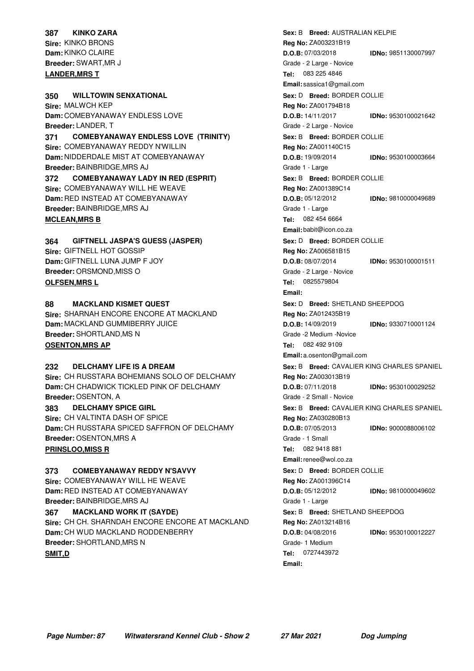## **Sire:** KINKO BRONS **Dam:**KINKO CLAIRE **Breeder:** SWART,MR J **387 KINKO ZARA**

**Sire:** MALWCH KEP **Dam:** COMEBYANAWAY ENDLESS LOVE **Breeder:** LANDER, T **350 WILLTOWIN SENXATIONAL Sire:** COMEBYANAWAY REDDY N'WILLIN **Dam:** NIDDERDALE MIST AT COMEBYANAWAY **371 COMEBYANAWAY ENDLESS LOVE (TRINITY)**

**Breeder:** BAINBRIDGE,MRS AJ **Sire:** COMEBYANAWAY WILL HE WEAVE **Dam:** RED INSTEAD AT COMEBYANAWAY **Breeder:** BAINBRIDGE,MRS AJ **372 COMEBYANAWAY LADY IN RED (ESPRIT) MCLEAN,MRS B Tel:** 082 454 6664

**Sire:** GIFTNELL HOT GOSSIP **Dam:** GIFTNELL LUNA JUMP F JOY **Breeder:** ORSMOND,MISS O **364 GIFTNELL JASPA'S GUESS (JASPER) OLFSEN,MRS L Tel:** 0825579804

**Sire:** SHARNAH ENCORE ENCORE AT MACKLAND **Dam:** MACKLAND GUMMIBERRY JUICE **Breeder:** SHORTLAND,MS N **88 MACKLAND KISMET QUEST OSENTON,MRS AP Tel:** 082 492 9109

**Sire:** CH RUSSTARA BOHEMIANS SOLO OF DELCHAMY **Dam:** CH CHADWICK TICKLED PINK OF DELCHAMY **Breeder:** OSENTON, A **232 DELCHAMY LIFE IS A DREAM 383 DELCHAMY SPICE GIRL**

**Sire:** CH VALTINTA DASH OF SPICE **Dam:** CH RUSSTARA SPICED SAFFRON OF DELCHAMY **Breeder:** OSENTON,MRS A **PRINSLOO,MISS R Tel:** 082 9418 881

**Sire:** COMEBYANAWAY WILL HE WEAVE **373 COMEBYANAWAY REDDY N'SAVVY**

**Dam:** RED INSTEAD AT COMEBYANAWAY **Breeder:** BAINBRIDGE,MRS AJ **Sire:** CH CH. SHARNDAH ENCORE ENCORE AT MACKLAND **Dam:** CH WUD MACKLAND RODDENBERRY **Breeder:** SHORTLAND,MRS N **367 MACKLAND WORK IT (SAYDE) SMIT,D Tel:** 0727443972

 $\textbf{Sex: B} \quad \textbf{Breed: AUSTRALIAN KELPIE}$ **Reg No:** ZA003231B19 **D.O.B:** 07/03/2018 **IDNo:** 9851130007997 Grade - 2 Large - Novice **LANDER,MRS T Tel:** 083 225 4846 **Email:** sassica1@gmail.com **Sex: D Breed:** BORDER COLLIE **Reg No:** ZA001794B18 **D.O.B:** 14/11/2017 **IDNo:** 9530100021642 Grade - 2 Large - Novice **Sex: B Breed: BORDER COLLIE Reg No:** ZA001140C15 **D.O.B:** 19/09/2014 **IDNo:** 9530100003664 Grade 1 - Large  $\textbf{Sex:} \text{ B} \quad \textbf{Breed:} \text{ BORDER COLLIE}$ **Reg No:** ZA001389C14 **D.O.B:** 05/12/2012 **IDNo:** 9810000049689 Grade 1 - Large **Email:** babit@icon.co.za **Sex: D Breed:** BORDER COLLIE **Reg No:** ZA006581B15 **D.O.B:** 08/07/2014 **IDNo:** 9530100001511 Grade - 2 Large - Novice **Email: Sex: D Breed: SHETLAND SHEEPDOG Reg No:** ZA012435B19 **D.O.B:** 14/09/2019 **IDNo:** 9330710001124 Grade -2 Medium -Novice **Email:** a.osenton@gmail.com  $Sex: B$  **Breed:** CAVALIER KING CHARLES SPANIEL **Reg No:** ZA003013B19 **D.O.B:** 07/11/2018 **IDNo:** 9530100029252 Grade - 2 Small - Novice  $Sex: B$  **Breed:** CAVALIER KING CHARLES SPANIEL **Reg No:** ZA030280B13 **D.O.B:** 07/05/2013 **IDNo:** 9000088006102 Grade - 1 Small **Email:**renee@wol.co.za **Sex: D Breed: BORDER COLLIE Reg No:** ZA001396C14 **D.O.B:** 05/12/2012 **IDNo:** 9810000049602 Grade 1 - Large  $Sex: B$  **Breed:** SHETLAND SHEEPDOG **Reg No:** ZA013214B16 **D.O.B:** 04/08/2016 **IDNo:** 9530100012227 Grade- 1 Medium **Email:**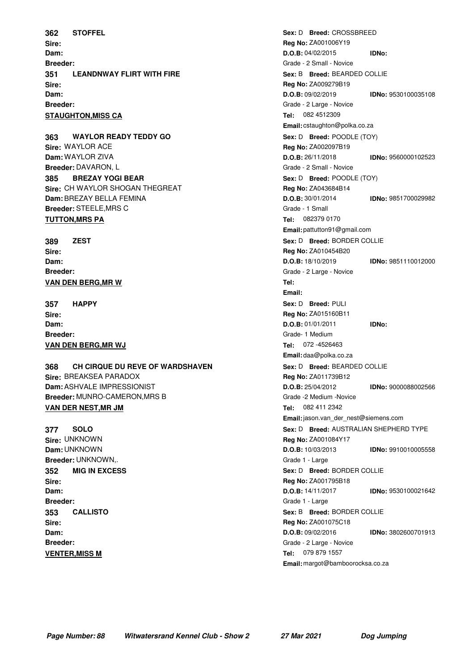**Sire: Dam: Breeder: 362 STOFFEL Sire: Dam: Breeder: 351 LEANDNWAY FLIRT WITH FIRE STAUGHTON, MISS CA Tel:** 082 4512309

**Sire:** WAYLOR ACE **Dam:** WAYLOR ZIVA **Breeder:** DAVARON, L **363 WAYLOR READY TEDDY GO Sire:** CH WAYLOR SHOGAN THEGREAT **Dam:**BREZAY BELLA FEMINA **Breeder:** STEELE,MRS C **385 BREZAY YOGI BEAR TUTTON, MRS PA TEL:** 082379 0170

**Sire: Dam: Breeder: 389 ZEST VAN DEN BERG,MR W Tel:**

**Sire: Dam: Breeder: 357 HAPPY VAN DEN BERG,MR WJ Tel:** 072 -4526463

**Sire:** BREAKSEA PARADOX **Dam:**ASHVALE IMPRESSIONIST **Breeder:** MUNRO-CAMERON,MRS B **368 CH CIRQUE DU REVE OF WARDSHAVEN VAN DER NEST,MR JM Tel:** 082 411 2342

**Sire:** UNKNOWN **Dam:** UNKNOWN **Breeder:** UNKNOWN,. **377 SOLO Sire: Dam: Breeder: 352 MIG IN EXCESS Sire: Dam: Breeder: 353 CALLISTO VENTER,MISS M Tel:** 079 879 1557

 $Sex: D$  **Breed:** CROSSBREED **Reg No:** ZA001006Y19 **D.O.B:** 04/02/2015 **IDNo:** Grade - 2 Small - Novice BEARDED COLLIE **Sex:** B **Breed: Reg No:** ZA009279B19 **D.O.B:** 09/02/2019 **IDNo:** 9530100035108 Grade - 2 Large - Novice **Email:** cstaughton@polka.co.za **Sex:** D **Breed:** POODLE (TOY) **Reg No:** ZA002097B19 **D.O.B:** 26/11/2018 **IDNo:** 9560000102523 Grade - 2 Small - Novice **Sex:** D **Breed:** POODLE (TOY) **Reg No:** ZA043684B14 **D.O.B:** 30/01/2014 **IDNo:** 9851700029982 Grade - 1 Small **Email:** pattutton91@gmail.com **Sex: D Breed:** BORDER COLLIE **Reg No:** ZA010454B20 **D.O.B:** 18/10/2019 **IDNo:** 9851110012000 Grade - 2 Large - Novice **Email: Sex:** D **Breed:** PULI **Reg No:** ZA015160B11 **D.O.B:** 01/01/2011 **IDNo:** Grade- 1 Medium **Email:** daa@polka.co.za BEARDED COLLIE **Sex:** D **Breed: Reg No:** ZA011739B12 **D.O.B:** 25/04/2012 **IDNo:** 9000088002566 Grade -2 Medium -Novice **Email:**jason.van\_der\_nest@siemens.com **Sex: D Breed:** AUSTRALIAN SHEPHERD TYPE **Reg No:** ZA001084Y17 **D.O.B:** 10/03/2013 **IDNo:** 9910010005558 Grade 1 - Large **Sex: D Breed: BORDER COLLIE Reg No:** ZA001795B18 **D.O.B:** 14/11/2017 **IDNo:** 9530100021642 Grade 1 - Large **Sex: B Breed: BORDER COLLIE Reg No:** ZA001075C18 **D.O.B:** 09/02/2016 **IDNo:** 3802600701913 Grade - 2 Large - Novice **Email:** margot@bamboorocksa.co.za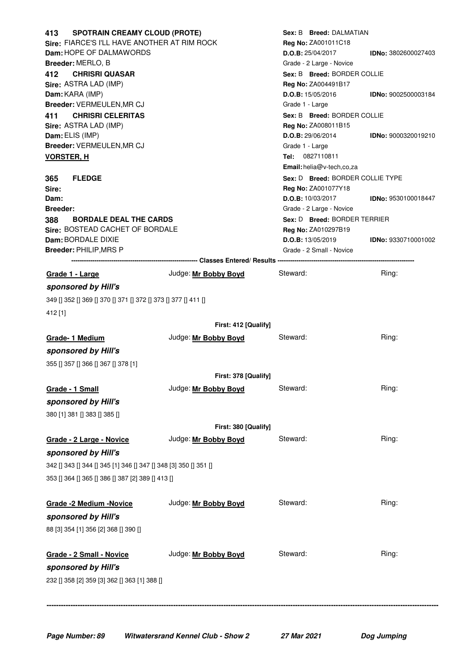| <b>SPOTRAIN CREAMY CLOUD (PROTE)</b><br>413                      |                                                    | Sex: B Breed: DALMATIAN          |                            |
|------------------------------------------------------------------|----------------------------------------------------|----------------------------------|----------------------------|
| Sire: FIARCE'S I'LL HAVE ANOTHER AT RIM ROCK                     |                                                    | <b>Rea No: ZA001011C18</b>       |                            |
| Dam: HOPE OF DALMAWORDS                                          | $D.O.B$ : 25/04/2017<br><b>IDNo: 3802600027403</b> |                                  |                            |
| Breeder: MERLO, B                                                |                                                    | Grade - 2 Large - Novice         |                            |
| <b>CHRISRI QUASAR</b><br>412                                     |                                                    | Sex: B Breed: BORDER COLLIE      |                            |
| Sire: ASTRA LAD (IMP)                                            |                                                    | Reg No: ZA004491B17              |                            |
| Dam: KARA (IMP)                                                  |                                                    | D.O.B: 15/05/2016                | <b>IDNo: 9002500003184</b> |
| Breeder: VERMEULEN, MR CJ                                        |                                                    | Grade 1 - Large                  |                            |
| <b>CHRISRI CELERITAS</b><br>411                                  |                                                    | Sex: B Breed: BORDER COLLIE      |                            |
| Sire: ASTRA LAD (IMP)                                            |                                                    | Reg No: ZA008011B15              |                            |
| Dam: ELIS (IMP)                                                  |                                                    | $D.O.B$ : 29/06/2014             | <b>IDNo: 9000320019210</b> |
| Breeder: VERMEULEN, MR CJ                                        |                                                    | Grade 1 - Large                  |                            |
| <b>VORSTER, H</b>                                                |                                                    | Tel: 0827110811                  |                            |
|                                                                  |                                                    | Email: helia@v-tech,co,za        |                            |
| <b>FLEDGE</b><br>365                                             |                                                    | Sex: D Breed: BORDER COLLIE TYPE |                            |
| Sire:                                                            |                                                    | Reg No: ZA001077Y18              |                            |
| Dam:                                                             |                                                    | D.O.B: 10/03/2017                | <b>IDNo: 9530100018447</b> |
| <b>Breeder:</b>                                                  |                                                    | Grade - 2 Large - Novice         |                            |
| 388<br><b>BORDALE DEAL THE CARDS</b>                             |                                                    | Sex: D Breed: BORDER TERRIER     |                            |
| Sire: BOSTEAD CACHET OF BORDALE                                  |                                                    | <b>Reg No: ZA010297B19</b>       |                            |
| Dam: BORDALE DIXIE                                               |                                                    | D.O.B: 13/05/2019                | <b>IDNo: 9330710001002</b> |
| Breeder: PHILIP, MRS P                                           |                                                    | Grade - 2 Small - Novice         |                            |
|                                                                  |                                                    |                                  |                            |
| Grade 1 - Large                                                  | Judge: Mr Bobby Boyd                               | Steward:                         | Ring:                      |
| sponsored by Hill's                                              |                                                    |                                  |                            |
| 349    352    369    370    371    372    373    377    411      |                                                    |                                  |                            |
|                                                                  |                                                    |                                  |                            |
| 412 [1]                                                          |                                                    |                                  |                            |
|                                                                  | First: 412 [Qualify]                               |                                  |                            |
| Grade-1 Medium                                                   | Judge: Mr Bobby Boyd                               | Steward:                         | Ring:                      |
| sponsored by Hill's                                              |                                                    |                                  |                            |
| 355 [] 357 [] 366 [] 367 [] 378 [1]                              |                                                    |                                  |                            |
|                                                                  |                                                    |                                  |                            |
|                                                                  | First: 378 [Qualify]                               |                                  |                            |
| Grade - 1 Small                                                  | Judge: Mr Bobby Boyd                               | Steward:                         | Ring:                      |
| sponsored by Hill's                                              |                                                    |                                  |                            |
| 380 [1] 381 [] 383 [] 385 []                                     |                                                    |                                  |                            |
|                                                                  | First: 380 [Qualify]                               |                                  |                            |
|                                                                  |                                                    | Steward:                         | Ring:                      |
| Grade - 2 Large - Novice                                         | Judge: Mr Bobby Boyd                               |                                  |                            |
| sponsored by Hill's                                              |                                                    |                                  |                            |
| 342 [] 343 [] 344 [] 345 [1] 346 [] 347 [] 348 [3] 350 [] 351 [] |                                                    |                                  |                            |
| 353 [] 364 [] 365 [] 386 [] 387 [2] 389 [] 413 []                |                                                    |                                  |                            |
|                                                                  |                                                    |                                  |                            |
|                                                                  |                                                    | Steward:                         | Ring:                      |
| Grade -2 Medium -Novice                                          | Judge: Mr Bobby Boyd                               |                                  |                            |
| sponsored by Hill's                                              |                                                    |                                  |                            |
| 88 [3] 354 [1] 356 [2] 368 [] 390 []                             |                                                    |                                  |                            |
|                                                                  |                                                    |                                  |                            |
| Grade - 2 Small - Novice                                         | Judge: Mr Bobby Boyd                               | Steward:                         | Ring:                      |
|                                                                  |                                                    |                                  |                            |
| sponsored by Hill's                                              |                                                    |                                  |                            |
| 232 [] 358 [2] 359 [3] 362 [] 363 [1] 388 []                     |                                                    |                                  |                            |
|                                                                  |                                                    |                                  |                            |
|                                                                  |                                                    |                                  |                            |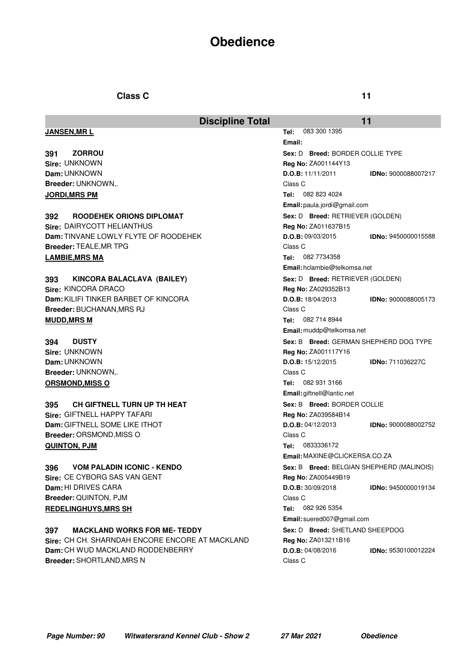# **Obedience**

## **Class C 11**

|                                                 | <b>Discipline Total</b> |                                           | 11                         |  |
|-------------------------------------------------|-------------------------|-------------------------------------------|----------------------------|--|
| <b>JANSEN, MRL</b>                              |                         | 083 300 1395<br>Tel:                      |                            |  |
|                                                 |                         | Email:                                    |                            |  |
| <b>ZORROU</b><br>391                            |                         | Sex: D Breed: BORDER COLLIE TYPE          |                            |  |
| Sire: UNKNOWN                                   |                         | <b>Reg No: ZA001144Y13</b>                |                            |  |
| Dam: UNKNOWN                                    |                         | D.O.B: 11/11/2011                         | <b>IDNo: 9000088007217</b> |  |
| Breeder: UNKNOWN,.                              |                         | Class C                                   |                            |  |
| <b>JORDI, MRS PM</b>                            |                         | 082 823 4024<br>Tel:                      |                            |  |
|                                                 |                         | Email: paula.jordi@gmail.com              |                            |  |
| ROODEHEK ORIONS DIPLOMAT<br>392                 |                         | Sex: D Breed: RETRIEVER (GOLDEN)          |                            |  |
| Sire: DAIRYCOTT HELIANTHUS                      |                         | <b>Reg No: ZA011637B15</b>                |                            |  |
| Dam: TINVANE LOWLY FLYTE OF ROODEHEK            |                         | D.O.B: 09/03/2015                         | IDNo: 9450000015588        |  |
| <b>Breeder: TEALE, MR TPG</b>                   |                         | Class C                                   |                            |  |
| <b>LAMBIE, MRS MA</b>                           |                         | 082 7734358<br>Tel:                       |                            |  |
|                                                 |                         | Email: hclambie@telkomsa.net              |                            |  |
| 393<br>KINCORA BALACLAVA (BAILEY)               |                         | Sex: D Breed: RETRIEVER (GOLDEN)          |                            |  |
| Sire: KINCORA DRACO                             |                         | <b>Reg No: ZA029352B13</b>                |                            |  |
| <b>Dam:</b> KILIFI TINKER BARBET OF KINCORA     |                         | D.O.B: 18/04/2013                         | <b>IDNo: 9000088005173</b> |  |
| Breeder: BUCHANAN, MRS RJ                       |                         | Class C                                   |                            |  |
| <b>MUDD, MRS M</b>                              |                         | 082 714 8944<br>Tel:                      |                            |  |
|                                                 |                         | Email: muddp@telkomsa.net                 |                            |  |
| 394<br><b>DUSTY</b>                             |                         | Sex: B Breed: GERMAN SHEPHERD DOG TYPE    |                            |  |
| Sire: UNKNOWN                                   |                         | <b>Reg No: ZA001117Y16</b>                |                            |  |
| Dam: UNKNOWN                                    |                         | D.O.B: 15/12/2015                         | <b>IDNo: 711036227C</b>    |  |
| Breeder: UNKNOWN,.                              |                         | Class C                                   |                            |  |
| <b>ORSMOND, MISS O</b>                          |                         | 082 931 3166<br>Tel:                      |                            |  |
|                                                 |                         | Email: giftnell@lantic.net                |                            |  |
| <b>CH GIFTNELL TURN UP TH HEAT</b><br>395       |                         | Sex: B Breed: BORDER COLLIE               |                            |  |
| Sire: GIFTNELL HAPPY TAFARI                     |                         | Reg No: ZA039584B14                       |                            |  |
| Dam: GIFTNELL SOME LIKE ITHOT                   |                         | $D.O.B$ : 04/12/2013                      | <b>IDNo: 9000088002752</b> |  |
| <b>Breeder: ORSMOND, MISS O</b>                 |                         | Class C                                   |                            |  |
| QUINTON, PJM                                    |                         | 0833336172<br>Tel:                        |                            |  |
|                                                 |                         | Email: MAXINE@CLICKERSA.CO.ZA             |                            |  |
| VOM PALADIN ICONIC - KENDO<br>396               |                         | Sex: B Breed: BELGIAN SHEPHERD (MALINOIS) |                            |  |
| Sire: CE CYBORG SAS VAN GENT                    |                         | <b>Reg No: ZA005449B19</b>                |                            |  |
| Dam: HI DRIVES CARA                             |                         | D.O.B: 30/09/2018                         | <b>IDNo: 9450000019134</b> |  |
| Breeder: QUINTON, PJM                           |                         | Class C                                   |                            |  |
| <b>REDELINGHUYS, MRS SH</b>                     |                         | 082 926 5354<br>Tel:                      |                            |  |
|                                                 |                         | Email: suered007@gmail.com                |                            |  |
| <b>MACKLAND WORKS FOR ME-TEDDY</b><br>397       |                         | Sex: D Breed: SHETLAND SHEEPDOG           |                            |  |
| Sire: CH CH. SHARNDAH ENCORE ENCORE AT MACKLAND |                         | Reg No: ZA013211B16                       |                            |  |
| Dam: CH WUD MACKLAND RODDENBERRY                |                         | D.O.B: 04/08/2016                         | IDNo: 9530100012224        |  |
| <b>Breeder: SHORTLAND, MRS N</b>                |                         | Class C                                   |                            |  |
|                                                 |                         |                                           |                            |  |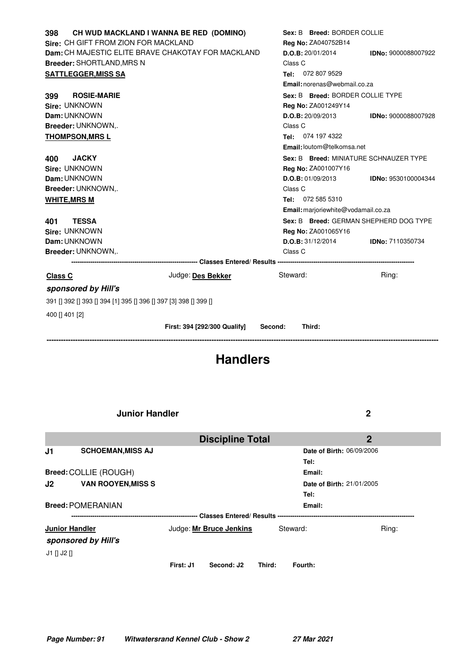| 398                                                         | CH WUD MACKLAND I WANNA BE RED (DOMINO) | Sex: B Breed: BORDER COLLIE            |                                        |
|-------------------------------------------------------------|-----------------------------------------|----------------------------------------|----------------------------------------|
| Sire: CH GIFT FROM ZION FOR MACKLAND                        |                                         | Reg No: ZA040752B14                    |                                        |
| Dam: CH MAJESTIC ELITE BRAVE CHAKOTAY FOR MACKLAND          |                                         | D.O.B: 20/01/2014                      | <b>IDNo: 9000088007922</b>             |
| Breeder: SHORTLAND, MRS N                                   |                                         | Class C                                |                                        |
| <b>SATTLEGGER, MISS SA</b>                                  |                                         | Tel: 072 807 9529                      |                                        |
|                                                             |                                         | Email: norenas@webmail.co.za           |                                        |
| <b>ROSIE-MARIE</b><br>399                                   |                                         | Sex: B Breed: BORDER COLLIE TYPE       |                                        |
| Sire: UNKNOWN                                               |                                         | Reg No: ZA001249Y14                    |                                        |
| Dam: UNKNOWN                                                |                                         | $D.O.B$ : 20/09/2013                   | IDNo: 9000088007928                    |
| Breeder: UNKNOWN,.                                          |                                         | Class C                                |                                        |
| <b>THOMPSON, MRS L</b>                                      |                                         | Tel: 074 197 4322                      |                                        |
|                                                             |                                         | Email: loutom@telkomsa.net             |                                        |
| <b>JACKY</b><br>400                                         |                                         | Sex: B Breed: MINIATURE SCHNAUZER TYPE |                                        |
| Sire: UNKNOWN                                               |                                         | Reg No: ZA001007Y16                    |                                        |
| Dam: UNKNOWN                                                |                                         | D.O.B: 01/09/2013                      | <b>IDNo: 9530100004344</b>             |
| Breeder: UNKNOWN,.                                          |                                         | Class C                                |                                        |
| <b>WHITE, MRS M</b>                                         |                                         | Tel: 072 585 5310                      |                                        |
|                                                             |                                         | Email: marjoriewhite@vodamail.co.za    |                                        |
| <b>TESSA</b><br>401                                         |                                         |                                        | Sex: B Breed: GERMAN SHEPHERD DOG TYPE |
| Sire: UNKNOWN                                               |                                         | <b>Reg No: ZA001065Y16</b>             |                                        |
| Dam: UNKNOWN                                                |                                         | D.O.B: 31/12/2014                      | <b>IDNo: 7110350734</b>                |
| Breeder: UNKNOWN                                            |                                         | Class C                                |                                        |
|                                                             |                                         |                                        |                                        |
| Class C                                                     | Judge: Des Bekker                       | Steward:                               | Ring:                                  |
| sponsored by Hill's                                         |                                         |                                        |                                        |
| 391    392    393    394  1 395    396    397  3 398    399 |                                         |                                        |                                        |
| 400 [] 401 [2]                                              |                                         |                                        |                                        |
|                                                             | First: 394 [292/300 Qualify]            | Third:<br>Second:                      |                                        |
|                                                             |                                         |                                        |                                        |

# **Handlers**

**Junior Handler 2**

|                                 |                          |           | <b>Discipline Total</b> |        |                           | $\overline{2}$                   |  |
|---------------------------------|--------------------------|-----------|-------------------------|--------|---------------------------|----------------------------------|--|
| J1                              | <b>SCHOEMAN, MISS AJ</b> |           |                         |        |                           | <b>Date of Birth: 06/09/2006</b> |  |
|                                 |                          |           |                         |        | Tel:                      |                                  |  |
|                                 | Breed: COLLIE (ROUGH)    |           |                         |        | Email:                    |                                  |  |
| <b>VAN ROOYEN, MISS S</b><br>J2 |                          |           |                         |        | Date of Birth: 21/01/2005 |                                  |  |
|                                 |                          |           |                         |        | Tel:                      |                                  |  |
|                                 | <b>Breed: POMERANIAN</b> |           |                         |        | Email:                    |                                  |  |
|                                 |                          |           |                         |        |                           |                                  |  |
|                                 | <b>Junior Handler</b>    |           | Judge: Mr Bruce Jenkins |        | Steward:                  | Ring:                            |  |
|                                 | sponsored by Hill's      |           |                         |        |                           |                                  |  |
| $J1$ $J2$ $J1$                  |                          |           |                         |        |                           |                                  |  |
|                                 |                          | First: J1 | Second: J2              | Third: | Fourth:                   |                                  |  |